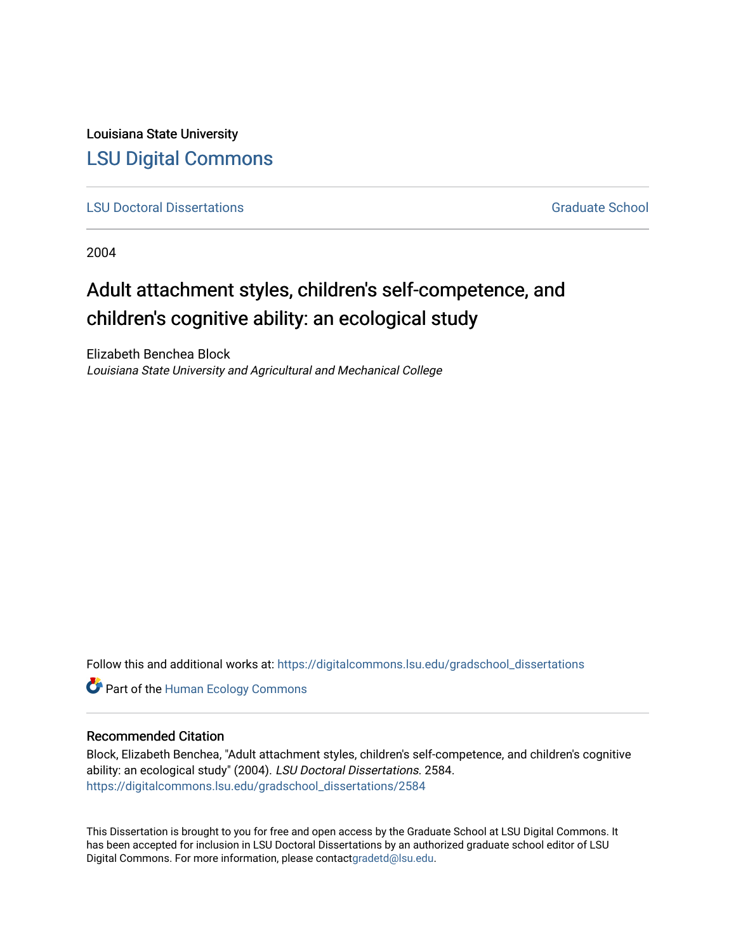Louisiana State University [LSU Digital Commons](https://digitalcommons.lsu.edu/)

**[LSU Doctoral Dissertations](https://digitalcommons.lsu.edu/gradschool_dissertations)** [Graduate School](https://digitalcommons.lsu.edu/gradschool) Control of the Graduate School Control of the Graduate School Control of the Graduate School Control of the Graduate School Control of the Graduate School Control of the Graduat

2004

# Adult attachment styles, children's self-competence, and children's cognitive ability: an ecological study

Elizabeth Benchea Block Louisiana State University and Agricultural and Mechanical College

Follow this and additional works at: [https://digitalcommons.lsu.edu/gradschool\\_dissertations](https://digitalcommons.lsu.edu/gradschool_dissertations?utm_source=digitalcommons.lsu.edu%2Fgradschool_dissertations%2F2584&utm_medium=PDF&utm_campaign=PDFCoverPages)

**Part of the Human Ecology Commons** 

## Recommended Citation

Block, Elizabeth Benchea, "Adult attachment styles, children's self-competence, and children's cognitive ability: an ecological study" (2004). LSU Doctoral Dissertations. 2584. [https://digitalcommons.lsu.edu/gradschool\\_dissertations/2584](https://digitalcommons.lsu.edu/gradschool_dissertations/2584?utm_source=digitalcommons.lsu.edu%2Fgradschool_dissertations%2F2584&utm_medium=PDF&utm_campaign=PDFCoverPages)

This Dissertation is brought to you for free and open access by the Graduate School at LSU Digital Commons. It has been accepted for inclusion in LSU Doctoral Dissertations by an authorized graduate school editor of LSU Digital Commons. For more information, please contac[tgradetd@lsu.edu.](mailto:gradetd@lsu.edu)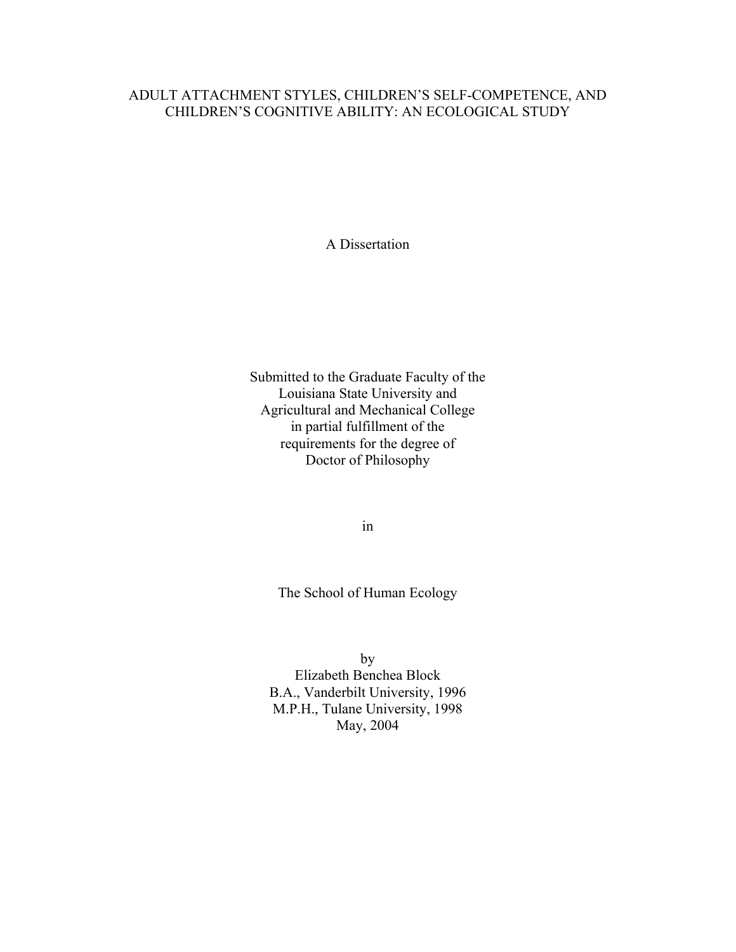# ADULT ATTACHMENT STYLES, CHILDREN'S SELF-COMPETENCE, AND CHILDREN'S COGNITIVE ABILITY: AN ECOLOGICAL STUDY

A Dissertation

Submitted to the Graduate Faculty of the Louisiana State University and Agricultural and Mechanical College in partial fulfillment of the requirements for the degree of Doctor of Philosophy

in

The School of Human Ecology

by Elizabeth Benchea Block B.A., Vanderbilt University, 1996 M.P.H., Tulane University, 1998 May, 2004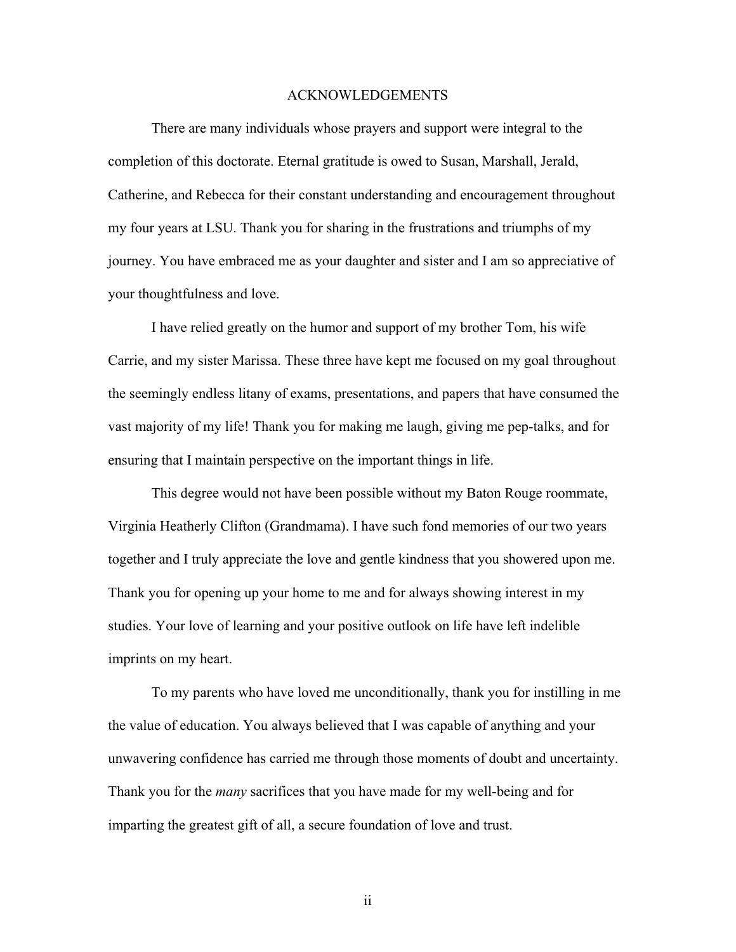#### ACKNOWLEDGEMENTS

 There are many individuals whose prayers and support were integral to the completion of this doctorate. Eternal gratitude is owed to Susan, Marshall, Jerald, Catherine, and Rebecca for their constant understanding and encouragement throughout my four years at LSU. Thank you for sharing in the frustrations and triumphs of my journey. You have embraced me as your daughter and sister and I am so appreciative of your thoughtfulness and love.

 I have relied greatly on the humor and support of my brother Tom, his wife Carrie, and my sister Marissa. These three have kept me focused on my goal throughout the seemingly endless litany of exams, presentations, and papers that have consumed the vast majority of my life! Thank you for making me laugh, giving me pep-talks, and for ensuring that I maintain perspective on the important things in life.

 This degree would not have been possible without my Baton Rouge roommate, Virginia Heatherly Clifton (Grandmama). I have such fond memories of our two years together and I truly appreciate the love and gentle kindness that you showered upon me. Thank you for opening up your home to me and for always showing interest in my studies. Your love of learning and your positive outlook on life have left indelible imprints on my heart.

 To my parents who have loved me unconditionally, thank you for instilling in me the value of education. You always believed that I was capable of anything and your unwavering confidence has carried me through those moments of doubt and uncertainty. Thank you for the *many* sacrifices that you have made for my well-being and for imparting the greatest gift of all, a secure foundation of love and trust.

ii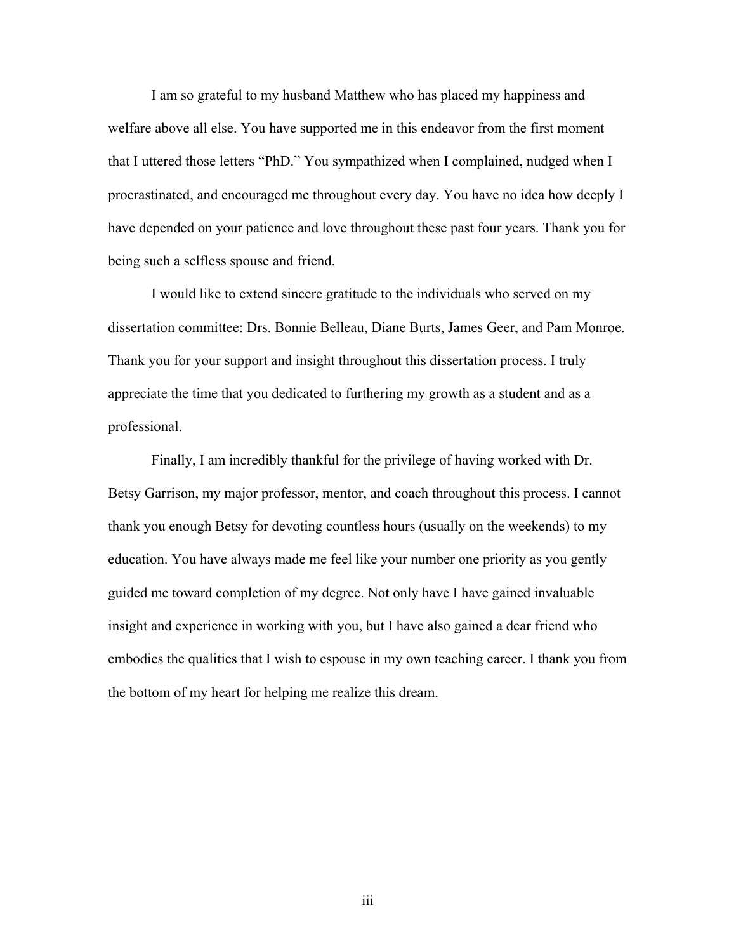I am so grateful to my husband Matthew who has placed my happiness and welfare above all else. You have supported me in this endeavor from the first moment that I uttered those letters "PhD." You sympathized when I complained, nudged when I procrastinated, and encouraged me throughout every day. You have no idea how deeply I have depended on your patience and love throughout these past four years. Thank you for being such a selfless spouse and friend.

 I would like to extend sincere gratitude to the individuals who served on my dissertation committee: Drs. Bonnie Belleau, Diane Burts, James Geer, and Pam Monroe. Thank you for your support and insight throughout this dissertation process. I truly appreciate the time that you dedicated to furthering my growth as a student and as a professional.

 Finally, I am incredibly thankful for the privilege of having worked with Dr. Betsy Garrison, my major professor, mentor, and coach throughout this process. I cannot thank you enough Betsy for devoting countless hours (usually on the weekends) to my education. You have always made me feel like your number one priority as you gently guided me toward completion of my degree. Not only have I have gained invaluable insight and experience in working with you, but I have also gained a dear friend who embodies the qualities that I wish to espouse in my own teaching career. I thank you from the bottom of my heart for helping me realize this dream.

iii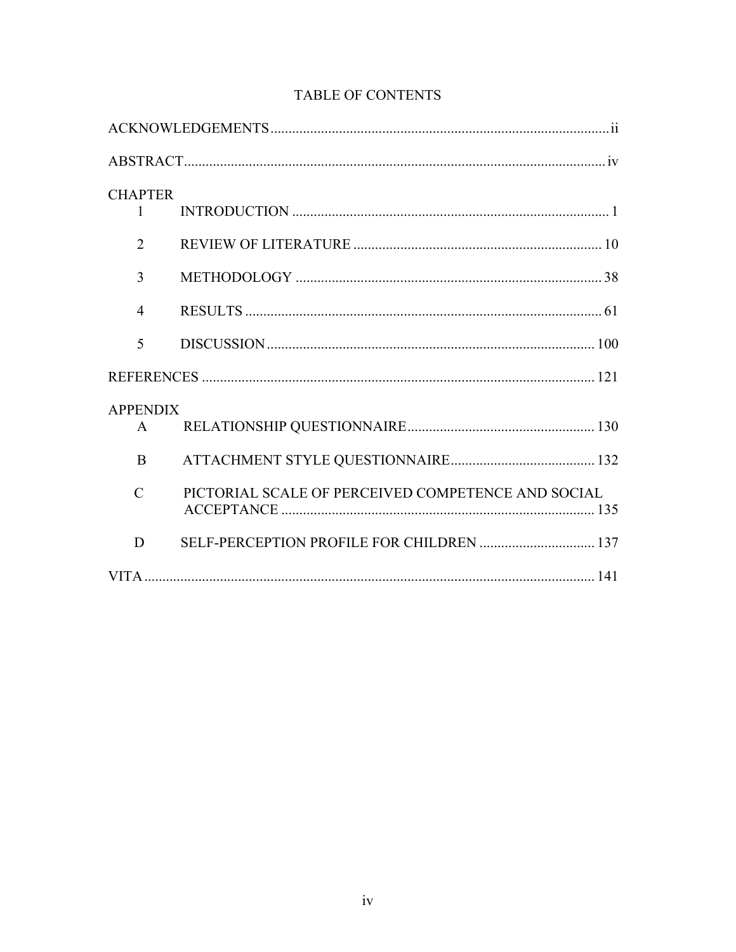| <b>CHAPTER</b>  |                                                    |
|-----------------|----------------------------------------------------|
| $\mathbf{1}$    |                                                    |
| $\overline{2}$  |                                                    |
| 3               |                                                    |
| $\overline{4}$  |                                                    |
| 5               |                                                    |
|                 |                                                    |
| <b>APPENDIX</b> |                                                    |
| $\mathsf{A}$    |                                                    |
| B               |                                                    |
| $\mathcal{C}$   | PICTORIAL SCALE OF PERCEIVED COMPETENCE AND SOCIAL |
| D               |                                                    |
|                 |                                                    |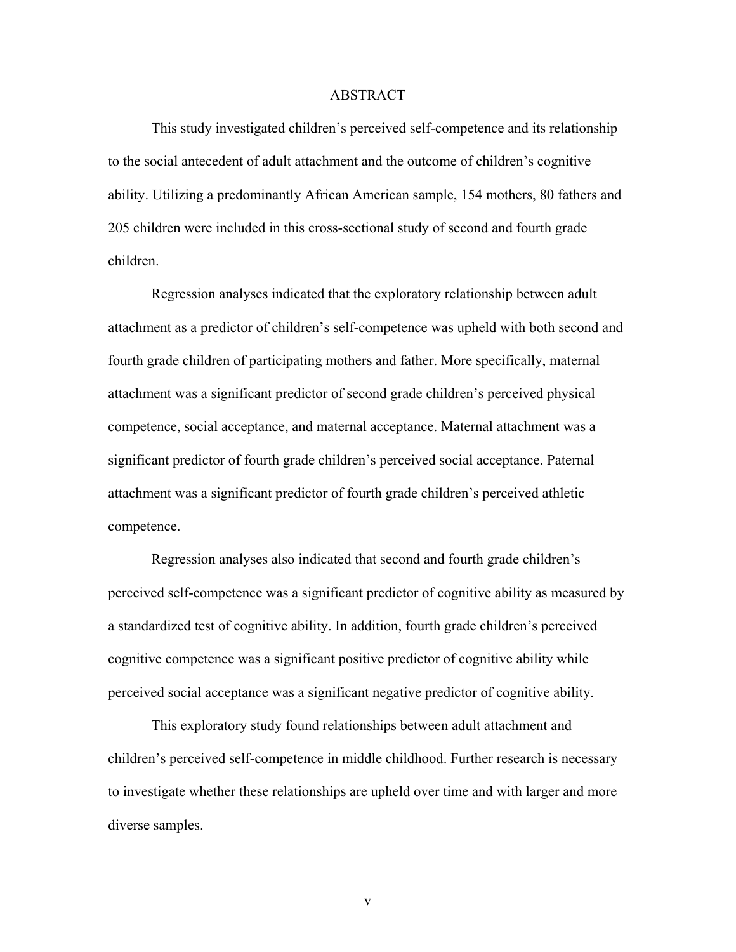#### ABSTRACT

 This study investigated children's perceived self-competence and its relationship to the social antecedent of adult attachment and the outcome of children's cognitive ability. Utilizing a predominantly African American sample, 154 mothers, 80 fathers and 205 children were included in this cross-sectional study of second and fourth grade children.

 Regression analyses indicated that the exploratory relationship between adult attachment as a predictor of children's self-competence was upheld with both second and fourth grade children of participating mothers and father. More specifically, maternal attachment was a significant predictor of second grade children's perceived physical competence, social acceptance, and maternal acceptance. Maternal attachment was a significant predictor of fourth grade children's perceived social acceptance. Paternal attachment was a significant predictor of fourth grade children's perceived athletic competence.

 Regression analyses also indicated that second and fourth grade children's perceived self-competence was a significant predictor of cognitive ability as measured by a standardized test of cognitive ability. In addition, fourth grade children's perceived cognitive competence was a significant positive predictor of cognitive ability while perceived social acceptance was a significant negative predictor of cognitive ability.

 This exploratory study found relationships between adult attachment and children's perceived self-competence in middle childhood. Further research is necessary to investigate whether these relationships are upheld over time and with larger and more diverse samples.

v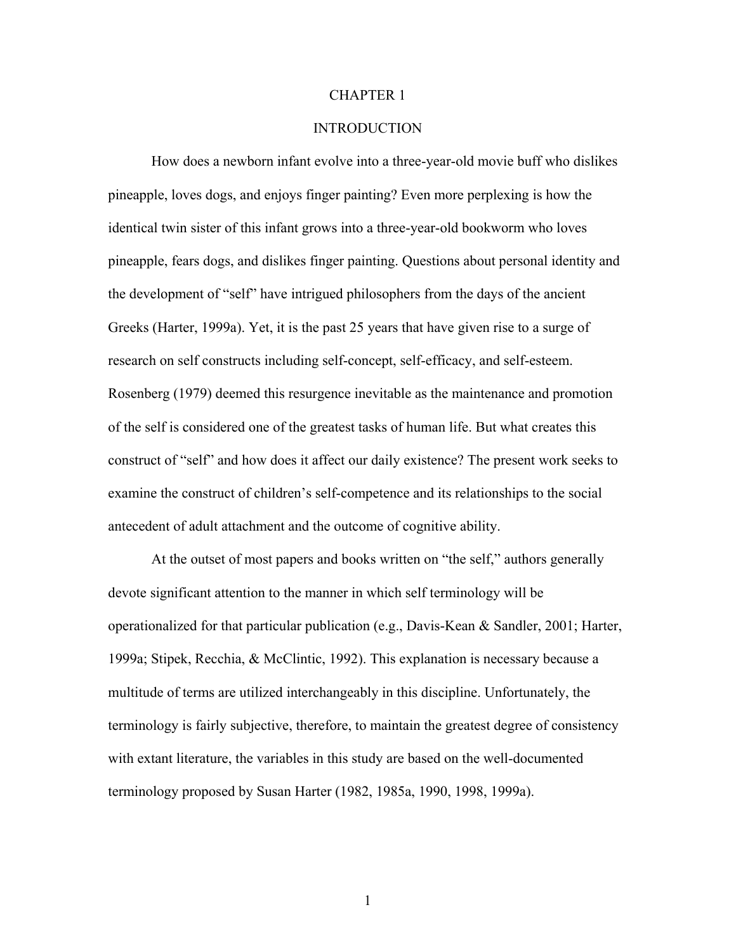#### CHAPTER 1

# **INTRODUCTION**

How does a newborn infant evolve into a three-year-old movie buff who dislikes pineapple, loves dogs, and enjoys finger painting? Even more perplexing is how the identical twin sister of this infant grows into a three-year-old bookworm who loves pineapple, fears dogs, and dislikes finger painting. Questions about personal identity and the development of "self" have intrigued philosophers from the days of the ancient Greeks (Harter, 1999a). Yet, it is the past 25 years that have given rise to a surge of research on self constructs including self-concept, self-efficacy, and self-esteem. Rosenberg (1979) deemed this resurgence inevitable as the maintenance and promotion of the self is considered one of the greatest tasks of human life. But what creates this construct of "self" and how does it affect our daily existence? The present work seeks to examine the construct of children's self-competence and its relationships to the social antecedent of adult attachment and the outcome of cognitive ability.

At the outset of most papers and books written on "the self," authors generally devote significant attention to the manner in which self terminology will be operationalized for that particular publication (e.g., Davis-Kean & Sandler, 2001; Harter, 1999a; Stipek, Recchia, & McClintic, 1992). This explanation is necessary because a multitude of terms are utilized interchangeably in this discipline. Unfortunately, the terminology is fairly subjective, therefore, to maintain the greatest degree of consistency with extant literature, the variables in this study are based on the well-documented terminology proposed by Susan Harter (1982, 1985a, 1990, 1998, 1999a).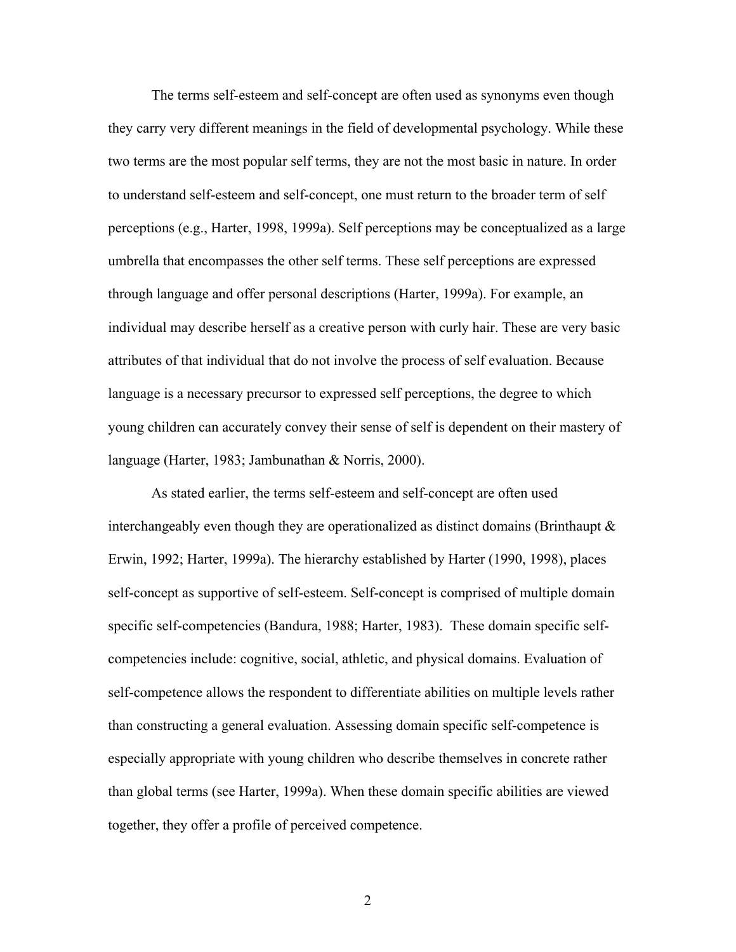The terms self-esteem and self-concept are often used as synonyms even though they carry very different meanings in the field of developmental psychology. While these two terms are the most popular self terms, they are not the most basic in nature. In order to understand self-esteem and self-concept, one must return to the broader term of self perceptions (e.g., Harter, 1998, 1999a). Self perceptions may be conceptualized as a large umbrella that encompasses the other self terms. These self perceptions are expressed through language and offer personal descriptions (Harter, 1999a). For example, an individual may describe herself as a creative person with curly hair. These are very basic attributes of that individual that do not involve the process of self evaluation. Because language is a necessary precursor to expressed self perceptions, the degree to which young children can accurately convey their sense of self is dependent on their mastery of language (Harter, 1983; Jambunathan & Norris, 2000).

As stated earlier, the terms self-esteem and self-concept are often used interchangeably even though they are operationalized as distinct domains (Brinthaupt  $\&$ Erwin, 1992; Harter, 1999a). The hierarchy established by Harter (1990, 1998), places self-concept as supportive of self-esteem. Self-concept is comprised of multiple domain specific self-competencies (Bandura, 1988; Harter, 1983). These domain specific selfcompetencies include: cognitive, social, athletic, and physical domains. Evaluation of self-competence allows the respondent to differentiate abilities on multiple levels rather than constructing a general evaluation. Assessing domain specific self-competence is especially appropriate with young children who describe themselves in concrete rather than global terms (see Harter, 1999a). When these domain specific abilities are viewed together, they offer a profile of perceived competence.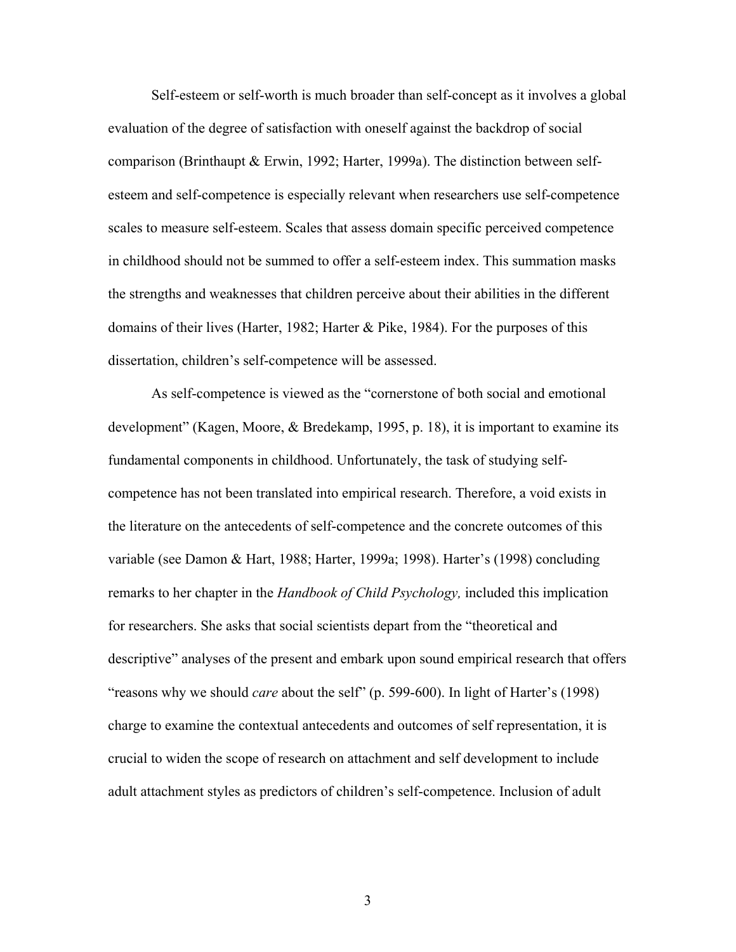Self-esteem or self-worth is much broader than self-concept as it involves a global evaluation of the degree of satisfaction with oneself against the backdrop of social comparison (Brinthaupt & Erwin, 1992; Harter, 1999a). The distinction between selfesteem and self-competence is especially relevant when researchers use self-competence scales to measure self-esteem. Scales that assess domain specific perceived competence in childhood should not be summed to offer a self-esteem index. This summation masks the strengths and weaknesses that children perceive about their abilities in the different domains of their lives (Harter, 1982; Harter & Pike, 1984). For the purposes of this dissertation, children's self-competence will be assessed.

As self-competence is viewed as the "cornerstone of both social and emotional development" (Kagen, Moore, & Bredekamp, 1995, p. 18), it is important to examine its fundamental components in childhood. Unfortunately, the task of studying selfcompetence has not been translated into empirical research. Therefore, a void exists in the literature on the antecedents of self-competence and the concrete outcomes of this variable (see Damon & Hart, 1988; Harter, 1999a; 1998). Harter's (1998) concluding remarks to her chapter in the *Handbook of Child Psychology,* included this implication for researchers. She asks that social scientists depart from the "theoretical and descriptive" analyses of the present and embark upon sound empirical research that offers "reasons why we should *care* about the self" (p. 599-600). In light of Harter's (1998) charge to examine the contextual antecedents and outcomes of self representation, it is crucial to widen the scope of research on attachment and self development to include adult attachment styles as predictors of children's self-competence. Inclusion of adult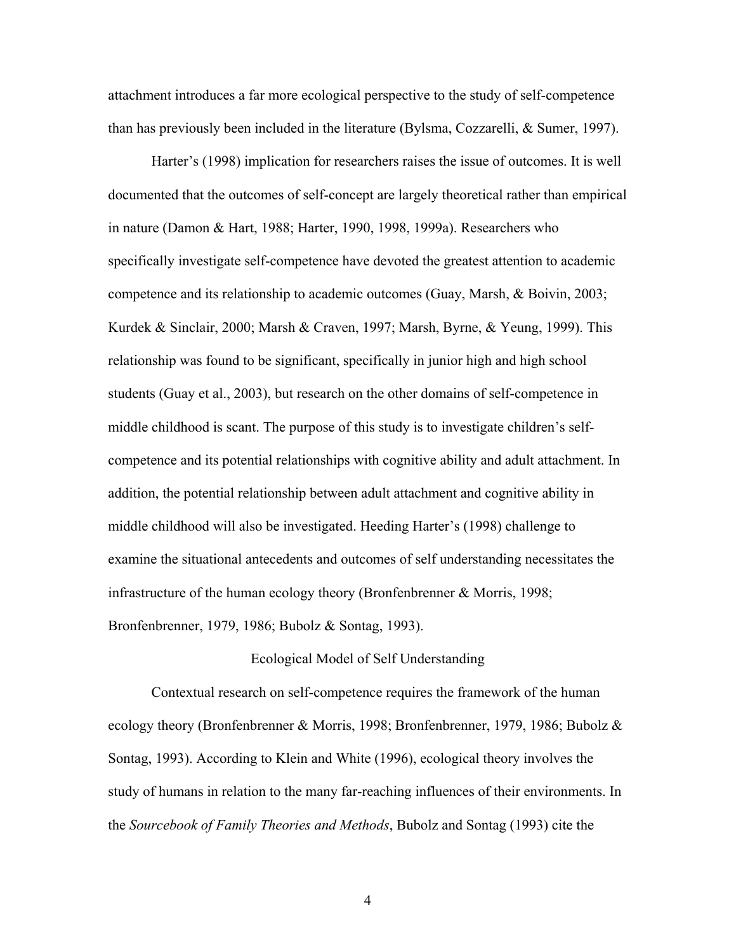attachment introduces a far more ecological perspective to the study of self-competence than has previously been included in the literature (Bylsma, Cozzarelli, & Sumer, 1997).

Harter's (1998) implication for researchers raises the issue of outcomes. It is well documented that the outcomes of self-concept are largely theoretical rather than empirical in nature (Damon & Hart, 1988; Harter, 1990, 1998, 1999a). Researchers who specifically investigate self-competence have devoted the greatest attention to academic competence and its relationship to academic outcomes (Guay, Marsh, & Boivin, 2003; Kurdek & Sinclair, 2000; Marsh & Craven, 1997; Marsh, Byrne, & Yeung, 1999). This relationship was found to be significant, specifically in junior high and high school students (Guay et al., 2003), but research on the other domains of self-competence in middle childhood is scant. The purpose of this study is to investigate children's selfcompetence and its potential relationships with cognitive ability and adult attachment. In addition, the potential relationship between adult attachment and cognitive ability in middle childhood will also be investigated. Heeding Harter's (1998) challenge to examine the situational antecedents and outcomes of self understanding necessitates the infrastructure of the human ecology theory (Bronfenbrenner & Morris, 1998; Bronfenbrenner, 1979, 1986; Bubolz & Sontag, 1993).

## Ecological Model of Self Understanding

Contextual research on self-competence requires the framework of the human ecology theory (Bronfenbrenner & Morris, 1998; Bronfenbrenner, 1979, 1986; Bubolz & Sontag, 1993). According to Klein and White (1996), ecological theory involves the study of humans in relation to the many far-reaching influences of their environments. In the *Sourcebook of Family Theories and Methods*, Bubolz and Sontag (1993) cite the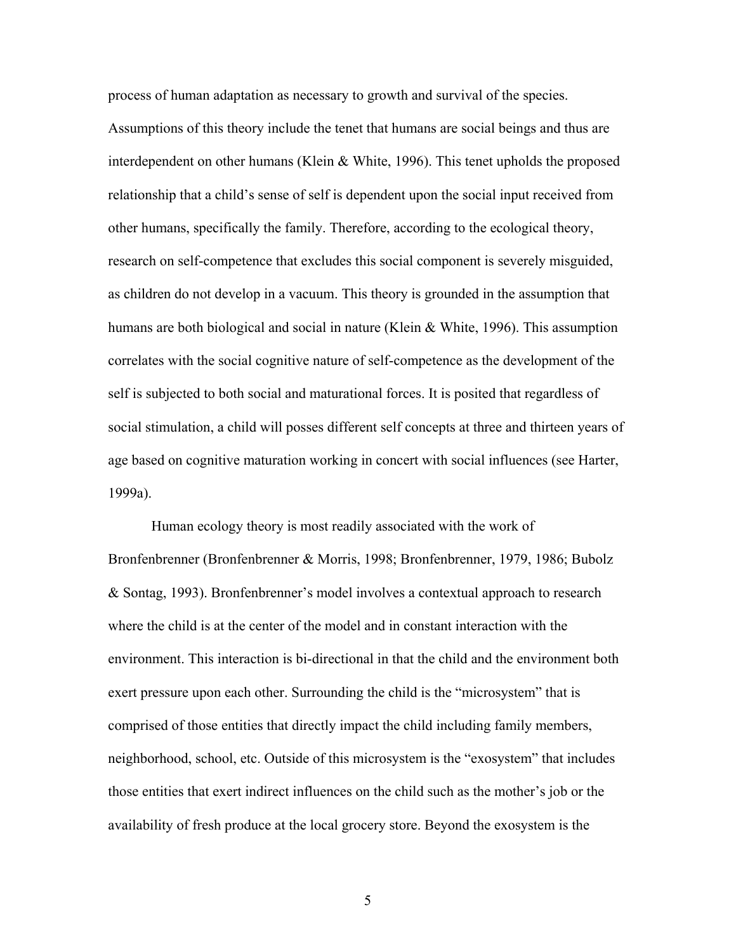process of human adaptation as necessary to growth and survival of the species. Assumptions of this theory include the tenet that humans are social beings and thus are interdependent on other humans (Klein & White, 1996). This tenet upholds the proposed relationship that a child's sense of self is dependent upon the social input received from other humans, specifically the family. Therefore, according to the ecological theory, research on self-competence that excludes this social component is severely misguided, as children do not develop in a vacuum. This theory is grounded in the assumption that humans are both biological and social in nature (Klein & White, 1996). This assumption correlates with the social cognitive nature of self-competence as the development of the self is subjected to both social and maturational forces. It is posited that regardless of social stimulation, a child will posses different self concepts at three and thirteen years of age based on cognitive maturation working in concert with social influences (see Harter, 1999a).

Human ecology theory is most readily associated with the work of Bronfenbrenner (Bronfenbrenner & Morris, 1998; Bronfenbrenner, 1979, 1986; Bubolz & Sontag, 1993). Bronfenbrenner's model involves a contextual approach to research where the child is at the center of the model and in constant interaction with the environment. This interaction is bi-directional in that the child and the environment both exert pressure upon each other. Surrounding the child is the "microsystem" that is comprised of those entities that directly impact the child including family members, neighborhood, school, etc. Outside of this microsystem is the "exosystem" that includes those entities that exert indirect influences on the child such as the mother's job or the availability of fresh produce at the local grocery store. Beyond the exosystem is the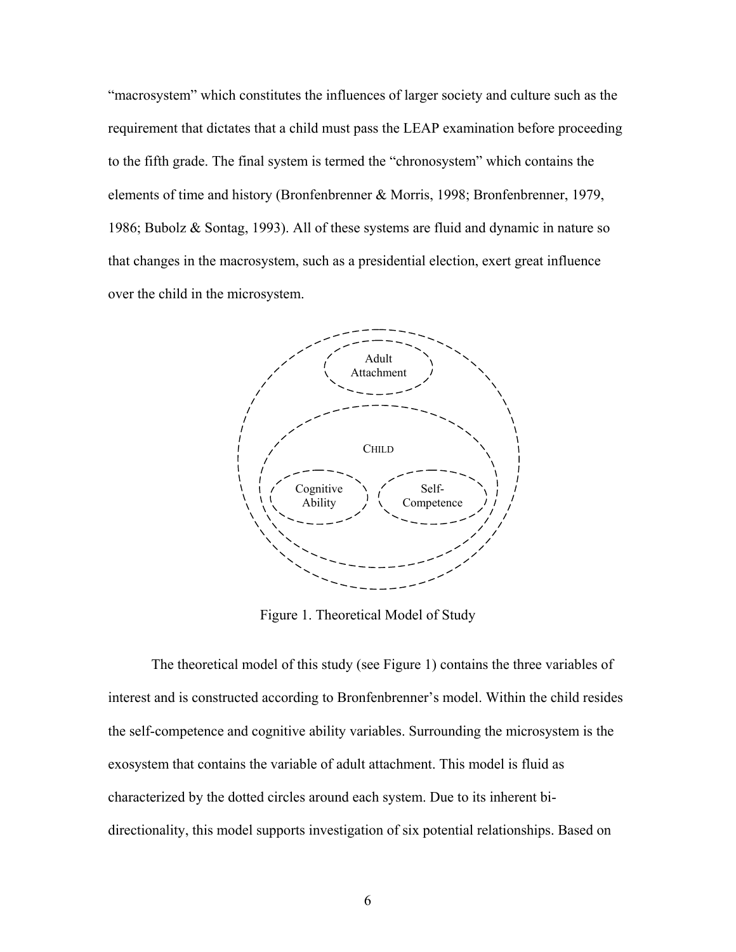"macrosystem" which constitutes the influences of larger society and culture such as the requirement that dictates that a child must pass the LEAP examination before proceeding to the fifth grade. The final system is termed the "chronosystem" which contains the elements of time and history (Bronfenbrenner & Morris, 1998; Bronfenbrenner, 1979, 1986; Bubolz & Sontag, 1993). All of these systems are fluid and dynamic in nature so that changes in the macrosystem, such as a presidential election, exert great influence over the child in the microsystem.



Figure 1. Theoretical Model of Study

The theoretical model of this study (see Figure 1) contains the three variables of interest and is constructed according to Bronfenbrenner's model. Within the child resides the self-competence and cognitive ability variables. Surrounding the microsystem is the exosystem that contains the variable of adult attachment. This model is fluid as characterized by the dotted circles around each system. Due to its inherent bidirectionality, this model supports investigation of six potential relationships. Based on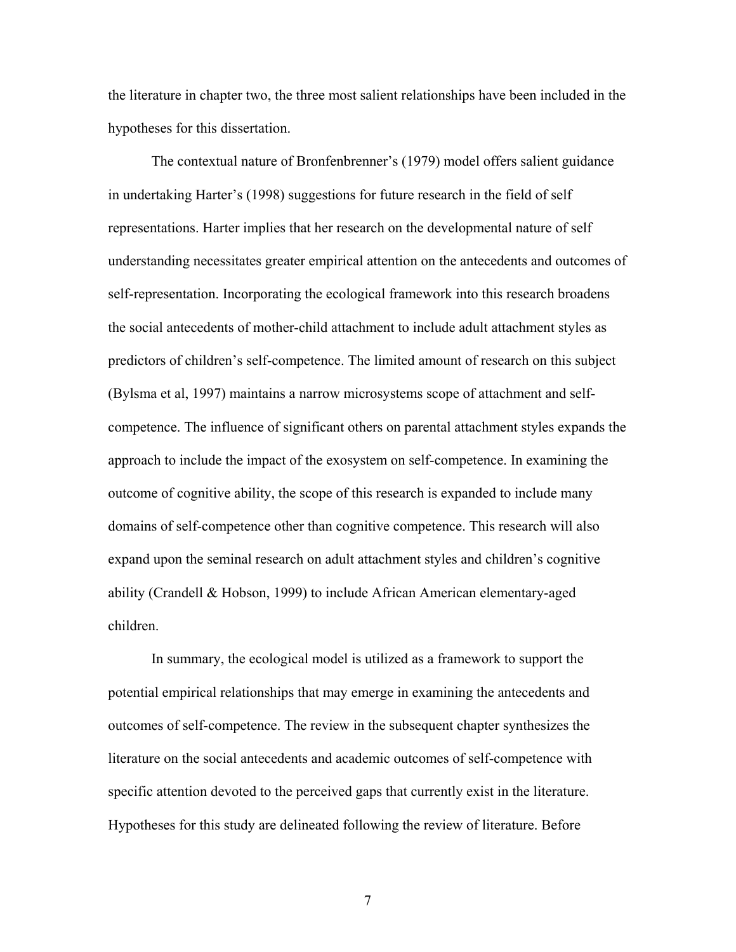the literature in chapter two, the three most salient relationships have been included in the hypotheses for this dissertation.

 The contextual nature of Bronfenbrenner's (1979) model offers salient guidance in undertaking Harter's (1998) suggestions for future research in the field of self representations. Harter implies that her research on the developmental nature of self understanding necessitates greater empirical attention on the antecedents and outcomes of self-representation. Incorporating the ecological framework into this research broadens the social antecedents of mother-child attachment to include adult attachment styles as predictors of children's self-competence. The limited amount of research on this subject (Bylsma et al, 1997) maintains a narrow microsystems scope of attachment and selfcompetence. The influence of significant others on parental attachment styles expands the approach to include the impact of the exosystem on self-competence. In examining the outcome of cognitive ability, the scope of this research is expanded to include many domains of self-competence other than cognitive competence. This research will also expand upon the seminal research on adult attachment styles and children's cognitive ability (Crandell & Hobson, 1999) to include African American elementary-aged children.

 In summary, the ecological model is utilized as a framework to support the potential empirical relationships that may emerge in examining the antecedents and outcomes of self-competence. The review in the subsequent chapter synthesizes the literature on the social antecedents and academic outcomes of self-competence with specific attention devoted to the perceived gaps that currently exist in the literature. Hypotheses for this study are delineated following the review of literature. Before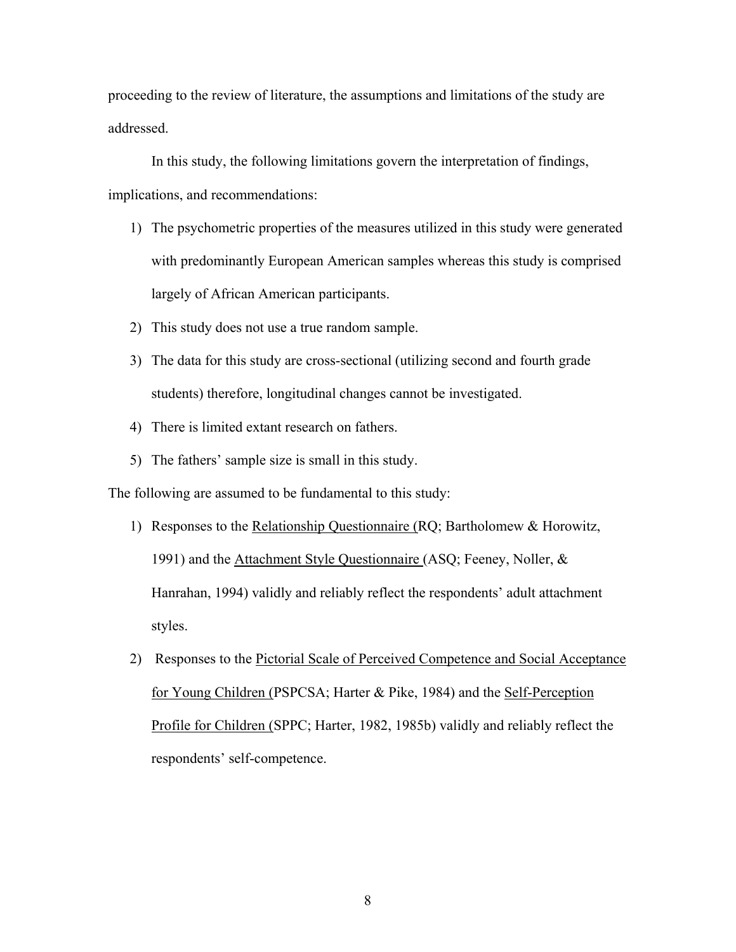proceeding to the review of literature, the assumptions and limitations of the study are addressed.

 In this study, the following limitations govern the interpretation of findings, implications, and recommendations:

- 1) The psychometric properties of the measures utilized in this study were generated with predominantly European American samples whereas this study is comprised largely of African American participants.
- 2) This study does not use a true random sample.
- 3) The data for this study are cross-sectional (utilizing second and fourth grade students) therefore, longitudinal changes cannot be investigated.
- 4) There is limited extant research on fathers.
- 5) The fathers' sample size is small in this study.

The following are assumed to be fundamental to this study:

- 1) Responses to the Relationship Questionnaire (RQ; Bartholomew & Horowitz, 1991) and the Attachment Style Questionnaire (ASQ; Feeney, Noller, & Hanrahan, 1994) validly and reliably reflect the respondents' adult attachment styles.
- 2) Responses to the Pictorial Scale of Perceived Competence and Social Acceptance for Young Children (PSPCSA; Harter & Pike, 1984) and the Self-Perception Profile for Children (SPPC; Harter, 1982, 1985b) validly and reliably reflect the respondents' self-competence.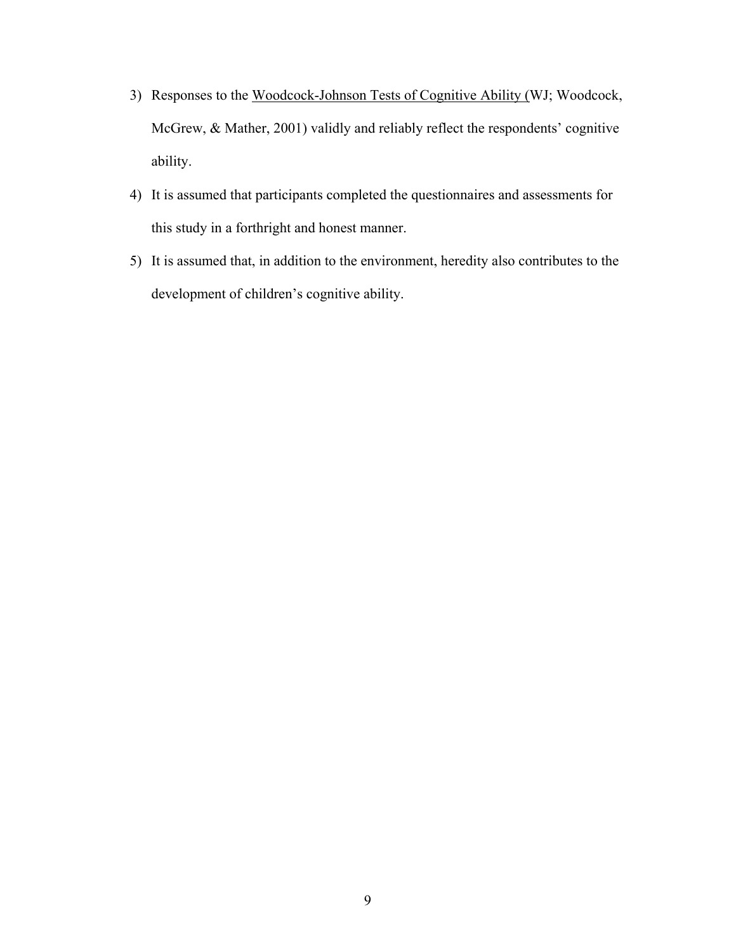- 3) Responses to the Woodcock-Johnson Tests of Cognitive Ability (WJ; Woodcock, McGrew, & Mather, 2001) validly and reliably reflect the respondents' cognitive ability.
- 4) It is assumed that participants completed the questionnaires and assessments for this study in a forthright and honest manner.
- 5) It is assumed that, in addition to the environment, heredity also contributes to the development of children's cognitive ability.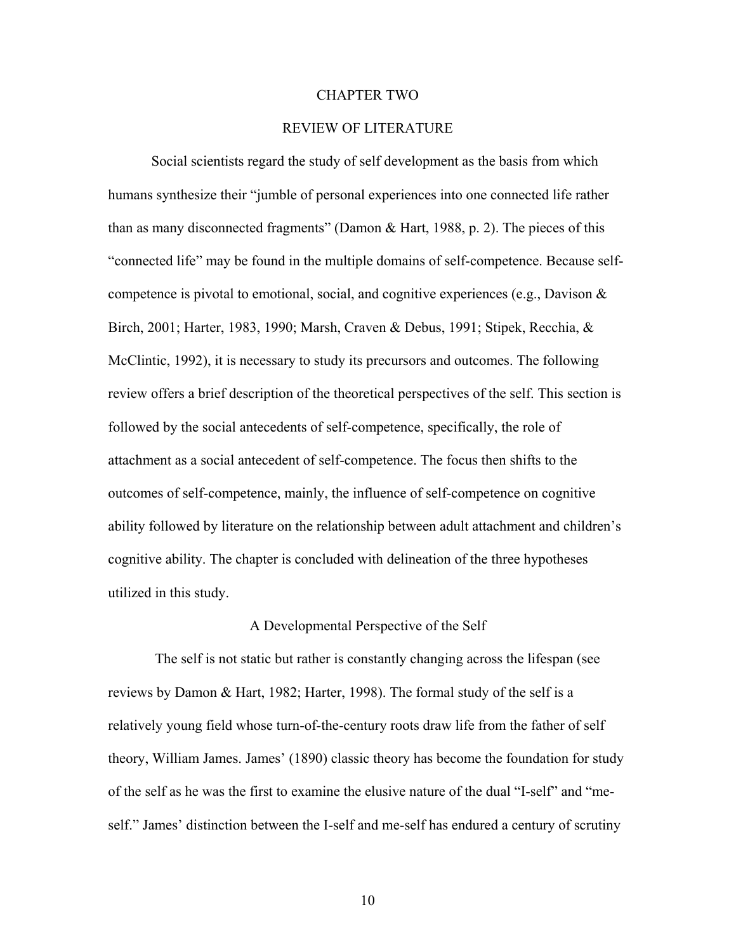#### CHAPTER TWO

## REVIEW OF LITERATURE

Social scientists regard the study of self development as the basis from which humans synthesize their "jumble of personal experiences into one connected life rather than as many disconnected fragments" (Damon  $\&$  Hart, 1988, p. 2). The pieces of this "connected life" may be found in the multiple domains of self-competence. Because selfcompetence is pivotal to emotional, social, and cognitive experiences (e.g., Davison  $\&$ Birch, 2001; Harter, 1983, 1990; Marsh, Craven & Debus, 1991; Stipek, Recchia, & McClintic, 1992), it is necessary to study its precursors and outcomes. The following review offers a brief description of the theoretical perspectives of the self. This section is followed by the social antecedents of self-competence, specifically, the role of attachment as a social antecedent of self-competence. The focus then shifts to the outcomes of self-competence, mainly, the influence of self-competence on cognitive ability followed by literature on the relationship between adult attachment and children's cognitive ability. The chapter is concluded with delineation of the three hypotheses utilized in this study.

#### A Developmental Perspective of the Self

 The self is not static but rather is constantly changing across the lifespan (see reviews by Damon & Hart, 1982; Harter, 1998). The formal study of the self is a relatively young field whose turn-of-the-century roots draw life from the father of self theory, William James. James' (1890) classic theory has become the foundation for study of the self as he was the first to examine the elusive nature of the dual "I-self" and "meself." James' distinction between the I-self and me-self has endured a century of scrutiny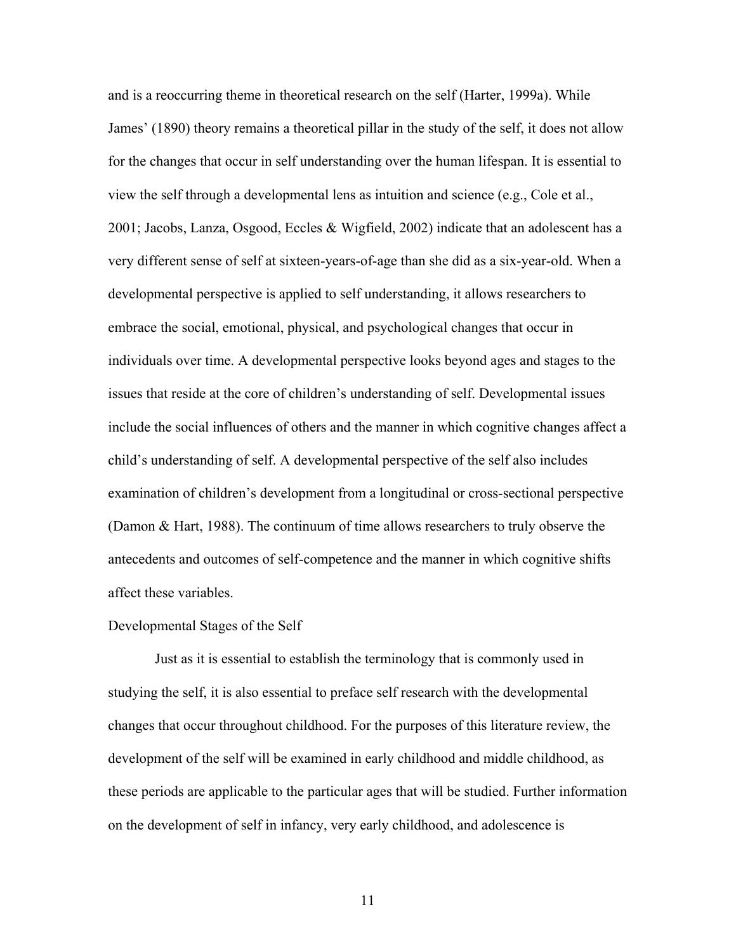and is a reoccurring theme in theoretical research on the self (Harter, 1999a). While James' (1890) theory remains a theoretical pillar in the study of the self, it does not allow for the changes that occur in self understanding over the human lifespan. It is essential to view the self through a developmental lens as intuition and science (e.g., Cole et al., 2001; Jacobs, Lanza, Osgood, Eccles & Wigfield, 2002) indicate that an adolescent has a very different sense of self at sixteen-years-of-age than she did as a six-year-old. When a developmental perspective is applied to self understanding, it allows researchers to embrace the social, emotional, physical, and psychological changes that occur in individuals over time. A developmental perspective looks beyond ages and stages to the issues that reside at the core of children's understanding of self. Developmental issues include the social influences of others and the manner in which cognitive changes affect a child's understanding of self. A developmental perspective of the self also includes examination of children's development from a longitudinal or cross-sectional perspective (Damon & Hart, 1988). The continuum of time allows researchers to truly observe the antecedents and outcomes of self-competence and the manner in which cognitive shifts affect these variables.

#### Developmental Stages of the Self

 Just as it is essential to establish the terminology that is commonly used in studying the self, it is also essential to preface self research with the developmental changes that occur throughout childhood. For the purposes of this literature review, the development of the self will be examined in early childhood and middle childhood, as these periods are applicable to the particular ages that will be studied. Further information on the development of self in infancy, very early childhood, and adolescence is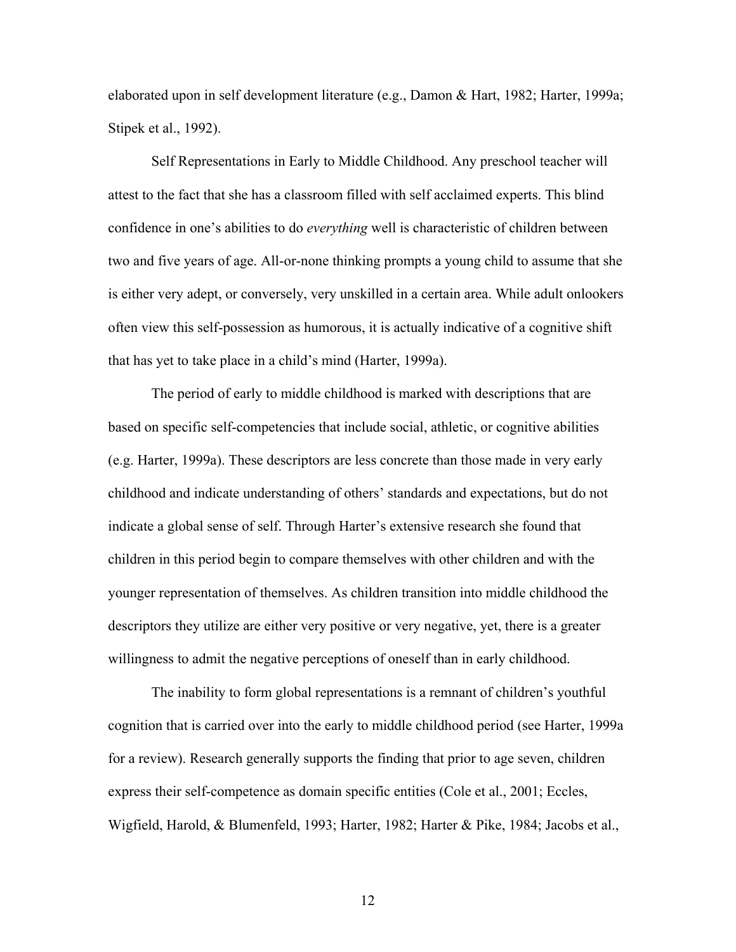elaborated upon in self development literature (e.g., Damon & Hart, 1982; Harter, 1999a; Stipek et al., 1992).

 Self Representations in Early to Middle Childhood. Any preschool teacher will attest to the fact that she has a classroom filled with self acclaimed experts. This blind confidence in one's abilities to do *everything* well is characteristic of children between two and five years of age. All-or-none thinking prompts a young child to assume that she is either very adept, or conversely, very unskilled in a certain area. While adult onlookers often view this self-possession as humorous, it is actually indicative of a cognitive shift that has yet to take place in a child's mind (Harter, 1999a).

 The period of early to middle childhood is marked with descriptions that are based on specific self-competencies that include social, athletic, or cognitive abilities (e.g. Harter, 1999a). These descriptors are less concrete than those made in very early childhood and indicate understanding of others' standards and expectations, but do not indicate a global sense of self. Through Harter's extensive research she found that children in this period begin to compare themselves with other children and with the younger representation of themselves. As children transition into middle childhood the descriptors they utilize are either very positive or very negative, yet, there is a greater willingness to admit the negative perceptions of oneself than in early childhood.

 The inability to form global representations is a remnant of children's youthful cognition that is carried over into the early to middle childhood period (see Harter, 1999a for a review). Research generally supports the finding that prior to age seven, children express their self-competence as domain specific entities (Cole et al., 2001; Eccles, Wigfield, Harold, & Blumenfeld, 1993; Harter, 1982; Harter & Pike, 1984; Jacobs et al.,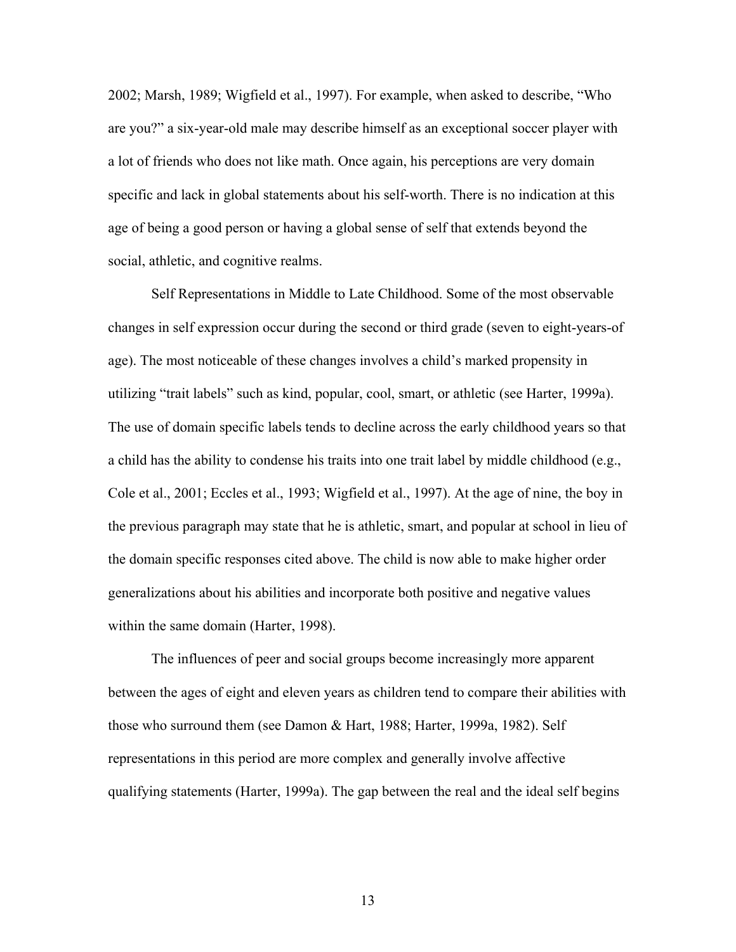2002; Marsh, 1989; Wigfield et al., 1997). For example, when asked to describe, "Who are you?" a six-year-old male may describe himself as an exceptional soccer player with a lot of friends who does not like math. Once again, his perceptions are very domain specific and lack in global statements about his self-worth. There is no indication at this age of being a good person or having a global sense of self that extends beyond the social, athletic, and cognitive realms.

 Self Representations in Middle to Late Childhood. Some of the most observable changes in self expression occur during the second or third grade (seven to eight-years-of age). The most noticeable of these changes involves a child's marked propensity in utilizing "trait labels" such as kind, popular, cool, smart, or athletic (see Harter, 1999a). The use of domain specific labels tends to decline across the early childhood years so that a child has the ability to condense his traits into one trait label by middle childhood (e.g., Cole et al., 2001; Eccles et al., 1993; Wigfield et al., 1997). At the age of nine, the boy in the previous paragraph may state that he is athletic, smart, and popular at school in lieu of the domain specific responses cited above. The child is now able to make higher order generalizations about his abilities and incorporate both positive and negative values within the same domain (Harter, 1998).

The influences of peer and social groups become increasingly more apparent between the ages of eight and eleven years as children tend to compare their abilities with those who surround them (see Damon & Hart, 1988; Harter, 1999a, 1982). Self representations in this period are more complex and generally involve affective qualifying statements (Harter, 1999a). The gap between the real and the ideal self begins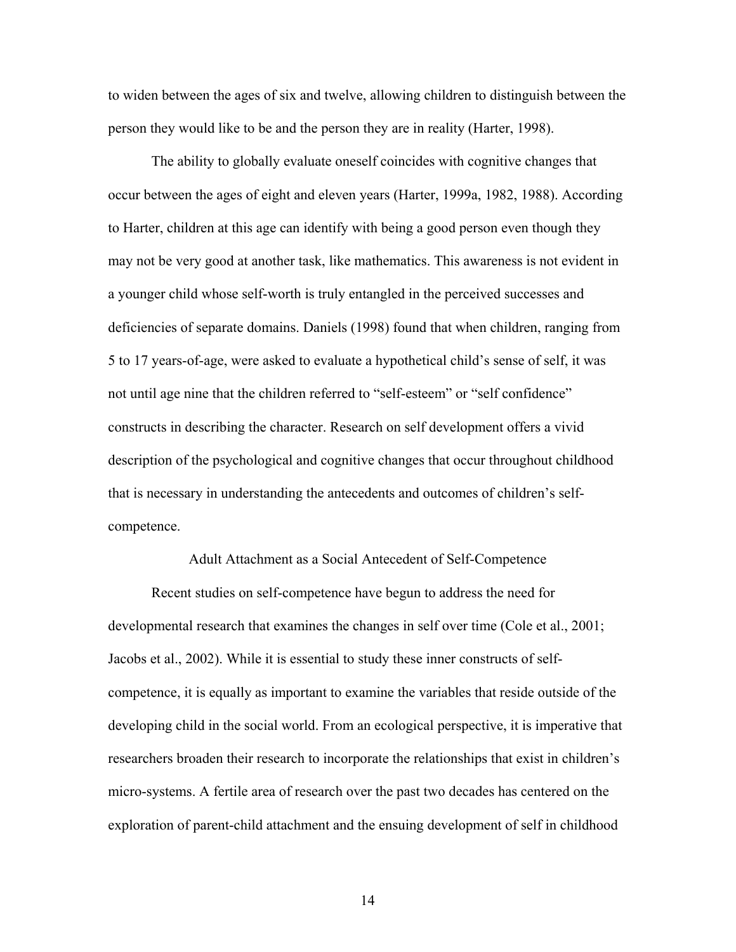to widen between the ages of six and twelve, allowing children to distinguish between the person they would like to be and the person they are in reality (Harter, 1998).

The ability to globally evaluate oneself coincides with cognitive changes that occur between the ages of eight and eleven years (Harter, 1999a, 1982, 1988). According to Harter, children at this age can identify with being a good person even though they may not be very good at another task, like mathematics. This awareness is not evident in a younger child whose self-worth is truly entangled in the perceived successes and deficiencies of separate domains. Daniels (1998) found that when children, ranging from 5 to 17 years-of-age, were asked to evaluate a hypothetical child's sense of self, it was not until age nine that the children referred to "self-esteem" or "self confidence" constructs in describing the character. Research on self development offers a vivid description of the psychological and cognitive changes that occur throughout childhood that is necessary in understanding the antecedents and outcomes of children's selfcompetence.

#### Adult Attachment as a Social Antecedent of Self-Competence

 Recent studies on self-competence have begun to address the need for developmental research that examines the changes in self over time (Cole et al., 2001; Jacobs et al., 2002). While it is essential to study these inner constructs of selfcompetence, it is equally as important to examine the variables that reside outside of the developing child in the social world. From an ecological perspective, it is imperative that researchers broaden their research to incorporate the relationships that exist in children's micro-systems. A fertile area of research over the past two decades has centered on the exploration of parent-child attachment and the ensuing development of self in childhood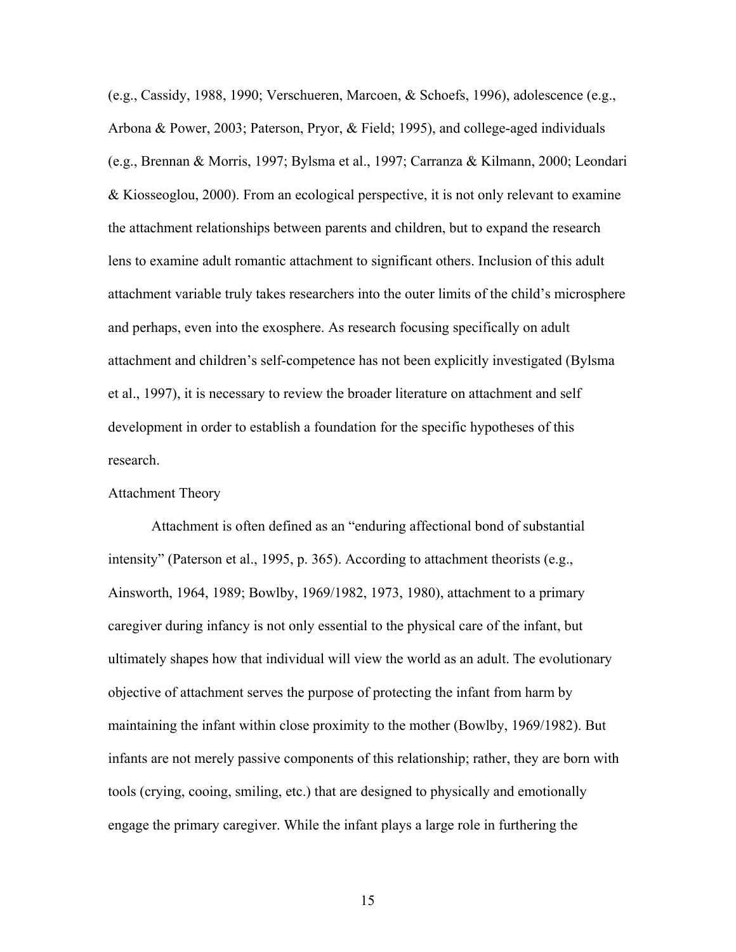(e.g., Cassidy, 1988, 1990; Verschueren, Marcoen, & Schoefs, 1996), adolescence (e.g., Arbona & Power, 2003; Paterson, Pryor, & Field; 1995), and college-aged individuals (e.g., Brennan & Morris, 1997; Bylsma et al., 1997; Carranza & Kilmann, 2000; Leondari & Kiosseoglou, 2000). From an ecological perspective, it is not only relevant to examine the attachment relationships between parents and children, but to expand the research lens to examine adult romantic attachment to significant others. Inclusion of this adult attachment variable truly takes researchers into the outer limits of the child's microsphere and perhaps, even into the exosphere. As research focusing specifically on adult attachment and children's self-competence has not been explicitly investigated (Bylsma et al., 1997), it is necessary to review the broader literature on attachment and self development in order to establish a foundation for the specific hypotheses of this research.

# Attachment Theory

Attachment is often defined as an "enduring affectional bond of substantial intensity" (Paterson et al., 1995, p. 365). According to attachment theorists (e.g., Ainsworth, 1964, 1989; Bowlby, 1969/1982, 1973, 1980), attachment to a primary caregiver during infancy is not only essential to the physical care of the infant, but ultimately shapes how that individual will view the world as an adult. The evolutionary objective of attachment serves the purpose of protecting the infant from harm by maintaining the infant within close proximity to the mother (Bowlby, 1969/1982). But infants are not merely passive components of this relationship; rather, they are born with tools (crying, cooing, smiling, etc.) that are designed to physically and emotionally engage the primary caregiver. While the infant plays a large role in furthering the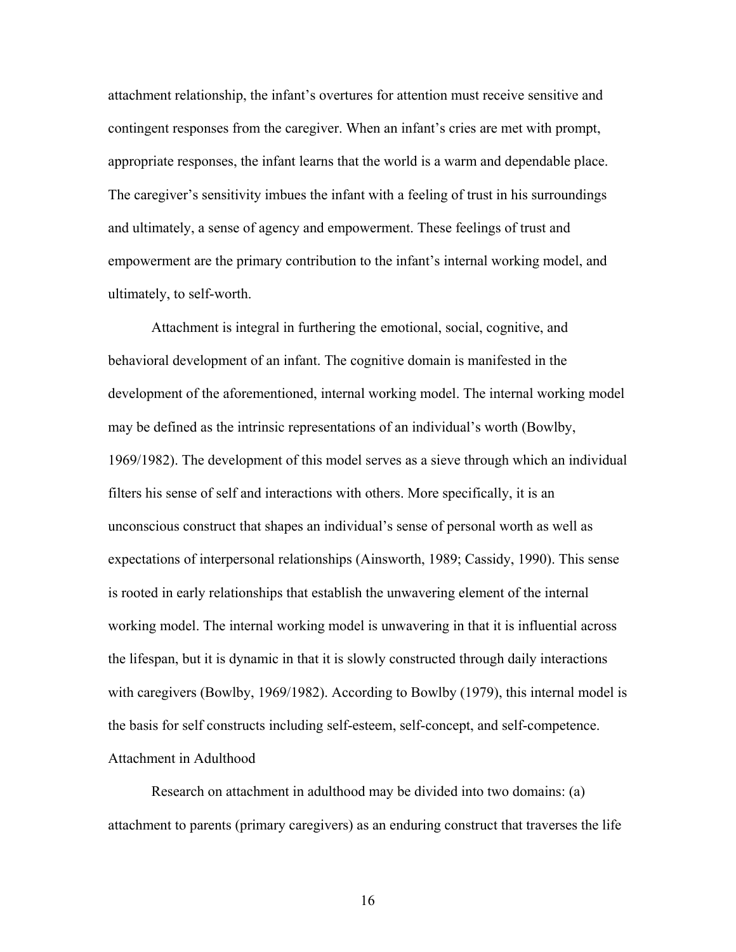attachment relationship, the infant's overtures for attention must receive sensitive and contingent responses from the caregiver. When an infant's cries are met with prompt, appropriate responses, the infant learns that the world is a warm and dependable place. The caregiver's sensitivity imbues the infant with a feeling of trust in his surroundings and ultimately, a sense of agency and empowerment. These feelings of trust and empowerment are the primary contribution to the infant's internal working model, and ultimately, to self-worth.

Attachment is integral in furthering the emotional, social, cognitive, and behavioral development of an infant. The cognitive domain is manifested in the development of the aforementioned, internal working model. The internal working model may be defined as the intrinsic representations of an individual's worth (Bowlby, 1969/1982). The development of this model serves as a sieve through which an individual filters his sense of self and interactions with others. More specifically, it is an unconscious construct that shapes an individual's sense of personal worth as well as expectations of interpersonal relationships (Ainsworth, 1989; Cassidy, 1990). This sense is rooted in early relationships that establish the unwavering element of the internal working model. The internal working model is unwavering in that it is influential across the lifespan, but it is dynamic in that it is slowly constructed through daily interactions with caregivers (Bowlby, 1969/1982). According to Bowlby (1979), this internal model is the basis for self constructs including self-esteem, self-concept, and self-competence. Attachment in Adulthood

Research on attachment in adulthood may be divided into two domains: (a) attachment to parents (primary caregivers) as an enduring construct that traverses the life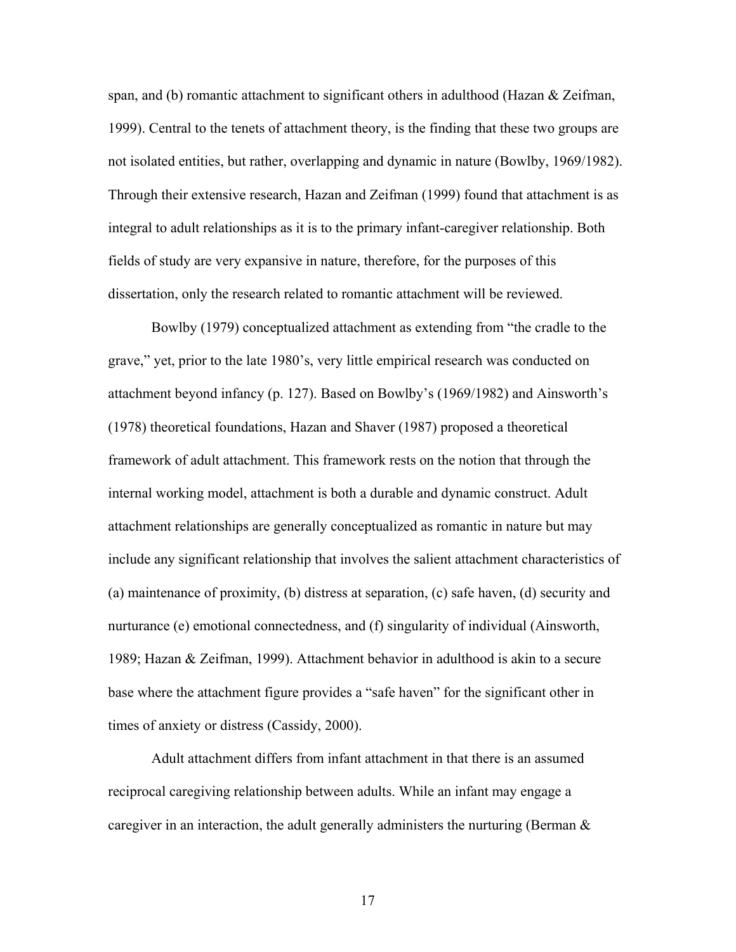span, and (b) romantic attachment to significant others in adulthood (Hazan  $\&$  Zeifman, 1999). Central to the tenets of attachment theory, is the finding that these two groups are not isolated entities, but rather, overlapping and dynamic in nature (Bowlby, 1969/1982). Through their extensive research, Hazan and Zeifman (1999) found that attachment is as integral to adult relationships as it is to the primary infant-caregiver relationship. Both fields of study are very expansive in nature, therefore, for the purposes of this dissertation, only the research related to romantic attachment will be reviewed.

Bowlby (1979) conceptualized attachment as extending from "the cradle to the grave," yet, prior to the late 1980's, very little empirical research was conducted on attachment beyond infancy (p. 127). Based on Bowlby's (1969/1982) and Ainsworth's (1978) theoretical foundations, Hazan and Shaver (1987) proposed a theoretical framework of adult attachment. This framework rests on the notion that through the internal working model, attachment is both a durable and dynamic construct. Adult attachment relationships are generally conceptualized as romantic in nature but may include any significant relationship that involves the salient attachment characteristics of (a) maintenance of proximity, (b) distress at separation, (c) safe haven, (d) security and nurturance (e) emotional connectedness, and (f) singularity of individual (Ainsworth, 1989; Hazan & Zeifman, 1999). Attachment behavior in adulthood is akin to a secure base where the attachment figure provides a "safe haven" for the significant other in times of anxiety or distress (Cassidy, 2000).

Adult attachment differs from infant attachment in that there is an assumed reciprocal caregiving relationship between adults. While an infant may engage a caregiver in an interaction, the adult generally administers the nurturing (Berman  $\&$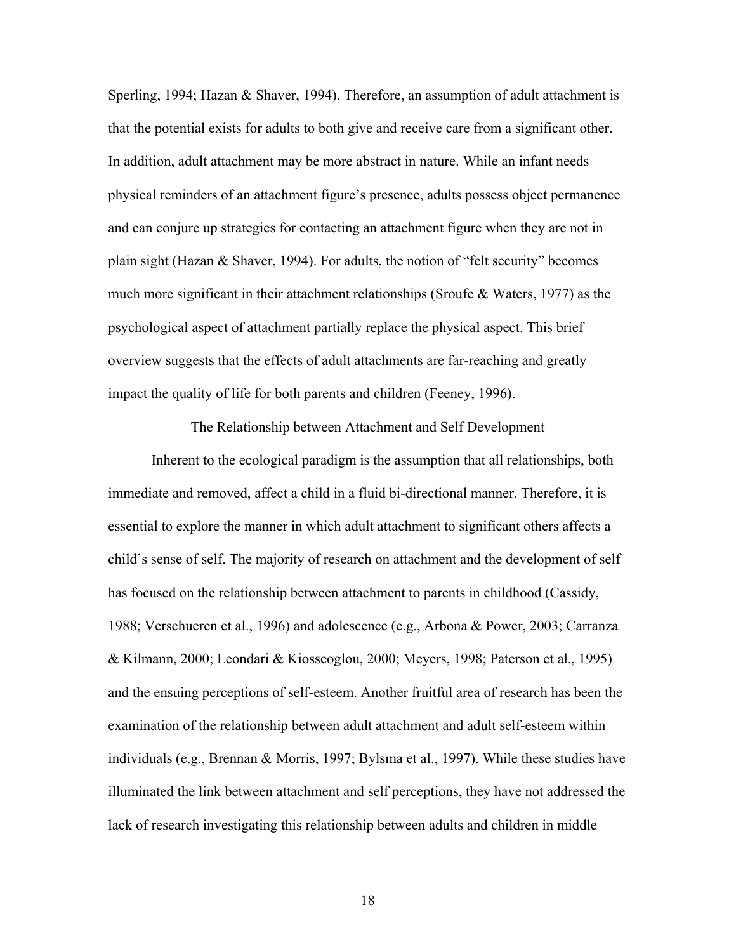Sperling, 1994; Hazan & Shaver, 1994). Therefore, an assumption of adult attachment is that the potential exists for adults to both give and receive care from a significant other. In addition, adult attachment may be more abstract in nature. While an infant needs physical reminders of an attachment figure's presence, adults possess object permanence and can conjure up strategies for contacting an attachment figure when they are not in plain sight (Hazan & Shaver, 1994). For adults, the notion of "felt security" becomes much more significant in their attachment relationships (Sroufe & Waters, 1977) as the psychological aspect of attachment partially replace the physical aspect. This brief overview suggests that the effects of adult attachments are far-reaching and greatly impact the quality of life for both parents and children (Feeney, 1996).

The Relationship between Attachment and Self Development

Inherent to the ecological paradigm is the assumption that all relationships, both immediate and removed, affect a child in a fluid bi-directional manner. Therefore, it is essential to explore the manner in which adult attachment to significant others affects a child's sense of self. The majority of research on attachment and the development of self has focused on the relationship between attachment to parents in childhood (Cassidy, 1988; Verschueren et al., 1996) and adolescence (e.g., Arbona & Power, 2003; Carranza & Kilmann, 2000; Leondari & Kiosseoglou, 2000; Meyers, 1998; Paterson et al., 1995) and the ensuing perceptions of self-esteem. Another fruitful area of research has been the examination of the relationship between adult attachment and adult self-esteem within individuals (e.g., Brennan & Morris, 1997; Bylsma et al., 1997). While these studies have illuminated the link between attachment and self perceptions, they have not addressed the lack of research investigating this relationship between adults and children in middle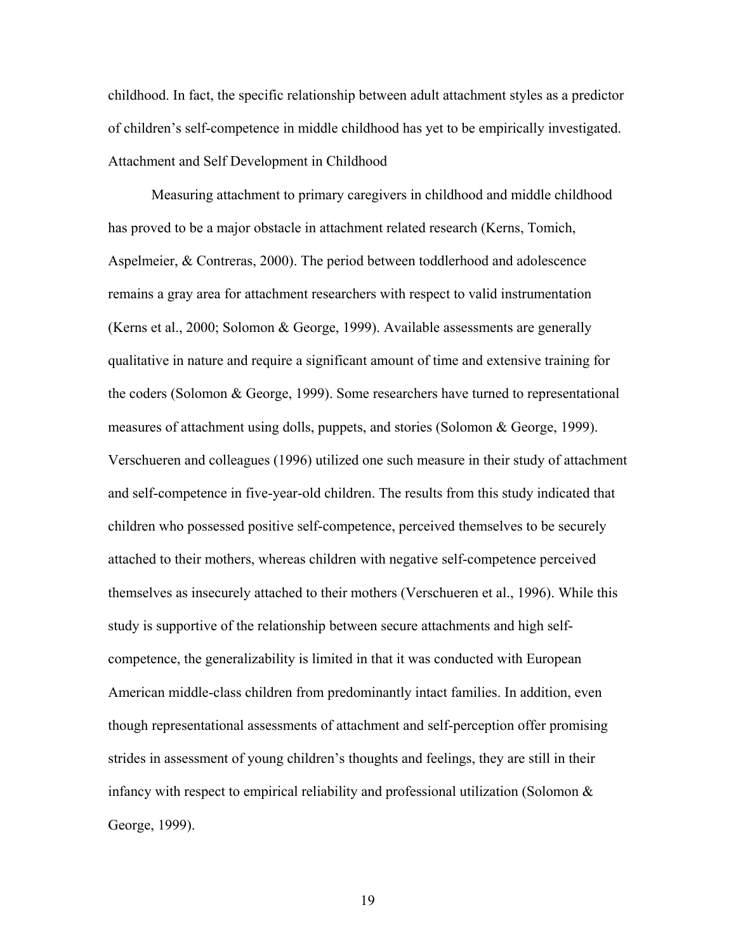childhood. In fact, the specific relationship between adult attachment styles as a predictor of children's self-competence in middle childhood has yet to be empirically investigated. Attachment and Self Development in Childhood

Measuring attachment to primary caregivers in childhood and middle childhood has proved to be a major obstacle in attachment related research (Kerns, Tomich, Aspelmeier, & Contreras, 2000). The period between toddlerhood and adolescence remains a gray area for attachment researchers with respect to valid instrumentation (Kerns et al., 2000; Solomon & George, 1999). Available assessments are generally qualitative in nature and require a significant amount of time and extensive training for the coders (Solomon & George, 1999). Some researchers have turned to representational measures of attachment using dolls, puppets, and stories (Solomon & George, 1999). Verschueren and colleagues (1996) utilized one such measure in their study of attachment and self-competence in five-year-old children. The results from this study indicated that children who possessed positive self-competence, perceived themselves to be securely attached to their mothers, whereas children with negative self-competence perceived themselves as insecurely attached to their mothers (Verschueren et al., 1996). While this study is supportive of the relationship between secure attachments and high selfcompetence, the generalizability is limited in that it was conducted with European American middle-class children from predominantly intact families. In addition, even though representational assessments of attachment and self-perception offer promising strides in assessment of young children's thoughts and feelings, they are still in their infancy with respect to empirical reliability and professional utilization (Solomon & George, 1999).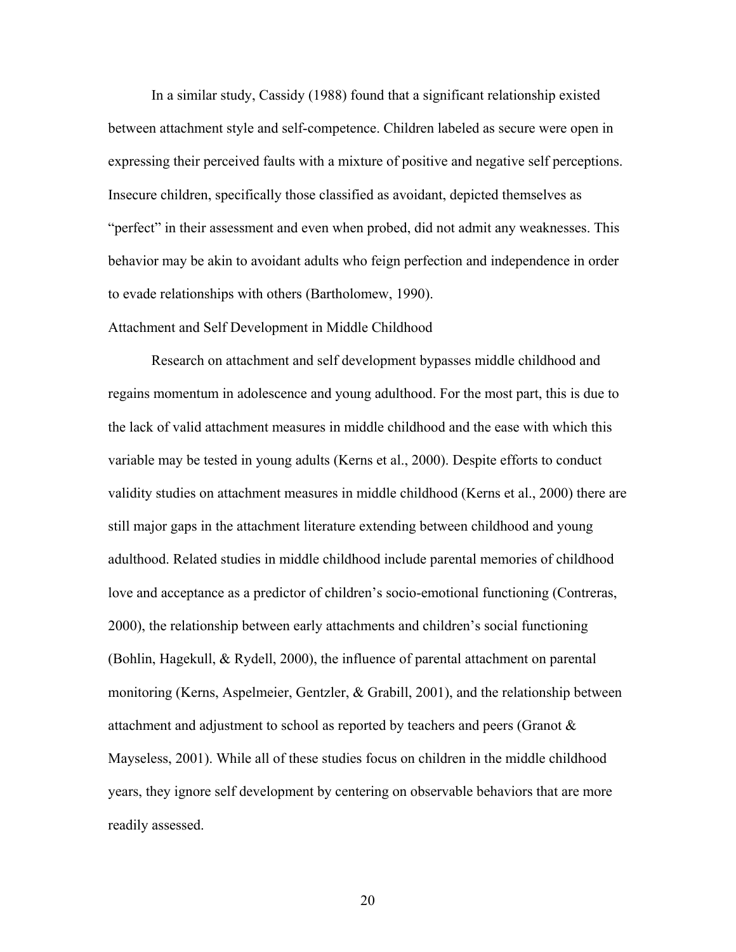In a similar study, Cassidy (1988) found that a significant relationship existed between attachment style and self-competence. Children labeled as secure were open in expressing their perceived faults with a mixture of positive and negative self perceptions. Insecure children, specifically those classified as avoidant, depicted themselves as "perfect" in their assessment and even when probed, did not admit any weaknesses. This behavior may be akin to avoidant adults who feign perfection and independence in order to evade relationships with others (Bartholomew, 1990).

## Attachment and Self Development in Middle Childhood

Research on attachment and self development bypasses middle childhood and regains momentum in adolescence and young adulthood. For the most part, this is due to the lack of valid attachment measures in middle childhood and the ease with which this variable may be tested in young adults (Kerns et al., 2000). Despite efforts to conduct validity studies on attachment measures in middle childhood (Kerns et al., 2000) there are still major gaps in the attachment literature extending between childhood and young adulthood. Related studies in middle childhood include parental memories of childhood love and acceptance as a predictor of children's socio-emotional functioning (Contreras, 2000), the relationship between early attachments and children's social functioning (Bohlin, Hagekull, & Rydell, 2000), the influence of parental attachment on parental monitoring (Kerns, Aspelmeier, Gentzler, & Grabill, 2001), and the relationship between attachment and adjustment to school as reported by teachers and peers (Granot & Mayseless, 2001). While all of these studies focus on children in the middle childhood years, they ignore self development by centering on observable behaviors that are more readily assessed.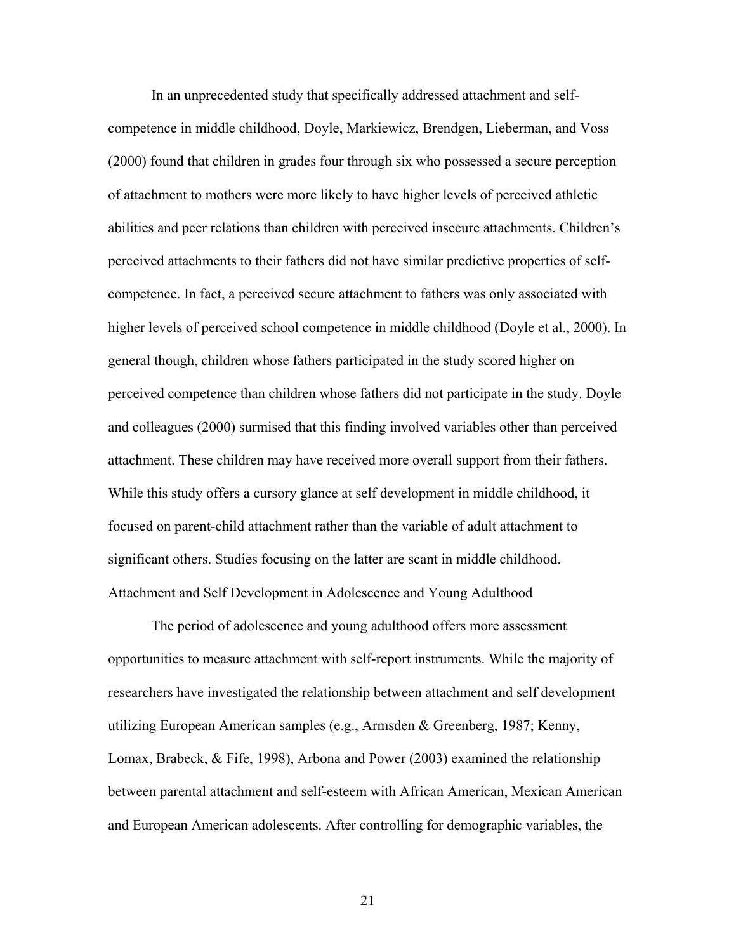In an unprecedented study that specifically addressed attachment and selfcompetence in middle childhood, Doyle, Markiewicz, Brendgen, Lieberman, and Voss (2000) found that children in grades four through six who possessed a secure perception of attachment to mothers were more likely to have higher levels of perceived athletic abilities and peer relations than children with perceived insecure attachments. Children's perceived attachments to their fathers did not have similar predictive properties of selfcompetence. In fact, a perceived secure attachment to fathers was only associated with higher levels of perceived school competence in middle childhood (Doyle et al., 2000). In general though, children whose fathers participated in the study scored higher on perceived competence than children whose fathers did not participate in the study. Doyle and colleagues (2000) surmised that this finding involved variables other than perceived attachment. These children may have received more overall support from their fathers. While this study offers a cursory glance at self development in middle childhood, it focused on parent-child attachment rather than the variable of adult attachment to significant others. Studies focusing on the latter are scant in middle childhood. Attachment and Self Development in Adolescence and Young Adulthood

The period of adolescence and young adulthood offers more assessment opportunities to measure attachment with self-report instruments. While the majority of researchers have investigated the relationship between attachment and self development utilizing European American samples (e.g., Armsden & Greenberg, 1987; Kenny, Lomax, Brabeck, & Fife, 1998), Arbona and Power (2003) examined the relationship between parental attachment and self-esteem with African American, Mexican American and European American adolescents. After controlling for demographic variables, the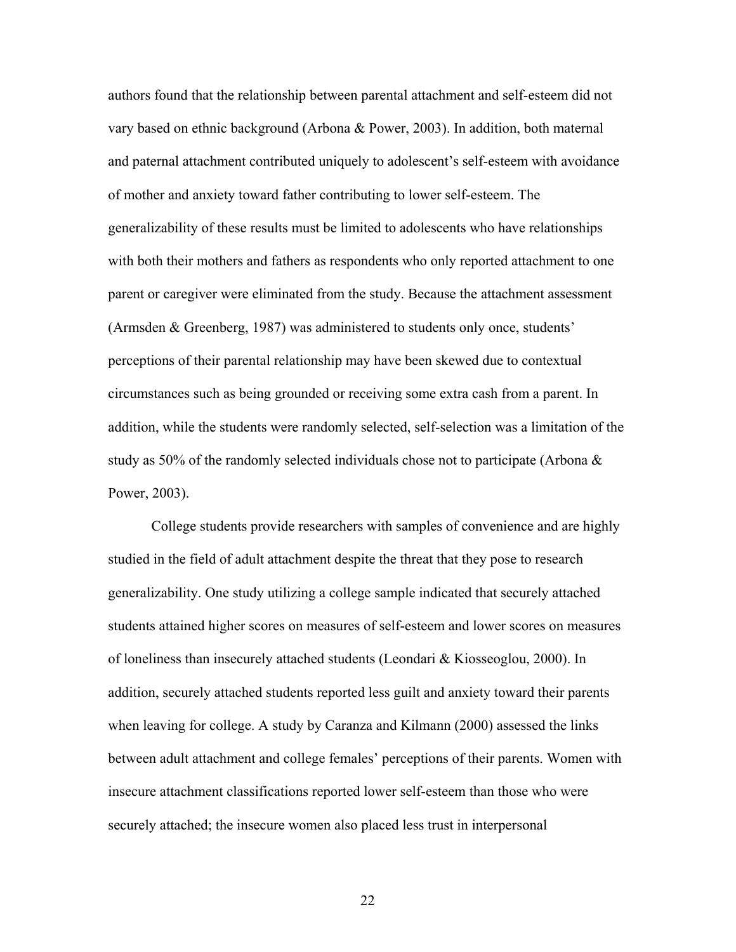authors found that the relationship between parental attachment and self-esteem did not vary based on ethnic background (Arbona & Power, 2003). In addition, both maternal and paternal attachment contributed uniquely to adolescent's self-esteem with avoidance of mother and anxiety toward father contributing to lower self-esteem. The generalizability of these results must be limited to adolescents who have relationships with both their mothers and fathers as respondents who only reported attachment to one parent or caregiver were eliminated from the study. Because the attachment assessment (Armsden & Greenberg, 1987) was administered to students only once, students' perceptions of their parental relationship may have been skewed due to contextual circumstances such as being grounded or receiving some extra cash from a parent. In addition, while the students were randomly selected, self-selection was a limitation of the study as 50% of the randomly selected individuals chose not to participate (Arbona  $\&$ Power, 2003).

College students provide researchers with samples of convenience and are highly studied in the field of adult attachment despite the threat that they pose to research generalizability. One study utilizing a college sample indicated that securely attached students attained higher scores on measures of self-esteem and lower scores on measures of loneliness than insecurely attached students (Leondari & Kiosseoglou, 2000). In addition, securely attached students reported less guilt and anxiety toward their parents when leaving for college. A study by Caranza and Kilmann (2000) assessed the links between adult attachment and college females' perceptions of their parents. Women with insecure attachment classifications reported lower self-esteem than those who were securely attached; the insecure women also placed less trust in interpersonal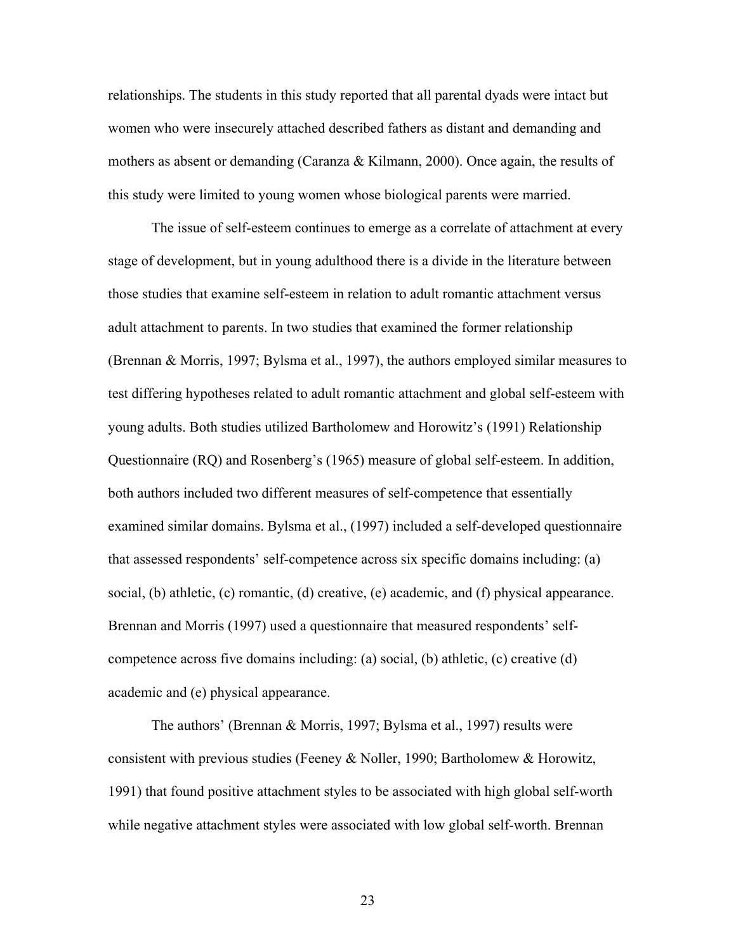relationships. The students in this study reported that all parental dyads were intact but women who were insecurely attached described fathers as distant and demanding and mothers as absent or demanding (Caranza & Kilmann, 2000). Once again, the results of this study were limited to young women whose biological parents were married.

The issue of self-esteem continues to emerge as a correlate of attachment at every stage of development, but in young adulthood there is a divide in the literature between those studies that examine self-esteem in relation to adult romantic attachment versus adult attachment to parents. In two studies that examined the former relationship (Brennan & Morris, 1997; Bylsma et al., 1997), the authors employed similar measures to test differing hypotheses related to adult romantic attachment and global self-esteem with young adults. Both studies utilized Bartholomew and Horowitz's (1991) Relationship Questionnaire (RQ) and Rosenberg's (1965) measure of global self-esteem. In addition, both authors included two different measures of self-competence that essentially examined similar domains. Bylsma et al., (1997) included a self-developed questionnaire that assessed respondents' self-competence across six specific domains including: (a) social, (b) athletic, (c) romantic, (d) creative, (e) academic, and (f) physical appearance. Brennan and Morris (1997) used a questionnaire that measured respondents' selfcompetence across five domains including: (a) social, (b) athletic, (c) creative (d) academic and (e) physical appearance.

The authors' (Brennan & Morris, 1997; Bylsma et al., 1997) results were consistent with previous studies (Feeney & Noller, 1990; Bartholomew & Horowitz, 1991) that found positive attachment styles to be associated with high global self-worth while negative attachment styles were associated with low global self-worth. Brennan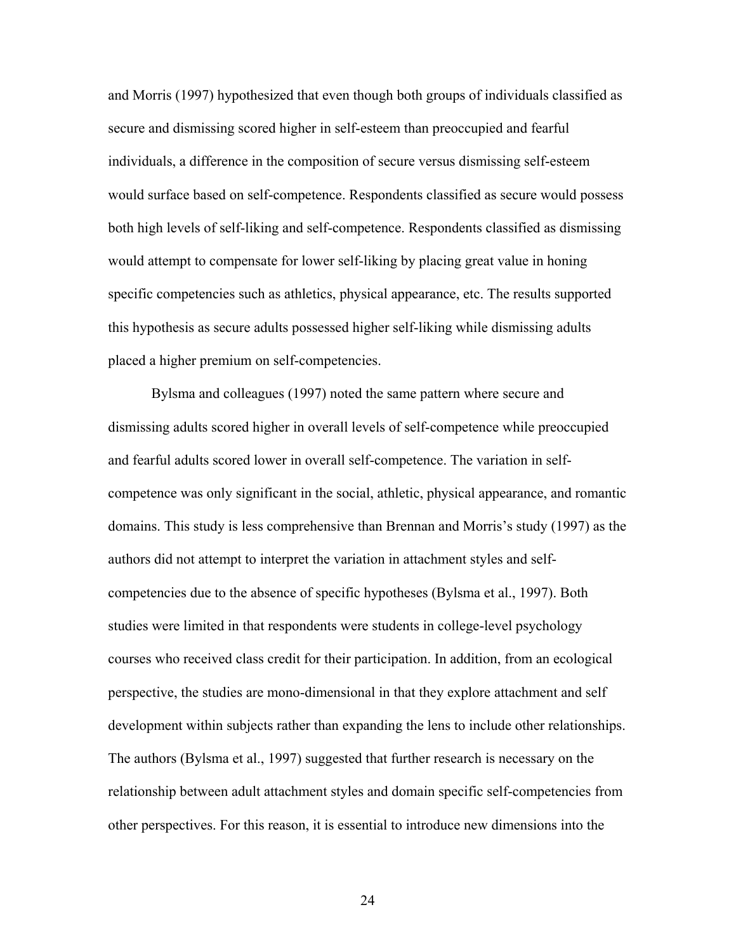and Morris (1997) hypothesized that even though both groups of individuals classified as secure and dismissing scored higher in self-esteem than preoccupied and fearful individuals, a difference in the composition of secure versus dismissing self-esteem would surface based on self-competence. Respondents classified as secure would possess both high levels of self-liking and self-competence. Respondents classified as dismissing would attempt to compensate for lower self-liking by placing great value in honing specific competencies such as athletics, physical appearance, etc. The results supported this hypothesis as secure adults possessed higher self-liking while dismissing adults placed a higher premium on self-competencies.

Bylsma and colleagues (1997) noted the same pattern where secure and dismissing adults scored higher in overall levels of self-competence while preoccupied and fearful adults scored lower in overall self-competence. The variation in selfcompetence was only significant in the social, athletic, physical appearance, and romantic domains. This study is less comprehensive than Brennan and Morris's study (1997) as the authors did not attempt to interpret the variation in attachment styles and selfcompetencies due to the absence of specific hypotheses (Bylsma et al., 1997). Both studies were limited in that respondents were students in college-level psychology courses who received class credit for their participation. In addition, from an ecological perspective, the studies are mono-dimensional in that they explore attachment and self development within subjects rather than expanding the lens to include other relationships. The authors (Bylsma et al., 1997) suggested that further research is necessary on the relationship between adult attachment styles and domain specific self-competencies from other perspectives. For this reason, it is essential to introduce new dimensions into the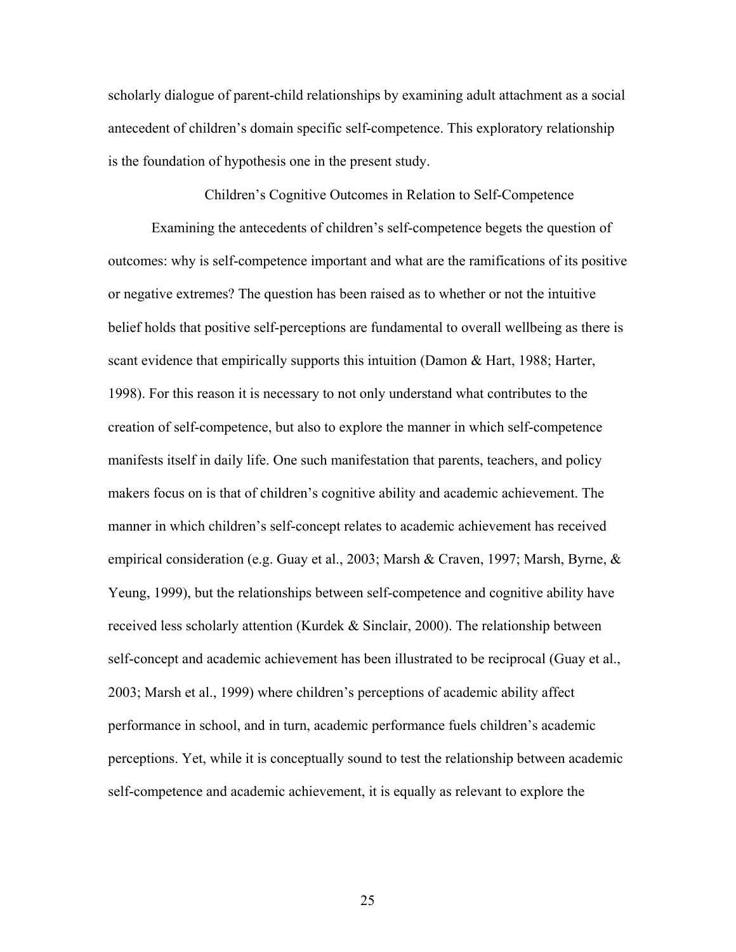scholarly dialogue of parent-child relationships by examining adult attachment as a social antecedent of children's domain specific self-competence. This exploratory relationship is the foundation of hypothesis one in the present study.

Children's Cognitive Outcomes in Relation to Self-Competence

Examining the antecedents of children's self-competence begets the question of outcomes: why is self-competence important and what are the ramifications of its positive or negative extremes? The question has been raised as to whether or not the intuitive belief holds that positive self-perceptions are fundamental to overall wellbeing as there is scant evidence that empirically supports this intuition (Damon & Hart, 1988; Harter, 1998). For this reason it is necessary to not only understand what contributes to the creation of self-competence, but also to explore the manner in which self-competence manifests itself in daily life. One such manifestation that parents, teachers, and policy makers focus on is that of children's cognitive ability and academic achievement. The manner in which children's self-concept relates to academic achievement has received empirical consideration (e.g. Guay et al., 2003; Marsh & Craven, 1997; Marsh, Byrne, & Yeung, 1999), but the relationships between self-competence and cognitive ability have received less scholarly attention (Kurdek & Sinclair, 2000). The relationship between self-concept and academic achievement has been illustrated to be reciprocal (Guay et al., 2003; Marsh et al., 1999) where children's perceptions of academic ability affect performance in school, and in turn, academic performance fuels children's academic perceptions. Yet, while it is conceptually sound to test the relationship between academic self-competence and academic achievement, it is equally as relevant to explore the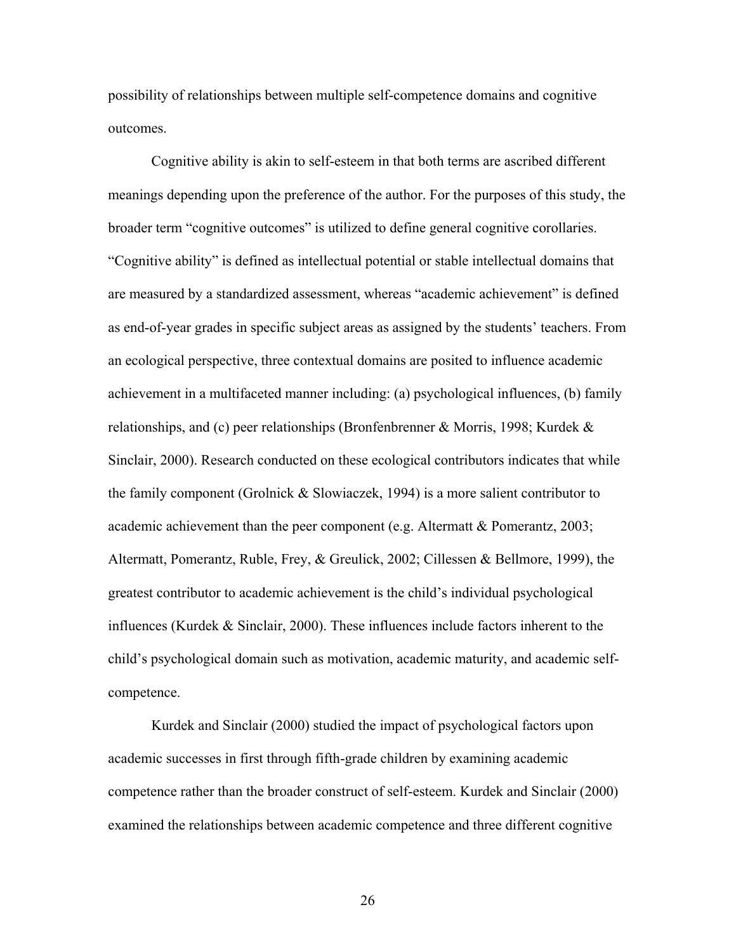possibility of relationships between multiple self-competence domains and cognitive outcomes.

 Cognitive ability is akin to self-esteem in that both terms are ascribed different meanings depending upon the preference of the author. For the purposes of this study, the broader term "cognitive outcomes" is utilized to define general cognitive corollaries. "Cognitive ability" is defined as intellectual potential or stable intellectual domains that are measured by a standardized assessment, whereas "academic achievement" is defined as end-of-year grades in specific subject areas as assigned by the students' teachers. From an ecological perspective, three contextual domains are posited to influence academic achievement in a multifaceted manner including: (a) psychological influences, (b) family relationships, and (c) peer relationships (Bronfenbrenner & Morris, 1998; Kurdek  $\&$ Sinclair, 2000). Research conducted on these ecological contributors indicates that while the family component (Grolnick & Slowiaczek, 1994) is a more salient contributor to academic achievement than the peer component (e.g. Altermatt & Pomerantz, 2003; Altermatt, Pomerantz, Ruble, Frey, & Greulick, 2002; Cillessen & Bellmore, 1999), the greatest contributor to academic achievement is the child's individual psychological influences (Kurdek & Sinclair, 2000). These influences include factors inherent to the child's psychological domain such as motivation, academic maturity, and academic selfcompetence.

Kurdek and Sinclair (2000) studied the impact of psychological factors upon academic successes in first through fifth-grade children by examining academic competence rather than the broader construct of self-esteem. Kurdek and Sinclair (2000) examined the relationships between academic competence and three different cognitive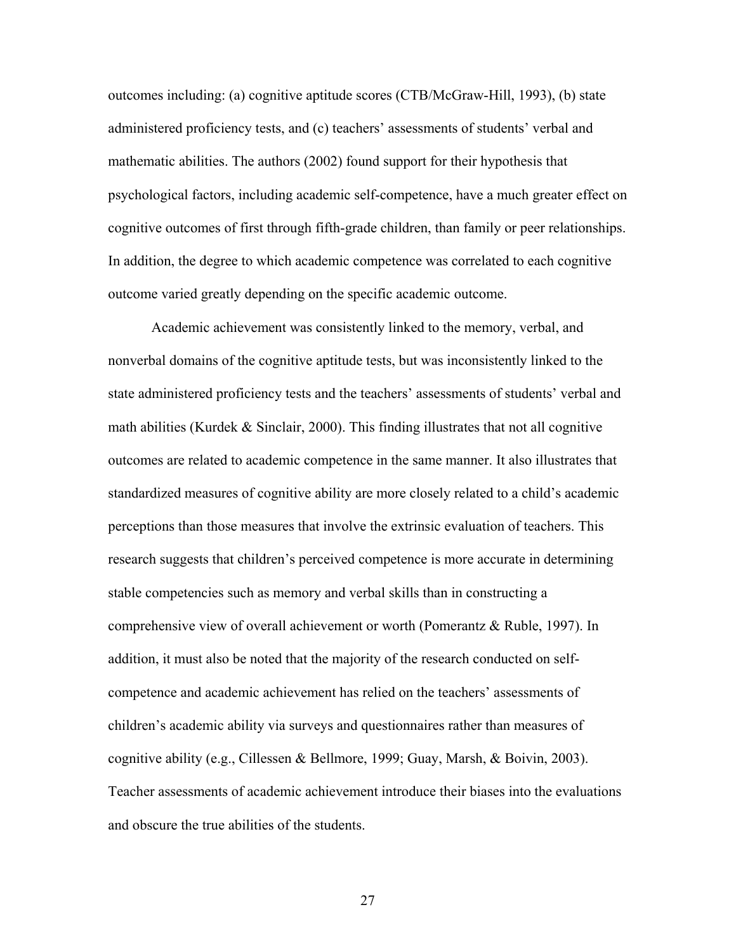outcomes including: (a) cognitive aptitude scores (CTB/McGraw-Hill, 1993), (b) state administered proficiency tests, and (c) teachers' assessments of students' verbal and mathematic abilities. The authors (2002) found support for their hypothesis that psychological factors, including academic self-competence, have a much greater effect on cognitive outcomes of first through fifth-grade children, than family or peer relationships. In addition, the degree to which academic competence was correlated to each cognitive outcome varied greatly depending on the specific academic outcome.

Academic achievement was consistently linked to the memory, verbal, and nonverbal domains of the cognitive aptitude tests, but was inconsistently linked to the state administered proficiency tests and the teachers' assessments of students' verbal and math abilities (Kurdek  $&$  Sinclair, 2000). This finding illustrates that not all cognitive outcomes are related to academic competence in the same manner. It also illustrates that standardized measures of cognitive ability are more closely related to a child's academic perceptions than those measures that involve the extrinsic evaluation of teachers. This research suggests that children's perceived competence is more accurate in determining stable competencies such as memory and verbal skills than in constructing a comprehensive view of overall achievement or worth (Pomerantz & Ruble, 1997). In addition, it must also be noted that the majority of the research conducted on selfcompetence and academic achievement has relied on the teachers' assessments of children's academic ability via surveys and questionnaires rather than measures of cognitive ability (e.g., Cillessen & Bellmore, 1999; Guay, Marsh, & Boivin, 2003). Teacher assessments of academic achievement introduce their biases into the evaluations and obscure the true abilities of the students.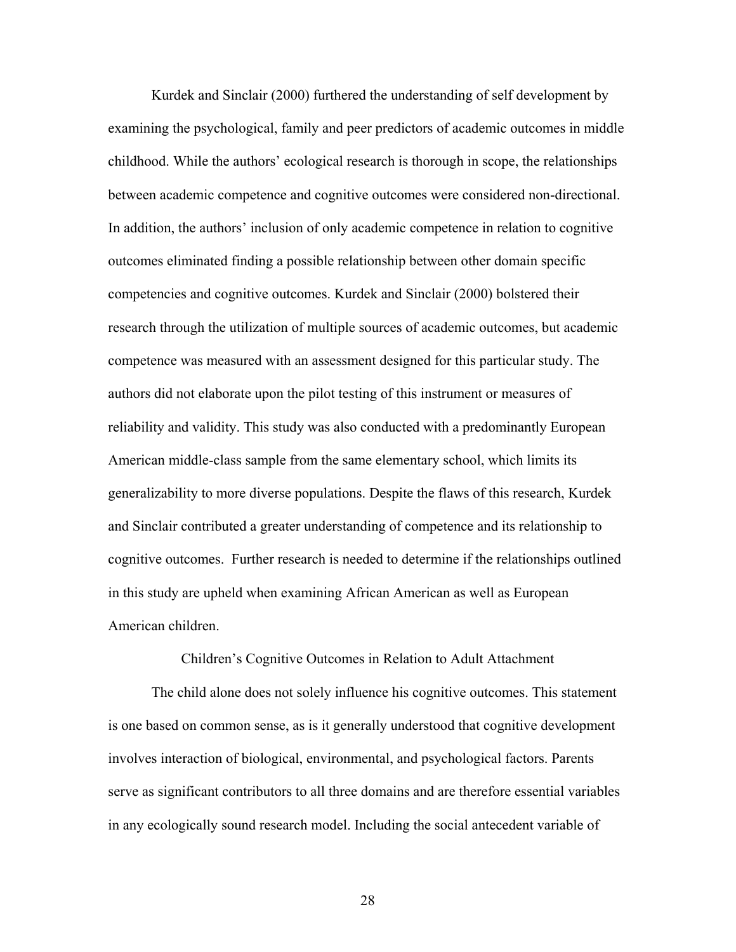Kurdek and Sinclair (2000) furthered the understanding of self development by examining the psychological, family and peer predictors of academic outcomes in middle childhood. While the authors' ecological research is thorough in scope, the relationships between academic competence and cognitive outcomes were considered non-directional. In addition, the authors' inclusion of only academic competence in relation to cognitive outcomes eliminated finding a possible relationship between other domain specific competencies and cognitive outcomes. Kurdek and Sinclair (2000) bolstered their research through the utilization of multiple sources of academic outcomes, but academic competence was measured with an assessment designed for this particular study. The authors did not elaborate upon the pilot testing of this instrument or measures of reliability and validity. This study was also conducted with a predominantly European American middle-class sample from the same elementary school, which limits its generalizability to more diverse populations. Despite the flaws of this research, Kurdek and Sinclair contributed a greater understanding of competence and its relationship to cognitive outcomes. Further research is needed to determine if the relationships outlined in this study are upheld when examining African American as well as European American children.

Children's Cognitive Outcomes in Relation to Adult Attachment

 The child alone does not solely influence his cognitive outcomes. This statement is one based on common sense, as is it generally understood that cognitive development involves interaction of biological, environmental, and psychological factors. Parents serve as significant contributors to all three domains and are therefore essential variables in any ecologically sound research model. Including the social antecedent variable of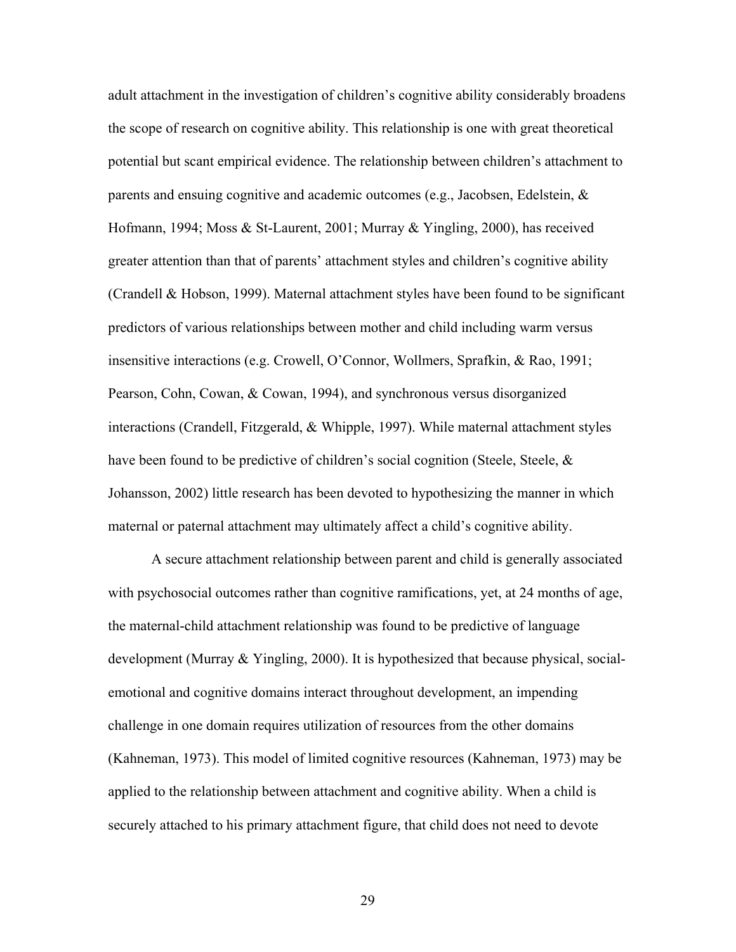adult attachment in the investigation of children's cognitive ability considerably broadens the scope of research on cognitive ability. This relationship is one with great theoretical potential but scant empirical evidence. The relationship between children's attachment to parents and ensuing cognitive and academic outcomes (e.g., Jacobsen, Edelstein, & Hofmann, 1994; Moss & St-Laurent, 2001; Murray & Yingling, 2000), has received greater attention than that of parents' attachment styles and children's cognitive ability (Crandell & Hobson, 1999). Maternal attachment styles have been found to be significant predictors of various relationships between mother and child including warm versus insensitive interactions (e.g. Crowell, O'Connor, Wollmers, Sprafkin, & Rao, 1991; Pearson, Cohn, Cowan, & Cowan, 1994), and synchronous versus disorganized interactions (Crandell, Fitzgerald, & Whipple, 1997). While maternal attachment styles have been found to be predictive of children's social cognition (Steele, Steele, & Johansson, 2002) little research has been devoted to hypothesizing the manner in which maternal or paternal attachment may ultimately affect a child's cognitive ability.

 A secure attachment relationship between parent and child is generally associated with psychosocial outcomes rather than cognitive ramifications, yet, at 24 months of age, the maternal-child attachment relationship was found to be predictive of language development (Murray & Yingling, 2000). It is hypothesized that because physical, socialemotional and cognitive domains interact throughout development, an impending challenge in one domain requires utilization of resources from the other domains (Kahneman, 1973). This model of limited cognitive resources (Kahneman, 1973) may be applied to the relationship between attachment and cognitive ability. When a child is securely attached to his primary attachment figure, that child does not need to devote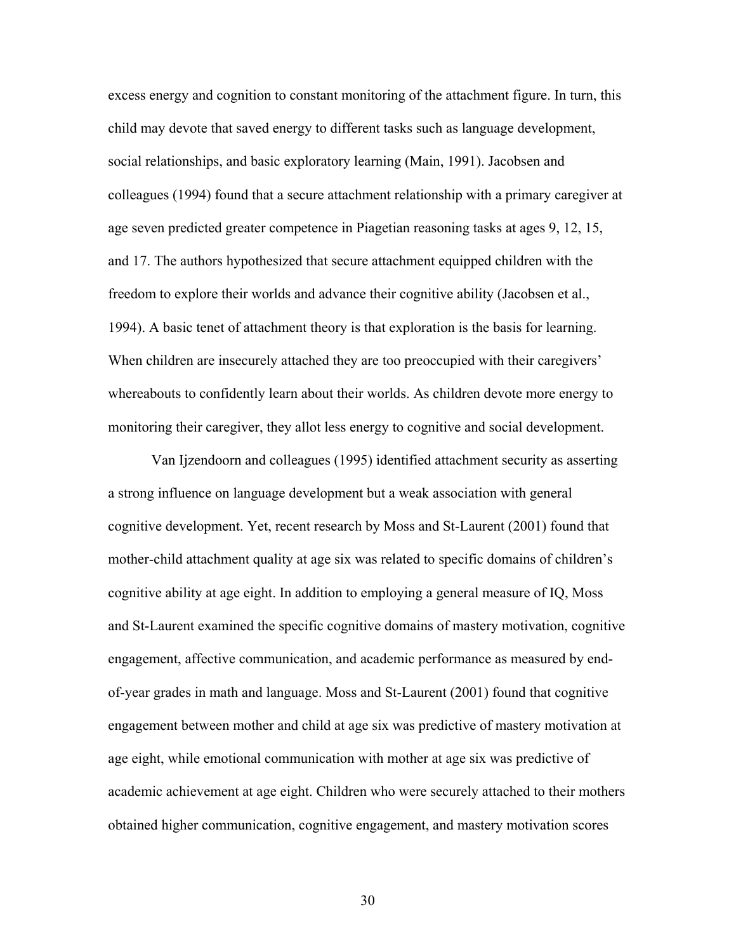excess energy and cognition to constant monitoring of the attachment figure. In turn, this child may devote that saved energy to different tasks such as language development, social relationships, and basic exploratory learning (Main, 1991). Jacobsen and colleagues (1994) found that a secure attachment relationship with a primary caregiver at age seven predicted greater competence in Piagetian reasoning tasks at ages 9, 12, 15, and 17. The authors hypothesized that secure attachment equipped children with the freedom to explore their worlds and advance their cognitive ability (Jacobsen et al., 1994). A basic tenet of attachment theory is that exploration is the basis for learning. When children are insecurely attached they are too preoccupied with their caregivers' whereabouts to confidently learn about their worlds. As children devote more energy to monitoring their caregiver, they allot less energy to cognitive and social development.

Van Ijzendoorn and colleagues (1995) identified attachment security as asserting a strong influence on language development but a weak association with general cognitive development. Yet, recent research by Moss and St-Laurent (2001) found that mother-child attachment quality at age six was related to specific domains of children's cognitive ability at age eight. In addition to employing a general measure of IQ, Moss and St-Laurent examined the specific cognitive domains of mastery motivation, cognitive engagement, affective communication, and academic performance as measured by endof-year grades in math and language. Moss and St-Laurent (2001) found that cognitive engagement between mother and child at age six was predictive of mastery motivation at age eight, while emotional communication with mother at age six was predictive of academic achievement at age eight. Children who were securely attached to their mothers obtained higher communication, cognitive engagement, and mastery motivation scores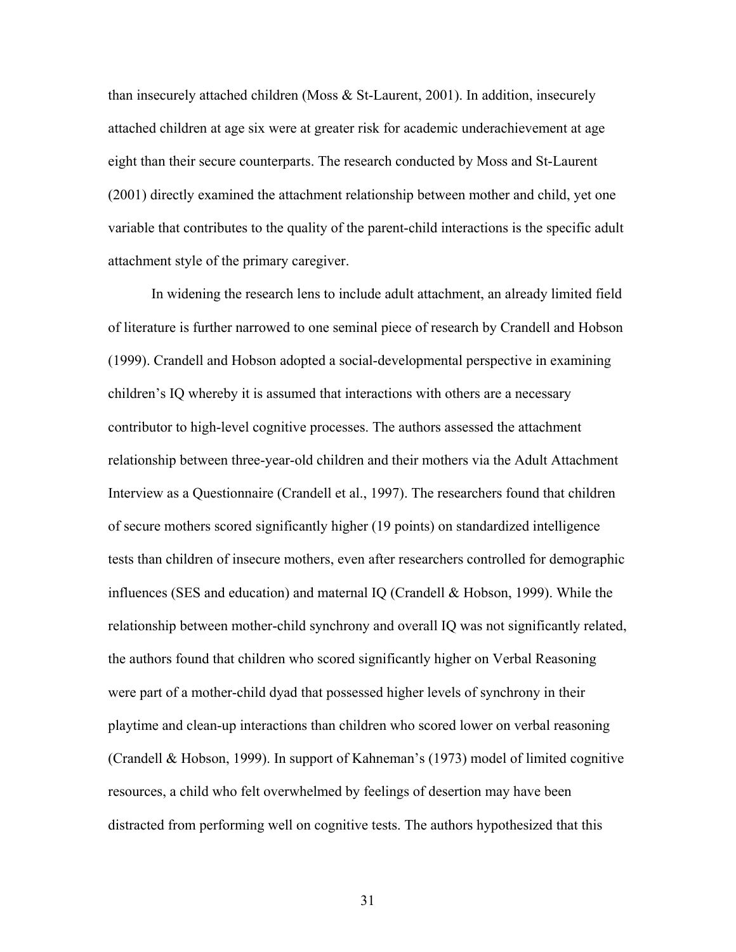than insecurely attached children (Moss & St-Laurent, 2001). In addition, insecurely attached children at age six were at greater risk for academic underachievement at age eight than their secure counterparts. The research conducted by Moss and St-Laurent (2001) directly examined the attachment relationship between mother and child, yet one variable that contributes to the quality of the parent-child interactions is the specific adult attachment style of the primary caregiver.

In widening the research lens to include adult attachment, an already limited field of literature is further narrowed to one seminal piece of research by Crandell and Hobson (1999). Crandell and Hobson adopted a social-developmental perspective in examining children's IQ whereby it is assumed that interactions with others are a necessary contributor to high-level cognitive processes. The authors assessed the attachment relationship between three-year-old children and their mothers via the Adult Attachment Interview as a Questionnaire (Crandell et al., 1997). The researchers found that children of secure mothers scored significantly higher (19 points) on standardized intelligence tests than children of insecure mothers, even after researchers controlled for demographic influences (SES and education) and maternal IQ (Crandell & Hobson, 1999). While the relationship between mother-child synchrony and overall IQ was not significantly related, the authors found that children who scored significantly higher on Verbal Reasoning were part of a mother-child dyad that possessed higher levels of synchrony in their playtime and clean-up interactions than children who scored lower on verbal reasoning (Crandell & Hobson, 1999). In support of Kahneman's (1973) model of limited cognitive resources, a child who felt overwhelmed by feelings of desertion may have been distracted from performing well on cognitive tests. The authors hypothesized that this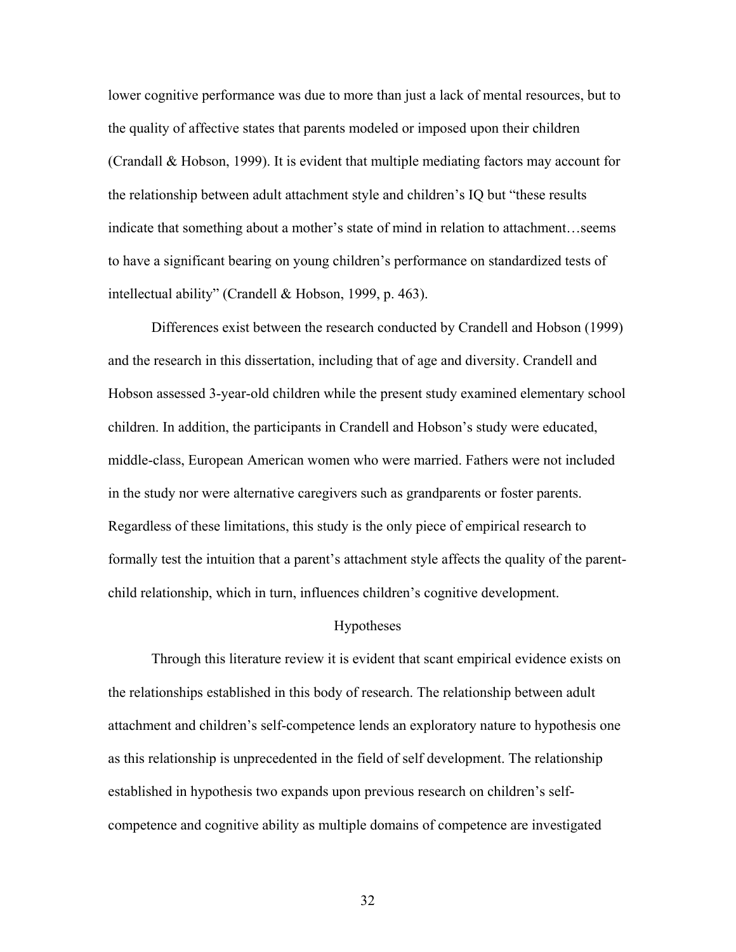lower cognitive performance was due to more than just a lack of mental resources, but to the quality of affective states that parents modeled or imposed upon their children (Crandall & Hobson, 1999). It is evident that multiple mediating factors may account for the relationship between adult attachment style and children's IQ but "these results indicate that something about a mother's state of mind in relation to attachment…seems to have a significant bearing on young children's performance on standardized tests of intellectual ability" (Crandell & Hobson, 1999, p. 463).

Differences exist between the research conducted by Crandell and Hobson (1999) and the research in this dissertation, including that of age and diversity. Crandell and Hobson assessed 3-year-old children while the present study examined elementary school children. In addition, the participants in Crandell and Hobson's study were educated, middle-class, European American women who were married. Fathers were not included in the study nor were alternative caregivers such as grandparents or foster parents. Regardless of these limitations, this study is the only piece of empirical research to formally test the intuition that a parent's attachment style affects the quality of the parentchild relationship, which in turn, influences children's cognitive development.

#### Hypotheses

 Through this literature review it is evident that scant empirical evidence exists on the relationships established in this body of research. The relationship between adult attachment and children's self-competence lends an exploratory nature to hypothesis one as this relationship is unprecedented in the field of self development. The relationship established in hypothesis two expands upon previous research on children's selfcompetence and cognitive ability as multiple domains of competence are investigated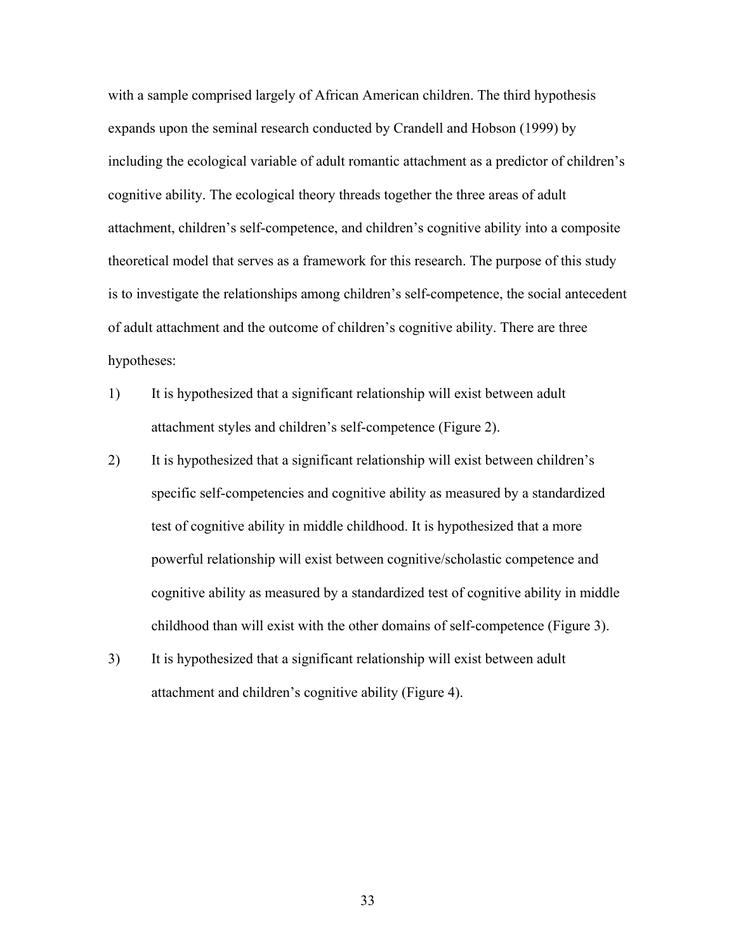with a sample comprised largely of African American children. The third hypothesis expands upon the seminal research conducted by Crandell and Hobson (1999) by including the ecological variable of adult romantic attachment as a predictor of children's cognitive ability. The ecological theory threads together the three areas of adult attachment, children's self-competence, and children's cognitive ability into a composite theoretical model that serves as a framework for this research. The purpose of this study is to investigate the relationships among children's self-competence, the social antecedent of adult attachment and the outcome of children's cognitive ability. There are three hypotheses:

- 1) It is hypothesized that a significant relationship will exist between adult attachment styles and children's self-competence (Figure 2).
- 2) It is hypothesized that a significant relationship will exist between children's specific self-competencies and cognitive ability as measured by a standardized test of cognitive ability in middle childhood. It is hypothesized that a more powerful relationship will exist between cognitive/scholastic competence and cognitive ability as measured by a standardized test of cognitive ability in middle childhood than will exist with the other domains of self-competence (Figure 3).
- 3) It is hypothesized that a significant relationship will exist between adult attachment and children's cognitive ability (Figure 4).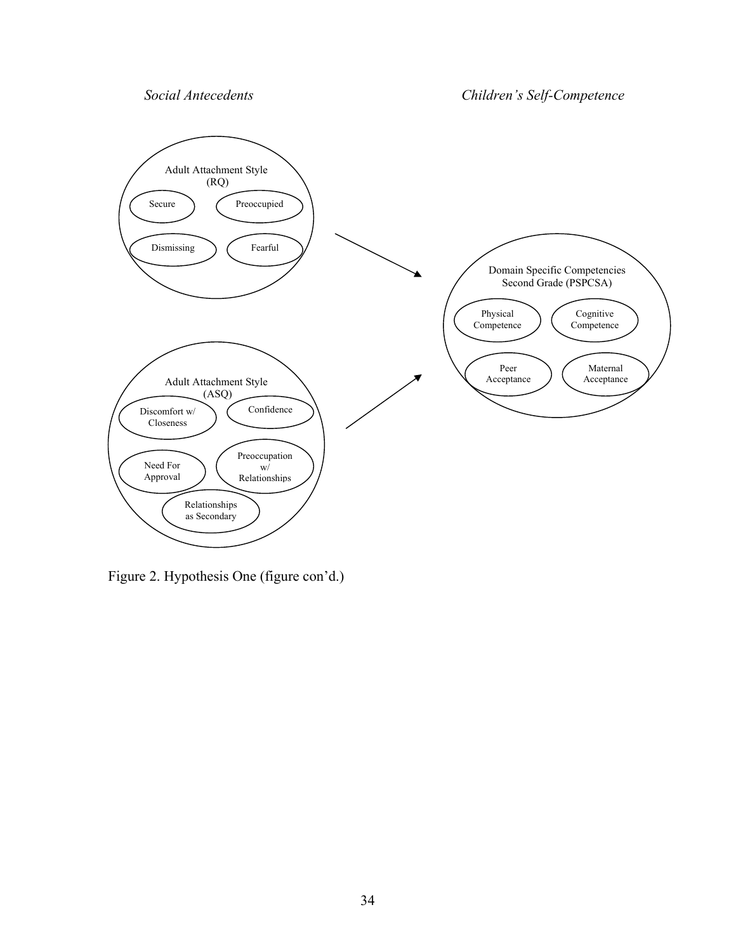*Social Antecedents Children's Self-Competence*



Figure 2. Hypothesis One (figure con'd.)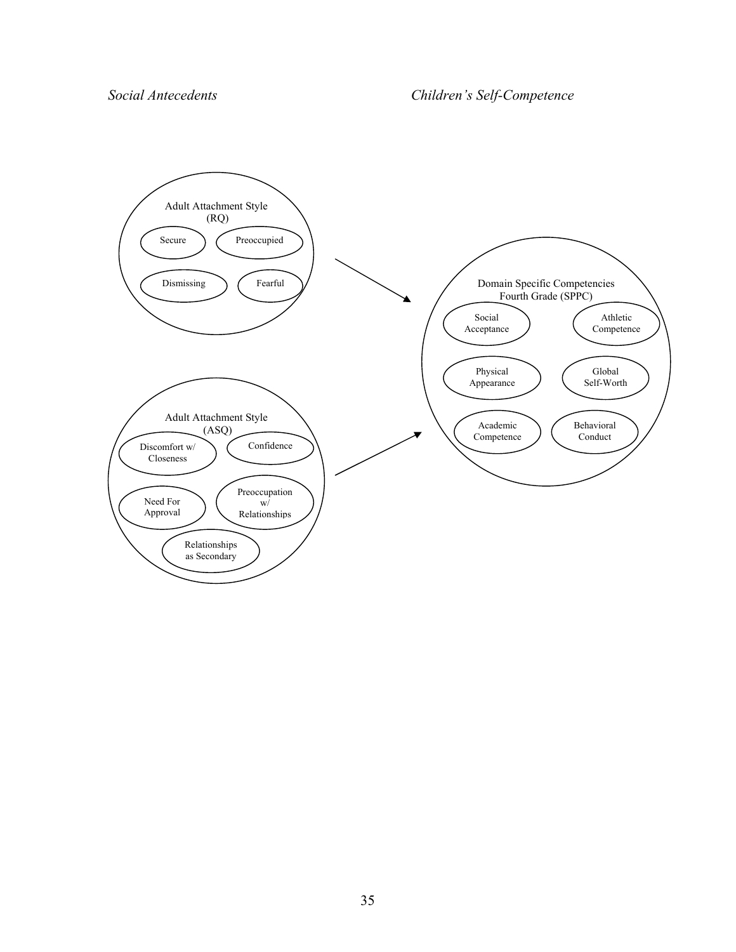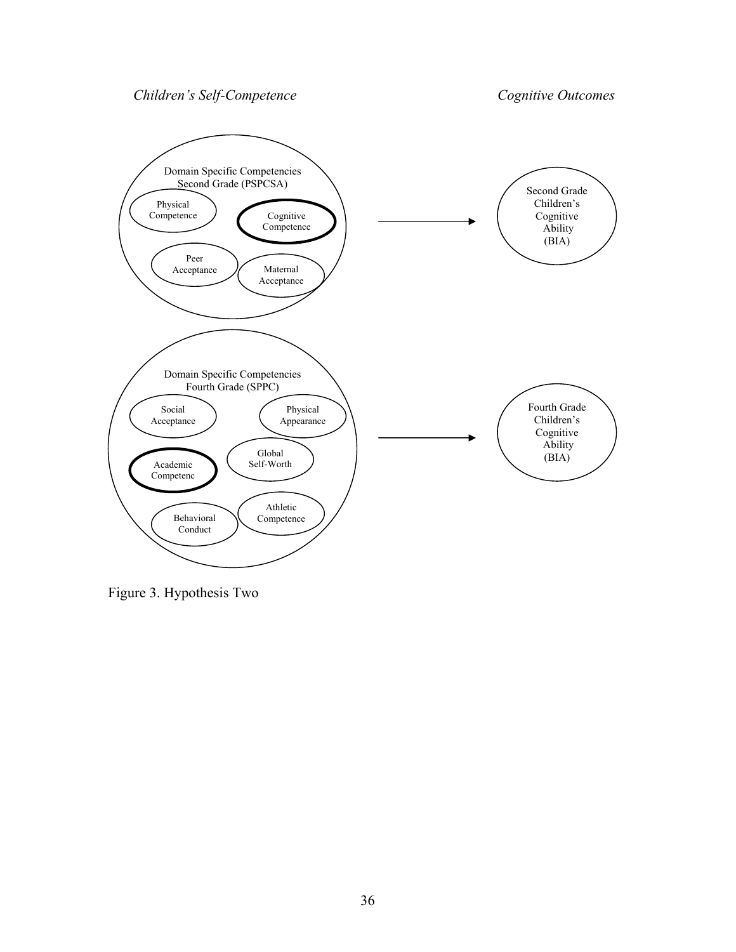Children's Self-Competence Cognitive Outcomes



Figure 3. Hypothesis Two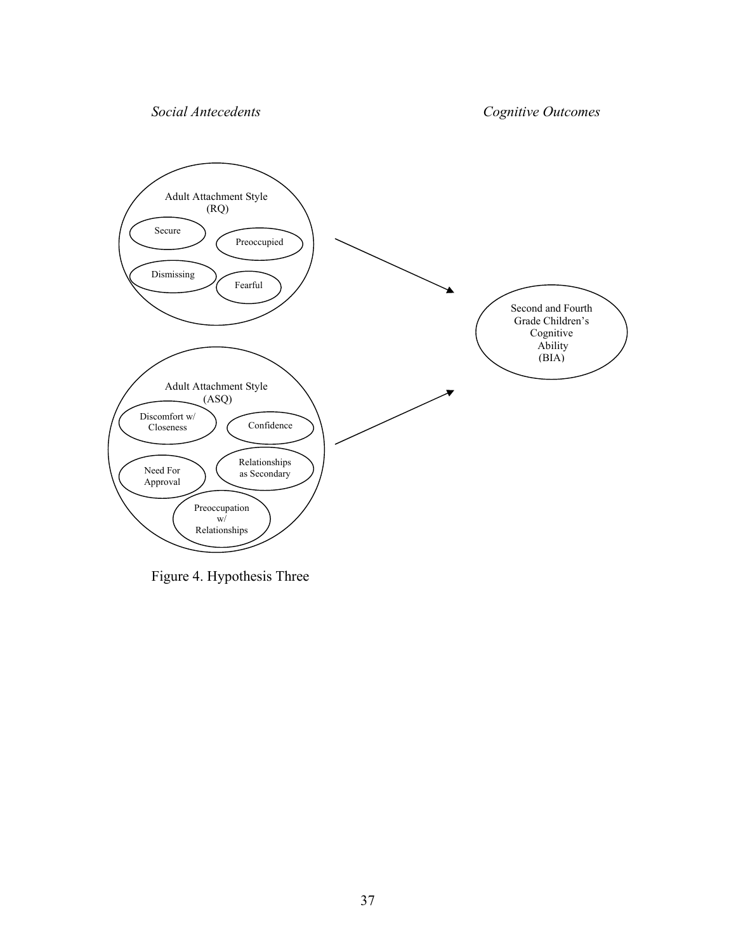*Social Antecedents Cognitive Outcomes* 



Figure 4. Hypothesis Three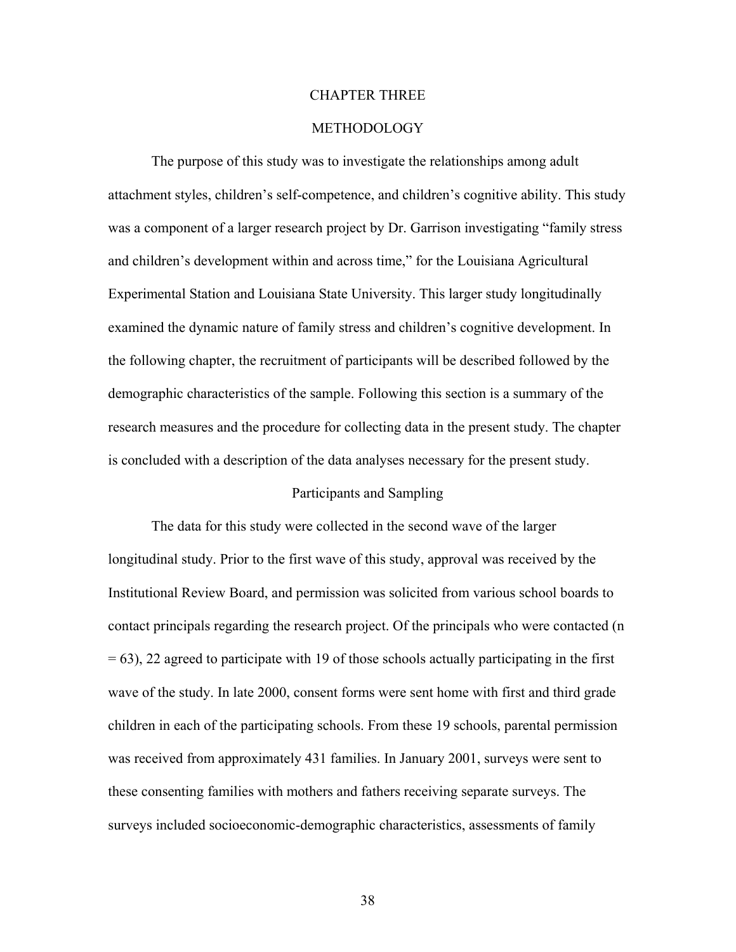## CHAPTER THREE

## METHODOLOGY

 The purpose of this study was to investigate the relationships among adult attachment styles, children's self-competence, and children's cognitive ability. This study was a component of a larger research project by Dr. Garrison investigating "family stress and children's development within and across time," for the Louisiana Agricultural Experimental Station and Louisiana State University. This larger study longitudinally examined the dynamic nature of family stress and children's cognitive development. In the following chapter, the recruitment of participants will be described followed by the demographic characteristics of the sample. Following this section is a summary of the research measures and the procedure for collecting data in the present study. The chapter is concluded with a description of the data analyses necessary for the present study.

## Participants and Sampling

 The data for this study were collected in the second wave of the larger longitudinal study. Prior to the first wave of this study, approval was received by the Institutional Review Board, and permission was solicited from various school boards to contact principals regarding the research project. Of the principals who were contacted (n = 63), 22 agreed to participate with 19 of those schools actually participating in the first wave of the study. In late 2000, consent forms were sent home with first and third grade children in each of the participating schools. From these 19 schools, parental permission was received from approximately 431 families. In January 2001, surveys were sent to these consenting families with mothers and fathers receiving separate surveys. The surveys included socioeconomic-demographic characteristics, assessments of family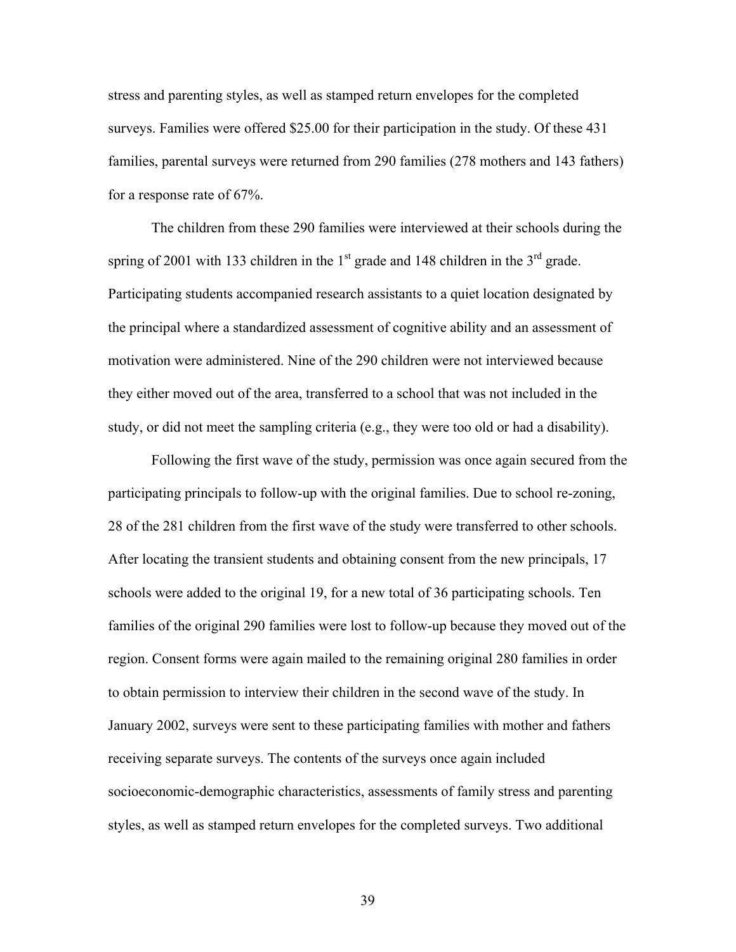stress and parenting styles, as well as stamped return envelopes for the completed surveys. Families were offered \$25.00 for their participation in the study. Of these 431 families, parental surveys were returned from 290 families (278 mothers and 143 fathers) for a response rate of 67%.

The children from these 290 families were interviewed at their schools during the spring of 2001 with 133 children in the  $1<sup>st</sup>$  grade and 148 children in the  $3<sup>rd</sup>$  grade. Participating students accompanied research assistants to a quiet location designated by the principal where a standardized assessment of cognitive ability and an assessment of motivation were administered. Nine of the 290 children were not interviewed because they either moved out of the area, transferred to a school that was not included in the study, or did not meet the sampling criteria (e.g., they were too old or had a disability).

 Following the first wave of the study, permission was once again secured from the participating principals to follow-up with the original families. Due to school re-zoning, 28 of the 281 children from the first wave of the study were transferred to other schools. After locating the transient students and obtaining consent from the new principals, 17 schools were added to the original 19, for a new total of 36 participating schools. Ten families of the original 290 families were lost to follow-up because they moved out of the region. Consent forms were again mailed to the remaining original 280 families in order to obtain permission to interview their children in the second wave of the study. In January 2002, surveys were sent to these participating families with mother and fathers receiving separate surveys. The contents of the surveys once again included socioeconomic-demographic characteristics, assessments of family stress and parenting styles, as well as stamped return envelopes for the completed surveys. Two additional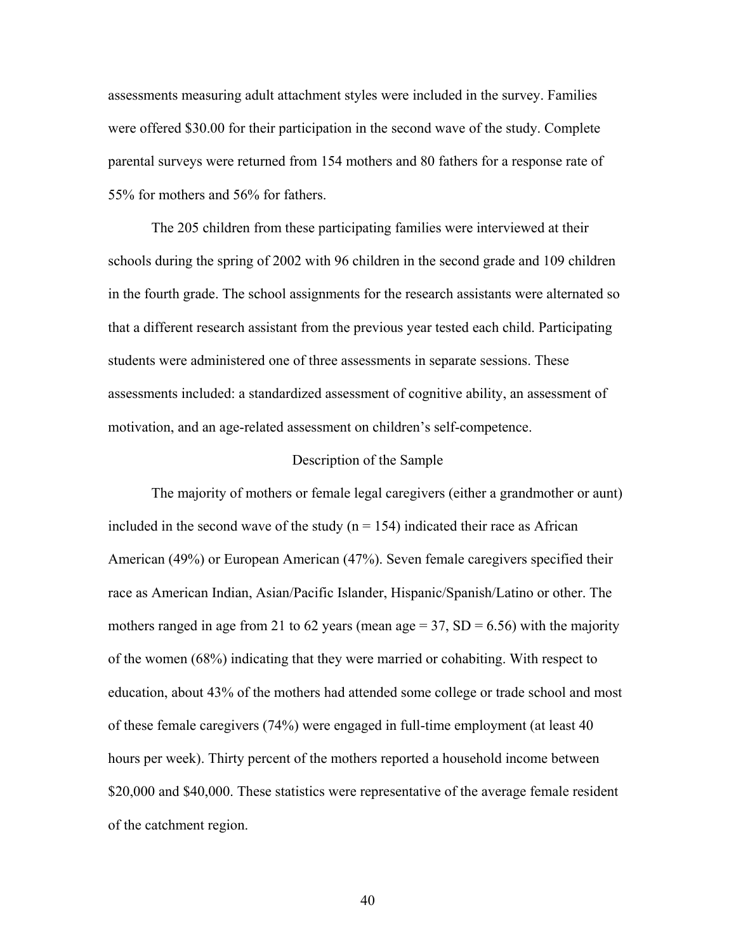assessments measuring adult attachment styles were included in the survey. Families were offered \$30.00 for their participation in the second wave of the study. Complete parental surveys were returned from 154 mothers and 80 fathers for a response rate of 55% for mothers and 56% for fathers.

The 205 children from these participating families were interviewed at their schools during the spring of 2002 with 96 children in the second grade and 109 children in the fourth grade. The school assignments for the research assistants were alternated so that a different research assistant from the previous year tested each child. Participating students were administered one of three assessments in separate sessions. These assessments included: a standardized assessment of cognitive ability, an assessment of motivation, and an age-related assessment on children's self-competence.

#### Description of the Sample

The majority of mothers or female legal caregivers (either a grandmother or aunt) included in the second wave of the study  $(n = 154)$  indicated their race as African American (49%) or European American (47%). Seven female caregivers specified their race as American Indian, Asian/Pacific Islander, Hispanic/Spanish/Latino or other. The mothers ranged in age from 21 to 62 years (mean age  $= 37$ , SD  $= 6.56$ ) with the majority of the women (68%) indicating that they were married or cohabiting. With respect to education, about 43% of the mothers had attended some college or trade school and most of these female caregivers (74%) were engaged in full-time employment (at least 40 hours per week). Thirty percent of the mothers reported a household income between \$20,000 and \$40,000. These statistics were representative of the average female resident of the catchment region.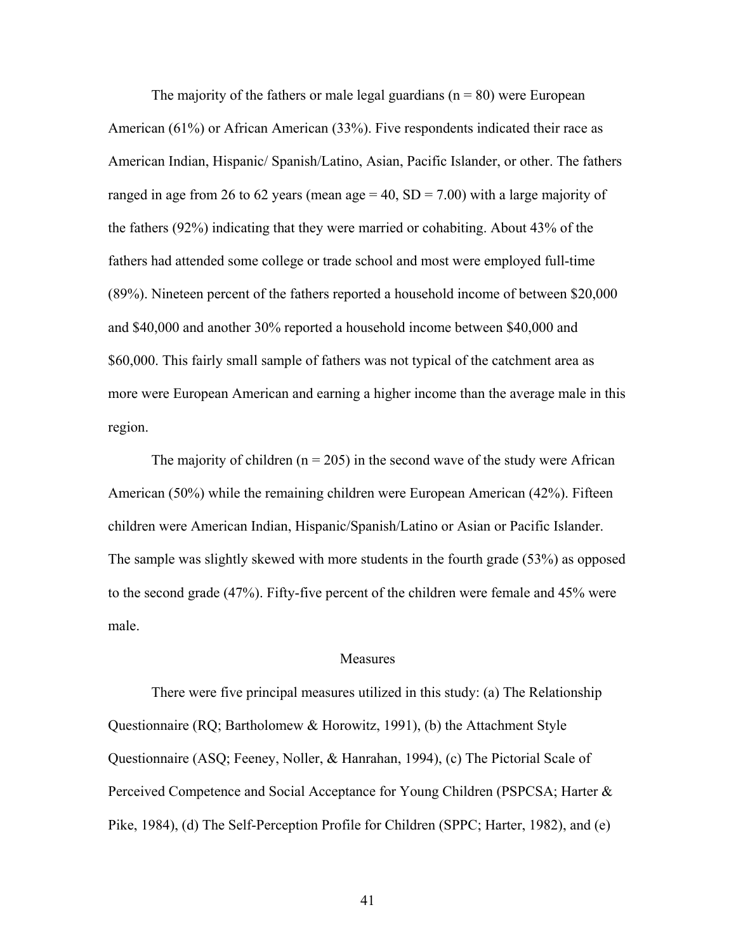The majority of the fathers or male legal guardians ( $n = 80$ ) were European American (61%) or African American (33%). Five respondents indicated their race as American Indian, Hispanic/ Spanish/Latino, Asian, Pacific Islander, or other. The fathers ranged in age from 26 to 62 years (mean age  $= 40$ , SD  $= 7.00$ ) with a large majority of the fathers (92%) indicating that they were married or cohabiting. About 43% of the fathers had attended some college or trade school and most were employed full-time (89%). Nineteen percent of the fathers reported a household income of between \$20,000 and \$40,000 and another 30% reported a household income between \$40,000 and \$60,000. This fairly small sample of fathers was not typical of the catchment area as more were European American and earning a higher income than the average male in this region.

The majority of children ( $n = 205$ ) in the second wave of the study were African American (50%) while the remaining children were European American (42%). Fifteen children were American Indian, Hispanic/Spanish/Latino or Asian or Pacific Islander. The sample was slightly skewed with more students in the fourth grade (53%) as opposed to the second grade (47%). Fifty-five percent of the children were female and 45% were male.

#### Measures

There were five principal measures utilized in this study: (a) The Relationship Questionnaire (RQ; Bartholomew & Horowitz, 1991), (b) the Attachment Style Questionnaire (ASQ; Feeney, Noller, & Hanrahan, 1994), (c) The Pictorial Scale of Perceived Competence and Social Acceptance for Young Children (PSPCSA; Harter & Pike, 1984), (d) The Self-Perception Profile for Children (SPPC; Harter, 1982), and (e)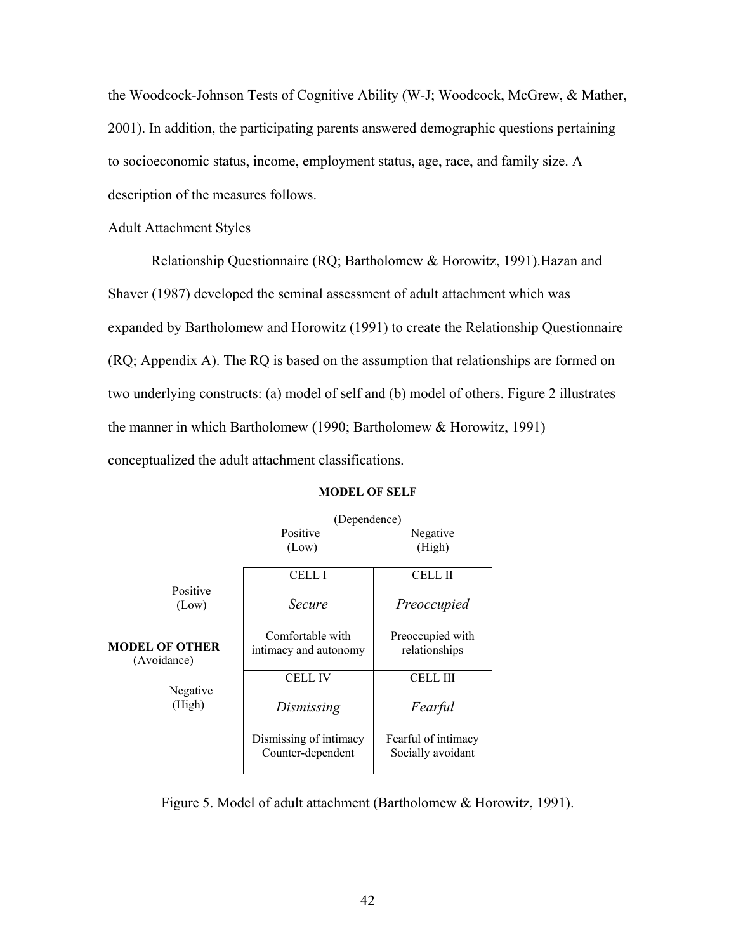the Woodcock-Johnson Tests of Cognitive Ability (W-J; Woodcock, McGrew, & Mather, 2001). In addition, the participating parents answered demographic questions pertaining to socioeconomic status, income, employment status, age, race, and family size. A description of the measures follows.

## Adult Attachment Styles

 Relationship Questionnaire (RQ; Bartholomew & Horowitz, 1991).Hazan and Shaver (1987) developed the seminal assessment of adult attachment which was expanded by Bartholomew and Horowitz (1991) to create the Relationship Questionnaire (RQ; Appendix A). The RQ is based on the assumption that relationships are formed on two underlying constructs: (a) model of self and (b) model of others. Figure 2 illustrates the manner in which Bartholomew (1990; Bartholomew & Horowitz, 1991) conceptualized the adult attachment classifications.

|                               | (Dependence)                                |                                          |
|-------------------------------|---------------------------------------------|------------------------------------------|
|                               | Positive<br>(Low)                           | Negative<br>(High)                       |
|                               | CELL I                                      | CELL II                                  |
| Positive<br>(Low)             | Secure                                      | Preoccupied                              |
| MODEL OF OTHER<br>(Avoidance) | Comfortable with<br>intimacy and autonomy   | Preoccupied with<br>relationships        |
|                               | CELL IV                                     | CELL III                                 |
| Negative<br>(High)            | Dismissing                                  | Fearful                                  |
|                               | Dismissing of intimacy<br>Counter-dependent | Fearful of intimacy<br>Socially avoidant |

#### **MODEL OF SELF**

Figure 5. Model of adult attachment (Bartholomew & Horowitz, 1991).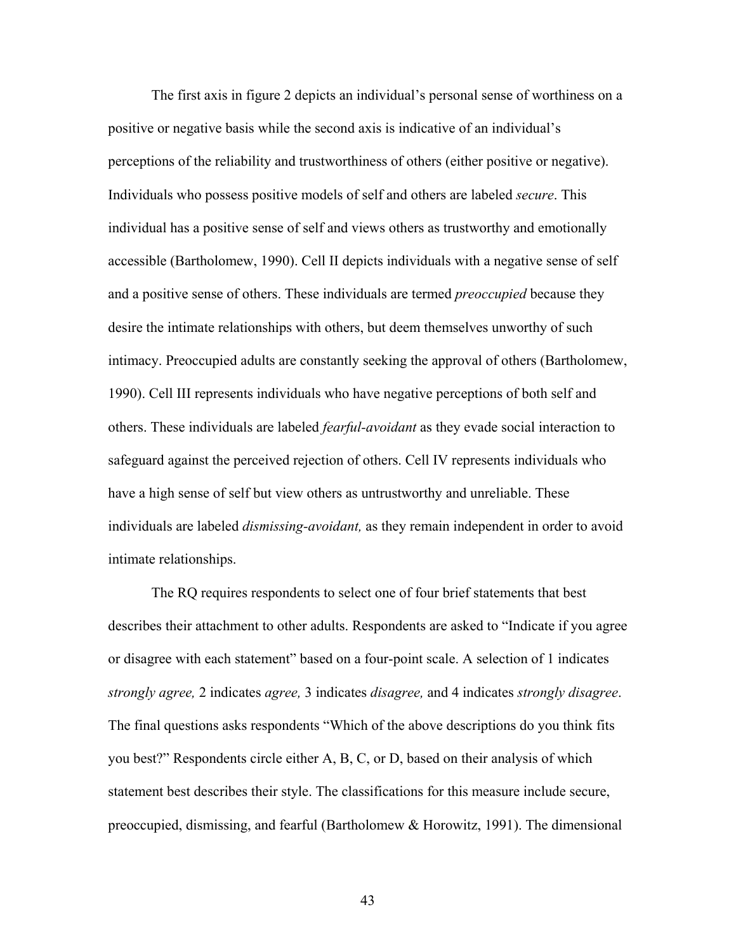The first axis in figure 2 depicts an individual's personal sense of worthiness on a positive or negative basis while the second axis is indicative of an individual's perceptions of the reliability and trustworthiness of others (either positive or negative). Individuals who possess positive models of self and others are labeled *secure*. This individual has a positive sense of self and views others as trustworthy and emotionally accessible (Bartholomew, 1990). Cell II depicts individuals with a negative sense of self and a positive sense of others. These individuals are termed *preoccupied* because they desire the intimate relationships with others, but deem themselves unworthy of such intimacy. Preoccupied adults are constantly seeking the approval of others (Bartholomew, 1990). Cell III represents individuals who have negative perceptions of both self and others. These individuals are labeled *fearful-avoidant* as they evade social interaction to safeguard against the perceived rejection of others. Cell IV represents individuals who have a high sense of self but view others as untrustworthy and unreliable. These individuals are labeled *dismissing-avoidant,* as they remain independent in order to avoid intimate relationships.

 The RQ requires respondents to select one of four brief statements that best describes their attachment to other adults. Respondents are asked to "Indicate if you agree or disagree with each statement" based on a four-point scale. A selection of 1 indicates *strongly agree,* 2 indicates *agree,* 3 indicates *disagree,* and 4 indicates *strongly disagree*. The final questions asks respondents "Which of the above descriptions do you think fits you best?" Respondents circle either A, B, C, or D, based on their analysis of which statement best describes their style. The classifications for this measure include secure, preoccupied, dismissing, and fearful (Bartholomew & Horowitz, 1991). The dimensional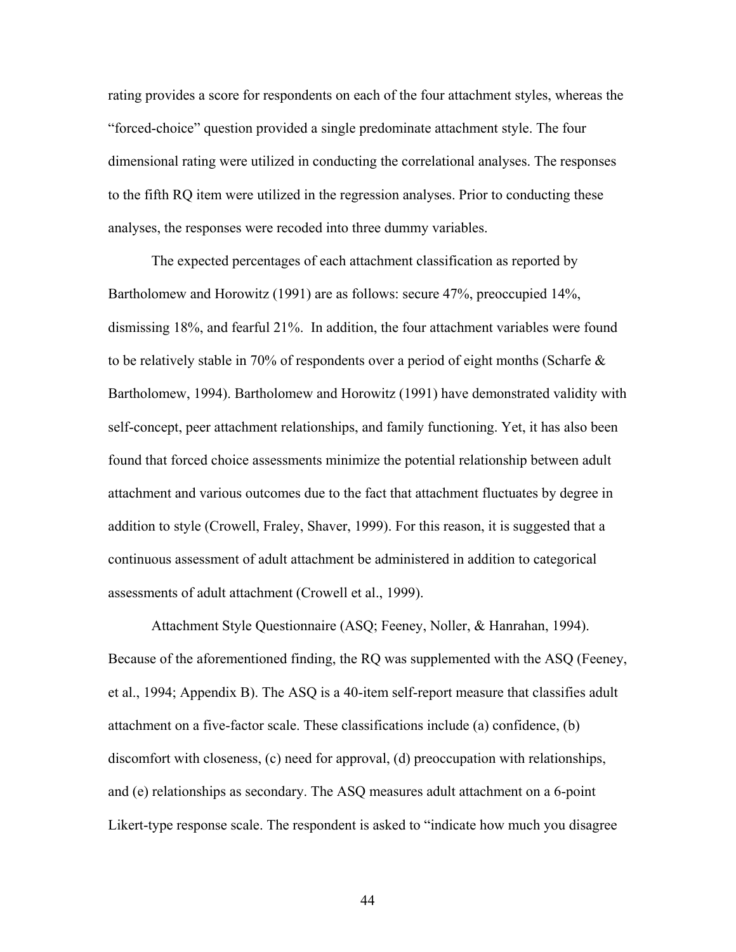rating provides a score for respondents on each of the four attachment styles, whereas the "forced-choice" question provided a single predominate attachment style. The four dimensional rating were utilized in conducting the correlational analyses. The responses to the fifth RQ item were utilized in the regression analyses. Prior to conducting these analyses, the responses were recoded into three dummy variables.

 The expected percentages of each attachment classification as reported by Bartholomew and Horowitz (1991) are as follows: secure 47%, preoccupied 14%, dismissing 18%, and fearful 21%. In addition, the four attachment variables were found to be relatively stable in 70% of respondents over a period of eight months (Scharfe & Bartholomew, 1994). Bartholomew and Horowitz (1991) have demonstrated validity with self-concept, peer attachment relationships, and family functioning. Yet, it has also been found that forced choice assessments minimize the potential relationship between adult attachment and various outcomes due to the fact that attachment fluctuates by degree in addition to style (Crowell, Fraley, Shaver, 1999). For this reason, it is suggested that a continuous assessment of adult attachment be administered in addition to categorical assessments of adult attachment (Crowell et al., 1999).

Attachment Style Questionnaire (ASQ; Feeney, Noller, & Hanrahan, 1994). Because of the aforementioned finding, the RQ was supplemented with the ASQ (Feeney, et al., 1994; Appendix B). The ASQ is a 40-item self-report measure that classifies adult attachment on a five-factor scale. These classifications include (a) confidence, (b) discomfort with closeness, (c) need for approval, (d) preoccupation with relationships, and (e) relationships as secondary. The ASQ measures adult attachment on a 6-point Likert-type response scale. The respondent is asked to "indicate how much you disagree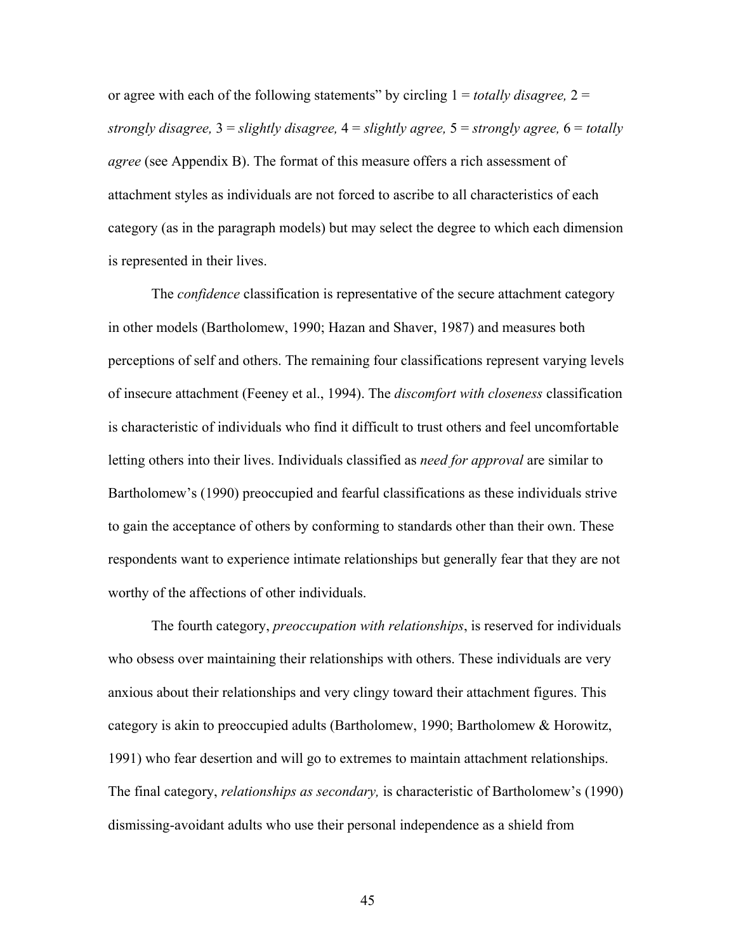or agree with each of the following statements" by circling 1 = *totally disagree,* 2 = *strongly disagree,* 3 = *slightly disagree,* 4 = *slightly agree,* 5 = *strongly agree,* 6 = *totally agree* (see Appendix B). The format of this measure offers a rich assessment of attachment styles as individuals are not forced to ascribe to all characteristics of each category (as in the paragraph models) but may select the degree to which each dimension is represented in their lives.

The *confidence* classification is representative of the secure attachment category in other models (Bartholomew, 1990; Hazan and Shaver, 1987) and measures both perceptions of self and others. The remaining four classifications represent varying levels of insecure attachment (Feeney et al., 1994). The *discomfort with closeness* classification is characteristic of individuals who find it difficult to trust others and feel uncomfortable letting others into their lives. Individuals classified as *need for approval* are similar to Bartholomew's (1990) preoccupied and fearful classifications as these individuals strive to gain the acceptance of others by conforming to standards other than their own. These respondents want to experience intimate relationships but generally fear that they are not worthy of the affections of other individuals.

The fourth category, *preoccupation with relationships*, is reserved for individuals who obsess over maintaining their relationships with others. These individuals are very anxious about their relationships and very clingy toward their attachment figures. This category is akin to preoccupied adults (Bartholomew, 1990; Bartholomew & Horowitz, 1991) who fear desertion and will go to extremes to maintain attachment relationships. The final category, *relationships as secondary,* is characteristic of Bartholomew's (1990) dismissing-avoidant adults who use their personal independence as a shield from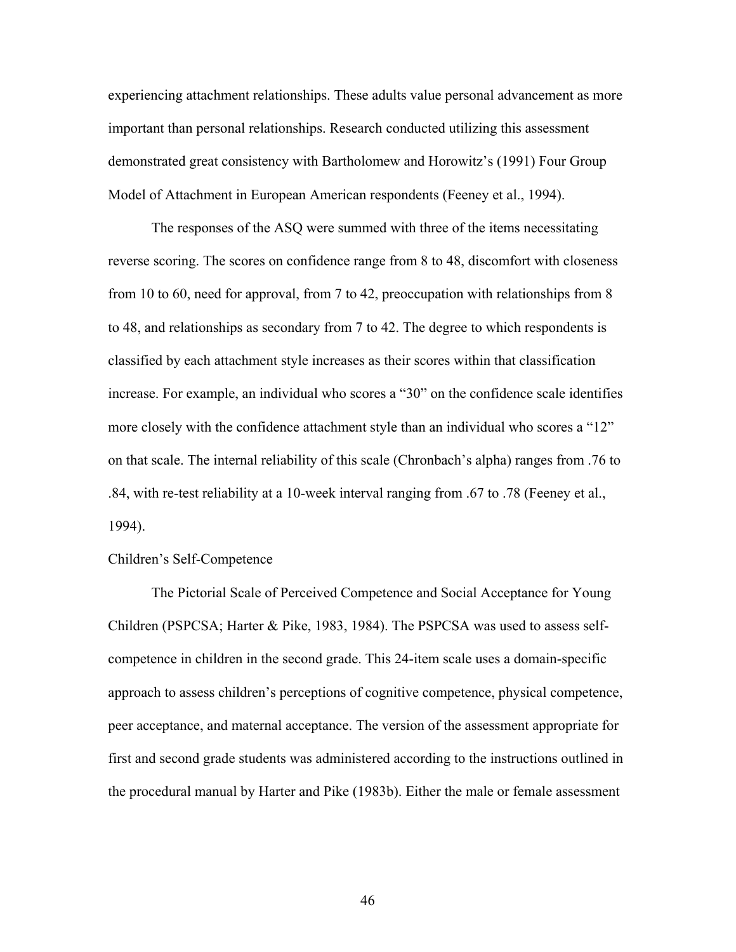experiencing attachment relationships. These adults value personal advancement as more important than personal relationships. Research conducted utilizing this assessment demonstrated great consistency with Bartholomew and Horowitz's (1991) Four Group Model of Attachment in European American respondents (Feeney et al., 1994).

The responses of the ASQ were summed with three of the items necessitating reverse scoring. The scores on confidence range from 8 to 48, discomfort with closeness from 10 to 60, need for approval, from 7 to 42, preoccupation with relationships from 8 to 48, and relationships as secondary from 7 to 42. The degree to which respondents is classified by each attachment style increases as their scores within that classification increase. For example, an individual who scores a "30" on the confidence scale identifies more closely with the confidence attachment style than an individual who scores a "12" on that scale. The internal reliability of this scale (Chronbach's alpha) ranges from .76 to .84, with re-test reliability at a 10-week interval ranging from .67 to .78 (Feeney et al., 1994).

## Children's Self-Competence

The Pictorial Scale of Perceived Competence and Social Acceptance for Young Children (PSPCSA; Harter & Pike, 1983, 1984). The PSPCSA was used to assess selfcompetence in children in the second grade. This 24-item scale uses a domain-specific approach to assess children's perceptions of cognitive competence, physical competence, peer acceptance, and maternal acceptance. The version of the assessment appropriate for first and second grade students was administered according to the instructions outlined in the procedural manual by Harter and Pike (1983b). Either the male or female assessment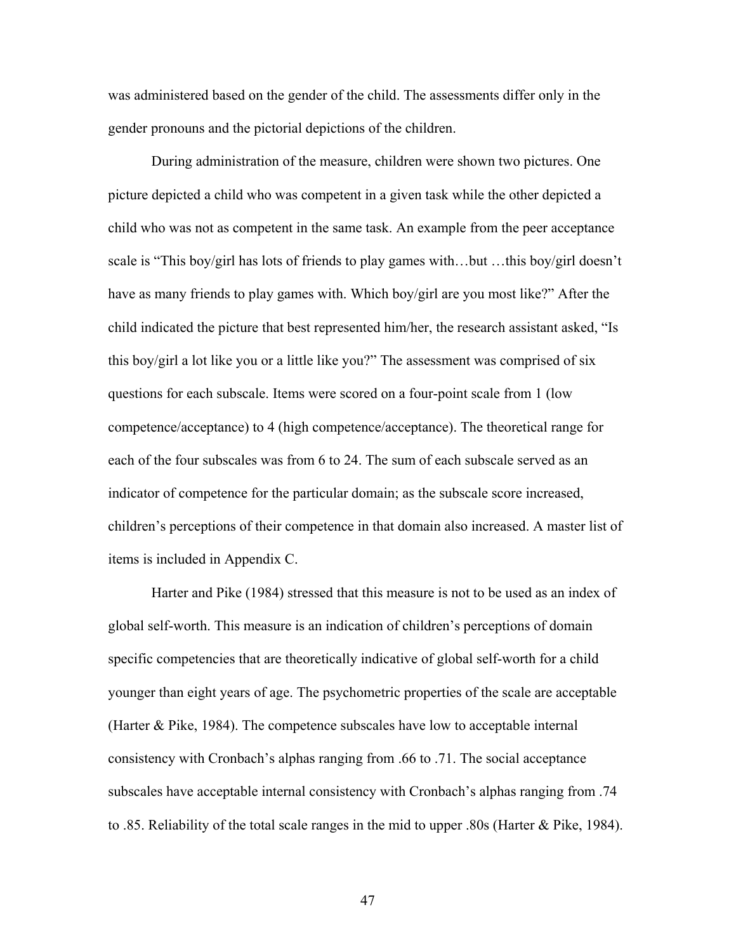was administered based on the gender of the child. The assessments differ only in the gender pronouns and the pictorial depictions of the children.

During administration of the measure, children were shown two pictures. One picture depicted a child who was competent in a given task while the other depicted a child who was not as competent in the same task. An example from the peer acceptance scale is "This boy/girl has lots of friends to play games with…but …this boy/girl doesn't have as many friends to play games with. Which boy/girl are you most like?" After the child indicated the picture that best represented him/her, the research assistant asked, "Is this boy/girl a lot like you or a little like you?" The assessment was comprised of six questions for each subscale. Items were scored on a four-point scale from 1 (low competence/acceptance) to 4 (high competence/acceptance). The theoretical range for each of the four subscales was from 6 to 24. The sum of each subscale served as an indicator of competence for the particular domain; as the subscale score increased, children's perceptions of their competence in that domain also increased. A master list of items is included in Appendix C.

Harter and Pike (1984) stressed that this measure is not to be used as an index of global self-worth. This measure is an indication of children's perceptions of domain specific competencies that are theoretically indicative of global self-worth for a child younger than eight years of age. The psychometric properties of the scale are acceptable (Harter & Pike, 1984). The competence subscales have low to acceptable internal consistency with Cronbach's alphas ranging from .66 to .71. The social acceptance subscales have acceptable internal consistency with Cronbach's alphas ranging from .74 to .85. Reliability of the total scale ranges in the mid to upper .80s (Harter & Pike, 1984).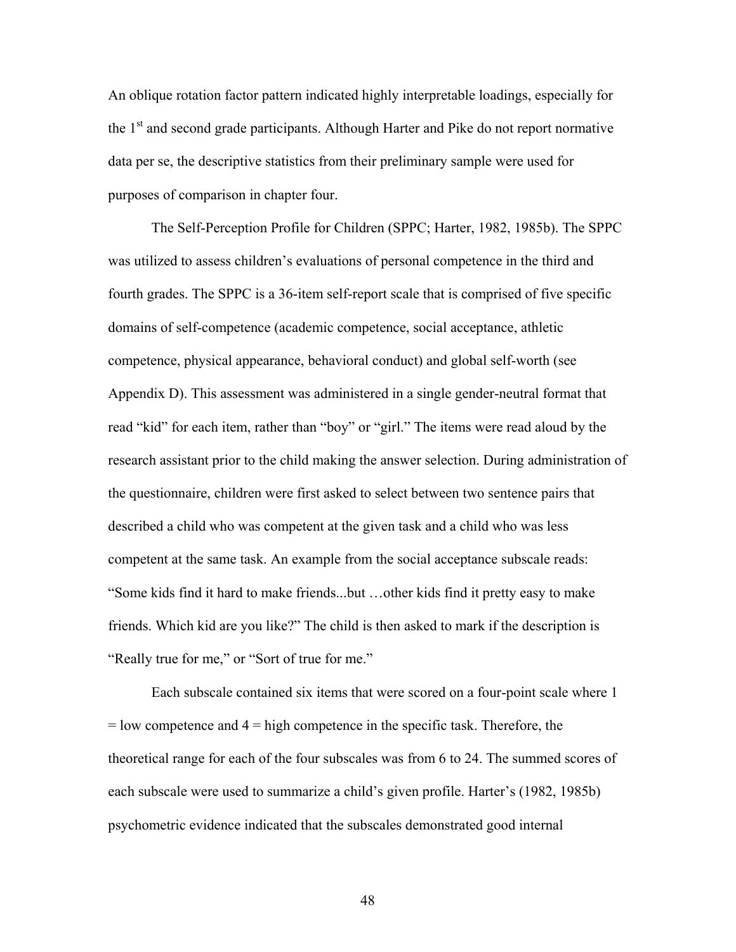An oblique rotation factor pattern indicated highly interpretable loadings, especially for the 1<sup>st</sup> and second grade participants. Although Harter and Pike do not report normative data per se, the descriptive statistics from their preliminary sample were used for purposes of comparison in chapter four.

The Self-Perception Profile for Children (SPPC; Harter, 1982, 1985b). The SPPC was utilized to assess children's evaluations of personal competence in the third and fourth grades. The SPPC is a 36-item self-report scale that is comprised of five specific domains of self-competence (academic competence, social acceptance, athletic competence, physical appearance, behavioral conduct) and global self-worth (see Appendix D). This assessment was administered in a single gender-neutral format that read "kid" for each item, rather than "boy" or "girl." The items were read aloud by the research assistant prior to the child making the answer selection. During administration of the questionnaire, children were first asked to select between two sentence pairs that described a child who was competent at the given task and a child who was less competent at the same task. An example from the social acceptance subscale reads: "Some kids find it hard to make friends...but …other kids find it pretty easy to make friends. Which kid are you like?" The child is then asked to mark if the description is "Really true for me," or "Sort of true for me."

Each subscale contained six items that were scored on a four-point scale where 1  $=$  low competence and  $4 =$  high competence in the specific task. Therefore, the theoretical range for each of the four subscales was from 6 to 24. The summed scores of each subscale were used to summarize a child's given profile. Harter's (1982, 1985b) psychometric evidence indicated that the subscales demonstrated good internal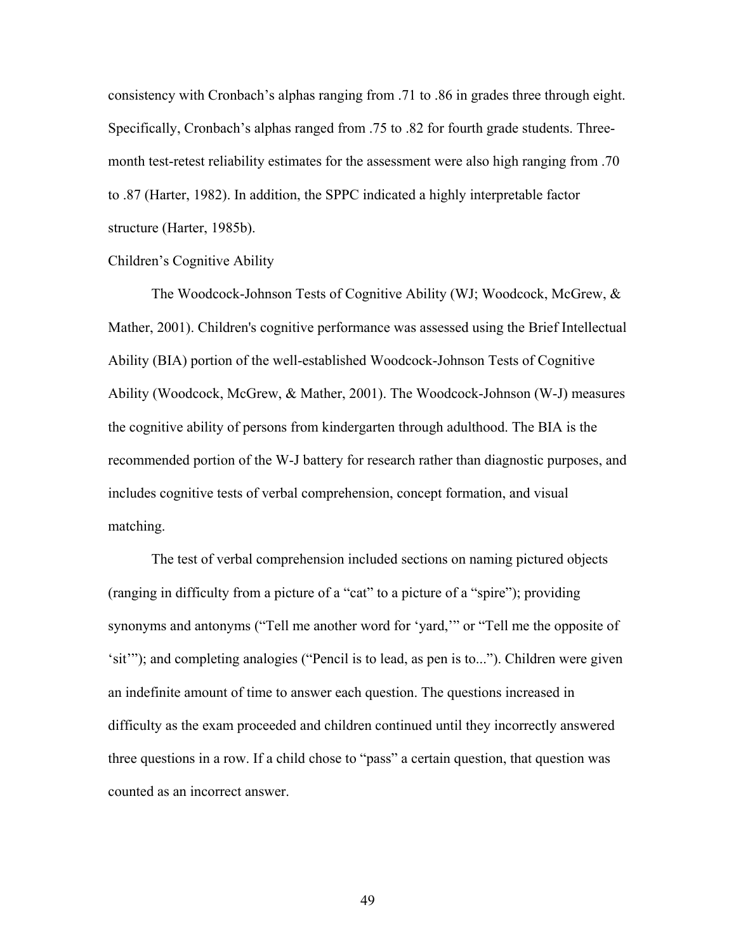consistency with Cronbach's alphas ranging from .71 to .86 in grades three through eight. Specifically, Cronbach's alphas ranged from .75 to .82 for fourth grade students. Threemonth test-retest reliability estimates for the assessment were also high ranging from .70 to .87 (Harter, 1982). In addition, the SPPC indicated a highly interpretable factor structure (Harter, 1985b).

## Children's Cognitive Ability

The Woodcock-Johnson Tests of Cognitive Ability (WJ; Woodcock, McGrew, & Mather, 2001). Children's cognitive performance was assessed using the Brief Intellectual Ability (BIA) portion of the well-established Woodcock-Johnson Tests of Cognitive Ability (Woodcock, McGrew, & Mather, 2001). The Woodcock-Johnson (W-J) measures the cognitive ability of persons from kindergarten through adulthood. The BIA is the recommended portion of the W-J battery for research rather than diagnostic purposes, and includes cognitive tests of verbal comprehension, concept formation, and visual matching.

The test of verbal comprehension included sections on naming pictured objects (ranging in difficulty from a picture of a "cat" to a picture of a "spire"); providing synonyms and antonyms ("Tell me another word for 'yard,'" or "Tell me the opposite of 'sit'"); and completing analogies ("Pencil is to lead, as pen is to..."). Children were given an indefinite amount of time to answer each question. The questions increased in difficulty as the exam proceeded and children continued until they incorrectly answered three questions in a row. If a child chose to "pass" a certain question, that question was counted as an incorrect answer.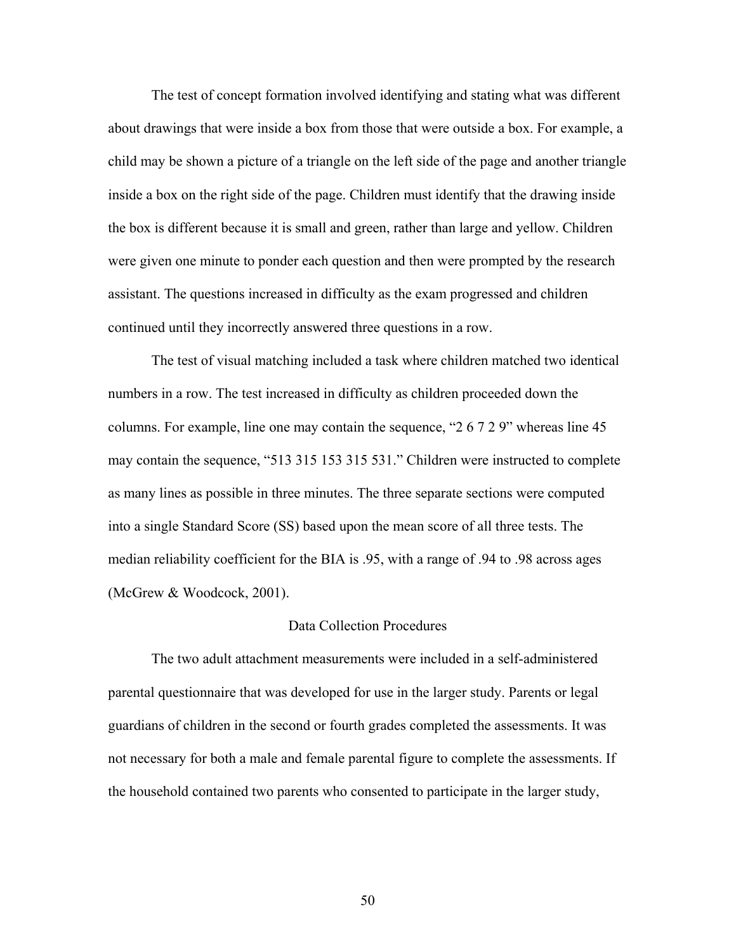The test of concept formation involved identifying and stating what was different about drawings that were inside a box from those that were outside a box. For example, a child may be shown a picture of a triangle on the left side of the page and another triangle inside a box on the right side of the page. Children must identify that the drawing inside the box is different because it is small and green, rather than large and yellow. Children were given one minute to ponder each question and then were prompted by the research assistant. The questions increased in difficulty as the exam progressed and children continued until they incorrectly answered three questions in a row.

The test of visual matching included a task where children matched two identical numbers in a row. The test increased in difficulty as children proceeded down the columns. For example, line one may contain the sequence, "2 6 7 2 9" whereas line 45 may contain the sequence, "513 315 153 315 531." Children were instructed to complete as many lines as possible in three minutes. The three separate sections were computed into a single Standard Score (SS) based upon the mean score of all three tests. The median reliability coefficient for the BIA is .95, with a range of .94 to .98 across ages (McGrew & Woodcock, 2001).

### Data Collection Procedures

 The two adult attachment measurements were included in a self-administered parental questionnaire that was developed for use in the larger study. Parents or legal guardians of children in the second or fourth grades completed the assessments. It was not necessary for both a male and female parental figure to complete the assessments. If the household contained two parents who consented to participate in the larger study,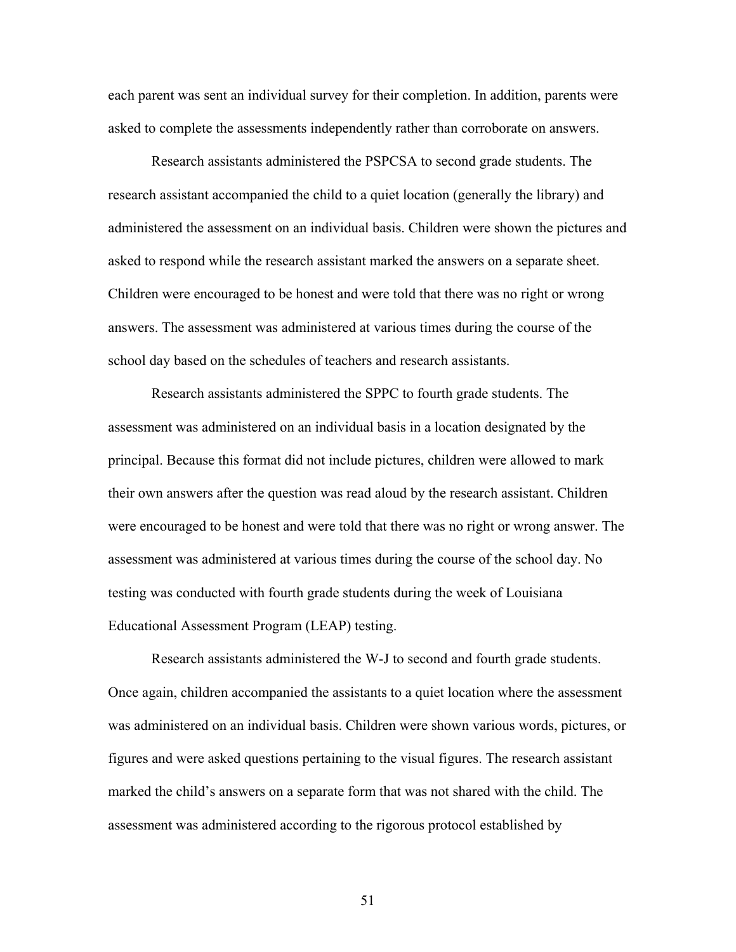each parent was sent an individual survey for their completion. In addition, parents were asked to complete the assessments independently rather than corroborate on answers.

 Research assistants administered the PSPCSA to second grade students. The research assistant accompanied the child to a quiet location (generally the library) and administered the assessment on an individual basis. Children were shown the pictures and asked to respond while the research assistant marked the answers on a separate sheet. Children were encouraged to be honest and were told that there was no right or wrong answers. The assessment was administered at various times during the course of the school day based on the schedules of teachers and research assistants.

 Research assistants administered the SPPC to fourth grade students. The assessment was administered on an individual basis in a location designated by the principal. Because this format did not include pictures, children were allowed to mark their own answers after the question was read aloud by the research assistant. Children were encouraged to be honest and were told that there was no right or wrong answer. The assessment was administered at various times during the course of the school day. No testing was conducted with fourth grade students during the week of Louisiana Educational Assessment Program (LEAP) testing.

 Research assistants administered the W-J to second and fourth grade students. Once again, children accompanied the assistants to a quiet location where the assessment was administered on an individual basis. Children were shown various words, pictures, or figures and were asked questions pertaining to the visual figures. The research assistant marked the child's answers on a separate form that was not shared with the child. The assessment was administered according to the rigorous protocol established by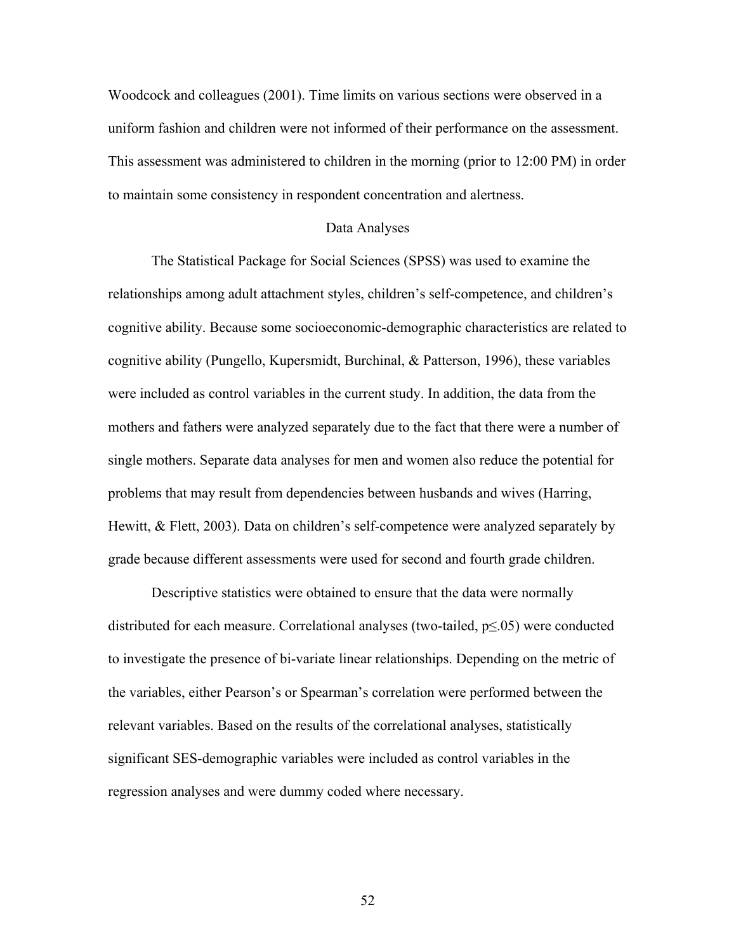Woodcock and colleagues (2001). Time limits on various sections were observed in a uniform fashion and children were not informed of their performance on the assessment. This assessment was administered to children in the morning (prior to 12:00 PM) in order to maintain some consistency in respondent concentration and alertness.

#### Data Analyses

 The Statistical Package for Social Sciences (SPSS) was used to examine the relationships among adult attachment styles, children's self-competence, and children's cognitive ability. Because some socioeconomic-demographic characteristics are related to cognitive ability (Pungello, Kupersmidt, Burchinal, & Patterson, 1996), these variables were included as control variables in the current study. In addition, the data from the mothers and fathers were analyzed separately due to the fact that there were a number of single mothers. Separate data analyses for men and women also reduce the potential for problems that may result from dependencies between husbands and wives (Harring, Hewitt, & Flett, 2003). Data on children's self-competence were analyzed separately by grade because different assessments were used for second and fourth grade children.

Descriptive statistics were obtained to ensure that the data were normally distributed for each measure. Correlational analyses (two-tailed,  $p \le 0.05$ ) were conducted to investigate the presence of bi-variate linear relationships. Depending on the metric of the variables, either Pearson's or Spearman's correlation were performed between the relevant variables. Based on the results of the correlational analyses, statistically significant SES-demographic variables were included as control variables in the regression analyses and were dummy coded where necessary.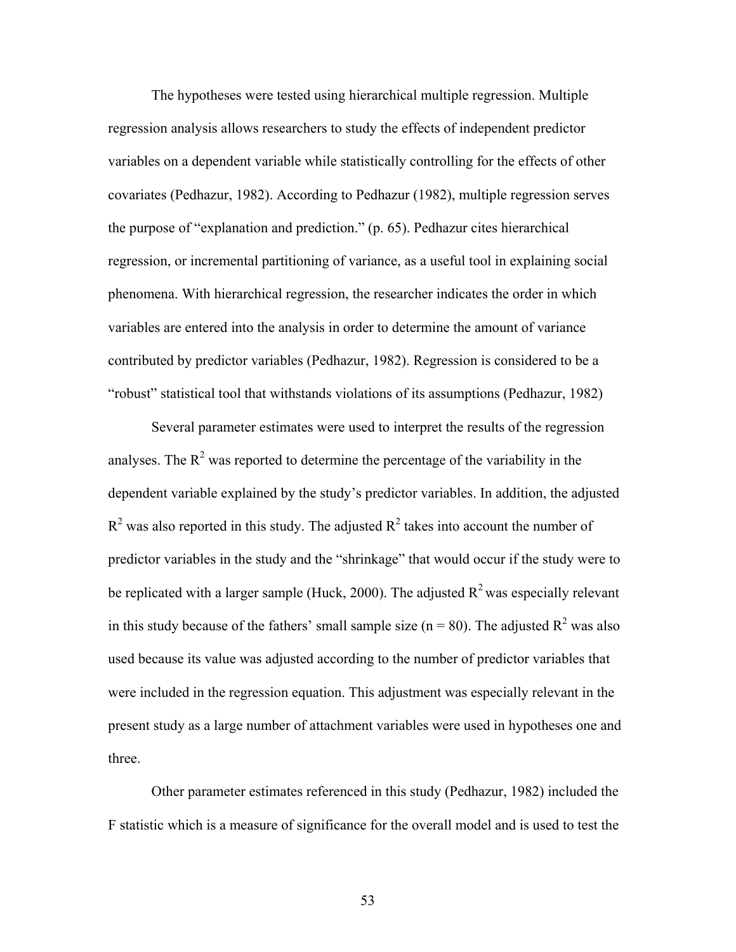The hypotheses were tested using hierarchical multiple regression. Multiple regression analysis allows researchers to study the effects of independent predictor variables on a dependent variable while statistically controlling for the effects of other covariates (Pedhazur, 1982). According to Pedhazur (1982), multiple regression serves the purpose of "explanation and prediction." (p. 65). Pedhazur cites hierarchical regression, or incremental partitioning of variance, as a useful tool in explaining social phenomena. With hierarchical regression, the researcher indicates the order in which variables are entered into the analysis in order to determine the amount of variance contributed by predictor variables (Pedhazur, 1982). Regression is considered to be a "robust" statistical tool that withstands violations of its assumptions (Pedhazur, 1982)

 Several parameter estimates were used to interpret the results of the regression analyses. The  $R^2$  was reported to determine the percentage of the variability in the dependent variable explained by the study's predictor variables. In addition, the adjusted  $R^2$  was also reported in this study. The adjusted  $R^2$  takes into account the number of predictor variables in the study and the "shrinkage" that would occur if the study were to be replicated with a larger sample (Huck, 2000). The adjusted  $R^2$  was especially relevant in this study because of the fathers' small sample size ( $n = 80$ ). The adjusted  $R^2$  was also used because its value was adjusted according to the number of predictor variables that were included in the regression equation. This adjustment was especially relevant in the present study as a large number of attachment variables were used in hypotheses one and three.

 Other parameter estimates referenced in this study (Pedhazur, 1982) included the F statistic which is a measure of significance for the overall model and is used to test the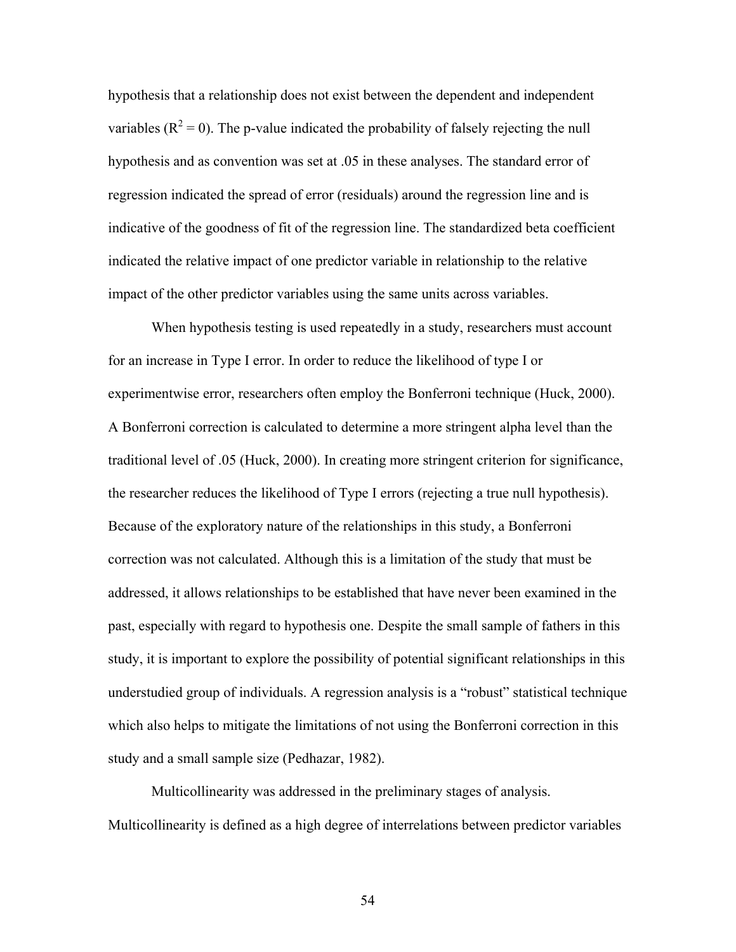hypothesis that a relationship does not exist between the dependent and independent variables ( $R^2 = 0$ ). The p-value indicated the probability of falsely rejecting the null hypothesis and as convention was set at .05 in these analyses. The standard error of regression indicated the spread of error (residuals) around the regression line and is indicative of the goodness of fit of the regression line. The standardized beta coefficient indicated the relative impact of one predictor variable in relationship to the relative impact of the other predictor variables using the same units across variables.

When hypothesis testing is used repeatedly in a study, researchers must account for an increase in Type I error. In order to reduce the likelihood of type I or experimentwise error, researchers often employ the Bonferroni technique (Huck, 2000). A Bonferroni correction is calculated to determine a more stringent alpha level than the traditional level of .05 (Huck, 2000). In creating more stringent criterion for significance, the researcher reduces the likelihood of Type I errors (rejecting a true null hypothesis). Because of the exploratory nature of the relationships in this study, a Bonferroni correction was not calculated. Although this is a limitation of the study that must be addressed, it allows relationships to be established that have never been examined in the past, especially with regard to hypothesis one. Despite the small sample of fathers in this study, it is important to explore the possibility of potential significant relationships in this understudied group of individuals. A regression analysis is a "robust" statistical technique which also helps to mitigate the limitations of not using the Bonferroni correction in this study and a small sample size (Pedhazar, 1982).

Multicollinearity was addressed in the preliminary stages of analysis. Multicollinearity is defined as a high degree of interrelations between predictor variables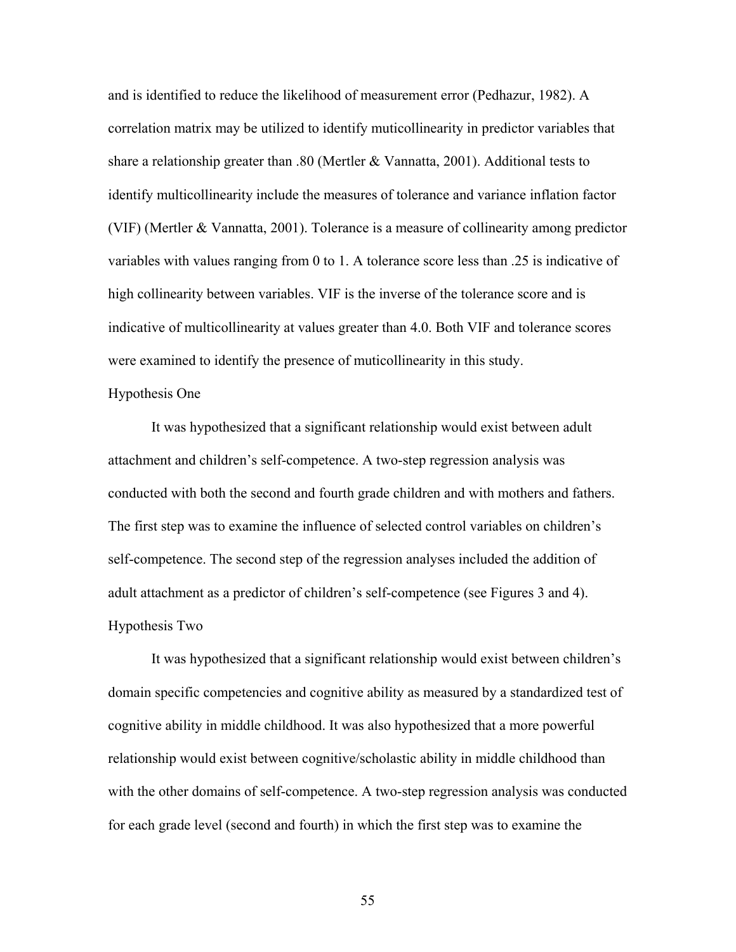and is identified to reduce the likelihood of measurement error (Pedhazur, 1982). A correlation matrix may be utilized to identify muticollinearity in predictor variables that share a relationship greater than .80 (Mertler & Vannatta, 2001). Additional tests to identify multicollinearity include the measures of tolerance and variance inflation factor (VIF) (Mertler & Vannatta, 2001). Tolerance is a measure of collinearity among predictor variables with values ranging from 0 to 1. A tolerance score less than .25 is indicative of high collinearity between variables. VIF is the inverse of the tolerance score and is indicative of multicollinearity at values greater than 4.0. Both VIF and tolerance scores were examined to identify the presence of muticollinearity in this study.

### Hypothesis One

 It was hypothesized that a significant relationship would exist between adult attachment and children's self-competence. A two-step regression analysis was conducted with both the second and fourth grade children and with mothers and fathers. The first step was to examine the influence of selected control variables on children's self-competence. The second step of the regression analyses included the addition of adult attachment as a predictor of children's self-competence (see Figures 3 and 4). Hypothesis Two

It was hypothesized that a significant relationship would exist between children's domain specific competencies and cognitive ability as measured by a standardized test of cognitive ability in middle childhood. It was also hypothesized that a more powerful relationship would exist between cognitive/scholastic ability in middle childhood than with the other domains of self-competence. A two-step regression analysis was conducted for each grade level (second and fourth) in which the first step was to examine the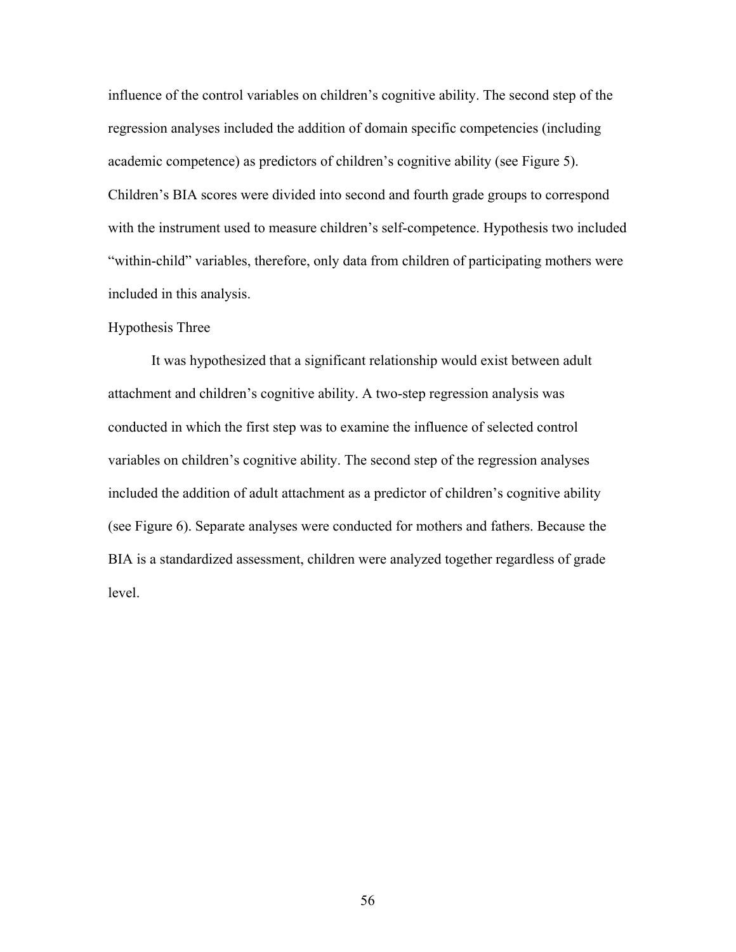influence of the control variables on children's cognitive ability. The second step of the regression analyses included the addition of domain specific competencies (including academic competence) as predictors of children's cognitive ability (see Figure 5). Children's BIA scores were divided into second and fourth grade groups to correspond with the instrument used to measure children's self-competence. Hypothesis two included "within-child" variables, therefore, only data from children of participating mothers were included in this analysis.

## Hypothesis Three

It was hypothesized that a significant relationship would exist between adult attachment and children's cognitive ability. A two-step regression analysis was conducted in which the first step was to examine the influence of selected control variables on children's cognitive ability. The second step of the regression analyses included the addition of adult attachment as a predictor of children's cognitive ability (see Figure 6). Separate analyses were conducted for mothers and fathers. Because the BIA is a standardized assessment, children were analyzed together regardless of grade level.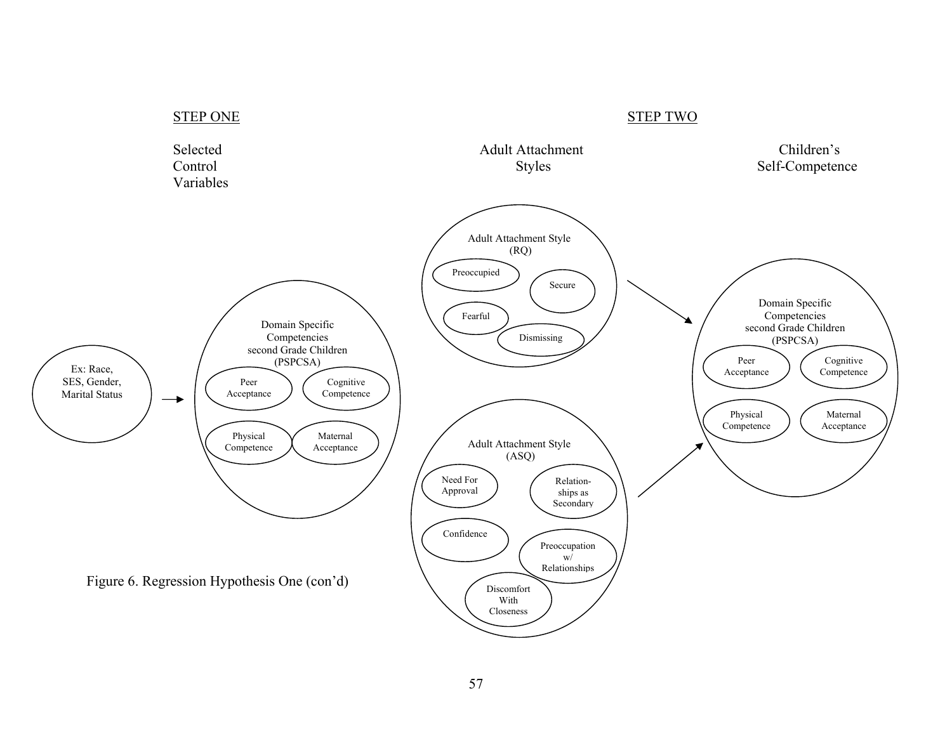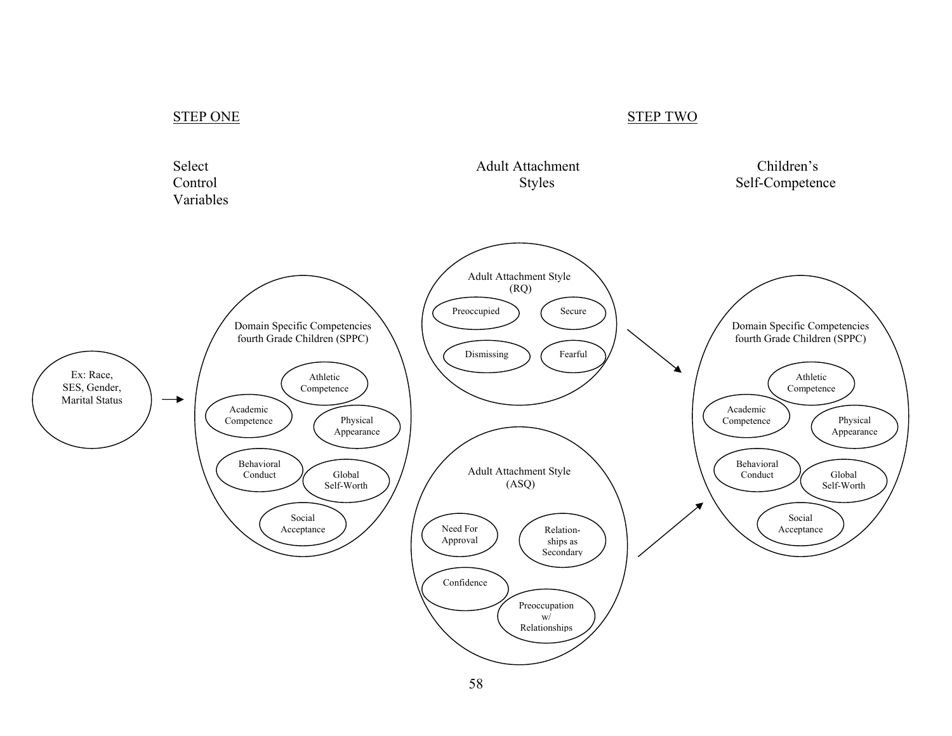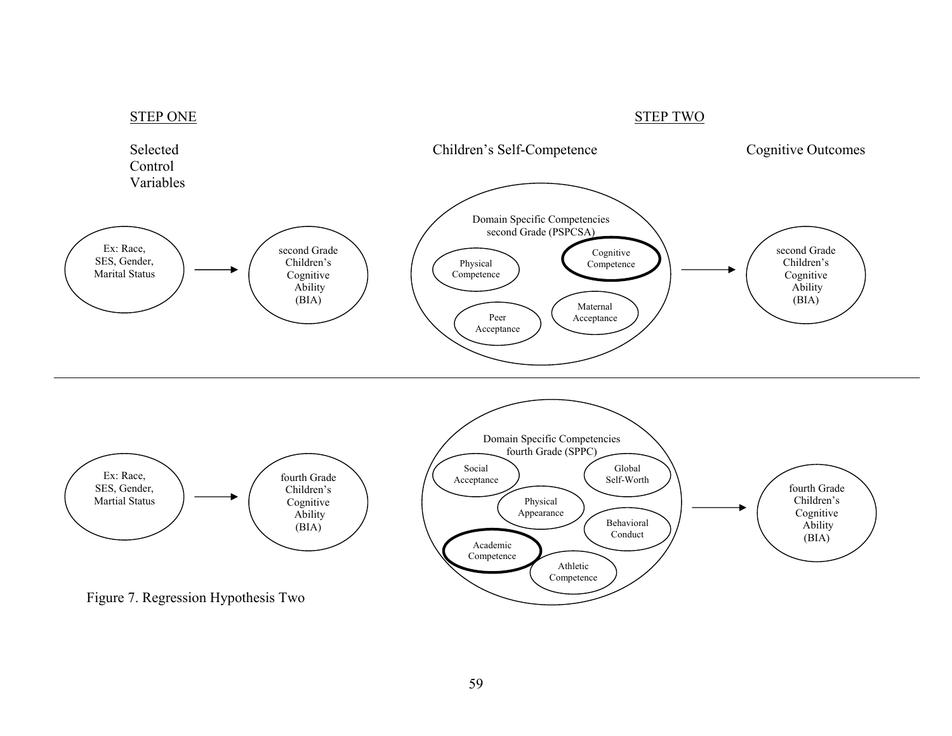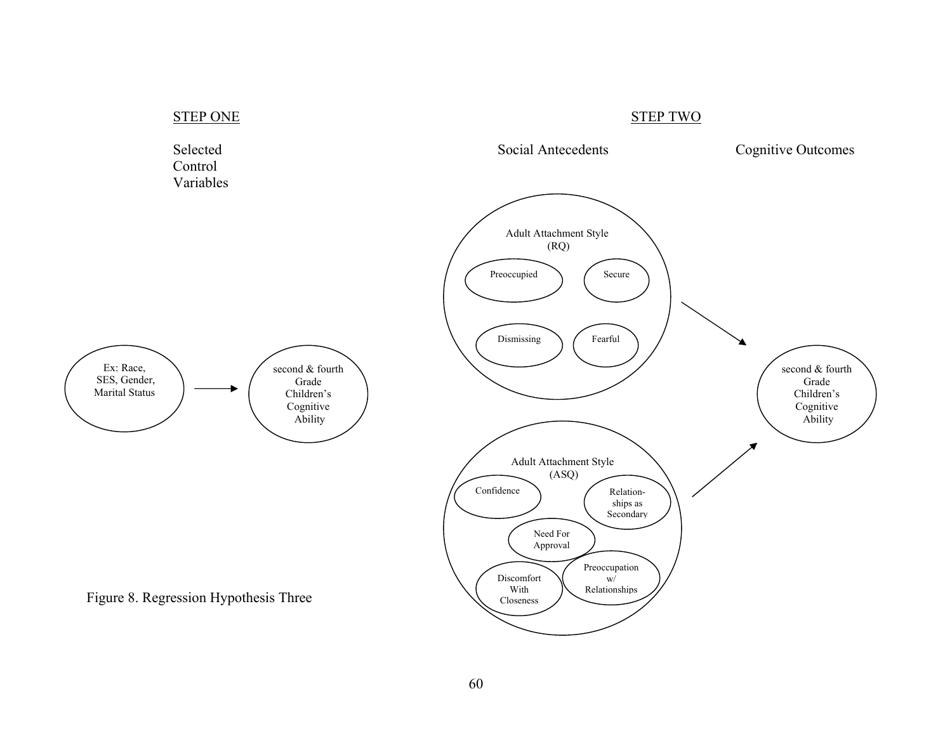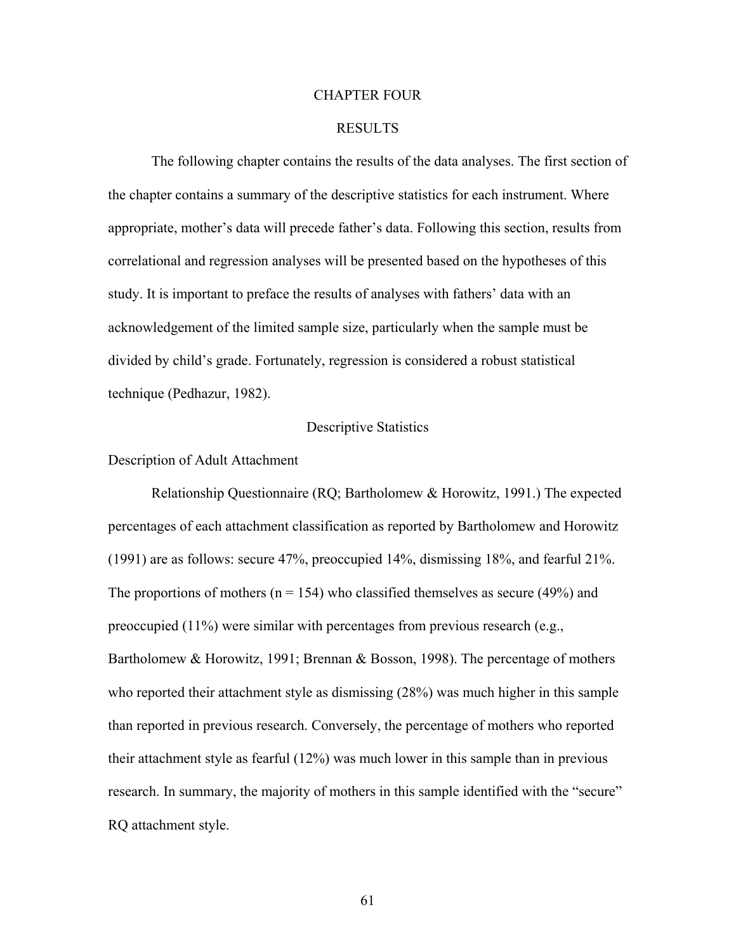### CHAPTER FOUR

## RESULTS

The following chapter contains the results of the data analyses. The first section of the chapter contains a summary of the descriptive statistics for each instrument. Where appropriate, mother's data will precede father's data. Following this section, results from correlational and regression analyses will be presented based on the hypotheses of this study. It is important to preface the results of analyses with fathers' data with an acknowledgement of the limited sample size, particularly when the sample must be divided by child's grade. Fortunately, regression is considered a robust statistical technique (Pedhazur, 1982).

#### Descriptive Statistics

#### Description of Adult Attachment

Relationship Questionnaire (RQ; Bartholomew & Horowitz, 1991.) The expected percentages of each attachment classification as reported by Bartholomew and Horowitz (1991) are as follows: secure 47%, preoccupied 14%, dismissing 18%, and fearful 21%. The proportions of mothers ( $n = 154$ ) who classified themselves as secure (49%) and preoccupied  $(11\%)$  were similar with percentages from previous research (e.g., Bartholomew & Horowitz, 1991; Brennan & Bosson, 1998). The percentage of mothers who reported their attachment style as dismissing (28%) was much higher in this sample than reported in previous research. Conversely, the percentage of mothers who reported their attachment style as fearful (12%) was much lower in this sample than in previous research. In summary, the majority of mothers in this sample identified with the "secure" RQ attachment style.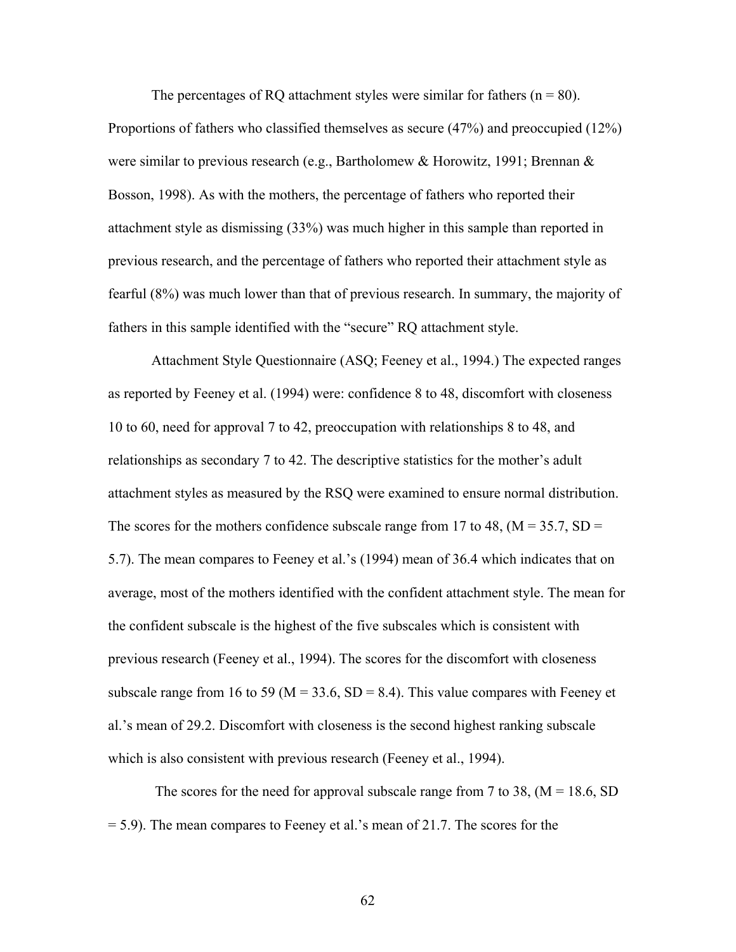The percentages of RQ attachment styles were similar for fathers  $(n = 80)$ . Proportions of fathers who classified themselves as secure (47%) and preoccupied (12%) were similar to previous research (e.g., Bartholomew & Horowitz, 1991; Brennan & Bosson, 1998). As with the mothers, the percentage of fathers who reported their attachment style as dismissing (33%) was much higher in this sample than reported in previous research, and the percentage of fathers who reported their attachment style as fearful (8%) was much lower than that of previous research. In summary, the majority of fathers in this sample identified with the "secure" RQ attachment style.

Attachment Style Questionnaire (ASQ; Feeney et al., 1994.) The expected ranges as reported by Feeney et al. (1994) were: confidence 8 to 48, discomfort with closeness 10 to 60, need for approval 7 to 42, preoccupation with relationships 8 to 48, and relationships as secondary 7 to 42. The descriptive statistics for the mother's adult attachment styles as measured by the RSQ were examined to ensure normal distribution. The scores for the mothers confidence subscale range from 17 to 48,  $(M = 35.7, SD =$ 5.7). The mean compares to Feeney et al.'s (1994) mean of 36.4 which indicates that on average, most of the mothers identified with the confident attachment style. The mean for the confident subscale is the highest of the five subscales which is consistent with previous research (Feeney et al., 1994). The scores for the discomfort with closeness subscale range from 16 to 59 ( $M = 33.6$ ,  $SD = 8.4$ ). This value compares with Feeney et al.'s mean of 29.2. Discomfort with closeness is the second highest ranking subscale which is also consistent with previous research (Feeney et al., 1994).

The scores for the need for approval subscale range from 7 to 38,  $(M = 18.6, SD)$ = 5.9). The mean compares to Feeney et al.'s mean of 21.7. The scores for the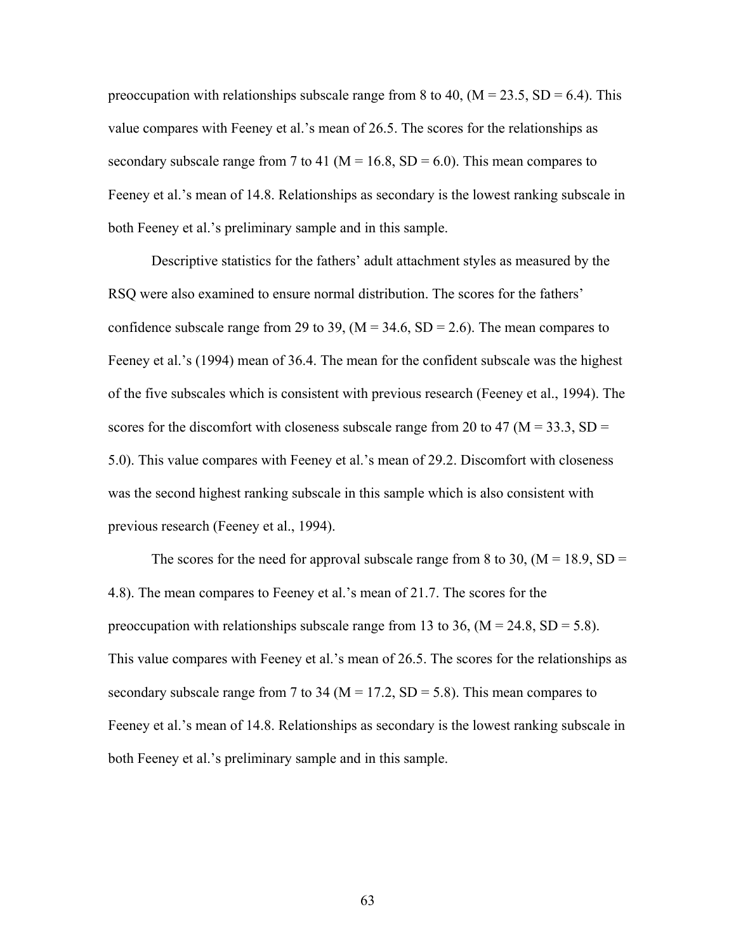preoccupation with relationships subscale range from 8 to 40,  $(M = 23.5, SD = 6.4)$ . This value compares with Feeney et al.'s mean of 26.5. The scores for the relationships as secondary subscale range from 7 to 41 ( $M = 16.8$ , SD = 6.0). This mean compares to Feeney et al.'s mean of 14.8. Relationships as secondary is the lowest ranking subscale in both Feeney et al.'s preliminary sample and in this sample.

Descriptive statistics for the fathers' adult attachment styles as measured by the RSQ were also examined to ensure normal distribution. The scores for the fathers' confidence subscale range from 29 to 39,  $(M = 34.6, SD = 2.6)$ . The mean compares to Feeney et al.'s (1994) mean of 36.4. The mean for the confident subscale was the highest of the five subscales which is consistent with previous research (Feeney et al., 1994). The scores for the discomfort with closeness subscale range from 20 to 47 ( $M = 33.3$ , SD = 5.0). This value compares with Feeney et al.'s mean of 29.2. Discomfort with closeness was the second highest ranking subscale in this sample which is also consistent with previous research (Feeney et al., 1994).

The scores for the need for approval subscale range from 8 to 30,  $(M = 18.9, SD =$ 4.8). The mean compares to Feeney et al.'s mean of 21.7. The scores for the preoccupation with relationships subscale range from 13 to 36,  $(M = 24.8, SD = 5.8)$ . This value compares with Feeney et al.'s mean of 26.5. The scores for the relationships as secondary subscale range from 7 to 34 ( $M = 17.2$ , SD = 5.8). This mean compares to Feeney et al.'s mean of 14.8. Relationships as secondary is the lowest ranking subscale in both Feeney et al.'s preliminary sample and in this sample.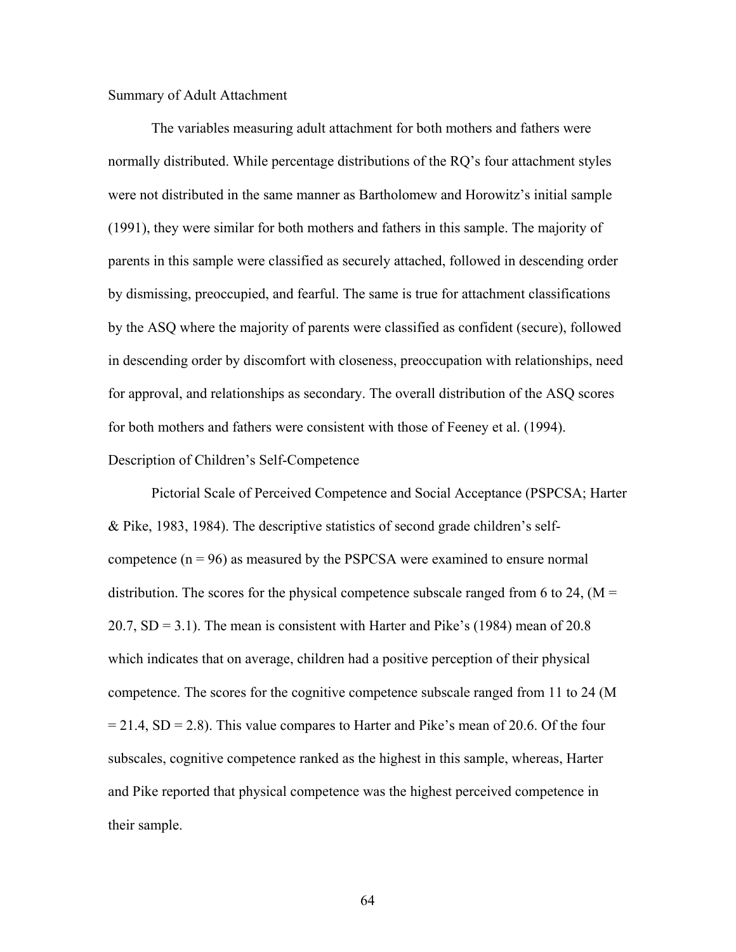## Summary of Adult Attachment

The variables measuring adult attachment for both mothers and fathers were normally distributed. While percentage distributions of the RQ's four attachment styles were not distributed in the same manner as Bartholomew and Horowitz's initial sample (1991), they were similar for both mothers and fathers in this sample. The majority of parents in this sample were classified as securely attached, followed in descending order by dismissing, preoccupied, and fearful. The same is true for attachment classifications by the ASQ where the majority of parents were classified as confident (secure), followed in descending order by discomfort with closeness, preoccupation with relationships, need for approval, and relationships as secondary. The overall distribution of the ASQ scores for both mothers and fathers were consistent with those of Feeney et al. (1994).

# Description of Children's Self-Competence

Pictorial Scale of Perceived Competence and Social Acceptance (PSPCSA; Harter & Pike, 1983, 1984). The descriptive statistics of second grade children's selfcompetence  $(n = 96)$  as measured by the PSPCSA were examined to ensure normal distribution. The scores for the physical competence subscale ranged from 6 to 24,  $(M =$ 20.7,  $SD = 3.1$ ). The mean is consistent with Harter and Pike's (1984) mean of 20.8 which indicates that on average, children had a positive perception of their physical competence. The scores for the cognitive competence subscale ranged from 11 to 24 (M  $= 21.4$ , SD  $= 2.8$ ). This value compares to Harter and Pike's mean of 20.6. Of the four subscales, cognitive competence ranked as the highest in this sample, whereas, Harter and Pike reported that physical competence was the highest perceived competence in their sample.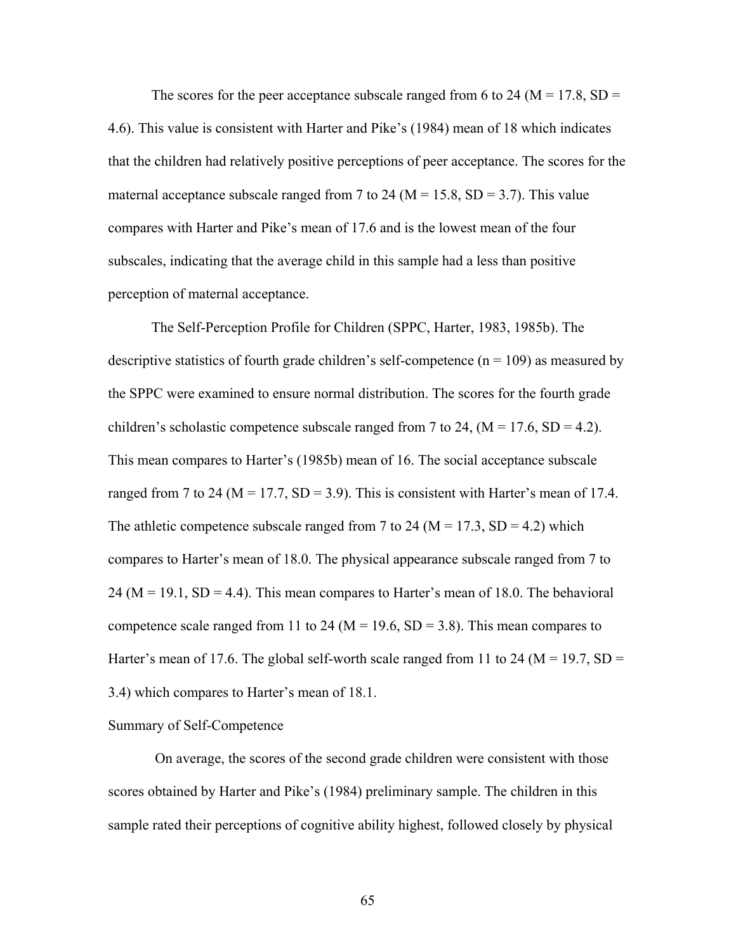The scores for the peer acceptance subscale ranged from 6 to 24 ( $M = 17.8$ , SD = 4.6). This value is consistent with Harter and Pike's (1984) mean of 18 which indicates that the children had relatively positive perceptions of peer acceptance. The scores for the maternal acceptance subscale ranged from 7 to 24 ( $M = 15.8$ , SD = 3.7). This value compares with Harter and Pike's mean of 17.6 and is the lowest mean of the four subscales, indicating that the average child in this sample had a less than positive perception of maternal acceptance.

The Self-Perception Profile for Children (SPPC, Harter, 1983, 1985b). The descriptive statistics of fourth grade children's self-competence ( $n = 109$ ) as measured by the SPPC were examined to ensure normal distribution. The scores for the fourth grade children's scholastic competence subscale ranged from 7 to 24,  $(M = 17.6, SD = 4.2)$ . This mean compares to Harter's (1985b) mean of 16. The social acceptance subscale ranged from 7 to 24 ( $M = 17.7$ ,  $SD = 3.9$ ). This is consistent with Harter's mean of 17.4. The athletic competence subscale ranged from 7 to 24 ( $M = 17.3$ , SD = 4.2) which compares to Harter's mean of 18.0. The physical appearance subscale ranged from 7 to  $24 (M = 19.1, SD = 4.4)$ . This mean compares to Harter's mean of 18.0. The behavioral competence scale ranged from 11 to 24 ( $M = 19.6$ ,  $SD = 3.8$ ). This mean compares to Harter's mean of 17.6. The global self-worth scale ranged from 11 to 24 ( $M = 19.7$ , SD = 3.4) which compares to Harter's mean of 18.1.

#### Summary of Self-Competence

 On average, the scores of the second grade children were consistent with those scores obtained by Harter and Pike's (1984) preliminary sample. The children in this sample rated their perceptions of cognitive ability highest, followed closely by physical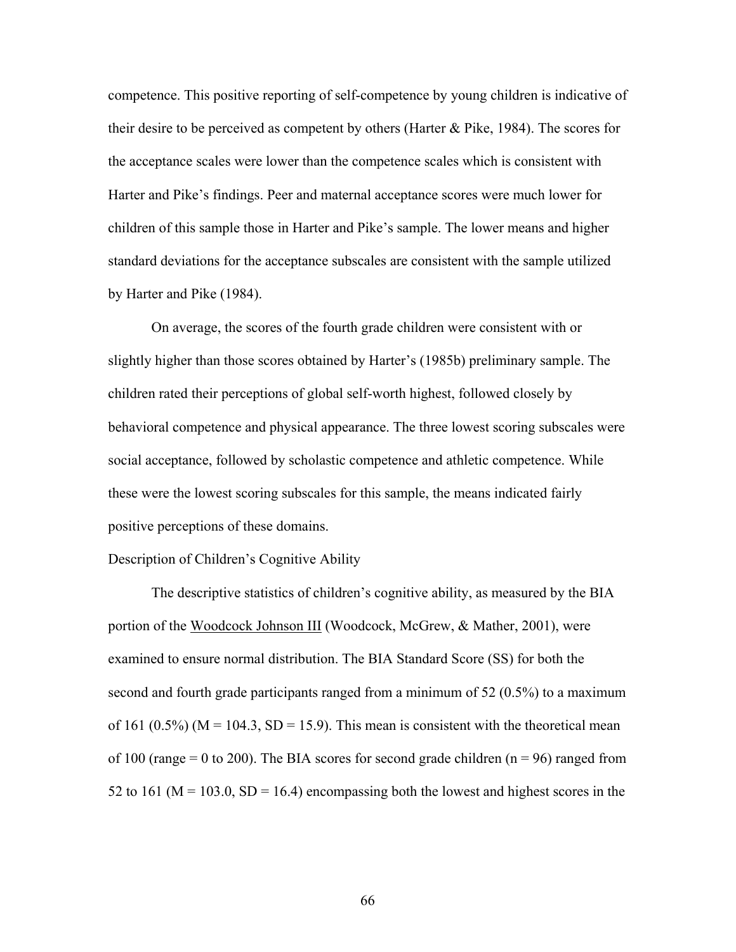competence. This positive reporting of self-competence by young children is indicative of their desire to be perceived as competent by others (Harter & Pike, 1984). The scores for the acceptance scales were lower than the competence scales which is consistent with Harter and Pike's findings. Peer and maternal acceptance scores were much lower for children of this sample those in Harter and Pike's sample. The lower means and higher standard deviations for the acceptance subscales are consistent with the sample utilized by Harter and Pike (1984).

On average, the scores of the fourth grade children were consistent with or slightly higher than those scores obtained by Harter's (1985b) preliminary sample. The children rated their perceptions of global self-worth highest, followed closely by behavioral competence and physical appearance. The three lowest scoring subscales were social acceptance, followed by scholastic competence and athletic competence. While these were the lowest scoring subscales for this sample, the means indicated fairly positive perceptions of these domains.

#### Description of Children's Cognitive Ability

The descriptive statistics of children's cognitive ability, as measured by the BIA portion of the Woodcock Johnson III (Woodcock, McGrew, & Mather, 2001), were examined to ensure normal distribution. The BIA Standard Score (SS) for both the second and fourth grade participants ranged from a minimum of 52 (0.5%) to a maximum of 161 (0.5%) ( $M = 104.3$ ,  $SD = 15.9$ ). This mean is consistent with the theoretical mean of 100 (range  $= 0$  to 200). The BIA scores for second grade children ( $n = 96$ ) ranged from 52 to 161 ( $M = 103.0$ ,  $SD = 16.4$ ) encompassing both the lowest and highest scores in the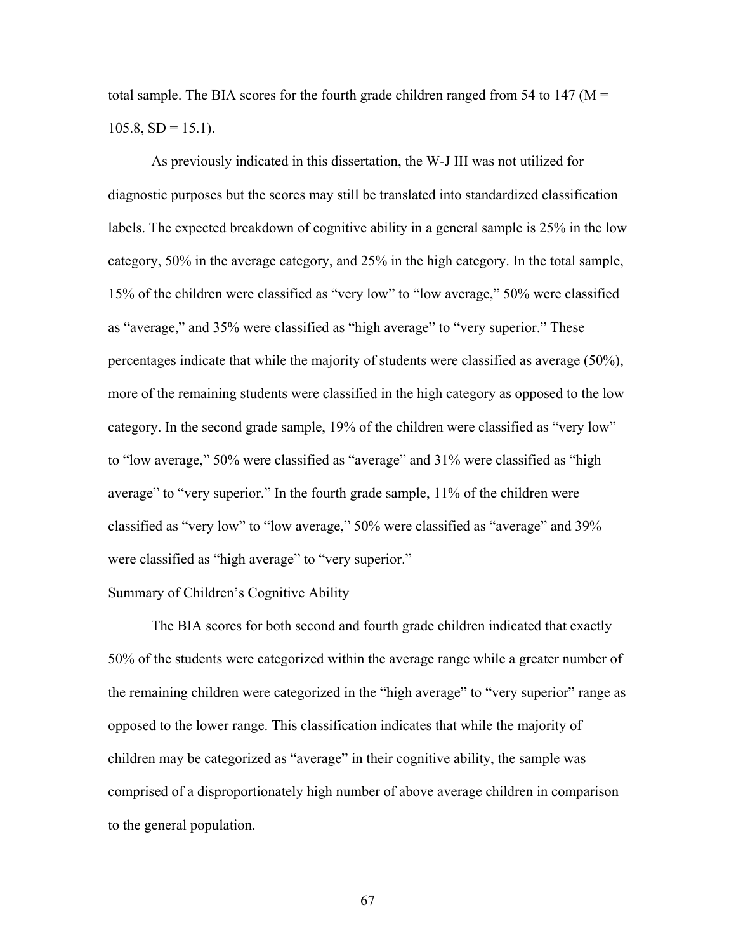total sample. The BIA scores for the fourth grade children ranged from 54 to 147 ( $M =$  $105.8, SD = 15.1$ .

As previously indicated in this dissertation, the W-J III was not utilized for diagnostic purposes but the scores may still be translated into standardized classification labels. The expected breakdown of cognitive ability in a general sample is 25% in the low category, 50% in the average category, and 25% in the high category. In the total sample, 15% of the children were classified as "very low" to "low average," 50% were classified as "average," and 35% were classified as "high average" to "very superior." These percentages indicate that while the majority of students were classified as average (50%), more of the remaining students were classified in the high category as opposed to the low category. In the second grade sample, 19% of the children were classified as "very low" to "low average," 50% were classified as "average" and 31% were classified as "high average" to "very superior." In the fourth grade sample, 11% of the children were classified as "very low" to "low average," 50% were classified as "average" and 39% were classified as "high average" to "very superior."

## Summary of Children's Cognitive Ability

 The BIA scores for both second and fourth grade children indicated that exactly 50% of the students were categorized within the average range while a greater number of the remaining children were categorized in the "high average" to "very superior" range as opposed to the lower range. This classification indicates that while the majority of children may be categorized as "average" in their cognitive ability, the sample was comprised of a disproportionately high number of above average children in comparison to the general population.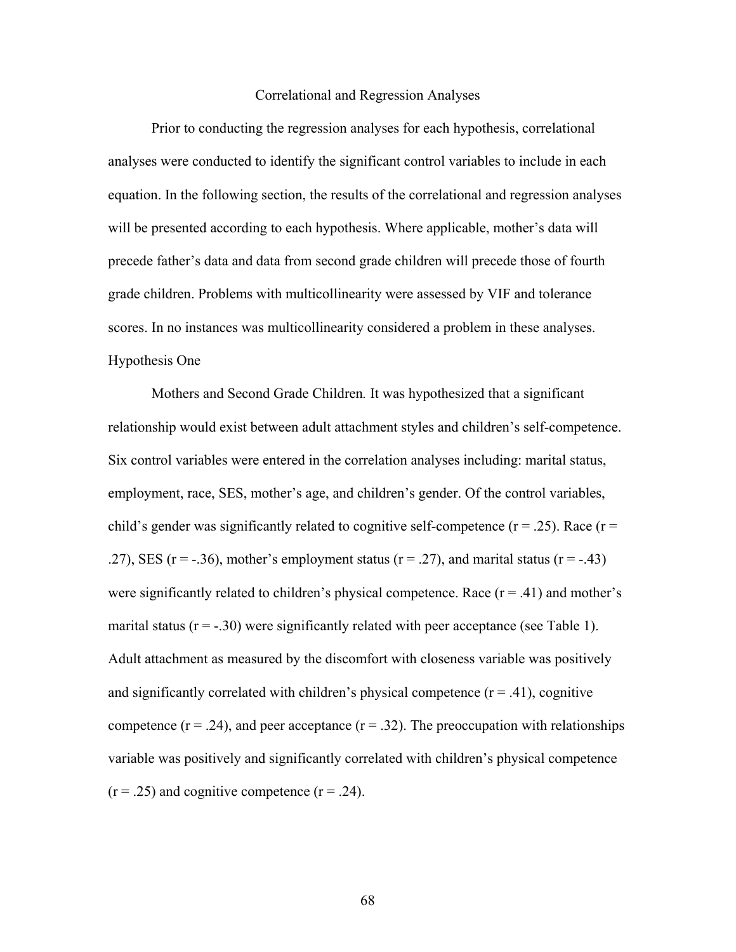## Correlational and Regression Analyses

 Prior to conducting the regression analyses for each hypothesis, correlational analyses were conducted to identify the significant control variables to include in each equation. In the following section, the results of the correlational and regression analyses will be presented according to each hypothesis. Where applicable, mother's data will precede father's data and data from second grade children will precede those of fourth grade children. Problems with multicollinearity were assessed by VIF and tolerance scores. In no instances was multicollinearity considered a problem in these analyses. Hypothesis One

Mothers and Second Grade Children*.* It was hypothesized that a significant relationship would exist between adult attachment styles and children's self-competence. Six control variables were entered in the correlation analyses including: marital status, employment, race, SES, mother's age, and children's gender. Of the control variables, child's gender was significantly related to cognitive self-competence ( $r = .25$ ). Race ( $r =$ .27), SES ( $r = -0.36$ ), mother's employment status ( $r = 0.27$ ), and marital status ( $r = -0.43$ ) were significantly related to children's physical competence. Race  $(r = .41)$  and mother's marital status  $(r = -.30)$  were significantly related with peer acceptance (see Table 1). Adult attachment as measured by the discomfort with closeness variable was positively and significantly correlated with children's physical competence  $(r = .41)$ , cognitive competence  $(r = .24)$ , and peer acceptance  $(r = .32)$ . The preoccupation with relationships variable was positively and significantly correlated with children's physical competence  $(r = .25)$  and cognitive competence  $(r = .24)$ .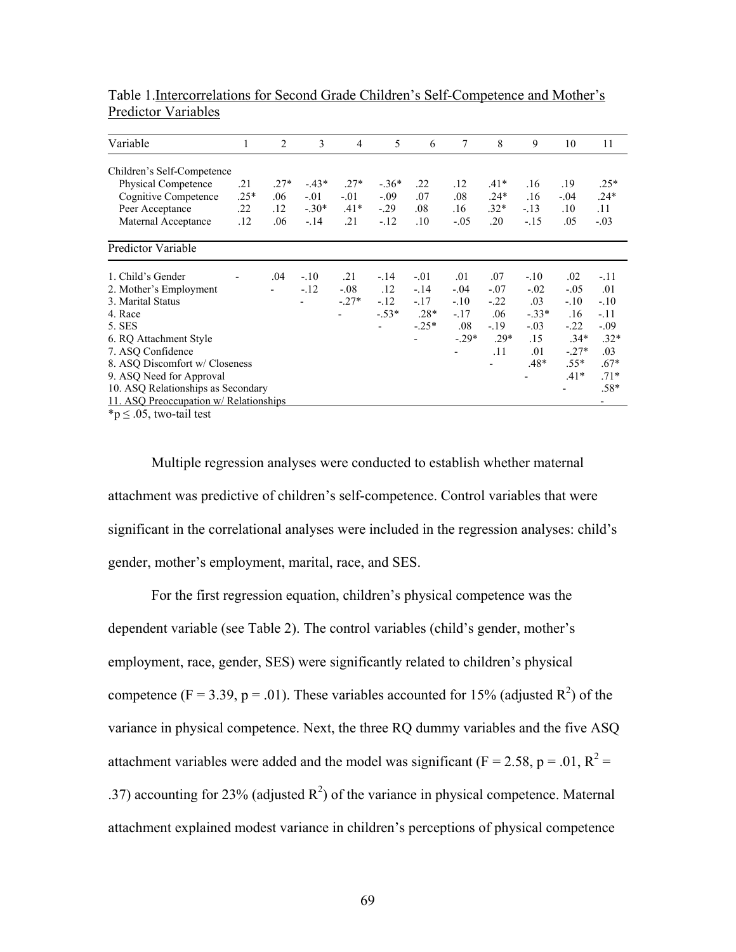| Variable                                       | 1      | 2      | 3       | 4       | 5              | 6       | 7       | 8      | 9       | 10      | 11     |
|------------------------------------------------|--------|--------|---------|---------|----------------|---------|---------|--------|---------|---------|--------|
| Children's Self-Competence                     |        |        |         |         |                |         |         |        |         |         |        |
| Physical Competence                            | .21    | $.27*$ | $-43*$  | $.27*$  | $-.36*$        | .22     | .12     | $.41*$ | .16     | .19     | $.25*$ |
| Cognitive Competence                           | $.25*$ | .06    | $-.01$  | $-.01$  | $-.09$         | .07     | .08     | $.24*$ | .16     | $-.04$  | $.24*$ |
| Peer Acceptance                                | .22    | .12    | $-.30*$ | $.41*$  | $-.29$         | .08     | .16     | $.32*$ | $-13$   | .10     | .11    |
| Maternal Acceptance                            | .12    | .06    | $-14$   | .21     | $-.12$         | .10     | $-.05$  | .20    | $-.15$  | .05     | $-.03$ |
| Predictor Variable                             |        |        |         |         |                |         |         |        |         |         |        |
| 1. Child's Gender                              |        | .04    | $-.10$  | .21     | $-.14$         | $-.01$  | .01     | .07    | $-.10$  | .02     | $-.11$ |
| 2. Mother's Employment                         |        |        | $-.12$  | $-.08$  | .12            | $-.14$  | $-.04$  | $-.07$ | $-.02$  | $-.05$  | .01    |
| 3. Marital Status                              |        |        |         | $-.27*$ | $-.12$         | $-.17$  | $-.10$  | $-22$  | .03     | $-.10$  | $-.10$ |
| 4. Race                                        |        |        |         |         | $-.53*$        | $.28*$  | $-.17$  | .06    | $-.33*$ | .16     | $-11$  |
| 5. SES                                         |        |        |         |         | $\blacksquare$ | $-.25*$ | .08     | $-19$  | $-.03$  | $-22$   | $-.09$ |
| 6. RQ Attachment Style                         |        |        |         |         |                |         | $-.29*$ | $.29*$ | .15     | $.34*$  | $.32*$ |
| 7. ASQ Confidence                              |        |        |         |         |                |         |         | .11    | .01     | $-.27*$ | .03    |
| 8. ASO Discomfort w/ Closeness                 |        |        |         |         |                |         |         |        | $.48*$  | $.55*$  | $.67*$ |
| 9. ASQ Need for Approval                       |        |        |         |         |                |         |         |        |         | $.41*$  | $.71*$ |
| 10. ASQ Relationships as Secondary             |        |        |         |         |                |         |         |        |         |         | $.58*$ |
| 11. ASQ Preoccupation w/ Relationships         |        |        |         |         |                |         |         |        |         |         |        |
| $\star$ $\sim$ 0. $\star$ $\sim$ 1. 1. $\star$ |        |        |         |         |                |         |         |        |         |         |        |

Table 1.Intercorrelations for Second Grade Children's Self-Competence and Mother's Predictor Variables

 $*$ p  $\leq$  .05, two-tail test

Multiple regression analyses were conducted to establish whether maternal attachment was predictive of children's self-competence. Control variables that were significant in the correlational analyses were included in the regression analyses: child's gender, mother's employment, marital, race, and SES.

 For the first regression equation, children's physical competence was the dependent variable (see Table 2). The control variables (child's gender, mother's employment, race, gender, SES) were significantly related to children's physical competence (F = 3.39, p = .01). These variables accounted for 15% (adjusted  $\mathbb{R}^2$ ) of the variance in physical competence. Next, the three RQ dummy variables and the five ASQ attachment variables were added and the model was significant ( $F = 2.58$ ,  $p = .01$ ,  $R^2 =$ .37) accounting for 23% (adjusted  $R^2$ ) of the variance in physical competence. Maternal attachment explained modest variance in children's perceptions of physical competence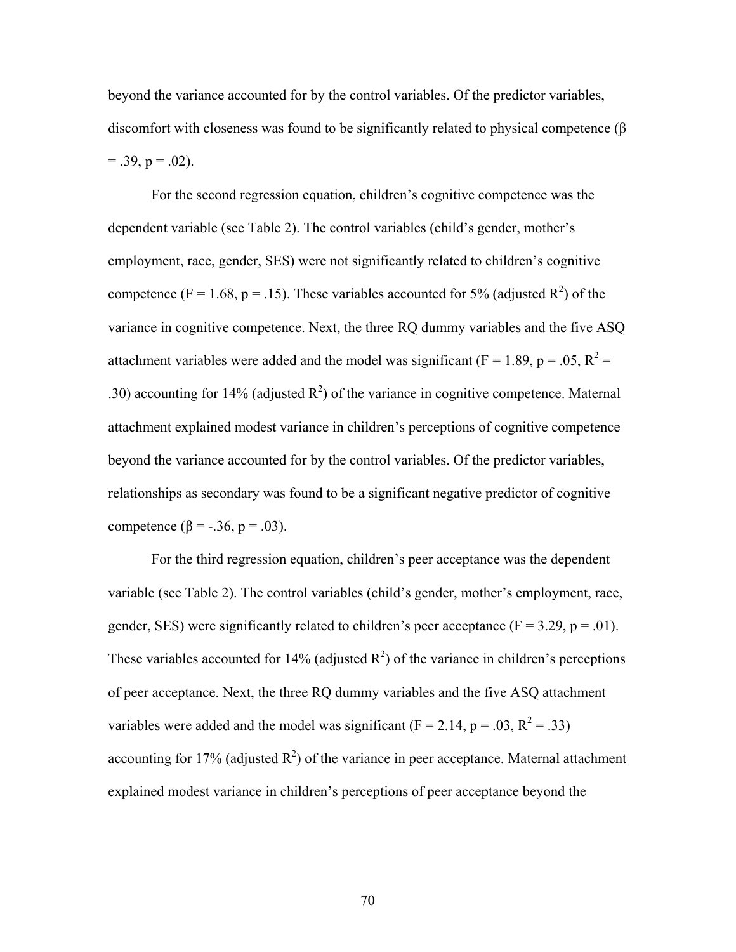beyond the variance accounted for by the control variables. Of the predictor variables, discomfort with closeness was found to be significantly related to physical competence (β  $= .39, p = .02$ ).

For the second regression equation, children's cognitive competence was the dependent variable (see Table 2). The control variables (child's gender, mother's employment, race, gender, SES) were not significantly related to children's cognitive competence (F = 1.68, p = .15). These variables accounted for 5% (adjusted  $\mathbb{R}^2$ ) of the variance in cognitive competence. Next, the three RQ dummy variables and the five ASQ attachment variables were added and the model was significant ( $F = 1.89$ ,  $p = .05$ ,  $R^2 =$ .30) accounting for 14% (adjusted  $R^2$ ) of the variance in cognitive competence. Maternal attachment explained modest variance in children's perceptions of cognitive competence beyond the variance accounted for by the control variables. Of the predictor variables, relationships as secondary was found to be a significant negative predictor of cognitive competence (β = -.36, p = .03).

 For the third regression equation, children's peer acceptance was the dependent variable (see Table 2). The control variables (child's gender, mother's employment, race, gender, SES) were significantly related to children's peer acceptance ( $F = 3.29$ ,  $p = .01$ ). These variables accounted for 14% (adjusted  $\mathbb{R}^2$ ) of the variance in children's perceptions of peer acceptance. Next, the three RQ dummy variables and the five ASQ attachment variables were added and the model was significant ( $F = 2.14$ ,  $p = .03$ ,  $R^2 = .33$ ) accounting for 17% (adjusted  $R^2$ ) of the variance in peer acceptance. Maternal attachment explained modest variance in children's perceptions of peer acceptance beyond the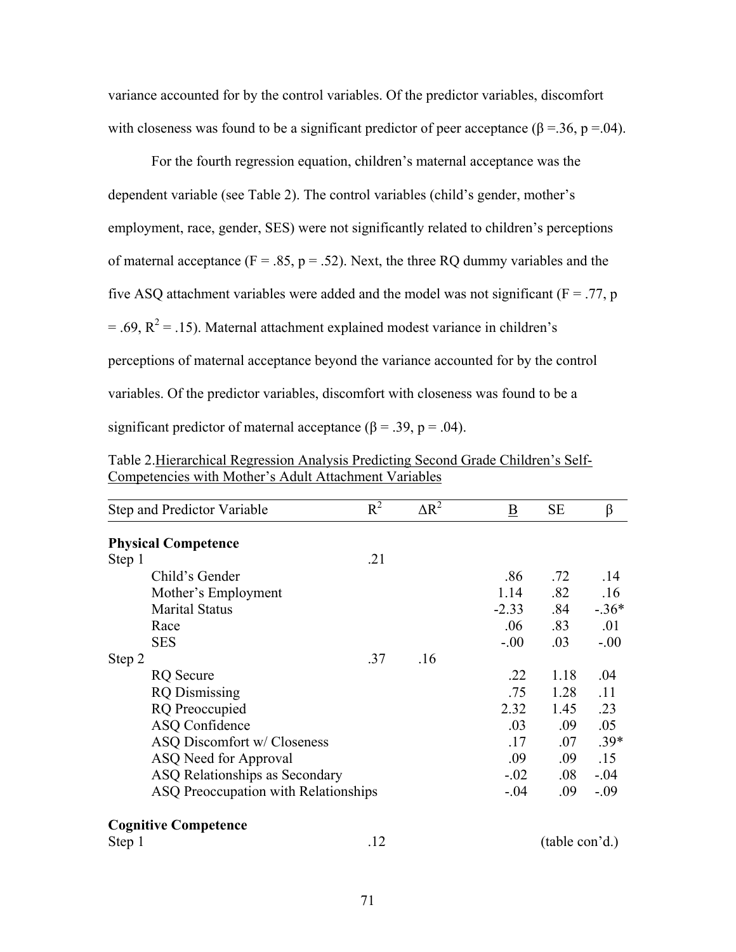variance accounted for by the control variables. Of the predictor variables, discomfort with closeness was found to be a significant predictor of peer acceptance ( $\beta$  =.36, p =.04).

 For the fourth regression equation, children's maternal acceptance was the dependent variable (see Table 2). The control variables (child's gender, mother's employment, race, gender, SES) were not significantly related to children's perceptions of maternal acceptance ( $F = .85$ ,  $p = .52$ ). Next, the three RQ dummy variables and the five ASQ attachment variables were added and the model was not significant ( $F = .77$ , p  $=$  .69,  $R^2$  = .15). Maternal attachment explained modest variance in children's perceptions of maternal acceptance beyond the variance accounted for by the control variables. Of the predictor variables, discomfort with closeness was found to be a significant predictor of maternal acceptance ( $\beta$  = .39, p = .04).

|        | Step and Predictor Variable          | $\overline{R^2}$ | $\Delta R^2$ | $\underline{\mathbf{B}}$ | SE             | β       |
|--------|--------------------------------------|------------------|--------------|--------------------------|----------------|---------|
|        | <b>Physical Competence</b>           |                  |              |                          |                |         |
| Step 1 |                                      | .21              |              |                          |                |         |
|        | Child's Gender                       |                  |              | .86                      | .72            | .14     |
|        | Mother's Employment                  |                  |              | 1.14                     | .82            | .16     |
|        | <b>Marital Status</b>                |                  |              | $-2.33$                  | .84            | $-.36*$ |
|        | Race                                 |                  |              | .06                      | .83            | .01     |
|        | <b>SES</b>                           |                  |              | $-0.00$                  | .03            | $-.00$  |
| Step 2 |                                      | .37              | .16          |                          |                |         |
|        | <b>RQ</b> Secure                     |                  |              | .22                      | 1.18           | .04     |
|        | <b>RQ</b> Dismissing                 |                  |              | .75                      | 1.28           | .11     |
|        | <b>RQ</b> Preoccupied                |                  |              | 2.32                     | 1.45           | .23     |
|        | ASQ Confidence                       |                  |              | .03                      | .09            | .05     |
|        | ASQ Discomfort w/ Closeness          |                  |              | .17                      | .07            | $.39*$  |
|        | ASQ Need for Approval                |                  |              | .09                      | .09            | .15     |
|        | ASQ Relationships as Secondary       |                  |              | $-.02$                   | $.08\,$        | $-.04$  |
|        | ASQ Preoccupation with Relationships |                  |              | $-.04$                   | .09            | $-.09$  |
|        | <b>Cognitive Competence</b>          |                  |              |                          |                |         |
| Step 1 |                                      | .12              |              |                          | (table con'd.) |         |

Table 2.Hierarchical Regression Analysis Predicting Second Grade Children's Self-Competencies with Mother's Adult Attachment Variables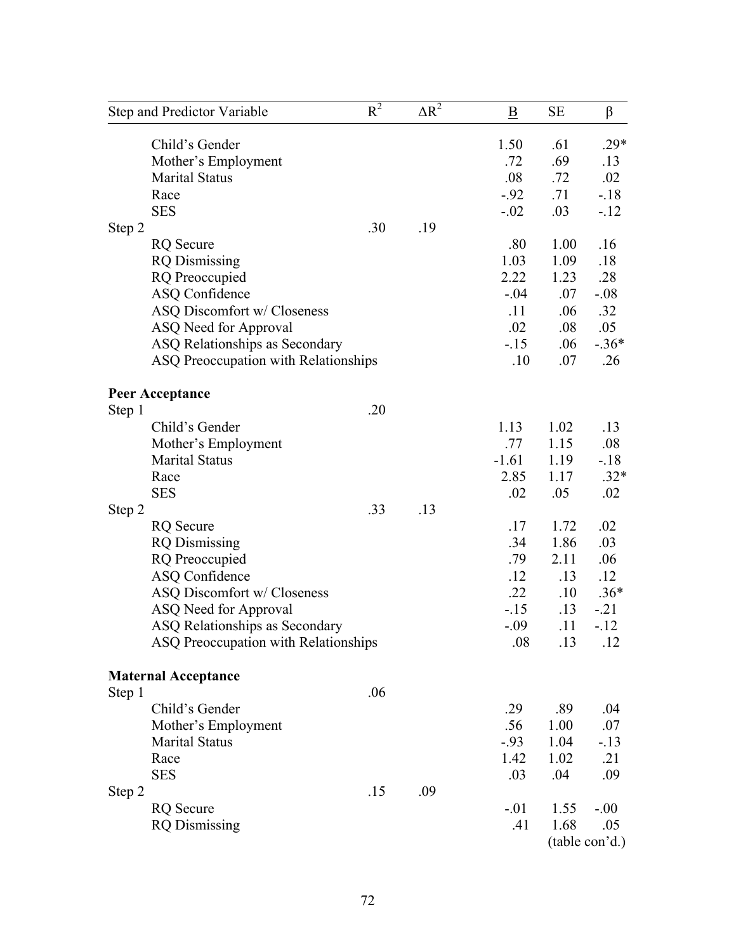|        | Step and Predictor Variable          | $R^2$ | $\Delta R^2$ | B       | <b>SE</b> | β              |
|--------|--------------------------------------|-------|--------------|---------|-----------|----------------|
|        | Child's Gender                       |       |              | 1.50    | .61       | $.29*$         |
|        | Mother's Employment                  |       |              | .72     | .69       | .13            |
|        | <b>Marital Status</b>                |       |              | .08     | .72       | .02            |
|        | Race                                 |       |              | $-.92$  | .71       | $-.18$         |
|        | <b>SES</b>                           |       |              | $-.02$  | .03       | $-.12$         |
| Step 2 |                                      | .30   | .19          |         |           |                |
|        | <b>RQ</b> Secure                     |       |              | .80     | 1.00      | .16            |
|        | <b>RQ</b> Dismissing                 |       |              | 1.03    | 1.09      | .18            |
|        | <b>RQ</b> Preoccupied                |       |              | 2.22    | 1.23      | .28            |
|        | <b>ASQ Confidence</b>                |       |              | $-.04$  | .07       | $-.08$         |
|        | ASQ Discomfort w/ Closeness          |       |              | .11     | .06       | .32            |
|        | ASQ Need for Approval                |       |              | .02     | .08       | .05            |
|        | ASQ Relationships as Secondary       |       |              | $-15$   | .06       | $-.36*$        |
|        | ASQ Preoccupation with Relationships |       |              | .10     | .07       | .26            |
|        | <b>Peer Acceptance</b>               |       |              |         |           |                |
| Step 1 |                                      | .20   |              |         |           |                |
|        | Child's Gender                       |       |              | 1.13    | 1.02      | .13            |
|        | Mother's Employment                  |       |              | .77     | 1.15      | .08            |
|        | <b>Marital Status</b>                |       |              | $-1.61$ | 1.19      | $-.18$         |
|        | Race                                 |       |              | 2.85    | 1.17      | $.32*$         |
|        | <b>SES</b>                           |       |              | .02     | .05       | .02            |
| Step 2 |                                      | .33   | .13          |         |           |                |
|        | <b>RQ</b> Secure                     |       |              | .17     | 1.72      | .02            |
|        | <b>RQ</b> Dismissing                 |       |              | .34     | 1.86      | .03            |
|        | <b>RQ</b> Preoccupied                |       |              | .79     | 2.11      | .06            |
|        | <b>ASQ Confidence</b>                |       |              | .12     | .13       | .12            |
|        | ASQ Discomfort w/ Closeness          |       |              | .22     | .10       | $.36*$         |
|        | ASQ Need for Approval                |       |              | $-.15$  | .13       | $-.21$         |
|        | ASQ Relationships as Secondary       |       |              | $-.09$  | .11       | $-12$          |
|        | ASQ Preoccupation with Relationships |       |              | .08     | .13       | .12            |
|        | <b>Maternal Acceptance</b>           |       |              |         |           |                |
| Step 1 |                                      | .06   |              |         |           |                |
|        | Child's Gender                       |       |              | .29     | .89       | .04            |
|        | Mother's Employment                  |       |              | .56     | 1.00      | .07            |
|        | <b>Marital Status</b>                |       |              | $-93$   | 1.04      | $-.13$         |
|        | Race                                 |       |              | 1.42    | 1.02      | .21            |
|        | <b>SES</b>                           |       |              | .03     | .04       | .09            |
| Step 2 |                                      | .15   | .09          |         |           |                |
|        | <b>RQ</b> Secure                     |       |              | $-.01$  | 1.55      | $-.00$         |
|        | <b>RQ</b> Dismissing                 |       |              | .41     | 1.68      | .05            |
|        |                                      |       |              |         |           | (table con'd.) |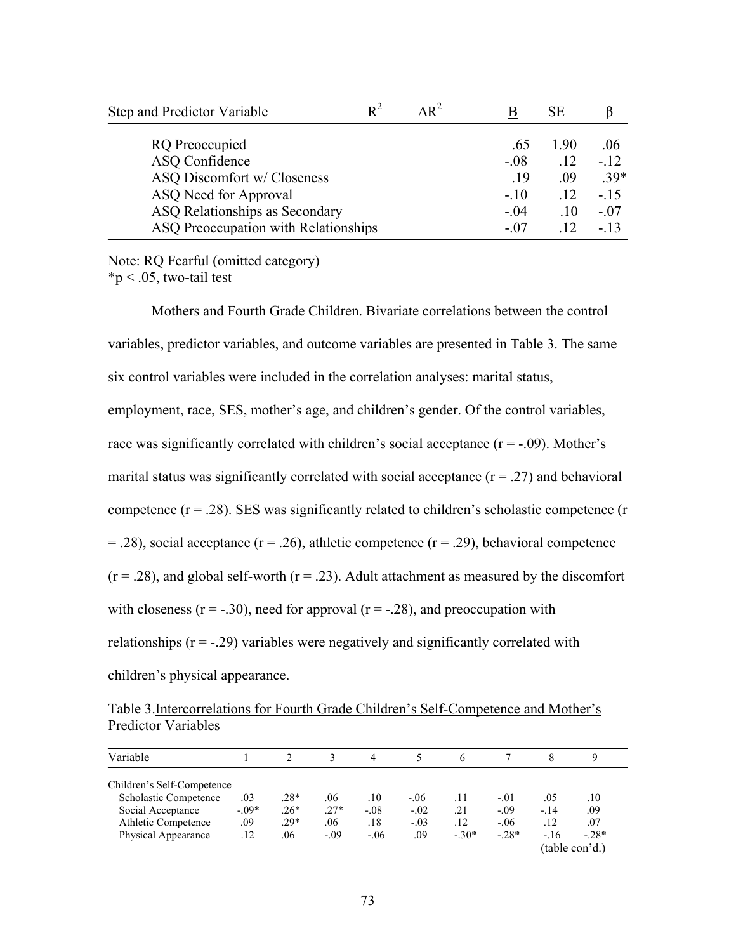| Step and Predictor Variable          | $\Delta R^2$ |        | SЕ              |        |
|--------------------------------------|--------------|--------|-----------------|--------|
| RQ Preoccupied                       |              | .65    | 190             | .06    |
| ASQ Confidence                       |              | $-.08$ | .12             | $-.12$ |
| ASQ Discomfort w/ Closeness          |              | .19    | .09             | $.39*$ |
| ASQ Need for Approval                |              | $-.10$ | .12             | $-.15$ |
| ASQ Relationships as Secondary       |              | $-.04$ | $\overline{10}$ | $-.07$ |
| ASQ Preoccupation with Relationships |              | - 07   | $\overline{12}$ | $-13$  |

Note: RQ Fearful (omitted category)  $*<sub>p</sub> < .05$ , two-tail test

Mothers and Fourth Grade Children. Bivariate correlations between the control variables, predictor variables, and outcome variables are presented in Table 3. The same six control variables were included in the correlation analyses: marital status, employment, race, SES, mother's age, and children's gender. Of the control variables, race was significantly correlated with children's social acceptance  $(r = -0.09)$ . Mother's marital status was significantly correlated with social acceptance  $(r = .27)$  and behavioral competence  $(r = .28)$ . SES was significantly related to children's scholastic competence  $(r = .28)$ .  $=$  .28), social acceptance ( $r = .26$ ), athletic competence ( $r = .29$ ), behavioral competence  $(r = .28)$ , and global self-worth  $(r = .23)$ . Adult attachment as measured by the discomfort with closeness  $(r = -0.30)$ , need for approval  $(r = -0.28)$ , and preoccupation with relationships  $(r = -0.29)$  variables were negatively and significantly correlated with children's physical appearance.

Table 3.Intercorrelations for Fourth Grade Children's Self-Competence and Mother's Predictor Variables

| Variable                     |         |        |        | 4      |        | 6      |        |       |                |
|------------------------------|---------|--------|--------|--------|--------|--------|--------|-------|----------------|
| Children's Self-Competence   |         |        |        |        |        |        |        |       |                |
| <b>Scholastic Competence</b> | .03     | $.28*$ | .06    | .10    | $-.06$ | .11    | $-.01$ | .05   | .10            |
| Social Acceptance            | $-.09*$ | $.26*$ | $.27*$ | $-.08$ | $-.02$ | .21    | $-.09$ | $-14$ | .09            |
| Athletic Competence          | .09     | $.29*$ | .06    | .18    | $-.03$ | .12    | $-.06$ | .12   | .07            |
| Physical Appearance          | .12     | .06    | $-.09$ | $-.06$ | .09    | $-30*$ | $-28*$ | $-16$ | $-28*$         |
|                              |         |        |        |        |        |        |        |       | (table con'd.) |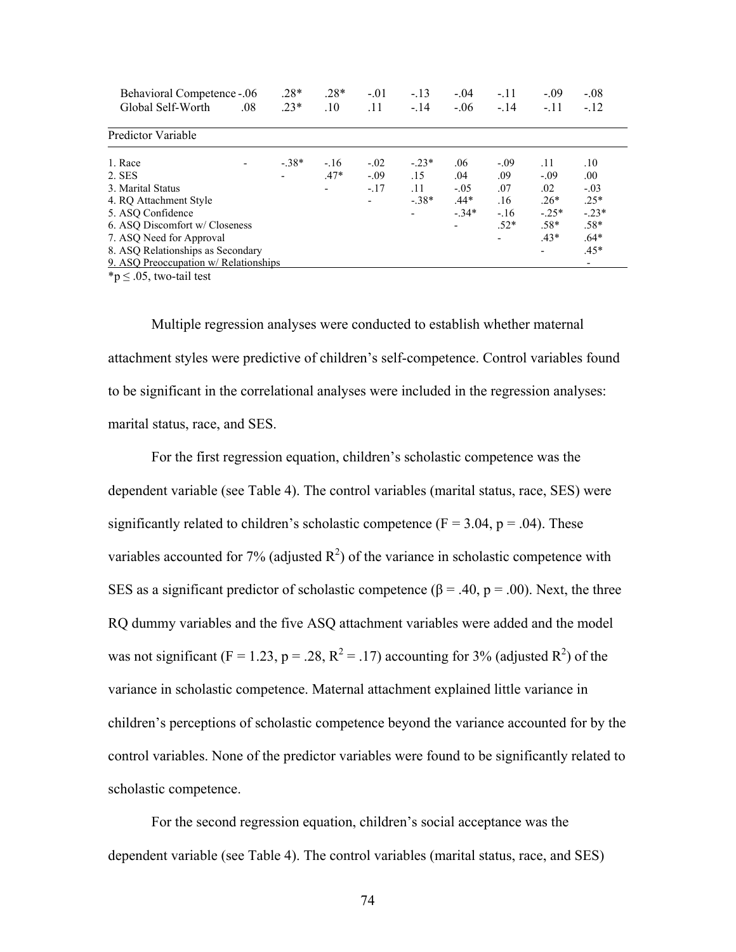| <b>Behavioral Competence -.06</b>     |     | $.28*$         | $.28*$         | $-.01$  | $-.13$  | $-.04$                   | $-.11$                   | $-0.09$ | $-.08$ |  |
|---------------------------------------|-----|----------------|----------------|---------|---------|--------------------------|--------------------------|---------|--------|--|
| Global Self-Worth                     | .08 | $.23*$         | .10            | .11     | $-14$   | $-.06$                   | $-14$                    | $-.11$  | $-12$  |  |
| Predictor Variable                    |     |                |                |         |         |                          |                          |         |        |  |
| 1. Race                               |     | $-38*$         | $-.16$         | $-.02$  | $-.23*$ | .06                      | $-.09$                   | .11     | .10    |  |
| 2. SES                                |     | $\blacksquare$ | $.47*$         | $-0.09$ | .15     | .04                      | .09                      | $-.09$  | .00.   |  |
| 3. Marital Status                     |     |                | $\blacksquare$ | $-.17$  | .11     | $-.05$                   | .07                      | .02     | $-.03$ |  |
| 4. RO Attachment Style                |     |                |                |         | $-38*$  | $.44*$                   | .16                      | $.26*$  | $.25*$ |  |
| 5. ASQ Confidence                     |     |                |                |         |         | $-34*$                   | $-.16$                   | $-25*$  | $-23*$ |  |
| 6. ASO Discomfort w/ Closeness        |     |                |                |         |         | $\overline{\phantom{a}}$ | $.52*$                   | $.58*$  | $.58*$ |  |
| 7. ASQ Need for Approval              |     |                |                |         |         |                          | $\overline{\phantom{a}}$ | $.43*$  | $.64*$ |  |
| 8. ASQ Relationships as Secondary     |     |                |                |         |         |                          |                          |         | $.45*$ |  |
| 9. ASO Preoccupation w/ Relationships |     |                |                |         |         |                          |                          |         | ٠      |  |

 $*p \leq .05$ , two-tail test

Multiple regression analyses were conducted to establish whether maternal attachment styles were predictive of children's self-competence. Control variables found to be significant in the correlational analyses were included in the regression analyses: marital status, race, and SES.

 For the first regression equation, children's scholastic competence was the dependent variable (see Table 4). The control variables (marital status, race, SES) were significantly related to children's scholastic competence ( $F = 3.04$ ,  $p = .04$ ). These variables accounted for 7% (adjusted  $R^2$ ) of the variance in scholastic competence with SES as a significant predictor of scholastic competence ( $\beta$  = .40, p = .00). Next, the three RQ dummy variables and the five ASQ attachment variables were added and the model was not significant (F = 1.23, p = .28, R<sup>2</sup> = .17) accounting for 3% (adjusted R<sup>2</sup>) of the variance in scholastic competence. Maternal attachment explained little variance in children's perceptions of scholastic competence beyond the variance accounted for by the control variables. None of the predictor variables were found to be significantly related to scholastic competence.

 For the second regression equation, children's social acceptance was the dependent variable (see Table 4). The control variables (marital status, race, and SES)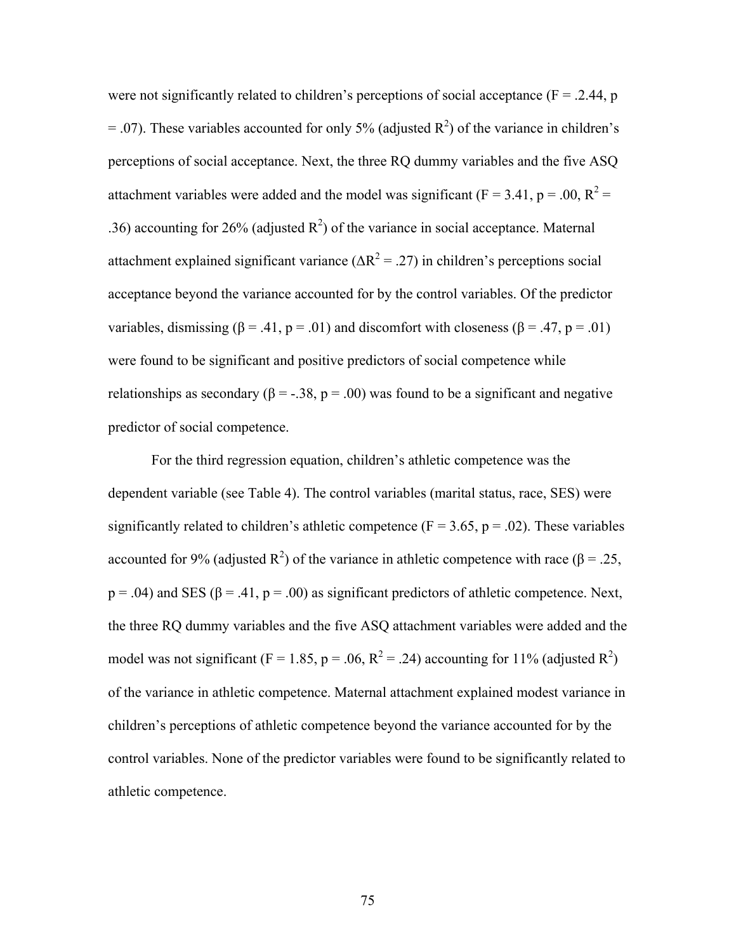were not significantly related to children's perceptions of social acceptance ( $F = 0.2.44$ , p  $=$  .07). These variables accounted for only 5% (adjusted  $\mathbb{R}^2$ ) of the variance in children's perceptions of social acceptance. Next, the three RQ dummy variables and the five ASQ attachment variables were added and the model was significant ( $F = 3.41$ ,  $p = .00$ ,  $R^2 =$ .36) accounting for 26% (adjusted  $R^2$ ) of the variance in social acceptance. Maternal attachment explained significant variance  $(\Delta R^2 = .27)$  in children's perceptions social acceptance beyond the variance accounted for by the control variables. Of the predictor variables, dismissing ( $\beta$  = .41, p = .01) and discomfort with closeness ( $\beta$  = .47, p = .01) were found to be significant and positive predictors of social competence while relationships as secondary ( $\beta = -.38$ ,  $p = .00$ ) was found to be a significant and negative predictor of social competence.

 For the third regression equation, children's athletic competence was the dependent variable (see Table 4). The control variables (marital status, race, SES) were significantly related to children's athletic competence ( $F = 3.65$ ,  $p = .02$ ). These variables accounted for 9% (adjusted R<sup>2</sup>) of the variance in athletic competence with race (β = .25,  $p = .04$ ) and SES ( $\beta = .41$ ,  $p = .00$ ) as significant predictors of athletic competence. Next, the three RQ dummy variables and the five ASQ attachment variables were added and the model was not significant (F = 1.85, p = .06, R<sup>2</sup> = .24) accounting for 11% (adjusted R<sup>2</sup>) of the variance in athletic competence. Maternal attachment explained modest variance in children's perceptions of athletic competence beyond the variance accounted for by the control variables. None of the predictor variables were found to be significantly related to athletic competence.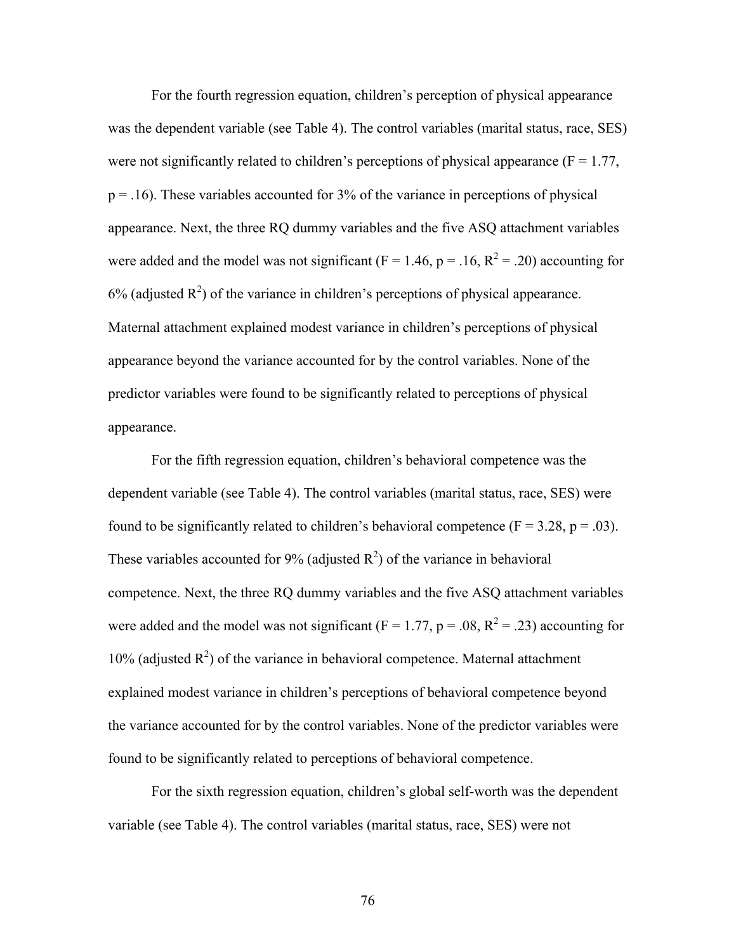For the fourth regression equation, children's perception of physical appearance was the dependent variable (see Table 4). The control variables (marital status, race, SES) were not significantly related to children's perceptions of physical appearance ( $F = 1.77$ ,  $p = 0.16$ . These variables accounted for 3% of the variance in perceptions of physical appearance. Next, the three RQ dummy variables and the five ASQ attachment variables were added and the model was not significant ( $F = 1.46$ ,  $p = .16$ ,  $R^2 = .20$ ) accounting for  $6\%$  (adjusted  $R^2$ ) of the variance in children's perceptions of physical appearance. Maternal attachment explained modest variance in children's perceptions of physical appearance beyond the variance accounted for by the control variables. None of the predictor variables were found to be significantly related to perceptions of physical appearance.

 For the fifth regression equation, children's behavioral competence was the dependent variable (see Table 4). The control variables (marital status, race, SES) were found to be significantly related to children's behavioral competence ( $F = 3.28$ ,  $p = .03$ ). These variables accounted for 9% (adjusted  $R^2$ ) of the variance in behavioral competence. Next, the three RQ dummy variables and the five ASQ attachment variables were added and the model was not significant ( $F = 1.77$ ,  $p = .08$ ,  $R^2 = .23$ ) accounting for 10% (adjusted  $R^2$ ) of the variance in behavioral competence. Maternal attachment explained modest variance in children's perceptions of behavioral competence beyond the variance accounted for by the control variables. None of the predictor variables were found to be significantly related to perceptions of behavioral competence.

 For the sixth regression equation, children's global self-worth was the dependent variable (see Table 4). The control variables (marital status, race, SES) were not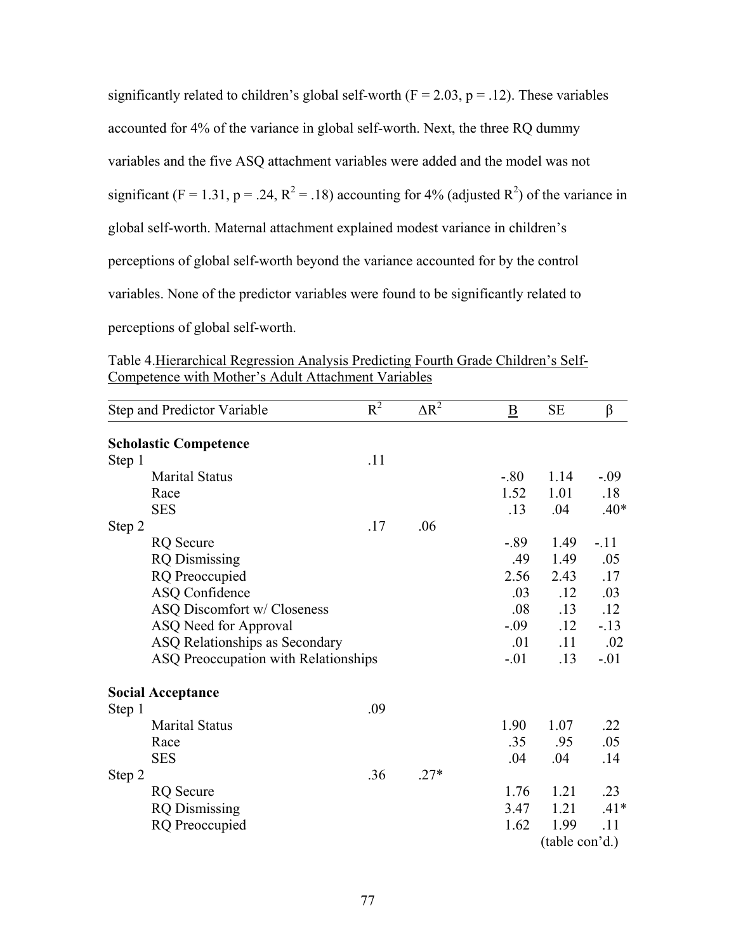significantly related to children's global self-worth ( $F = 2.03$ ,  $p = .12$ ). These variables accounted for 4% of the variance in global self-worth. Next, the three RQ dummy variables and the five ASQ attachment variables were added and the model was not significant (F = 1.31, p = .24, R<sup>2</sup> = .18) accounting for 4% (adjusted R<sup>2</sup>) of the variance in global self-worth. Maternal attachment explained modest variance in children's perceptions of global self-worth beyond the variance accounted for by the control variables. None of the predictor variables were found to be significantly related to perceptions of global self-worth.

Table 4.Hierarchical Regression Analysis Predicting Fourth Grade Children's Self-Competence with Mother's Adult Attachment Variables

| Step and Predictor Variable          | $R^2$ | $\Delta R^2$ | $\overline{\mathbf{B}}$ | <b>SE</b>      | $\beta$ |
|--------------------------------------|-------|--------------|-------------------------|----------------|---------|
| <b>Scholastic Competence</b>         |       |              |                         |                |         |
| Step 1                               | .11   |              |                         |                |         |
| <b>Marital Status</b>                |       |              | $-.80$                  | 1.14           | $-.09$  |
| Race                                 |       |              | 1.52                    | 1.01           | .18     |
| <b>SES</b>                           |       |              | .13                     | .04            | $.40*$  |
| Step 2                               | .17   | .06          |                         |                |         |
| <b>RQ</b> Secure                     |       |              | $-.89$                  | 1.49           | $-.11$  |
| <b>RQ</b> Dismissing                 |       |              | .49                     | 1.49           | .05     |
| <b>RQ</b> Preoccupied                |       |              | 2.56                    | 2.43           | .17     |
| <b>ASQ Confidence</b>                |       |              | .03                     | .12            | .03     |
| ASQ Discomfort w/ Closeness          |       |              | .08                     | .13            | .12     |
| ASQ Need for Approval                |       |              | $-0.09$                 | .12            | $-13$   |
| ASQ Relationships as Secondary       |       |              | .01                     | .11            | .02     |
| ASQ Preoccupation with Relationships |       |              | $-.01$                  | .13            | $-.01$  |
| <b>Social Acceptance</b>             |       |              |                         |                |         |
| Step 1                               | .09   |              |                         |                |         |
| <b>Marital Status</b>                |       |              | 1.90                    | 1.07           | .22     |
| Race                                 |       |              | .35                     | .95            | .05     |
| <b>SES</b>                           |       |              | .04                     | .04            | .14     |
| Step 2                               | .36   | $.27*$       |                         |                |         |
| <b>RQ</b> Secure                     |       |              | 1.76                    | 1.21           | .23     |
| <b>RQ</b> Dismissing                 |       |              | 3.47                    | 1.21           | $.41*$  |
| <b>RQ</b> Preoccupied                |       |              | 1.62                    | 1.99           | .11     |
|                                      |       |              |                         | (table con'd.) |         |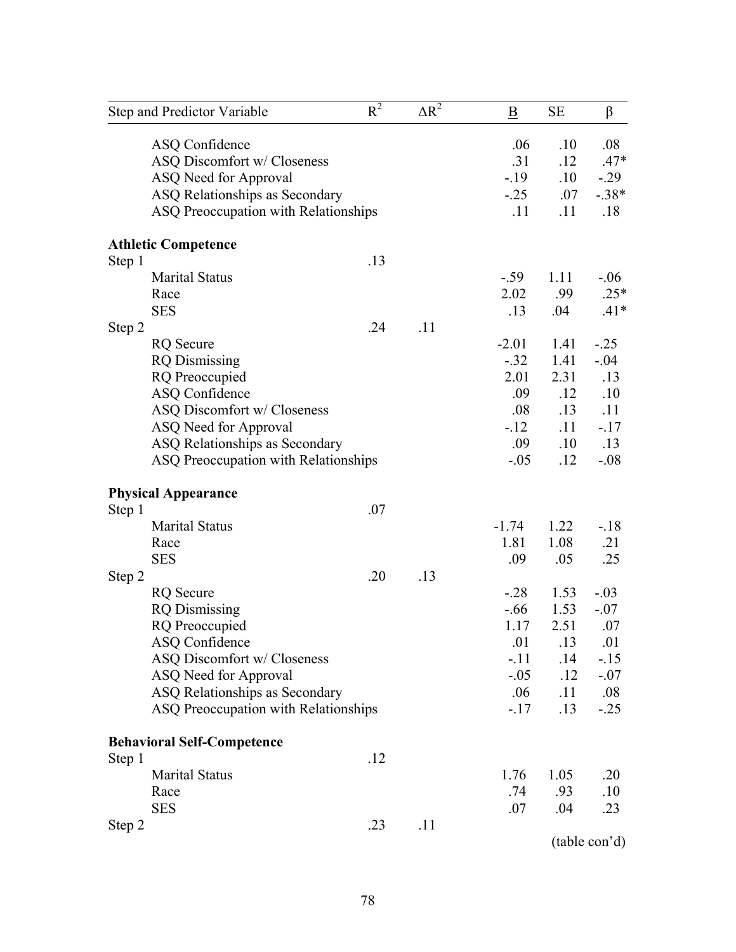|        | Step and Predictor Variable          | $R^2$ | $\Delta R^2$ | B       | $\rm SE$ | $\beta$       |
|--------|--------------------------------------|-------|--------------|---------|----------|---------------|
|        | <b>ASQ Confidence</b>                |       |              | .06     | .10      | .08           |
|        | ASQ Discomfort w/ Closeness          |       |              | .31     | .12      | $.47*$        |
|        | ASQ Need for Approval                |       |              | $-19$   | .10      | $-0.29$       |
|        | ASQ Relationships as Secondary       |       |              | $-0.25$ | .07      | $-.38*$       |
|        | ASQ Preoccupation with Relationships |       |              | .11     | .11      | .18           |
|        | <b>Athletic Competence</b>           |       |              |         |          |               |
| Step 1 |                                      | .13   |              |         |          |               |
|        | <b>Marital Status</b>                |       |              | $-.59$  | 1.11     | $-06$         |
|        | Race                                 |       |              | 2.02    | .99      | $.25*$        |
|        | <b>SES</b>                           |       |              | .13     | .04      | $.41*$        |
| Step 2 |                                      | .24   | .11          |         |          |               |
|        | <b>RQ</b> Secure                     |       |              | $-2.01$ | 1.41     | $-25$         |
|        | <b>RQ</b> Dismissing                 |       |              | $-.32$  | 1.41     | $-.04$        |
|        | <b>RQ</b> Preoccupied                |       |              | 2.01    | 2.31     | .13           |
|        | <b>ASQ Confidence</b>                |       |              | .09     | .12      | .10           |
|        | ASQ Discomfort w/ Closeness          |       |              | .08     | .13      | .11           |
|        | ASQ Need for Approval                |       |              | $-12$   | .11      | $-.17$        |
|        | ASQ Relationships as Secondary       |       |              | .09     | .10      | .13           |
|        | ASQ Preoccupation with Relationships |       |              | $-.05$  | .12      | $-.08$        |
|        | <b>Physical Appearance</b>           |       |              |         |          |               |
| Step 1 |                                      | .07   |              |         |          |               |
|        | <b>Marital Status</b>                |       |              | $-1.74$ | 1.22     | $-18$         |
|        | Race                                 |       |              | 1.81    | 1.08     | .21           |
|        | <b>SES</b>                           |       |              | .09     | .05      | .25           |
| Step 2 |                                      | .20   | .13          |         |          |               |
|        | <b>RQ</b> Secure                     |       |              | $-28$   | 1.53     | $-.03$        |
|        | <b>RQ</b> Dismissing                 |       |              | $-.66$  | 1.53     | $-.07$        |
|        | <b>RQ</b> Preoccupied                |       |              | 1.17    | 2.51     | .07           |
|        | <b>ASQ Confidence</b>                |       |              | .01     | .13      | .01           |
|        | ASQ Discomfort w/ Closeness          |       |              | $-.11$  | .14      | $-15$         |
|        | ASQ Need for Approval                |       |              | $-0.05$ | .12      | $-.07$        |
|        | ASQ Relationships as Secondary       |       |              | .06     | .11      | .08           |
|        | ASQ Preoccupation with Relationships |       |              | $-17$   | .13      | $-.25$        |
|        | <b>Behavioral Self-Competence</b>    |       |              |         |          |               |
| Step 1 |                                      | .12   |              |         |          |               |
|        | <b>Marital Status</b>                |       |              | 1.76    | 1.05     | .20           |
|        | Race                                 |       |              | .74     | .93      | .10           |
|        | <b>SES</b>                           |       |              | .07     | .04      | .23           |
| Step 2 |                                      | .23   | .11          |         |          |               |
|        |                                      |       |              |         |          | (table con'd) |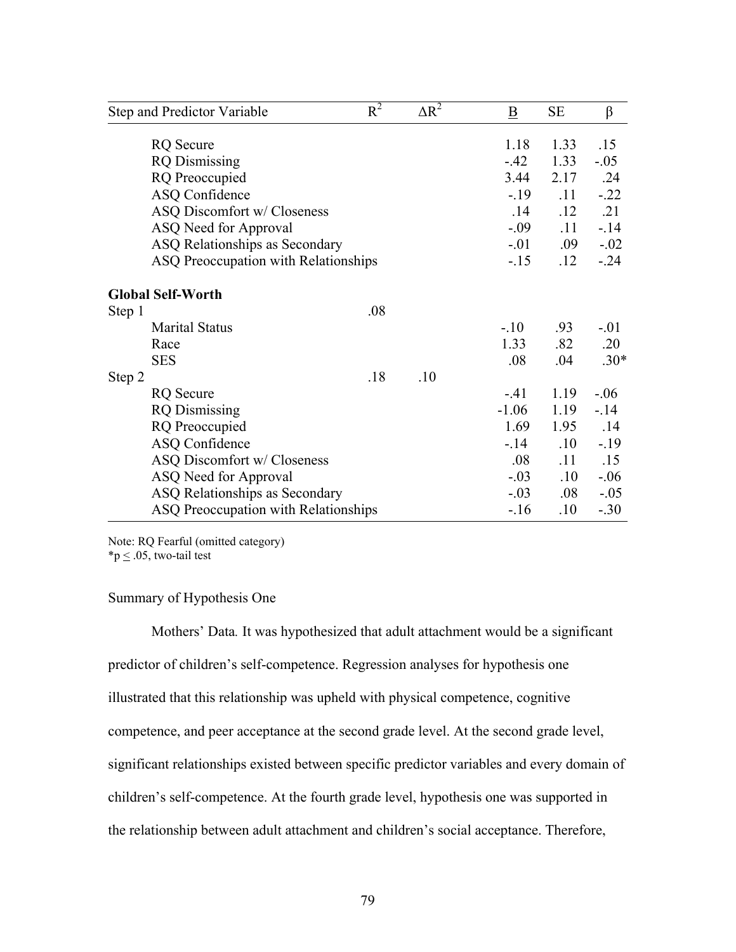|        | Step and Predictor Variable          | $R^2$ | $\Delta R^2$ | B       | <b>SE</b> | $\beta$ |
|--------|--------------------------------------|-------|--------------|---------|-----------|---------|
|        | <b>RQ</b> Secure                     |       |              | 1.18    | 1.33      | .15     |
|        | <b>RQ</b> Dismissing                 |       |              | $-.42$  | 1.33      | $-.05$  |
|        | <b>RQ</b> Preoccupied                |       |              | 3.44    | 2.17      | .24     |
|        | <b>ASQ Confidence</b>                |       |              | $-19$   | .11       | $-.22$  |
|        | ASQ Discomfort w/ Closeness          |       |              | .14     | .12       | .21     |
|        | ASQ Need for Approval                |       |              | $-.09$  | .11       | $-14$   |
|        | ASQ Relationships as Secondary       |       |              | $-0.01$ | .09       | $-.02$  |
|        | ASQ Preoccupation with Relationships |       |              | $-15$   | .12       | $-0.24$ |
|        | <b>Global Self-Worth</b>             |       |              |         |           |         |
| Step 1 |                                      | .08   |              |         |           |         |
|        | <b>Marital Status</b>                |       |              | $-.10$  | .93       | $-.01$  |
|        | Race                                 |       |              | 1.33    | .82       | .20     |
|        | <b>SES</b>                           |       |              | .08     | .04       | $.30*$  |
| Step 2 |                                      | .18   | .10          |         |           |         |
|        | <b>RQ</b> Secure                     |       |              | $-41$   | 1.19      | $-.06$  |
|        | <b>RQ</b> Dismissing                 |       |              | $-1.06$ | 1.19      | $-.14$  |
|        | <b>RQ</b> Preoccupied                |       |              | 1.69    | 1.95      | .14     |
|        | <b>ASQ Confidence</b>                |       |              | $-14$   | .10       | $-19$   |
|        | ASQ Discomfort w/ Closeness          |       |              | .08     | .11       | .15     |
|        | ASQ Need for Approval                |       |              | $-.03$  | .10       | $-.06$  |
|        | ASQ Relationships as Secondary       |       |              | $-0.03$ | $.08\,$   | $-.05$  |
|        | ASQ Preoccupation with Relationships |       |              | $-16$   | $.10\,$   | $-.30$  |

Note: RQ Fearful (omitted category)

\*p  $\leq$  .05, two-tail test

# Summary of Hypothesis One

Mothers' Data*.* It was hypothesized that adult attachment would be a significant predictor of children's self-competence. Regression analyses for hypothesis one illustrated that this relationship was upheld with physical competence, cognitive competence, and peer acceptance at the second grade level. At the second grade level, significant relationships existed between specific predictor variables and every domain of children's self-competence. At the fourth grade level, hypothesis one was supported in the relationship between adult attachment and children's social acceptance. Therefore,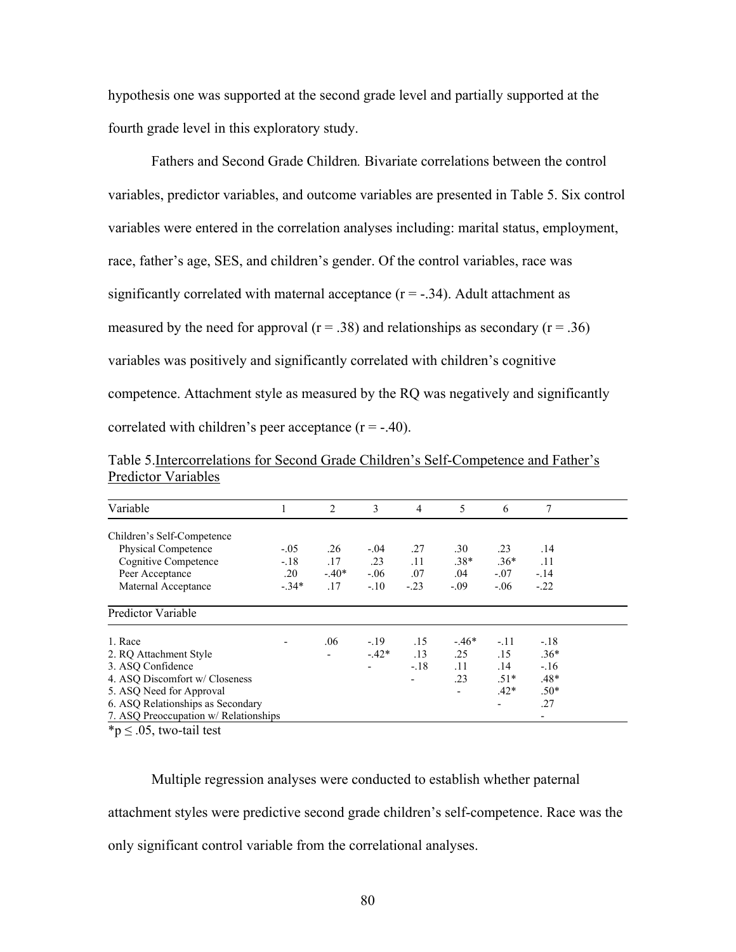hypothesis one was supported at the second grade level and partially supported at the fourth grade level in this exploratory study.

Fathers and Second Grade Children*.* Bivariate correlations between the control variables, predictor variables, and outcome variables are presented in Table 5. Six control variables were entered in the correlation analyses including: marital status, employment, race, father's age, SES, and children's gender. Of the control variables, race was significantly correlated with maternal acceptance  $(r = -.34)$ . Adult attachment as measured by the need for approval ( $r = .38$ ) and relationships as secondary ( $r = .36$ ) variables was positively and significantly correlated with children's cognitive competence. Attachment style as measured by the RQ was negatively and significantly correlated with children's peer acceptance  $(r = -.40)$ .

| Table 5. Intercorrelations for Second Grade Children's Self-Competence and Father's |  |  |  |  |
|-------------------------------------------------------------------------------------|--|--|--|--|
| <b>Predictor Variables</b>                                                          |  |  |  |  |

| Variable                              |         | 2       | 3      | 4      | 5                        | 6      | 7      |  |
|---------------------------------------|---------|---------|--------|--------|--------------------------|--------|--------|--|
| Children's Self-Competence            |         |         |        |        |                          |        |        |  |
| <b>Physical Competence</b>            | $-.05$  | .26     | $-.04$ | .27    | .30                      | .23    | .14    |  |
| Cognitive Competence                  | $-.18$  | .17     | .23    | .11    | $.38*$                   | $.36*$ | .11    |  |
| Peer Acceptance                       | .20     | $-.40*$ | $-.06$ | .07    | .04                      | $-.07$ | $-.14$ |  |
| Maternal Acceptance                   | $-.34*$ | .17     | $-.10$ | $-.23$ | $-.09$                   | $-.06$ | $-.22$ |  |
| Predictor Variable                    |         |         |        |        |                          |        |        |  |
| 1. Race                               |         | .06     | $-.19$ | .15    | $-.46*$                  | $-.11$ | $-.18$ |  |
| 2. RQ Attachment Style                |         |         | $-42*$ | .13    | .25                      | .15    | $.36*$ |  |
| 3. ASQ Confidence                     |         |         |        | $-.18$ | .11                      | .14    | $-.16$ |  |
| 4. ASQ Discomfort w/ Closeness        |         |         |        |        | .23                      | $.51*$ | $.48*$ |  |
| 5. ASQ Need for Approval              |         |         |        |        | $\overline{\phantom{0}}$ | $.42*$ | $.50*$ |  |
| 6. ASQ Relationships as Secondary     |         |         |        |        |                          | -      | .27    |  |
| 7. ASQ Preoccupation w/ Relationships |         |         |        |        |                          |        | -      |  |

 ${}^{\ast}p \leq .05$ , two-tail test

Multiple regression analyses were conducted to establish whether paternal attachment styles were predictive second grade children's self-competence. Race was the only significant control variable from the correlational analyses.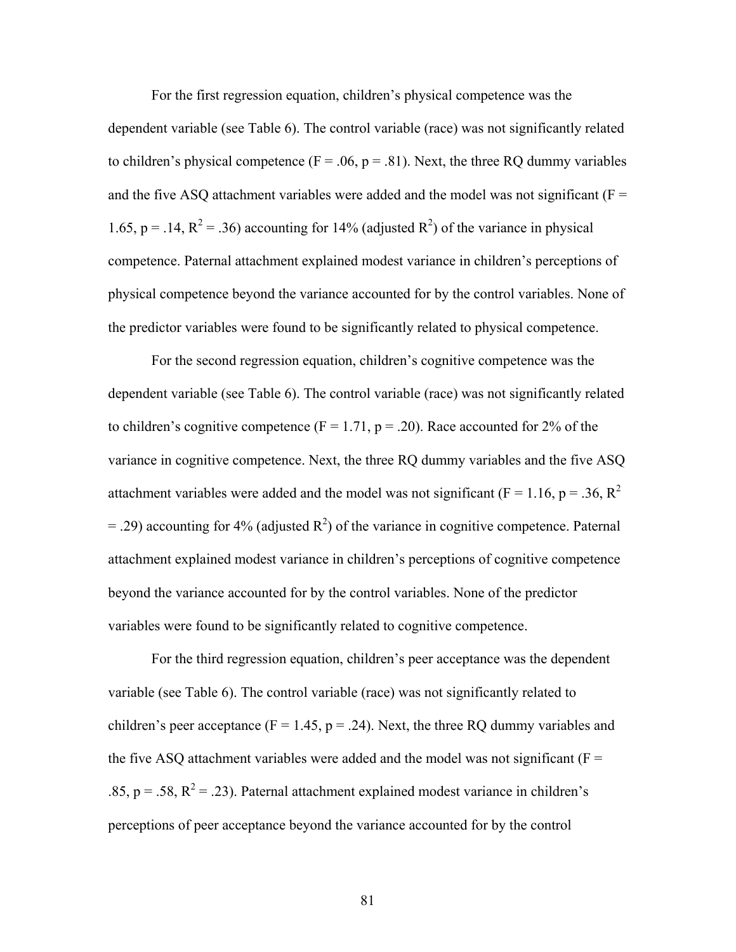For the first regression equation, children's physical competence was the dependent variable (see Table 6). The control variable (race) was not significantly related to children's physical competence ( $F = .06$ ,  $p = .81$ ). Next, the three RO dummy variables and the five ASQ attachment variables were added and the model was not significant ( $F =$ 1.65, p = .14,  $R^2$  = .36) accounting for 14% (adjusted  $R^2$ ) of the variance in physical competence. Paternal attachment explained modest variance in children's perceptions of physical competence beyond the variance accounted for by the control variables. None of the predictor variables were found to be significantly related to physical competence.

For the second regression equation, children's cognitive competence was the dependent variable (see Table 6). The control variable (race) was not significantly related to children's cognitive competence ( $F = 1.71$ ,  $p = .20$ ). Race accounted for 2% of the variance in cognitive competence. Next, the three RQ dummy variables and the five ASQ attachment variables were added and the model was not significant ( $F = 1.16$ ,  $p = .36$ ,  $R^2$  $=$  .29) accounting for 4% (adjusted  $\mathbb{R}^2$ ) of the variance in cognitive competence. Paternal attachment explained modest variance in children's perceptions of cognitive competence beyond the variance accounted for by the control variables. None of the predictor variables were found to be significantly related to cognitive competence.

 For the third regression equation, children's peer acceptance was the dependent variable (see Table 6). The control variable (race) was not significantly related to children's peer acceptance ( $F = 1.45$ ,  $p = .24$ ). Next, the three RQ dummy variables and the five ASQ attachment variables were added and the model was not significant ( $F =$ .85,  $p = .58$ ,  $R^2 = .23$ ). Paternal attachment explained modest variance in children's perceptions of peer acceptance beyond the variance accounted for by the control

81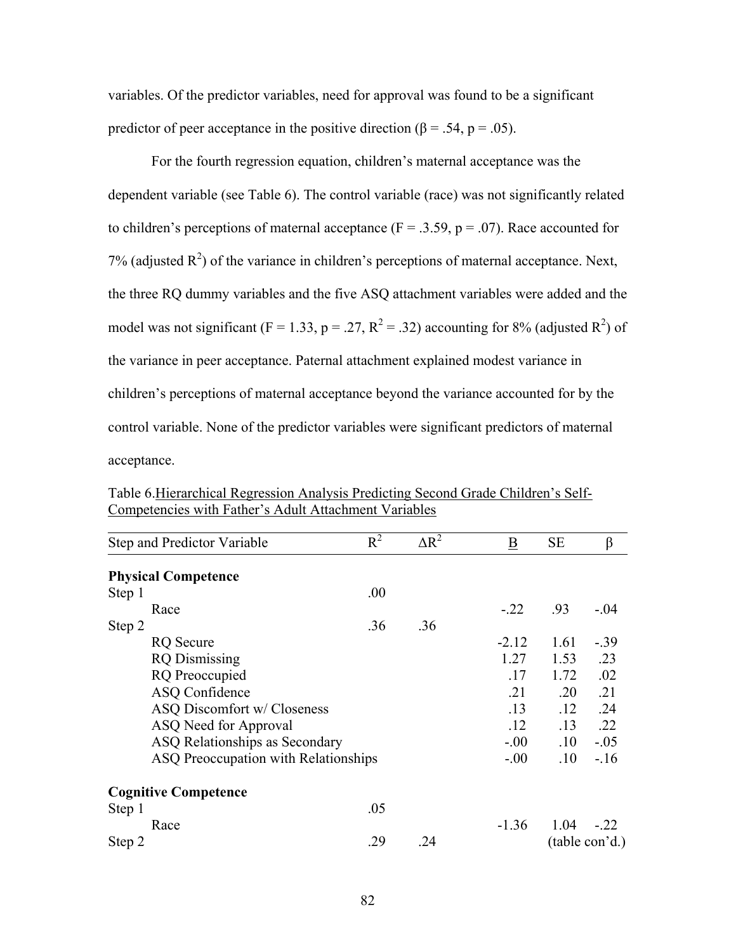variables. Of the predictor variables, need for approval was found to be a significant predictor of peer acceptance in the positive direction ( $\beta$  = .54, p = .05).

 For the fourth regression equation, children's maternal acceptance was the dependent variable (see Table 6). The control variable (race) was not significantly related to children's perceptions of maternal acceptance ( $F = .3.59$ ,  $p = .07$ ). Race accounted for 7% (adjusted  $R^2$ ) of the variance in children's perceptions of maternal acceptance. Next, the three RQ dummy variables and the five ASQ attachment variables were added and the model was not significant (F = 1.33, p = .27, R<sup>2</sup> = .32) accounting for 8% (adjusted R<sup>2</sup>) of the variance in peer acceptance. Paternal attachment explained modest variance in children's perceptions of maternal acceptance beyond the variance accounted for by the control variable. None of the predictor variables were significant predictors of maternal acceptance.

| Step and Predictor Variable          | $R^2$ | $\Delta R^2$ | $\underline{\mathbf{B}}$ | <b>SE</b> | β              |
|--------------------------------------|-------|--------------|--------------------------|-----------|----------------|
| <b>Physical Competence</b>           |       |              |                          |           |                |
| Step 1                               | .00   |              |                          |           |                |
| Race                                 |       |              | $-.22$                   | .93       | $-.04$         |
| Step 2                               | .36   | .36          |                          |           |                |
| <b>RQ</b> Secure                     |       |              | $-2.12$                  | 1.61      | $-.39$         |
| <b>RQ</b> Dismissing                 |       |              | 1.27                     | 1.53      | .23            |
| <b>RQ</b> Preoccupied                |       |              | .17                      | 1.72      | .02            |
| ASQ Confidence                       |       |              | .21                      | .20       | .21            |
| ASQ Discomfort w/ Closeness          |       |              | .13                      | .12       | .24            |
| ASQ Need for Approval                |       |              | .12                      | .13       | .22            |
| ASQ Relationships as Secondary       |       |              | $-0.00$                  | .10       | $-.05$         |
| ASQ Preoccupation with Relationships |       |              | $-00$                    | .10       | $-.16$         |
| <b>Cognitive Competence</b>          |       |              |                          |           |                |
| Step 1                               | .05   |              |                          |           |                |
| Race                                 |       |              | $-1.36$                  | 1.04      | $-22$          |
| Step 2                               | .29   | .24          |                          |           | (table con'd.) |

Table 6.Hierarchical Regression Analysis Predicting Second Grade Children's Self-Competencies with Father's Adult Attachment Variables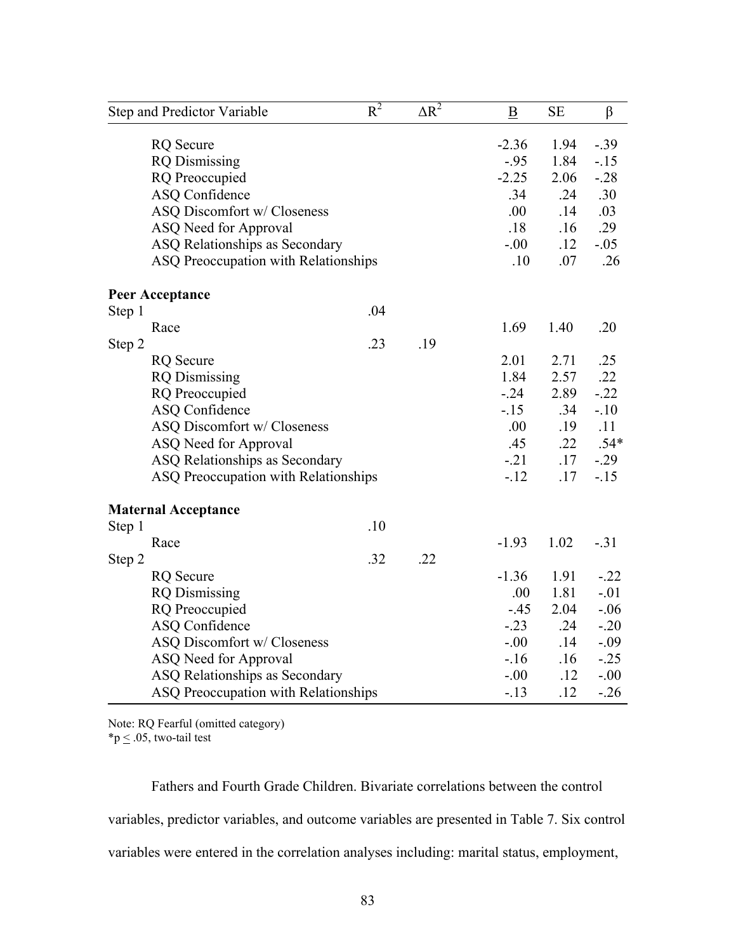| Step and Predictor Variable          | $\overline{R^2}$ | $\overline{\Delta R^2}$ | $\, {\bf B}$ | <b>SE</b> | $\beta$ |
|--------------------------------------|------------------|-------------------------|--------------|-----------|---------|
| <b>RQ</b> Secure                     |                  |                         | $-2.36$      | 1.94      | $-.39$  |
| <b>RQ</b> Dismissing                 |                  |                         | $-.95$       | 1.84      | $-15$   |
| <b>RQ</b> Preoccupied                |                  |                         | $-2.25$      | 2.06      | $-.28$  |
| <b>ASQ Confidence</b>                |                  |                         | .34          | .24       | .30     |
| ASQ Discomfort w/ Closeness          |                  |                         | .00          | .14       | .03     |
| ASQ Need for Approval                |                  |                         | .18          | .16       | .29     |
| ASQ Relationships as Secondary       |                  |                         | $-0.00$      | .12       | $-.05$  |
| ASQ Preoccupation with Relationships |                  |                         | .10          | .07       | .26     |
| <b>Peer Acceptance</b>               |                  |                         |              |           |         |
| Step 1                               | .04              |                         |              |           |         |
| Race                                 |                  |                         | 1.69         | 1.40      | .20     |
| Step 2                               | .23              | .19                     |              |           |         |
| <b>RQ</b> Secure                     |                  |                         | 2.01         | 2.71      | .25     |
| <b>RQ</b> Dismissing                 |                  |                         | 1.84         | 2.57      | .22     |
| <b>RQ</b> Preoccupied                |                  |                         | $-0.24$      | 2.89      | $-.22$  |
| <b>ASQ Confidence</b>                |                  |                         | $-15$        | .34       | $-.10$  |
| ASQ Discomfort w/ Closeness          |                  |                         | .00          | .19       | .11     |
| ASQ Need for Approval                |                  |                         | .45          | .22       | $.54*$  |
| ASQ Relationships as Secondary       |                  |                         | $-.21$       | .17       | $-.29$  |
| ASQ Preoccupation with Relationships |                  |                         | $-12$        | .17       | $-15$   |
| <b>Maternal Acceptance</b>           |                  |                         |              |           |         |
| Step 1                               | .10              |                         |              |           |         |
| Race                                 |                  |                         | $-1.93$      | 1.02      | $-.31$  |
| Step 2                               | .32              | .22                     |              |           |         |
| <b>RQ</b> Secure                     |                  |                         | $-1.36$      | 1.91      | $-.22$  |
| <b>RQ</b> Dismissing                 |                  |                         | .00          | 1.81      | $-.01$  |
| <b>RQ</b> Preoccupied                |                  |                         | $-45$        | 2.04      | $-.06$  |
| <b>ASQ Confidence</b>                |                  |                         | $-.23$       | .24       | $-.20$  |
| ASQ Discomfort w/ Closeness          |                  |                         | $-00$        | .14       | $-.09$  |
| ASQ Need for Approval                |                  |                         | $-16$        | .16       | $-.25$  |
| ASQ Relationships as Secondary       |                  |                         | $-.00$       | .12       | $-.00$  |
| ASQ Preoccupation with Relationships |                  |                         | $-.13$       | .12       | $-.26$  |

Note: RQ Fearful (omitted category)

\*p  $\leq$  .05, two-tail test

Fathers and Fourth Grade Children. Bivariate correlations between the control variables, predictor variables, and outcome variables are presented in Table 7. Six control variables were entered in the correlation analyses including: marital status, employment,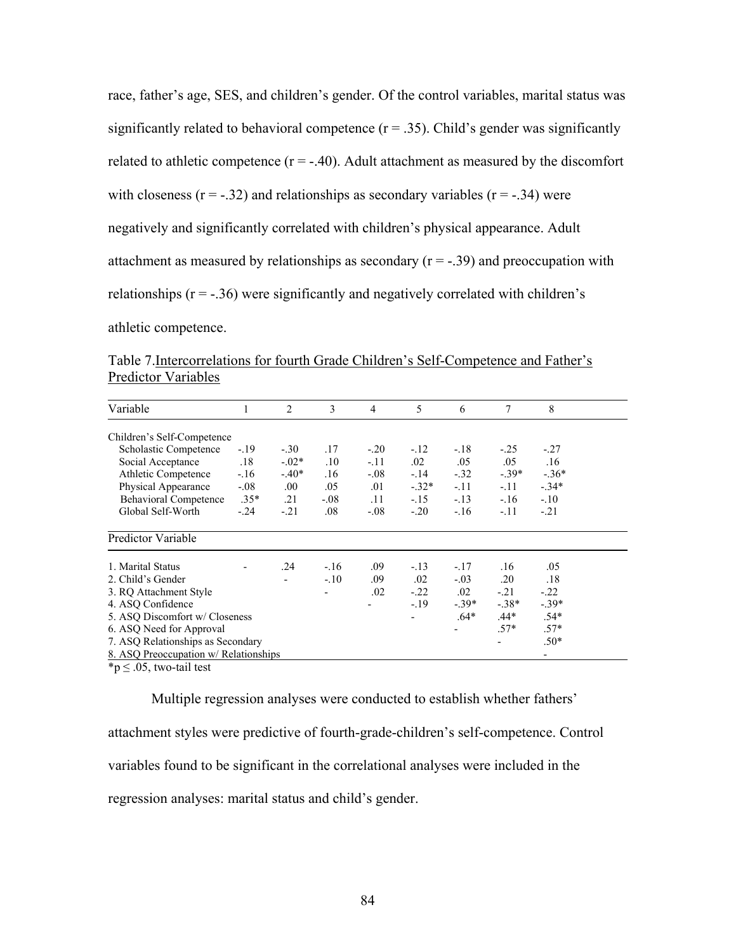race, father's age, SES, and children's gender. Of the control variables, marital status was significantly related to behavioral competence  $(r = .35)$ . Child's gender was significantly related to athletic competence  $(r = -.40)$ . Adult attachment as measured by the discomfort with closeness  $(r = -.32)$  and relationships as secondary variables  $(r = -.34)$  were negatively and significantly correlated with children's physical appearance. Adult attachment as measured by relationships as secondary  $(r = -0.39)$  and preoccupation with relationships  $(r = -0.36)$  were significantly and negatively correlated with children's athletic competence.

|                            | Table 7. Intercorrelations for fourth Grade Children's Self-Competence and Father's |
|----------------------------|-------------------------------------------------------------------------------------|
| <b>Predictor Variables</b> |                                                                                     |

| Variable                              |        | $\overline{c}$ | 3              | 4      | 5       | 6       | 7       | 8       |
|---------------------------------------|--------|----------------|----------------|--------|---------|---------|---------|---------|
| Children's Self-Competence            |        |                |                |        |         |         |         |         |
| Scholastic Competence                 | $-.19$ | $-.30$         | .17            | $-.20$ | $-.12$  | $-.18$  | $-.25$  | $-.27$  |
| Social Acceptance                     | .18    | $-0.02*$       | .10            | $-.11$ | $.02\,$ | .05     | .05     | .16     |
| Athletic Competence                   | $-16$  | $-.40*$        | .16            | $-.08$ | $-14$   | $-.32$  | $-.39*$ | $-.36*$ |
| Physical Appearance                   | $-.08$ | .00.           | .05            | .01    | $-.32*$ | $-.11$  | $-.11$  | $-.34*$ |
| <b>Behavioral Competence</b>          | $.35*$ | .21            | $-.08$         | .11    | $-.15$  | $-.13$  | $-.16$  | $-.10$  |
| Global Self-Worth                     | $-.24$ | $-.21$         | .08            | $-.08$ | $-.20$  | $-.16$  | $-.11$  | $-.21$  |
| Predictor Variable                    |        |                |                |        |         |         |         |         |
| 1. Marital Status                     |        | .24            | $-.16$         | .09    | $-.13$  | $-.17$  | .16     | .05     |
| 2. Child's Gender                     |        |                | $-.10$         | .09    | .02     | $-.03$  | .20     | .18     |
| 3. RQ Attachment Style                |        |                | $\blacksquare$ | .02    | $-.22$  | $.02\,$ | $-.21$  | $-.22$  |
| 4. ASQ Confidence                     |        |                |                |        | $-19$   | $-.39*$ | $-.38*$ | $-.39*$ |
| 5. ASQ Discomfort w/ Closeness        |        |                |                |        |         | $.64*$  | $.44*$  | $.54*$  |
| 6. ASQ Need for Approval              |        |                |                |        |         |         | $.57*$  | $.57*$  |
| 7. ASQ Relationships as Secondary     |        |                |                |        |         |         |         | $.50*$  |
| 8. ASQ Preoccupation w/ Relationships |        |                |                |        |         |         |         |         |

 $\gamma$  = .05, two-tail test

Multiple regression analyses were conducted to establish whether fathers' attachment styles were predictive of fourth-grade-children's self-competence. Control variables found to be significant in the correlational analyses were included in the regression analyses: marital status and child's gender.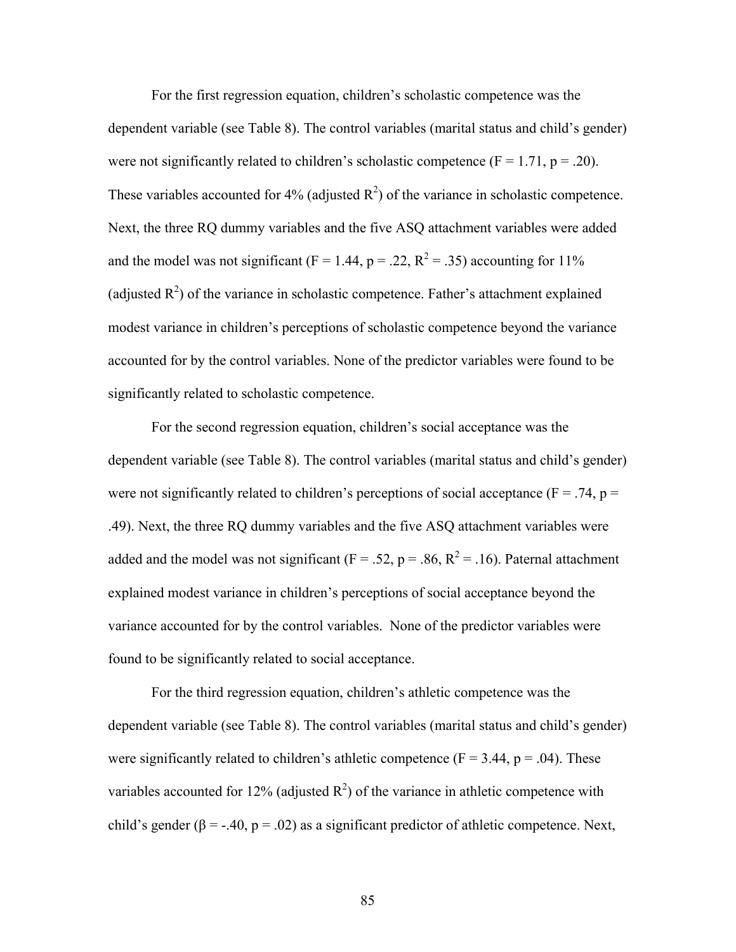For the first regression equation, children's scholastic competence was the dependent variable (see Table 8). The control variables (marital status and child's gender) were not significantly related to children's scholastic competence ( $F = 1.71$ ,  $p = .20$ ). These variables accounted for 4% (adjusted  $\mathbb{R}^2$ ) of the variance in scholastic competence. Next, the three RQ dummy variables and the five ASQ attachment variables were added and the model was not significant ( $F = 1.44$ ,  $p = .22$ ,  $R^2 = .35$ ) accounting for 11% (adjusted  $R^2$ ) of the variance in scholastic competence. Father's attachment explained modest variance in children's perceptions of scholastic competence beyond the variance accounted for by the control variables. None of the predictor variables were found to be significantly related to scholastic competence.

 For the second regression equation, children's social acceptance was the dependent variable (see Table 8). The control variables (marital status and child's gender) were not significantly related to children's perceptions of social acceptance ( $F = .74$ ,  $p =$ .49). Next, the three RQ dummy variables and the five ASQ attachment variables were added and the model was not significant ( $F = .52$ ,  $p = .86$ ,  $R^2 = .16$ ). Paternal attachment explained modest variance in children's perceptions of social acceptance beyond the variance accounted for by the control variables. None of the predictor variables were found to be significantly related to social acceptance.

For the third regression equation, children's athletic competence was the dependent variable (see Table 8). The control variables (marital status and child's gender) were significantly related to children's athletic competence ( $F = 3.44$ ,  $p = .04$ ). These variables accounted for 12% (adjusted  $R^2$ ) of the variance in athletic competence with child's gender ( $\beta$  = -.40, p = .02) as a significant predictor of athletic competence. Next,

85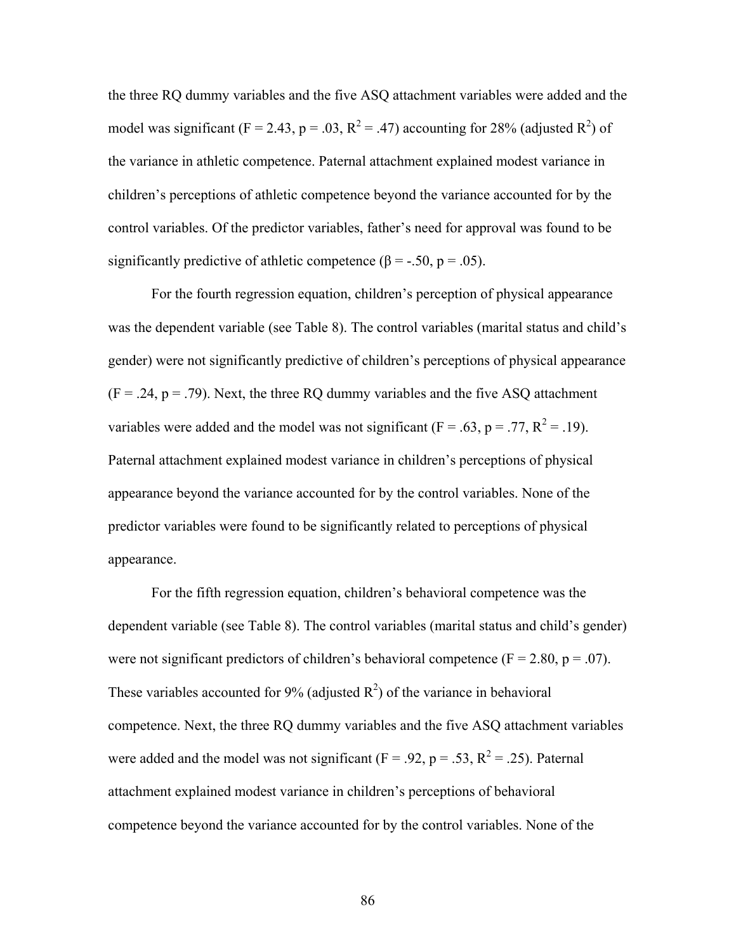the three RQ dummy variables and the five ASQ attachment variables were added and the model was significant (F = 2.43, p = .03, R<sup>2</sup> = .47) accounting for 28% (adjusted R<sup>2</sup>) of the variance in athletic competence. Paternal attachment explained modest variance in children's perceptions of athletic competence beyond the variance accounted for by the control variables. Of the predictor variables, father's need for approval was found to be significantly predictive of athletic competence ( $\beta$  = -.50, p = .05).

 For the fourth regression equation, children's perception of physical appearance was the dependent variable (see Table 8). The control variables (marital status and child's gender) were not significantly predictive of children's perceptions of physical appearance  $(F = .24, p = .79)$ . Next, the three RQ dummy variables and the five ASQ attachment variables were added and the model was not significant ( $F = .63$ ,  $p = .77$ ,  $R^2 = .19$ ). Paternal attachment explained modest variance in children's perceptions of physical appearance beyond the variance accounted for by the control variables. None of the predictor variables were found to be significantly related to perceptions of physical appearance.

For the fifth regression equation, children's behavioral competence was the dependent variable (see Table 8). The control variables (marital status and child's gender) were not significant predictors of children's behavioral competence ( $F = 2.80$ ,  $p = .07$ ). These variables accounted for 9% (adjusted  $R^2$ ) of the variance in behavioral competence. Next, the three RQ dummy variables and the five ASQ attachment variables were added and the model was not significant ( $F = .92$ ,  $p = .53$ ,  $R^2 = .25$ ). Paternal attachment explained modest variance in children's perceptions of behavioral competence beyond the variance accounted for by the control variables. None of the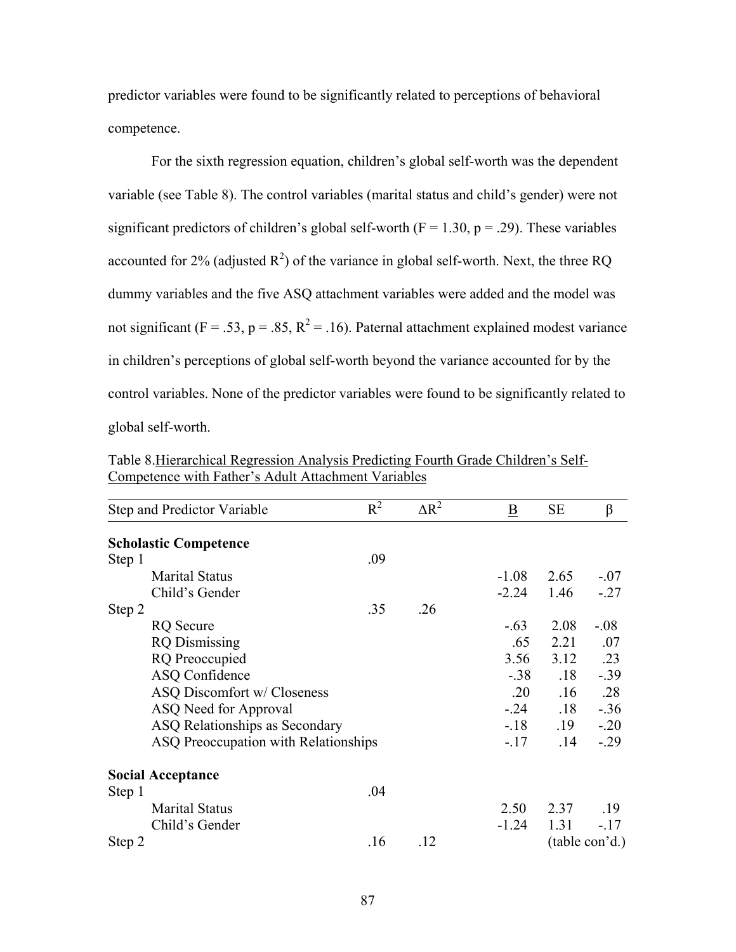predictor variables were found to be significantly related to perceptions of behavioral competence.

 For the sixth regression equation, children's global self-worth was the dependent variable (see Table 8). The control variables (marital status and child's gender) were not significant predictors of children's global self-worth ( $F = 1.30$ ,  $p = .29$ ). These variables accounted for 2% (adjusted  $R^2$ ) of the variance in global self-worth. Next, the three RQ dummy variables and the five ASQ attachment variables were added and the model was not significant ( $F = .53$ ,  $p = .85$ ,  $R^2 = .16$ ). Paternal attachment explained modest variance in children's perceptions of global self-worth beyond the variance accounted for by the control variables. None of the predictor variables were found to be significantly related to global self-worth.

|        | Step and Predictor Variable          | $R^2$ | $\Delta R^2$ | $\underline{\mathbf{B}}$ | SE   | $\beta$        |
|--------|--------------------------------------|-------|--------------|--------------------------|------|----------------|
|        | <b>Scholastic Competence</b>         |       |              |                          |      |                |
| Step 1 |                                      | .09   |              |                          |      |                |
|        | <b>Marital Status</b>                |       |              | $-1.08$                  | 2.65 | $-.07$         |
|        | Child's Gender                       |       |              | $-2.24$                  | 1.46 | $-.27$         |
| Step 2 |                                      | .35   | .26          |                          |      |                |
|        | <b>RQ</b> Secure                     |       |              | $-.63$                   | 2.08 | $-.08$         |
|        | <b>RQ</b> Dismissing                 |       |              | .65                      | 2.21 | .07            |
|        | <b>RQ</b> Preoccupied                |       |              | 3.56                     | 3.12 | .23            |
|        | <b>ASQ Confidence</b>                |       |              | $-.38$                   | .18  | $-0.39$        |
|        | ASQ Discomfort w/ Closeness          |       |              | .20                      | .16  | .28            |
|        | ASQ Need for Approval                |       |              | $-.24$                   | .18  | $-.36$         |
|        | ASQ Relationships as Secondary       |       |              | $-18$                    | .19  | $-.20$         |
|        | ASQ Preoccupation with Relationships |       |              | $-17$                    | .14  | $-.29$         |
|        | <b>Social Acceptance</b>             |       |              |                          |      |                |
| Step 1 |                                      | .04   |              |                          |      |                |
|        | <b>Marital Status</b>                |       |              | 2.50                     | 2.37 | .19            |
|        | Child's Gender                       |       |              | $-1.24$                  | 1.31 | $-17$          |
| Step 2 |                                      | .16   | .12          |                          |      | (table con'd.) |

Table 8.Hierarchical Regression Analysis Predicting Fourth Grade Children's Self-Competence with Father's Adult Attachment Variables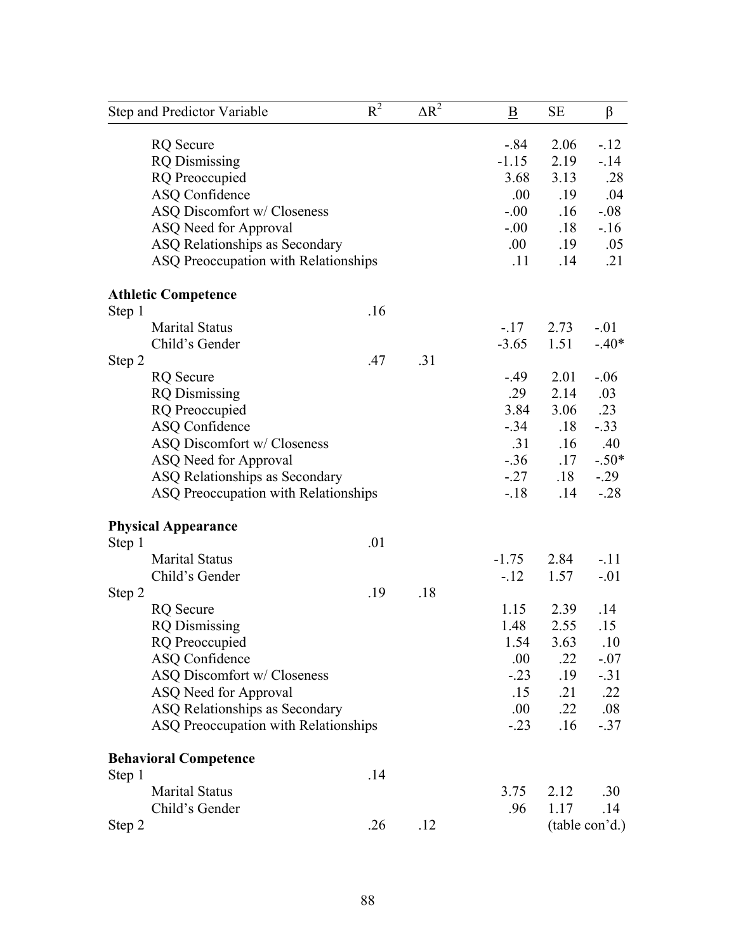| Step and Predictor Variable          | $\overline{R^2}$ | $\Delta R^2$ | B       | <b>SE</b> | $\beta$        |
|--------------------------------------|------------------|--------------|---------|-----------|----------------|
| <b>RQ</b> Secure                     |                  |              | $-.84$  | 2.06      | $-12$          |
| <b>RQ</b> Dismissing                 |                  |              | $-1.15$ | 2.19      | $-14$          |
| <b>RQ</b> Preoccupied                |                  |              | 3.68    | 3.13      | .28            |
| <b>ASQ Confidence</b>                |                  |              | .00     | .19       | .04            |
| ASQ Discomfort w/ Closeness          |                  |              | $-0.00$ | .16       | $-0.08$        |
| ASQ Need for Approval                |                  |              | $-0.00$ | .18       | $-16$          |
| ASQ Relationships as Secondary       |                  |              | .00.    | .19       | .05            |
| ASQ Preoccupation with Relationships |                  |              | .11     | .14       | .21            |
| <b>Athletic Competence</b>           |                  |              |         |           |                |
| Step 1                               | .16              |              |         |           |                |
| <b>Marital Status</b>                |                  |              | $-.17$  | 2.73      | $-.01$         |
| Child's Gender                       |                  |              | $-3.65$ | 1.51      | $-.40*$        |
| Step 2                               | .47              | .31          |         |           |                |
| <b>RQ</b> Secure                     |                  |              | $-.49$  | 2.01      | $-.06$         |
| <b>RQ</b> Dismissing                 |                  |              | .29     | 2.14      | .03            |
| <b>RQ</b> Preoccupied                |                  |              | 3.84    | 3.06      | .23            |
| <b>ASQ Confidence</b>                |                  |              | $-.34$  | .18       | $-.33$         |
| ASQ Discomfort w/ Closeness          |                  |              | .31     | .16       | .40            |
| ASQ Need for Approval                |                  |              | $-.36$  | .17       | $-.50*$        |
| ASQ Relationships as Secondary       |                  |              | $-.27$  | .18       | $-0.29$        |
| ASQ Preoccupation with Relationships |                  |              | $-18$   | .14       | $-.28$         |
| <b>Physical Appearance</b>           |                  |              |         |           |                |
| Step 1                               | .01              |              |         |           |                |
| <b>Marital Status</b>                |                  |              | $-1.75$ | 2.84      | $-.11$         |
| Child's Gender                       |                  |              | $-.12$  | 1.57      | $-.01$         |
| Step 2                               | .19              | .18          |         |           |                |
| <b>RQ</b> Secure                     |                  |              | 1.15    | 2.39      | .14            |
| <b>RQ</b> Dismissing                 |                  |              | 1.48    | 2.55      | .15            |
| <b>RQ</b> Preoccupied                |                  |              | 1.54    | 3.63      | .10            |
| <b>ASQ Confidence</b>                |                  |              | .00     | .22       | $-.07$         |
| ASQ Discomfort w/ Closeness          |                  |              | $-.23$  | .19       | $-31$          |
| ASQ Need for Approval                |                  |              | .15     | .21       | .22            |
| ASQ Relationships as Secondary       |                  |              | .00.    | .22       | .08            |
| ASQ Preoccupation with Relationships |                  |              | $-.23$  | .16       | $-37$          |
| <b>Behavioral Competence</b>         |                  |              |         |           |                |
| Step 1                               | .14              |              |         |           |                |
| <b>Marital Status</b>                |                  |              | 3.75    | 2.12      | .30            |
| Child's Gender                       |                  |              | .96     | 1.17      | .14            |
| Step 2                               | .26              | .12          |         |           | (table con'd.) |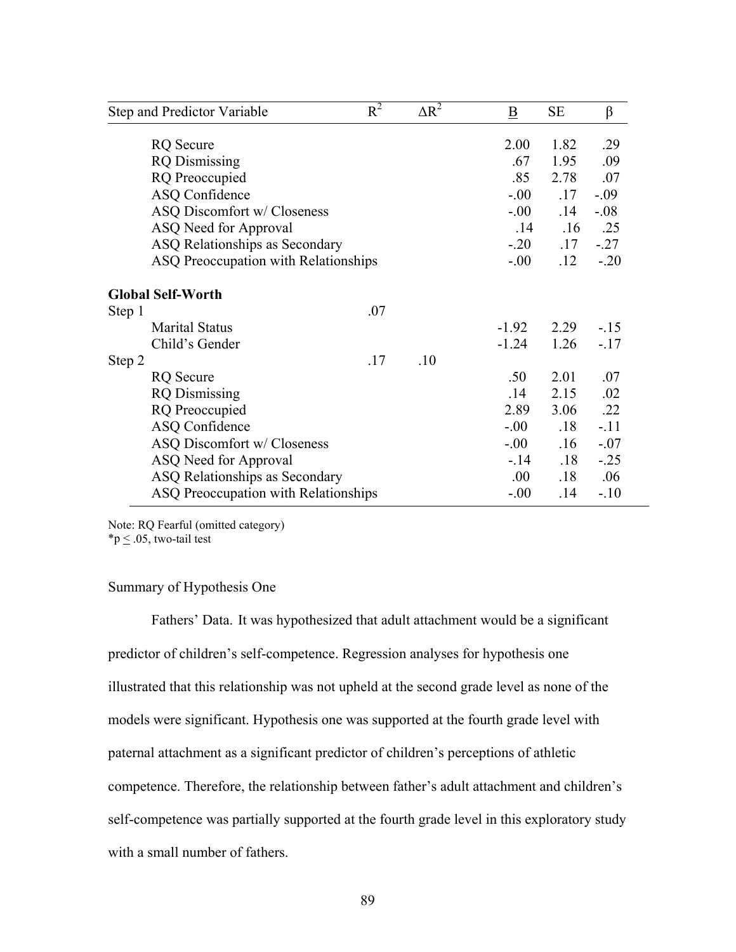|                                    | Step and Predictor Variable                                                                                                                                                                                           | $R^2$                             | $\Delta R^2$             | $\bf{B}$                                                          | <b>SE</b>                                               | $\beta$                                                           |
|------------------------------------|-----------------------------------------------------------------------------------------------------------------------------------------------------------------------------------------------------------------------|-----------------------------------|--------------------------|-------------------------------------------------------------------|---------------------------------------------------------|-------------------------------------------------------------------|
|                                    | <b>RQ</b> Secure<br><b>RQ</b> Dismissing                                                                                                                                                                              |                                   |                          | 2.00<br>.67                                                       | 1.82<br>1.95                                            | .29<br>.09                                                        |
|                                    | <b>RQ</b> Preoccupied<br><b>ASQ Confidence</b>                                                                                                                                                                        |                                   |                          | .85<br>$-0.00$                                                    | 2.78<br>.17                                             | .07<br>$-.09$                                                     |
|                                    | ASQ Discomfort w/ Closeness<br>ASQ Need for Approval<br>ASQ Relationships as Secondary<br>ASQ Preoccupation with Relationships                                                                                        | $-00$<br>.14<br>$-.20$<br>$-0.00$ | .14<br>.16<br>.17<br>.12 | $-.08$<br>.25<br>$-.27$<br>$-.20$                                 |                                                         |                                                                   |
| <b>Global Self-Worth</b><br>Step 1 |                                                                                                                                                                                                                       | .07                               |                          |                                                                   |                                                         |                                                                   |
|                                    | <b>Marital Status</b><br>Child's Gender                                                                                                                                                                               |                                   |                          | $-1.92$<br>$-1.24$                                                | 2.29<br>1.26                                            | $-15$<br>$-17$                                                    |
| Step 2                             | RQ Secure<br><b>RQ</b> Dismissing<br><b>RQ</b> Preoccupied<br><b>ASQ Confidence</b><br>ASQ Discomfort w/ Closeness<br>ASQ Need for Approval<br>ASQ Relationships as Secondary<br>ASQ Preoccupation with Relationships | .17                               | .10                      | .50<br>.14<br>2.89<br>$-0.00$<br>$-00$<br>$-14$<br>.00.<br>$-.00$ | 2.01<br>2.15<br>3.06<br>.18<br>.16<br>.18<br>.18<br>.14 | .07<br>.02<br>.22<br>$-.11$<br>$-.07$<br>$-0.25$<br>.06<br>$-.10$ |

Note: RQ Fearful (omitted category)

 $*p < .05$ , two-tail test

## Summary of Hypothesis One

Fathers' Data. It was hypothesized that adult attachment would be a significant predictor of children's self-competence. Regression analyses for hypothesis one illustrated that this relationship was not upheld at the second grade level as none of the models were significant. Hypothesis one was supported at the fourth grade level with paternal attachment as a significant predictor of children's perceptions of athletic competence. Therefore, the relationship between father's adult attachment and children's self-competence was partially supported at the fourth grade level in this exploratory study with a small number of fathers.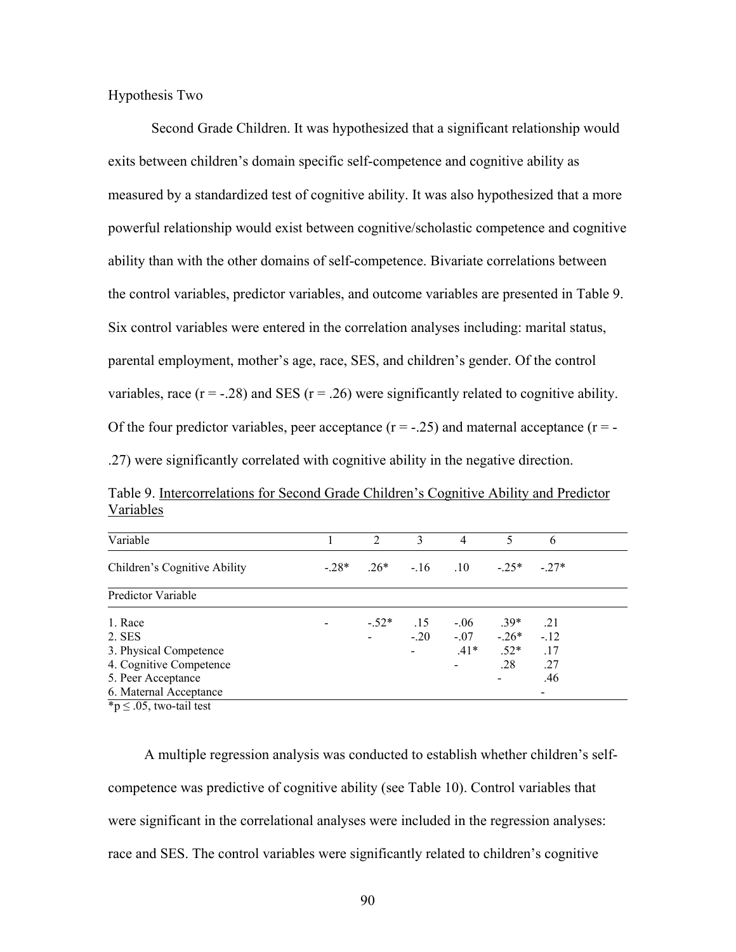Hypothesis Two

Second Grade Children. It was hypothesized that a significant relationship would exits between children's domain specific self-competence and cognitive ability as measured by a standardized test of cognitive ability. It was also hypothesized that a more powerful relationship would exist between cognitive/scholastic competence and cognitive ability than with the other domains of self-competence. Bivariate correlations between the control variables, predictor variables, and outcome variables are presented in Table 9. Six control variables were entered in the correlation analyses including: marital status, parental employment, mother's age, race, SES, and children's gender. Of the control variables, race  $(r = -0.28)$  and SES  $(r = 0.26)$  were significantly related to cognitive ability. Of the four predictor variables, peer acceptance  $(r = -0.25)$  and maternal acceptance  $(r = -0.25)$ .27) were significantly correlated with cognitive ability in the negative direction.

Table 9. Intercorrelations for Second Grade Children's Cognitive Ability and Predictor Variables

|        | $\overline{2}$ | 3      | 4      | 5       | 6                                        |  |
|--------|----------------|--------|--------|---------|------------------------------------------|--|
| $-28*$ |                |        |        |         | $-27*$                                   |  |
|        |                |        |        |         |                                          |  |
|        | $-.52*$        | .15    | $-.06$ | $39*$   | .21                                      |  |
|        |                | $-.20$ |        | $-.26*$ | $-.12$                                   |  |
|        |                |        | $.41*$ | $.52*$  | .17                                      |  |
|        |                |        |        | .28     | .27                                      |  |
|        |                |        |        |         | .46                                      |  |
|        |                |        |        |         |                                          |  |
|        |                |        |        |         | $.26^*$ $-.16$ $.10$ $-.25^*$<br>$-0.07$ |  |

 $p \leq 0.05$ , two-tail test

 A multiple regression analysis was conducted to establish whether children's selfcompetence was predictive of cognitive ability (see Table 10). Control variables that were significant in the correlational analyses were included in the regression analyses: race and SES. The control variables were significantly related to children's cognitive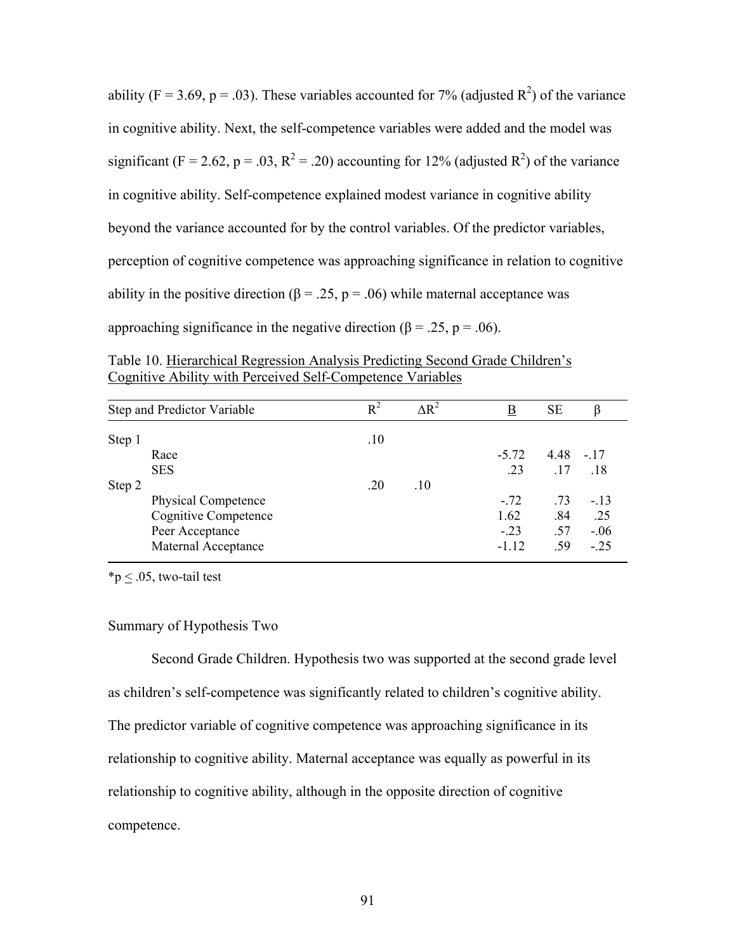ability (F = 3.69, p = .03). These variables accounted for 7% (adjusted  $\mathbb{R}^2$ ) of the variance in cognitive ability. Next, the self-competence variables were added and the model was significant (F = 2.62, p = .03, R<sup>2</sup> = .20) accounting for 12% (adjusted R<sup>2</sup>) of the variance in cognitive ability. Self-competence explained modest variance in cognitive ability beyond the variance accounted for by the control variables. Of the predictor variables, perception of cognitive competence was approaching significance in relation to cognitive ability in the positive direction ( $\beta = 0.25$ ,  $p = 0.06$ ) while maternal acceptance was approaching significance in the negative direction ( $\beta$  = .25, p = .06).

Table 10. Hierarchical Regression Analysis Predicting Second Grade Children's Cognitive Ability with Perceived Self-Competence Variables

|        | Step and Predictor Variable | $R^2$ | $\Delta R^2$ | B       | <b>SE</b>   | β      |
|--------|-----------------------------|-------|--------------|---------|-------------|--------|
| Step 1 |                             | .10   |              |         |             |        |
|        | Race                        |       |              | $-5.72$ | $4.48 - 17$ |        |
|        | <b>SES</b>                  |       |              | .23     | .17         | .18    |
| Step 2 |                             | .20   | .10          |         |             |        |
|        | <b>Physical Competence</b>  |       |              | $-.72$  | .73         | $-13$  |
|        | <b>Cognitive Competence</b> |       |              | 1.62    | .84         | .25    |
|        | Peer Acceptance             |       |              | $-.23$  | .57         | $-.06$ |
|        | Maternal Acceptance         |       |              | $-1.12$ | .59         | $-.25$ |

 $*p < .05$ , two-tail test

#### Summary of Hypothesis Two

Second Grade Children. Hypothesis two was supported at the second grade level as children's self-competence was significantly related to children's cognitive ability. The predictor variable of cognitive competence was approaching significance in its relationship to cognitive ability. Maternal acceptance was equally as powerful in its relationship to cognitive ability, although in the opposite direction of cognitive competence.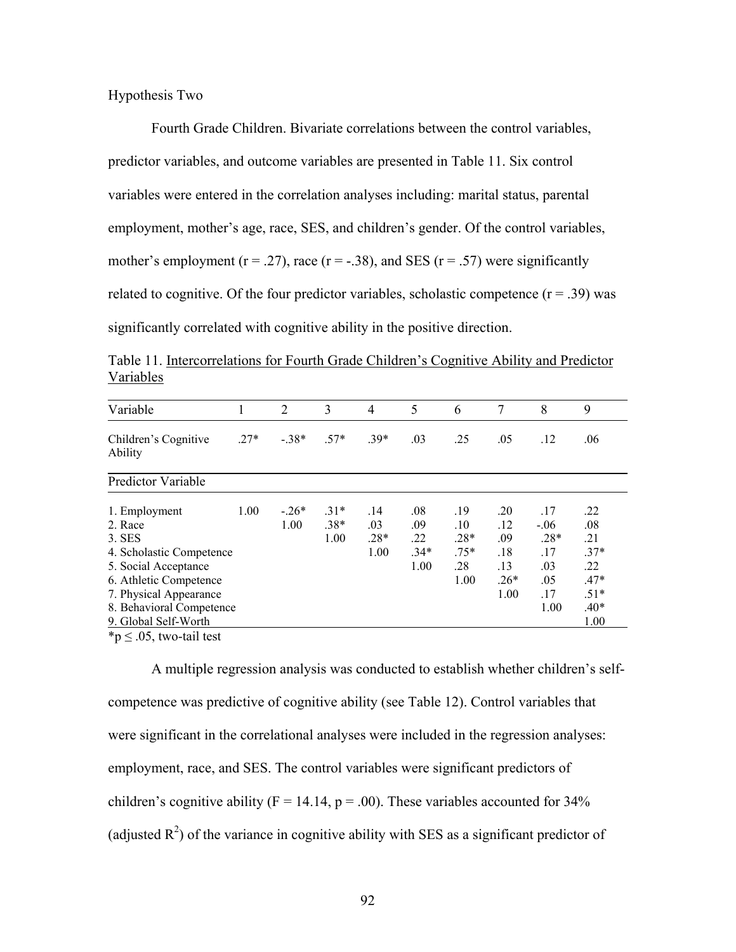## Hypothesis Two

Fourth Grade Children. Bivariate correlations between the control variables, predictor variables, and outcome variables are presented in Table 11. Six control variables were entered in the correlation analyses including: marital status, parental employment, mother's age, race, SES, and children's gender. Of the control variables, mother's employment ( $r = .27$ ), race ( $r = .38$ ), and SES ( $r = .57$ ) were significantly related to cognitive. Of the four predictor variables, scholastic competence  $(r = .39)$  was significantly correlated with cognitive ability in the positive direction.

| Variable                        |        | 2       | 3      | $\overline{4}$ | 5      | 6      | 7      | 8      | 9      |
|---------------------------------|--------|---------|--------|----------------|--------|--------|--------|--------|--------|
| Children's Cognitive<br>Ability | $.27*$ | $-.38*$ | $.57*$ | $.39*$         | .03    | .25    | .05    | .12    | .06    |
| <b>Predictor Variable</b>       |        |         |        |                |        |        |        |        |        |
| 1. Employment                   | 1.00   | $-.26*$ | $.31*$ | .14            | .08    | .19    | .20    | .17    | .22    |
| 2. Race                         |        | 1.00    | $.38*$ | .03            | .09    | .10    | .12    | $-.06$ | .08    |
| 3. SES                          |        |         | 1.00   | $.28*$         | .22    | $.28*$ | .09    | $.28*$ | .21    |
| 4. Scholastic Competence        |        |         |        | 1.00           | $.34*$ | $.75*$ | .18    | .17    | $.37*$ |
| 5. Social Acceptance            |        |         |        |                | 1.00   | .28    | .13    | .03    | .22    |
| 6. Athletic Competence          |        |         |        |                |        | 1.00   | $.26*$ | .05    | $.47*$ |
| 7. Physical Appearance          |        |         |        |                |        |        | 1.00   | .17    | $.51*$ |
| 8. Behavioral Competence        |        |         |        |                |        |        |        | 1.00   | $.40*$ |
| 9. Global Self-Worth            |        |         |        |                |        |        |        |        | 1.00   |

Table 11. Intercorrelations for Fourth Grade Children's Cognitive Ability and Predictor Variables

 ${}^*\mathsf{p} \leq .05$ , two-tail test

A multiple regression analysis was conducted to establish whether children's selfcompetence was predictive of cognitive ability (see Table 12). Control variables that were significant in the correlational analyses were included in the regression analyses: employment, race, and SES. The control variables were significant predictors of children's cognitive ability ( $F = 14.14$ ,  $p = .00$ ). These variables accounted for 34% (adjusted  $R^2$ ) of the variance in cognitive ability with SES as a significant predictor of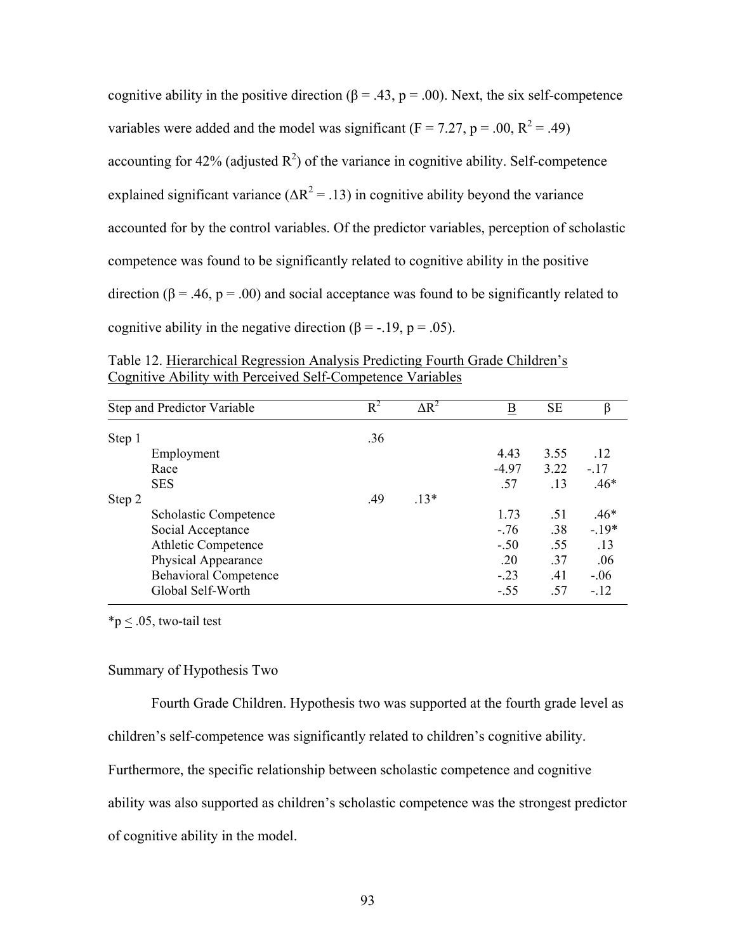cognitive ability in the positive direction ( $\beta = .43$ ,  $p = .00$ ). Next, the six self-competence variables were added and the model was significant ( $F = 7.27$ ,  $p = .00$ ,  $R^2 = .49$ ) accounting for 42% (adjusted  $R^2$ ) of the variance in cognitive ability. Self-competence explained significant variance ( $\Delta R^2$  = .13) in cognitive ability beyond the variance accounted for by the control variables. Of the predictor variables, perception of scholastic competence was found to be significantly related to cognitive ability in the positive direction ( $\beta$  = .46,  $p$  = .00) and social acceptance was found to be significantly related to cognitive ability in the negative direction ( $\beta$  = -.19, p = .05).

Table 12. Hierarchical Regression Analysis Predicting Fourth Grade Children's Cognitive Ability with Perceived Self-Competence Variables

|        | Step and Predictor Variable  | $R^2$ | $\Delta R^2$ | $\overline{\mathbf{B}}$ | <b>SE</b> | β      |
|--------|------------------------------|-------|--------------|-------------------------|-----------|--------|
| Step 1 |                              | .36   |              |                         |           |        |
|        | Employment                   |       |              | 4.43                    | 3.55      | .12    |
|        | Race                         |       |              | $-4.97$                 | 3.22      | $-.17$ |
|        | <b>SES</b>                   |       |              | .57                     | .13       | $.46*$ |
| Step 2 |                              | .49   | $.13*$       |                         |           |        |
|        | <b>Scholastic Competence</b> |       |              | 1.73                    | .51       | $.46*$ |
|        | Social Acceptance            |       |              | $-.76$                  | .38       | $-19*$ |
|        | <b>Athletic Competence</b>   |       |              | $-.50$                  | .55       | .13    |
|        | Physical Appearance          |       |              | .20                     | .37       | .06    |
|        | <b>Behavioral Competence</b> |       |              | $-.23$                  | .41       | $-.06$ |
|        | Global Self-Worth            |       |              | $-.55$                  | .57       | $-.12$ |

\*p  $\leq$  .05, two-tail test

# Summary of Hypothesis Two

Fourth Grade Children. Hypothesis two was supported at the fourth grade level as children's self-competence was significantly related to children's cognitive ability.

Furthermore, the specific relationship between scholastic competence and cognitive

ability was also supported as children's scholastic competence was the strongest predictor

of cognitive ability in the model.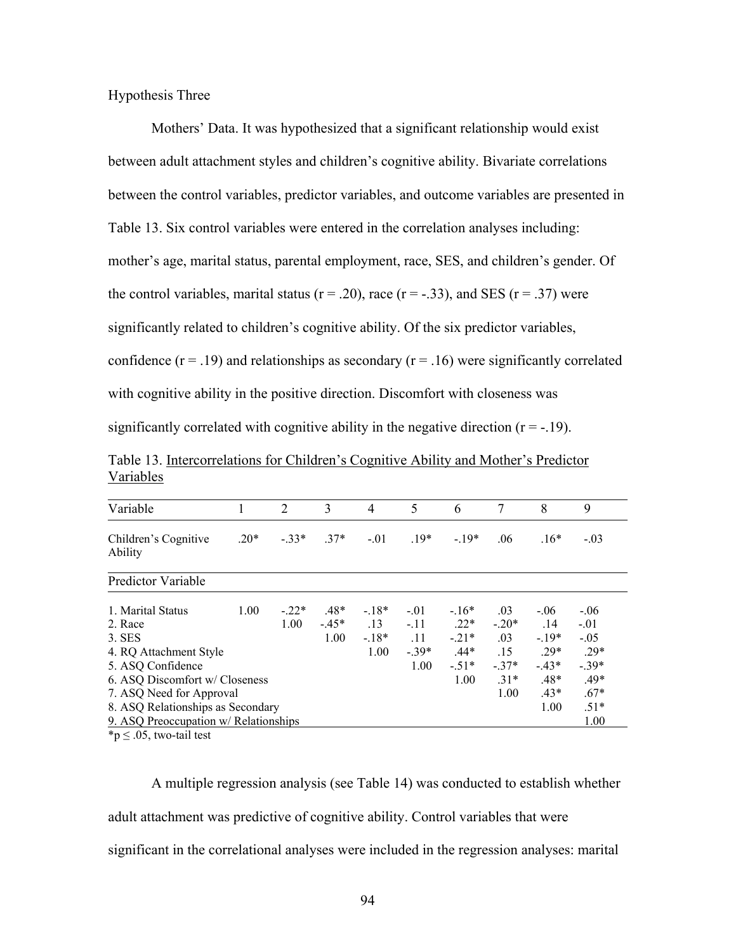Hypothesis Three

Mothers' Data. It was hypothesized that a significant relationship would exist between adult attachment styles and children's cognitive ability. Bivariate correlations between the control variables, predictor variables, and outcome variables are presented in Table 13. Six control variables were entered in the correlation analyses including: mother's age, marital status, parental employment, race, SES, and children's gender. Of the control variables, marital status ( $r = .20$ ), race ( $r = .33$ ), and SES ( $r = .37$ ) were significantly related to children's cognitive ability. Of the six predictor variables, confidence  $(r = .19)$  and relationships as secondary  $(r = .16)$  were significantly correlated with cognitive ability in the positive direction. Discomfort with closeness was significantly correlated with cognitive ability in the negative direction  $(r = -19)$ .

Table 13. Intercorrelations for Children's Cognitive Ability and Mother's Predictor Variables

| Variable                              | 1      | 2       | 3      | 4                | 5      | 6      | 7      | 8      | 9       |
|---------------------------------------|--------|---------|--------|------------------|--------|--------|--------|--------|---------|
| Children's Cognitive<br>Ability       | $.20*$ | $-33*$  | $.37*$ | $-01$            | $.19*$ | $-19*$ | .06    | $.16*$ | $-.03$  |
| <b>Predictor Variable</b>             |        |         |        |                  |        |        |        |        |         |
| 1. Marital Status                     | 1.00   | $-.22*$ | $.48*$ | $-18*$           | $-.01$ | $-16*$ | .03    | $-.06$ | $-.06$  |
| 2. Race                               |        | 1.00    | $-45*$ | $\overline{.}13$ | $-11$  | $.22*$ | $-20*$ | .14    | $-.01$  |
| $3.$ SES                              |        |         | 1.00   | $-.18*$          | .11    | $-21*$ | .03    | $-19*$ | $-.05$  |
| 4. RQ Attachment Style                |        |         |        | 1.00             | $-39*$ | $.44*$ | .15    | 29*    | $.29*$  |
| 5. ASQ Confidence                     |        |         |        |                  | 1.00   | $-51*$ | $-37*$ | $-43*$ | $-.39*$ |
| 6. ASQ Discomfort w/ Closeness        |        |         |        |                  |        | 1.00   | $.31*$ | $.48*$ | $.49*$  |
| 7. ASQ Need for Approval              |        |         |        |                  |        |        | 1.00   | $.43*$ | $.67*$  |
| 8. ASQ Relationships as Secondary     |        |         |        |                  |        |        |        | 1.00   | $.51*$  |
| 9. ASQ Preoccupation w/ Relationships |        |         |        |                  |        |        |        |        | 1.00    |

 $*p \leq .05$ , two-tail test

A multiple regression analysis (see Table 14) was conducted to establish whether adult attachment was predictive of cognitive ability. Control variables that were significant in the correlational analyses were included in the regression analyses: marital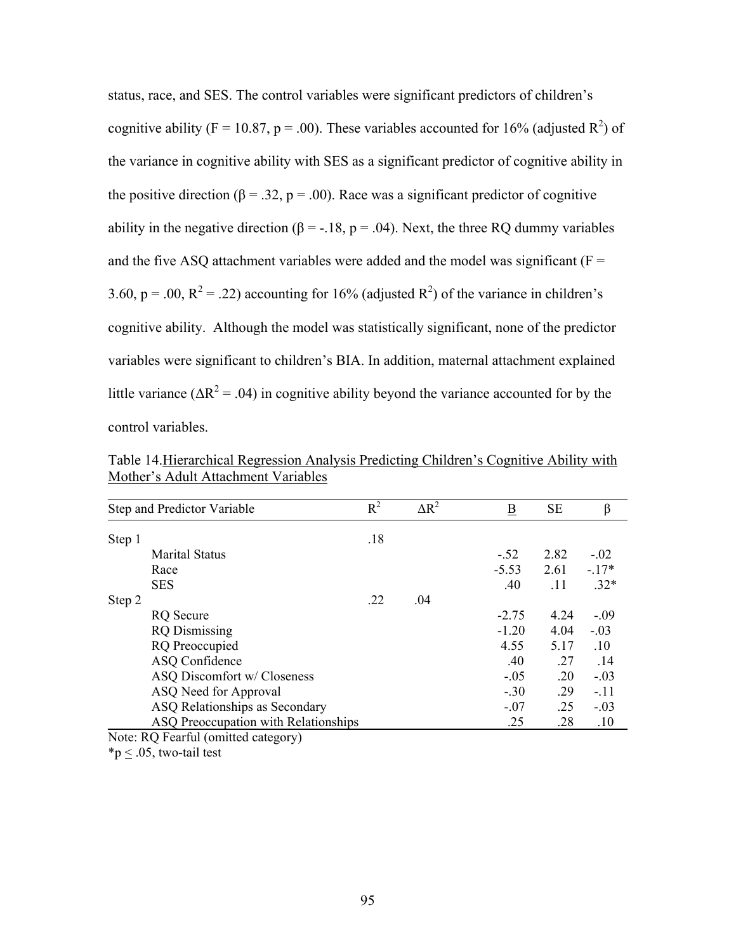status, race, and SES. The control variables were significant predictors of children's cognitive ability (F = 10.87, p = .00). These variables accounted for 16% (adjusted  $R^2$ ) of the variance in cognitive ability with SES as a significant predictor of cognitive ability in the positive direction ( $\beta = 0.32$ ,  $p = 0.00$ ). Race was a significant predictor of cognitive ability in the negative direction ( $\beta = -18$ ,  $p = .04$ ). Next, the three RQ dummy variables and the five ASQ attachment variables were added and the model was significant ( $F =$ 3.60, p = .00, R<sup>2</sup> = .22) accounting for 16% (adjusted R<sup>2</sup>) of the variance in children's cognitive ability. Although the model was statistically significant, none of the predictor variables were significant to children's BIA. In addition, maternal attachment explained little variance ( $\Delta R^2$  = .04) in cognitive ability beyond the variance accounted for by the control variables.

|        | Step and Predictor Variable          | $R^2$ | $\Delta R^2$ | $\overline{\mathbf{B}}$ | <b>SE</b> | β       |
|--------|--------------------------------------|-------|--------------|-------------------------|-----------|---------|
| Step 1 |                                      | .18   |              |                         |           |         |
|        | <b>Marital Status</b>                |       |              | $-.52$                  | 2.82      | $-.02$  |
|        | Race                                 |       |              | $-5.53$                 | 2.61      | $-.17*$ |
|        | <b>SES</b>                           |       |              | .40                     | .11       | $.32*$  |
| Step 2 |                                      | .22   | .04          |                         |           |         |
|        | <b>RQ</b> Secure                     |       |              | $-2.75$                 | 4.24      | $-.09$  |
|        | <b>RQ</b> Dismissing                 |       |              | $-1.20$                 | 4.04      | $-.03$  |
|        | <b>RQ</b> Preoccupied                |       |              | 4.55                    | 5.17      | .10     |
|        | ASQ Confidence                       |       |              | .40                     | .27       | .14     |
|        | ASQ Discomfort w/ Closeness          |       |              | $-.05$                  | .20       | $-.03$  |
|        | ASQ Need for Approval                |       |              | $-.30$                  | .29       | $-.11$  |
|        | ASQ Relationships as Secondary       |       |              | $-.07$                  | .25       | $-.03$  |
|        | ASQ Preoccupation with Relationships |       |              | .25                     | .28       | .10     |
|        | Note: RQ Fearful (omitted category)  |       |              |                         |           |         |

Table 14.Hierarchical Regression Analysis Predicting Children's Cognitive Ability with Mother's Adult Attachment Variables

\*p  $\leq$  .05, two-tail test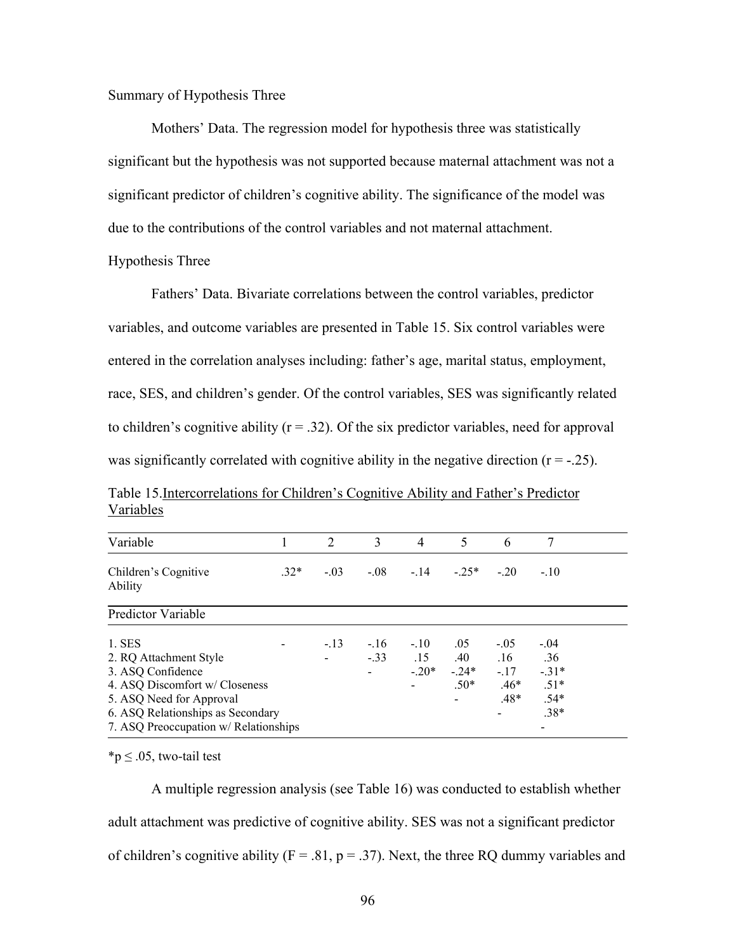Summary of Hypothesis Three

Mothers' Data. The regression model for hypothesis three was statistically significant but the hypothesis was not supported because maternal attachment was not a significant predictor of children's cognitive ability. The significance of the model was due to the contributions of the control variables and not maternal attachment.

## Hypothesis Three

Fathers' Data. Bivariate correlations between the control variables, predictor variables, and outcome variables are presented in Table 15. Six control variables were entered in the correlation analyses including: father's age, marital status, employment, race, SES, and children's gender. Of the control variables, SES was significantly related to children's cognitive ability  $(r = .32)$ . Of the six predictor variables, need for approval was significantly correlated with cognitive ability in the negative direction  $(r = -0.25)$ .

Table 15.Intercorrelations for Children's Cognitive Ability and Father's Predictor Variables

| Variable                              |        | 2      | 3      | $\overline{4}$ | 5      | 6      | 7       |  |
|---------------------------------------|--------|--------|--------|----------------|--------|--------|---------|--|
| Children's Cognitive<br>Ability       | $.32*$ | $-.03$ | $-08$  | $-14$          | $-25*$ | $-20$  | $-10$   |  |
| <b>Predictor Variable</b>             |        |        |        |                |        |        |         |  |
| 1. SES                                |        | $-.13$ | $-.16$ | $-.10$         | .05    | $-.05$ | $-.04$  |  |
| 2. RQ Attachment Style                |        |        | $-33$  | .15            | .40    | .16    | .36     |  |
| 3. ASQ Confidence                     |        |        |        | $-20*$         | $-24*$ | $-.17$ | $-.31*$ |  |
| 4. ASQ Discomfort w/ Closeness        |        |        |        |                | $.50*$ | $.46*$ | $.51*$  |  |
| 5. ASQ Need for Approval              |        |        |        |                |        | $.48*$ | $.54*$  |  |
| 6. ASQ Relationships as Secondary     |        |        |        |                |        |        | $.38*$  |  |
| 7. ASQ Preoccupation w/ Relationships |        |        |        |                |        |        |         |  |

 $*$ p  $\leq$  .05, two-tail test

A multiple regression analysis (see Table 16) was conducted to establish whether adult attachment was predictive of cognitive ability. SES was not a significant predictor of children's cognitive ability ( $F = .81$ ,  $p = .37$ ). Next, the three RQ dummy variables and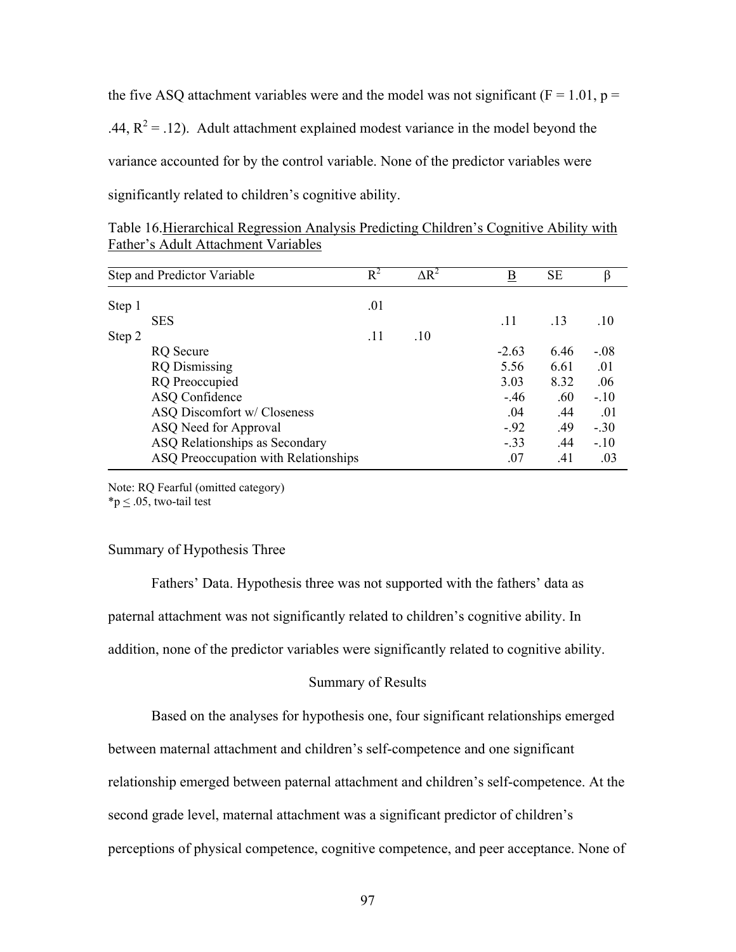the five ASQ attachment variables were and the model was not significant ( $F = 1.01$ ,  $p =$ .44,  $R^2 = .12$ ). Adult attachment explained modest variance in the model beyond the variance accounted for by the control variable. None of the predictor variables were significantly related to children's cognitive ability.

| Step and Predictor Variable                                                         |                                      | $R^2$ | $\Delta R^2$ | B       | <b>SE</b> | β      |
|-------------------------------------------------------------------------------------|--------------------------------------|-------|--------------|---------|-----------|--------|
| Step 1                                                                              |                                      | .01   |              |         |           |        |
|                                                                                     | <b>SES</b>                           |       |              | .11     | .13       | .10    |
| Step 2                                                                              |                                      | .11   | .10          |         |           |        |
| <b>RQ</b> Secure<br><b>RQ</b> Dismissing<br><b>RQ</b> Preoccupied<br>ASQ Confidence |                                      |       |              | $-2.63$ | 6.46      | $-.08$ |
|                                                                                     |                                      |       |              | 5.56    | 6.61      | .01    |
|                                                                                     |                                      |       |              | 3.03    | 8.32      | .06    |
|                                                                                     |                                      |       |              | $-.46$  | .60       | $-.10$ |
| ASQ Discomfort w/ Closeness                                                         |                                      |       |              | .04     | .44       | .01    |
|                                                                                     | ASQ Need for Approval                |       |              | $-.92$  | .49       | $-.30$ |
|                                                                                     | ASQ Relationships as Secondary       |       |              | $-.33$  | .44       | $-10$  |
|                                                                                     | ASQ Preoccupation with Relationships |       |              | .07     | .41       | .03    |

Table 16.Hierarchical Regression Analysis Predicting Children's Cognitive Ability with Father's Adult Attachment Variables

Note: RQ Fearful (omitted category)

 $*p < .05$ , two-tail test

## Summary of Hypothesis Three

Fathers' Data. Hypothesis three was not supported with the fathers' data as paternal attachment was not significantly related to children's cognitive ability. In addition, none of the predictor variables were significantly related to cognitive ability.

# Summary of Results

Based on the analyses for hypothesis one, four significant relationships emerged

between maternal attachment and children's self-competence and one significant

relationship emerged between paternal attachment and children's self-competence. At the

second grade level, maternal attachment was a significant predictor of children's

perceptions of physical competence, cognitive competence, and peer acceptance. None of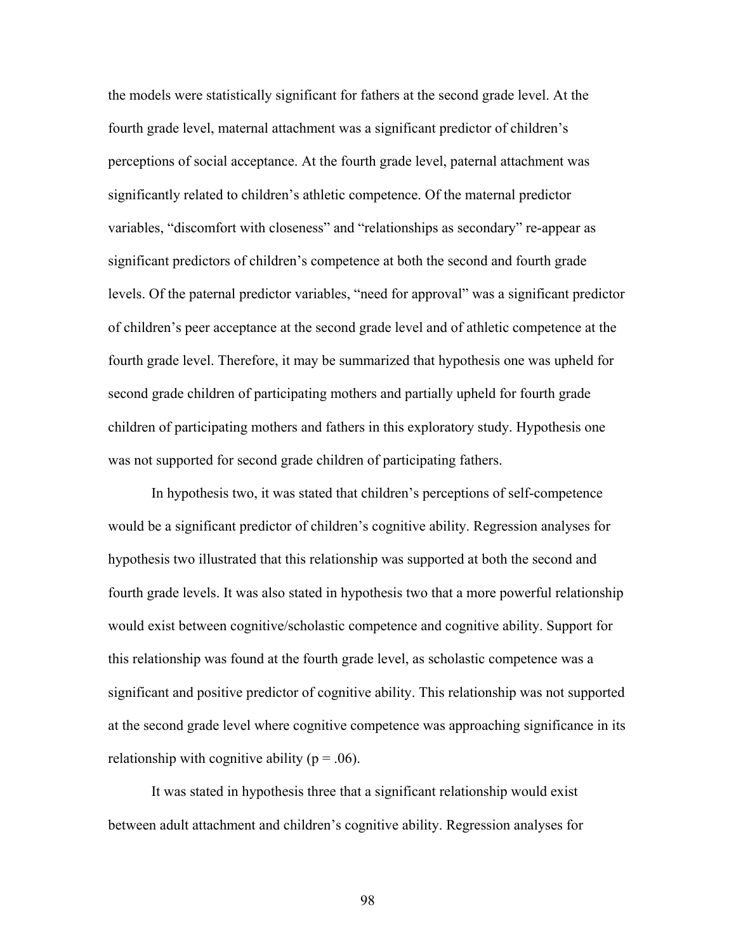the models were statistically significant for fathers at the second grade level. At the fourth grade level, maternal attachment was a significant predictor of children's perceptions of social acceptance. At the fourth grade level, paternal attachment was significantly related to children's athletic competence. Of the maternal predictor variables, "discomfort with closeness" and "relationships as secondary" re-appear as significant predictors of children's competence at both the second and fourth grade levels. Of the paternal predictor variables, "need for approval" was a significant predictor of children's peer acceptance at the second grade level and of athletic competence at the fourth grade level. Therefore, it may be summarized that hypothesis one was upheld for second grade children of participating mothers and partially upheld for fourth grade children of participating mothers and fathers in this exploratory study. Hypothesis one was not supported for second grade children of participating fathers.

 In hypothesis two, it was stated that children's perceptions of self-competence would be a significant predictor of children's cognitive ability. Regression analyses for hypothesis two illustrated that this relationship was supported at both the second and fourth grade levels. It was also stated in hypothesis two that a more powerful relationship would exist between cognitive/scholastic competence and cognitive ability. Support for this relationship was found at the fourth grade level, as scholastic competence was a significant and positive predictor of cognitive ability. This relationship was not supported at the second grade level where cognitive competence was approaching significance in its relationship with cognitive ability ( $p = .06$ ).

 It was stated in hypothesis three that a significant relationship would exist between adult attachment and children's cognitive ability. Regression analyses for

98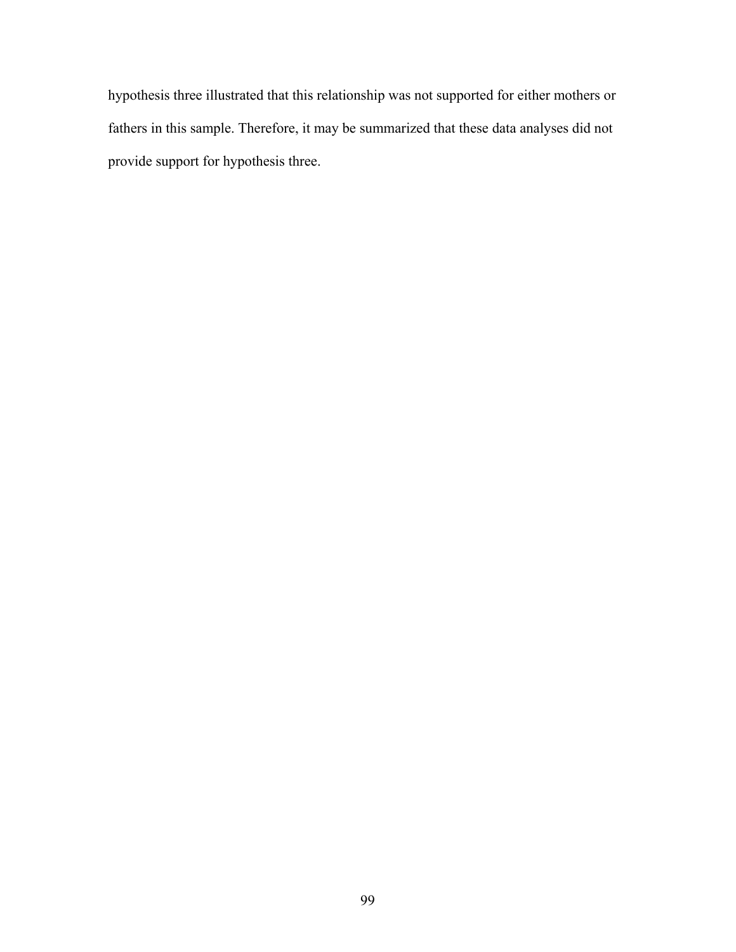hypothesis three illustrated that this relationship was not supported for either mothers or fathers in this sample. Therefore, it may be summarized that these data analyses did not provide support for hypothesis three.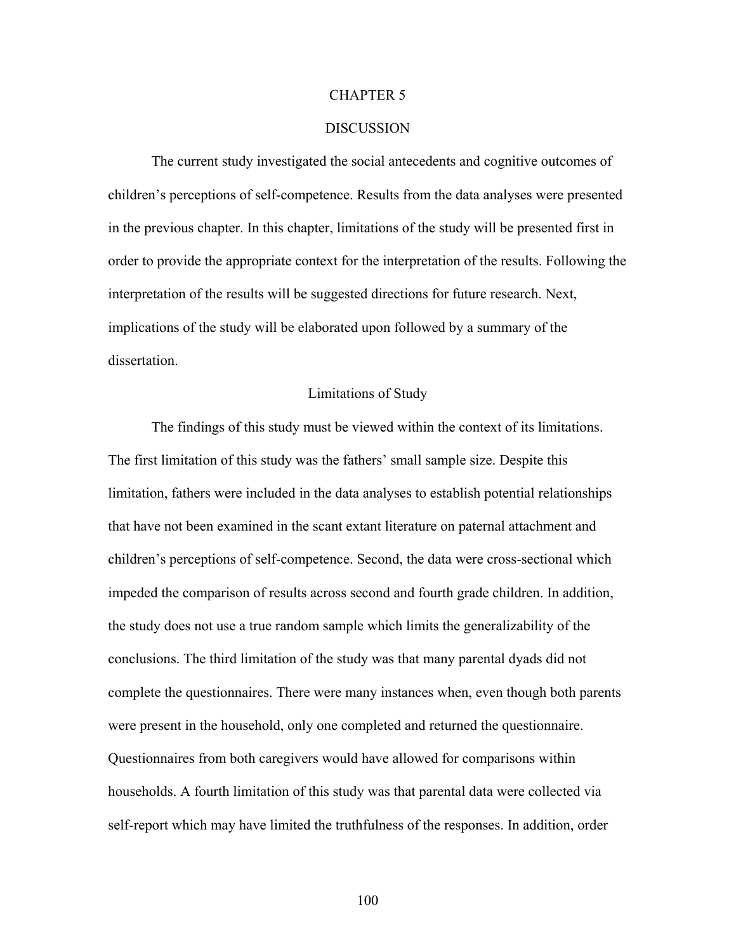#### CHAPTER 5

## DISCUSSION

 The current study investigated the social antecedents and cognitive outcomes of children's perceptions of self-competence. Results from the data analyses were presented in the previous chapter. In this chapter, limitations of the study will be presented first in order to provide the appropriate context for the interpretation of the results. Following the interpretation of the results will be suggested directions for future research. Next, implications of the study will be elaborated upon followed by a summary of the dissertation.

## Limitations of Study

The findings of this study must be viewed within the context of its limitations. The first limitation of this study was the fathers' small sample size. Despite this limitation, fathers were included in the data analyses to establish potential relationships that have not been examined in the scant extant literature on paternal attachment and children's perceptions of self-competence. Second, the data were cross-sectional which impeded the comparison of results across second and fourth grade children. In addition, the study does not use a true random sample which limits the generalizability of the conclusions. The third limitation of the study was that many parental dyads did not complete the questionnaires. There were many instances when, even though both parents were present in the household, only one completed and returned the questionnaire. Questionnaires from both caregivers would have allowed for comparisons within households. A fourth limitation of this study was that parental data were collected via self-report which may have limited the truthfulness of the responses. In addition, order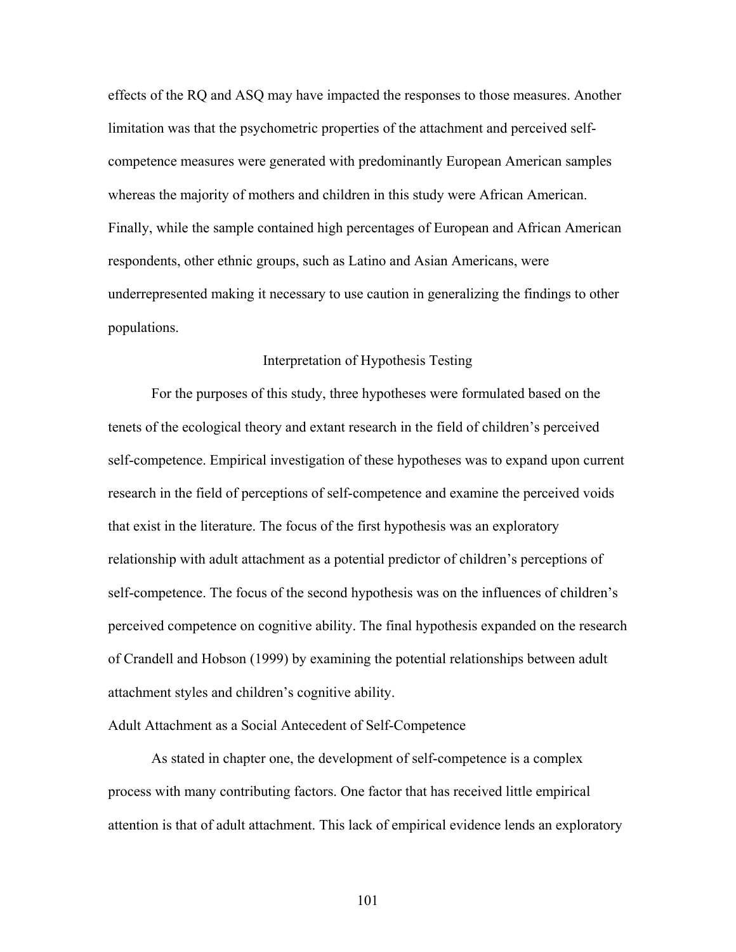effects of the RQ and ASQ may have impacted the responses to those measures. Another limitation was that the psychometric properties of the attachment and perceived selfcompetence measures were generated with predominantly European American samples whereas the majority of mothers and children in this study were African American. Finally, while the sample contained high percentages of European and African American respondents, other ethnic groups, such as Latino and Asian Americans, were underrepresented making it necessary to use caution in generalizing the findings to other populations.

#### Interpretation of Hypothesis Testing

 For the purposes of this study, three hypotheses were formulated based on the tenets of the ecological theory and extant research in the field of children's perceived self-competence. Empirical investigation of these hypotheses was to expand upon current research in the field of perceptions of self-competence and examine the perceived voids that exist in the literature. The focus of the first hypothesis was an exploratory relationship with adult attachment as a potential predictor of children's perceptions of self-competence. The focus of the second hypothesis was on the influences of children's perceived competence on cognitive ability. The final hypothesis expanded on the research of Crandell and Hobson (1999) by examining the potential relationships between adult attachment styles and children's cognitive ability.

# Adult Attachment as a Social Antecedent of Self-Competence

As stated in chapter one, the development of self-competence is a complex process with many contributing factors. One factor that has received little empirical attention is that of adult attachment. This lack of empirical evidence lends an exploratory

101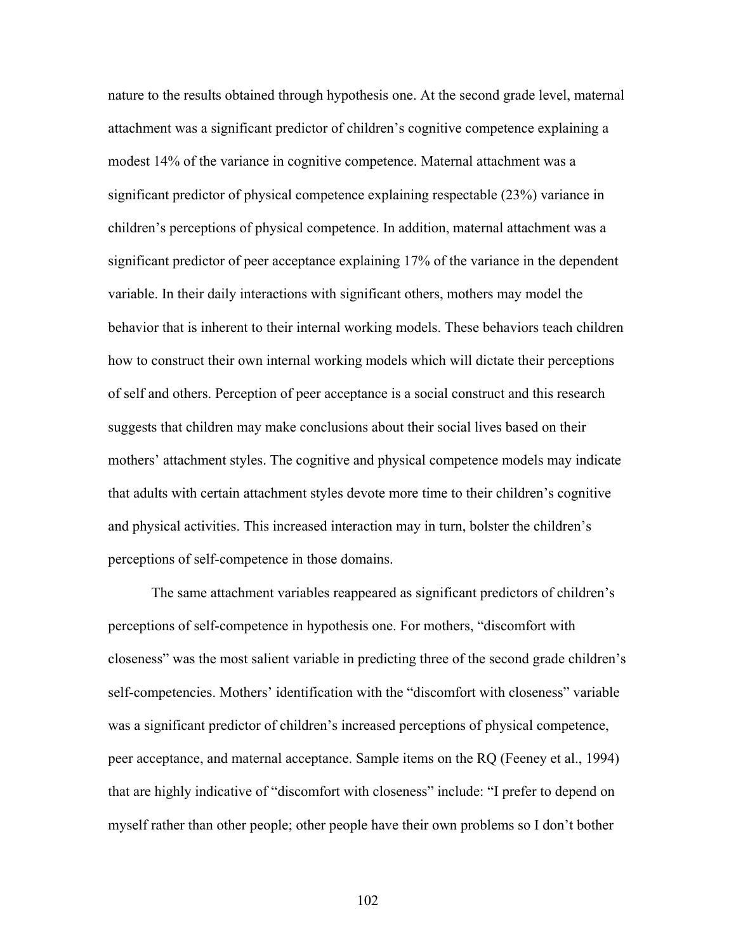nature to the results obtained through hypothesis one. At the second grade level, maternal attachment was a significant predictor of children's cognitive competence explaining a modest 14% of the variance in cognitive competence. Maternal attachment was a significant predictor of physical competence explaining respectable (23%) variance in children's perceptions of physical competence. In addition, maternal attachment was a significant predictor of peer acceptance explaining 17% of the variance in the dependent variable. In their daily interactions with significant others, mothers may model the behavior that is inherent to their internal working models. These behaviors teach children how to construct their own internal working models which will dictate their perceptions of self and others. Perception of peer acceptance is a social construct and this research suggests that children may make conclusions about their social lives based on their mothers' attachment styles. The cognitive and physical competence models may indicate that adults with certain attachment styles devote more time to their children's cognitive and physical activities. This increased interaction may in turn, bolster the children's perceptions of self-competence in those domains.

The same attachment variables reappeared as significant predictors of children's perceptions of self-competence in hypothesis one. For mothers, "discomfort with closeness" was the most salient variable in predicting three of the second grade children's self-competencies. Mothers' identification with the "discomfort with closeness" variable was a significant predictor of children's increased perceptions of physical competence, peer acceptance, and maternal acceptance. Sample items on the RQ (Feeney et al., 1994) that are highly indicative of "discomfort with closeness" include: "I prefer to depend on myself rather than other people; other people have their own problems so I don't bother

102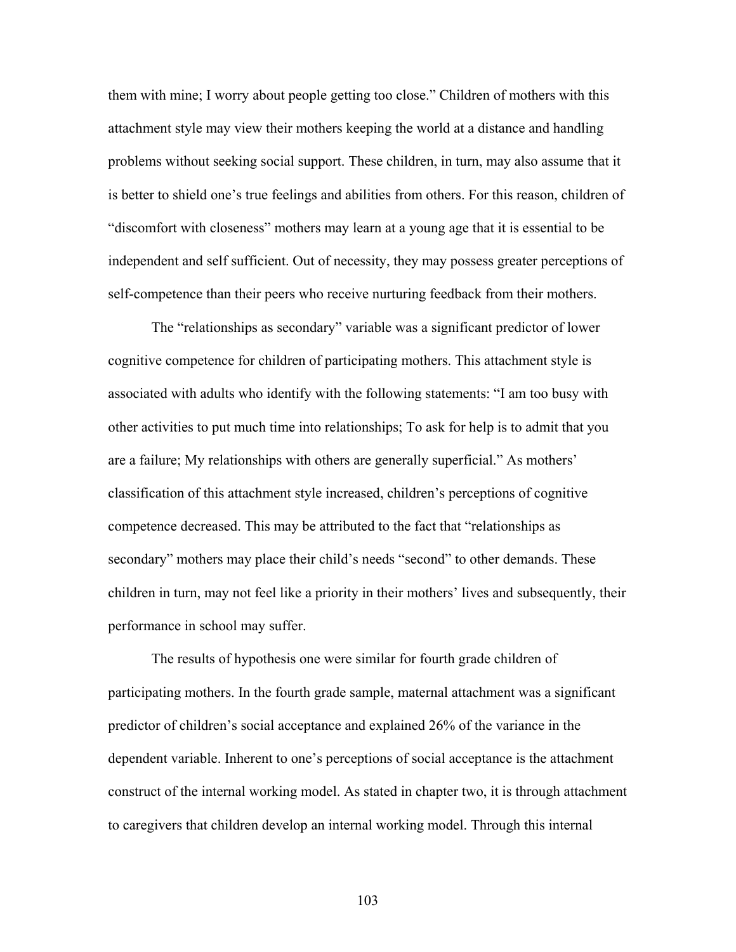them with mine; I worry about people getting too close." Children of mothers with this attachment style may view their mothers keeping the world at a distance and handling problems without seeking social support. These children, in turn, may also assume that it is better to shield one's true feelings and abilities from others. For this reason, children of "discomfort with closeness" mothers may learn at a young age that it is essential to be independent and self sufficient. Out of necessity, they may possess greater perceptions of self-competence than their peers who receive nurturing feedback from their mothers.

The "relationships as secondary" variable was a significant predictor of lower cognitive competence for children of participating mothers. This attachment style is associated with adults who identify with the following statements: "I am too busy with other activities to put much time into relationships; To ask for help is to admit that you are a failure; My relationships with others are generally superficial." As mothers' classification of this attachment style increased, children's perceptions of cognitive competence decreased. This may be attributed to the fact that "relationships as secondary" mothers may place their child's needs "second" to other demands. These children in turn, may not feel like a priority in their mothers' lives and subsequently, their performance in school may suffer.

The results of hypothesis one were similar for fourth grade children of participating mothers. In the fourth grade sample, maternal attachment was a significant predictor of children's social acceptance and explained 26% of the variance in the dependent variable. Inherent to one's perceptions of social acceptance is the attachment construct of the internal working model. As stated in chapter two, it is through attachment to caregivers that children develop an internal working model. Through this internal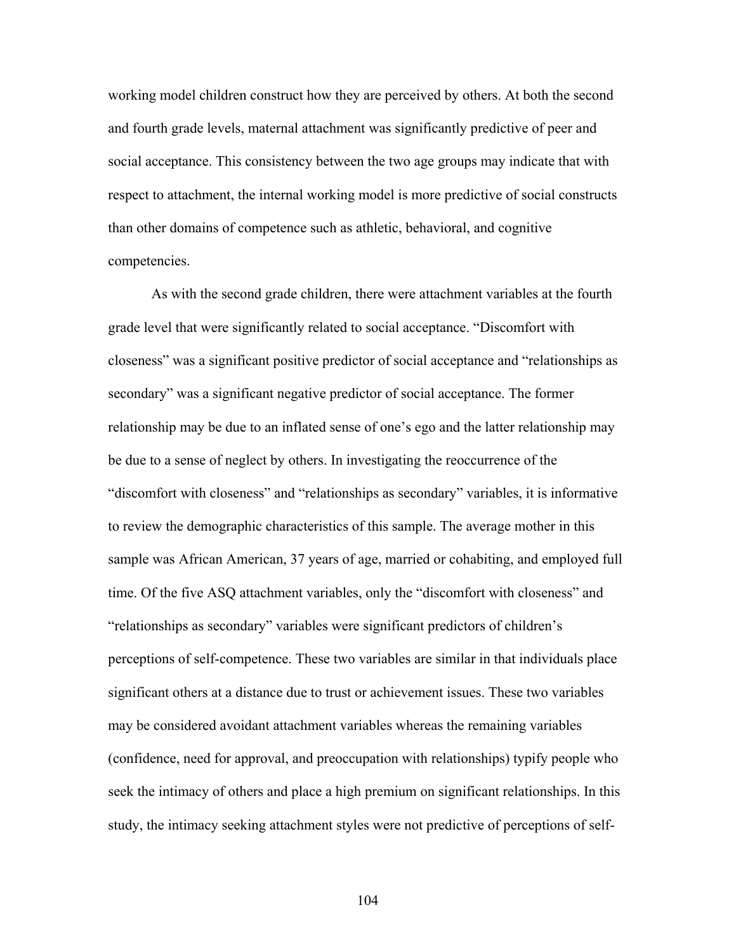working model children construct how they are perceived by others. At both the second and fourth grade levels, maternal attachment was significantly predictive of peer and social acceptance. This consistency between the two age groups may indicate that with respect to attachment, the internal working model is more predictive of social constructs than other domains of competence such as athletic, behavioral, and cognitive competencies.

As with the second grade children, there were attachment variables at the fourth grade level that were significantly related to social acceptance. "Discomfort with closeness" was a significant positive predictor of social acceptance and "relationships as secondary" was a significant negative predictor of social acceptance. The former relationship may be due to an inflated sense of one's ego and the latter relationship may be due to a sense of neglect by others. In investigating the reoccurrence of the "discomfort with closeness" and "relationships as secondary" variables, it is informative to review the demographic characteristics of this sample. The average mother in this sample was African American, 37 years of age, married or cohabiting, and employed full time. Of the five ASQ attachment variables, only the "discomfort with closeness" and "relationships as secondary" variables were significant predictors of children's perceptions of self-competence. These two variables are similar in that individuals place significant others at a distance due to trust or achievement issues. These two variables may be considered avoidant attachment variables whereas the remaining variables (confidence, need for approval, and preoccupation with relationships) typify people who seek the intimacy of others and place a high premium on significant relationships. In this study, the intimacy seeking attachment styles were not predictive of perceptions of self-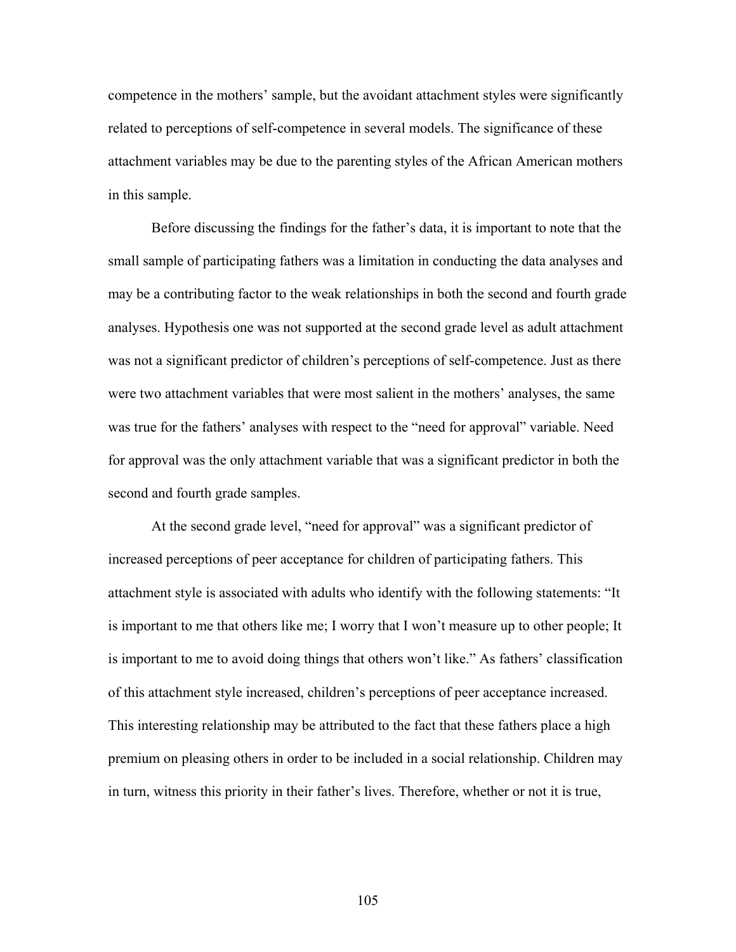competence in the mothers' sample, but the avoidant attachment styles were significantly related to perceptions of self-competence in several models. The significance of these attachment variables may be due to the parenting styles of the African American mothers in this sample.

Before discussing the findings for the father's data, it is important to note that the small sample of participating fathers was a limitation in conducting the data analyses and may be a contributing factor to the weak relationships in both the second and fourth grade analyses. Hypothesis one was not supported at the second grade level as adult attachment was not a significant predictor of children's perceptions of self-competence. Just as there were two attachment variables that were most salient in the mothers' analyses, the same was true for the fathers' analyses with respect to the "need for approval" variable. Need for approval was the only attachment variable that was a significant predictor in both the second and fourth grade samples.

At the second grade level, "need for approval" was a significant predictor of increased perceptions of peer acceptance for children of participating fathers. This attachment style is associated with adults who identify with the following statements: "It is important to me that others like me; I worry that I won't measure up to other people; It is important to me to avoid doing things that others won't like." As fathers' classification of this attachment style increased, children's perceptions of peer acceptance increased. This interesting relationship may be attributed to the fact that these fathers place a high premium on pleasing others in order to be included in a social relationship. Children may in turn, witness this priority in their father's lives. Therefore, whether or not it is true,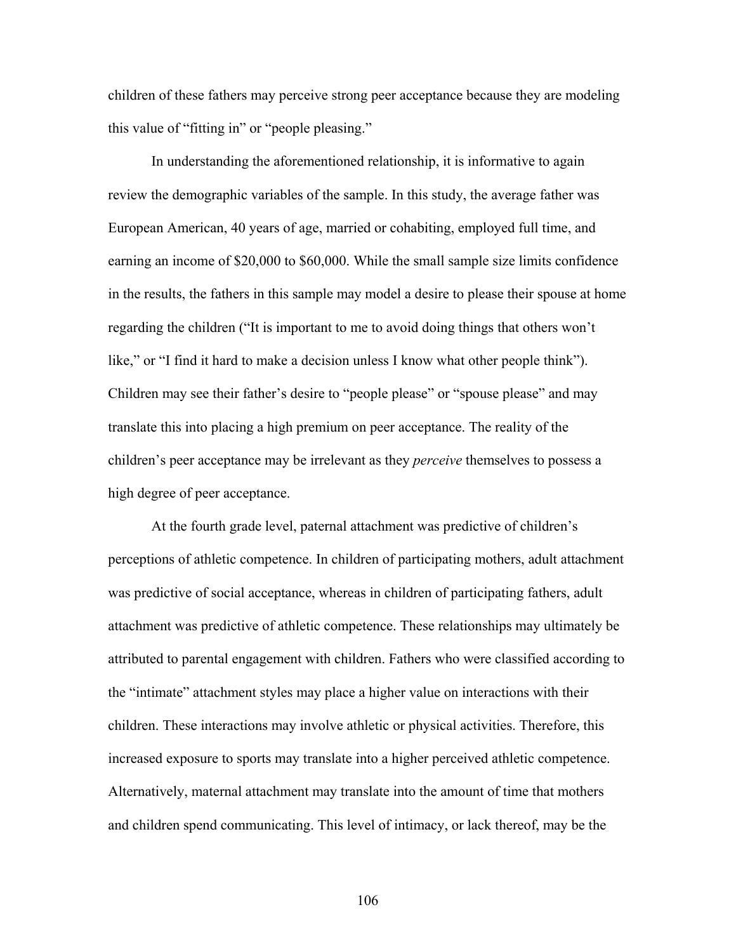children of these fathers may perceive strong peer acceptance because they are modeling this value of "fitting in" or "people pleasing."

In understanding the aforementioned relationship, it is informative to again review the demographic variables of the sample. In this study, the average father was European American, 40 years of age, married or cohabiting, employed full time, and earning an income of \$20,000 to \$60,000. While the small sample size limits confidence in the results, the fathers in this sample may model a desire to please their spouse at home regarding the children ("It is important to me to avoid doing things that others won't like," or "I find it hard to make a decision unless I know what other people think"). Children may see their father's desire to "people please" or "spouse please" and may translate this into placing a high premium on peer acceptance. The reality of the children's peer acceptance may be irrelevant as they *perceive* themselves to possess a high degree of peer acceptance.

At the fourth grade level, paternal attachment was predictive of children's perceptions of athletic competence. In children of participating mothers, adult attachment was predictive of social acceptance, whereas in children of participating fathers, adult attachment was predictive of athletic competence. These relationships may ultimately be attributed to parental engagement with children. Fathers who were classified according to the "intimate" attachment styles may place a higher value on interactions with their children. These interactions may involve athletic or physical activities. Therefore, this increased exposure to sports may translate into a higher perceived athletic competence. Alternatively, maternal attachment may translate into the amount of time that mothers and children spend communicating. This level of intimacy, or lack thereof, may be the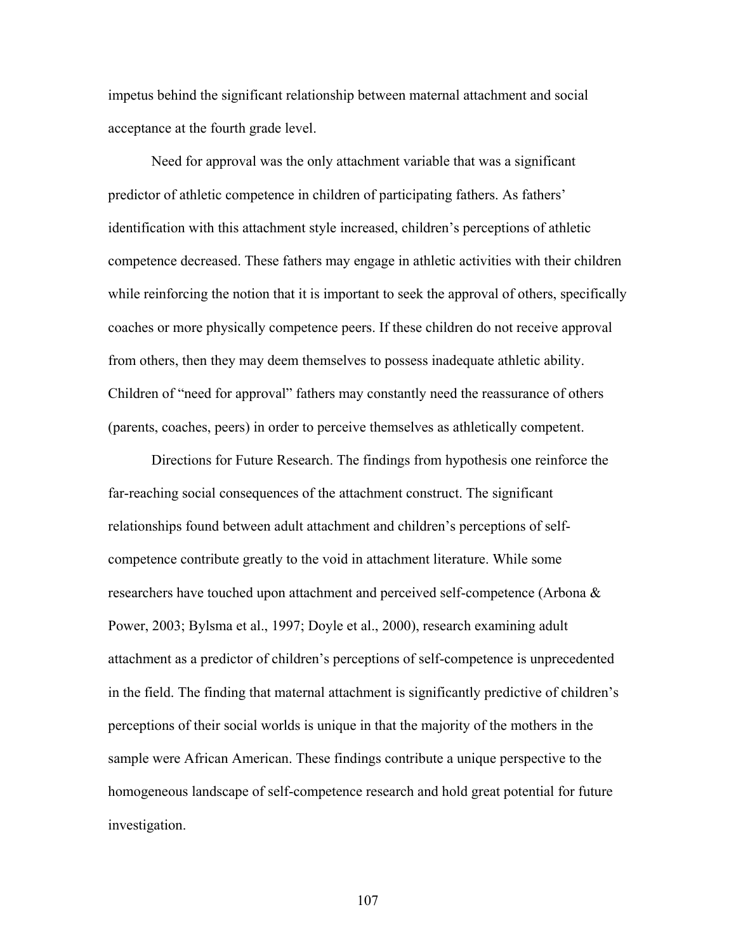impetus behind the significant relationship between maternal attachment and social acceptance at the fourth grade level.

Need for approval was the only attachment variable that was a significant predictor of athletic competence in children of participating fathers. As fathers' identification with this attachment style increased, children's perceptions of athletic competence decreased. These fathers may engage in athletic activities with their children while reinforcing the notion that it is important to seek the approval of others, specifically coaches or more physically competence peers. If these children do not receive approval from others, then they may deem themselves to possess inadequate athletic ability. Children of "need for approval" fathers may constantly need the reassurance of others (parents, coaches, peers) in order to perceive themselves as athletically competent.

Directions for Future Research. The findings from hypothesis one reinforce the far-reaching social consequences of the attachment construct. The significant relationships found between adult attachment and children's perceptions of selfcompetence contribute greatly to the void in attachment literature. While some researchers have touched upon attachment and perceived self-competence (Arbona & Power, 2003; Bylsma et al., 1997; Doyle et al., 2000), research examining adult attachment as a predictor of children's perceptions of self-competence is unprecedented in the field. The finding that maternal attachment is significantly predictive of children's perceptions of their social worlds is unique in that the majority of the mothers in the sample were African American. These findings contribute a unique perspective to the homogeneous landscape of self-competence research and hold great potential for future investigation.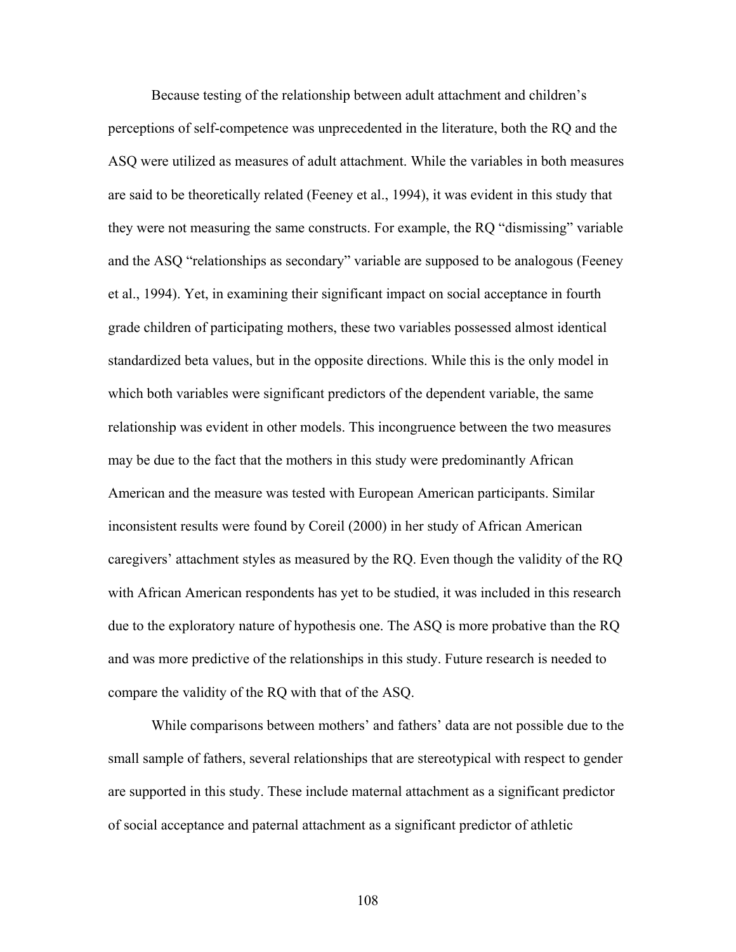Because testing of the relationship between adult attachment and children's perceptions of self-competence was unprecedented in the literature, both the RQ and the ASQ were utilized as measures of adult attachment. While the variables in both measures are said to be theoretically related (Feeney et al., 1994), it was evident in this study that they were not measuring the same constructs. For example, the RQ "dismissing" variable and the ASQ "relationships as secondary" variable are supposed to be analogous (Feeney et al., 1994). Yet, in examining their significant impact on social acceptance in fourth grade children of participating mothers, these two variables possessed almost identical standardized beta values, but in the opposite directions. While this is the only model in which both variables were significant predictors of the dependent variable, the same relationship was evident in other models. This incongruence between the two measures may be due to the fact that the mothers in this study were predominantly African American and the measure was tested with European American participants. Similar inconsistent results were found by Coreil (2000) in her study of African American caregivers' attachment styles as measured by the RQ. Even though the validity of the RQ with African American respondents has yet to be studied, it was included in this research due to the exploratory nature of hypothesis one. The ASQ is more probative than the RQ and was more predictive of the relationships in this study. Future research is needed to compare the validity of the RQ with that of the ASQ.

While comparisons between mothers' and fathers' data are not possible due to the small sample of fathers, several relationships that are stereotypical with respect to gender are supported in this study. These include maternal attachment as a significant predictor of social acceptance and paternal attachment as a significant predictor of athletic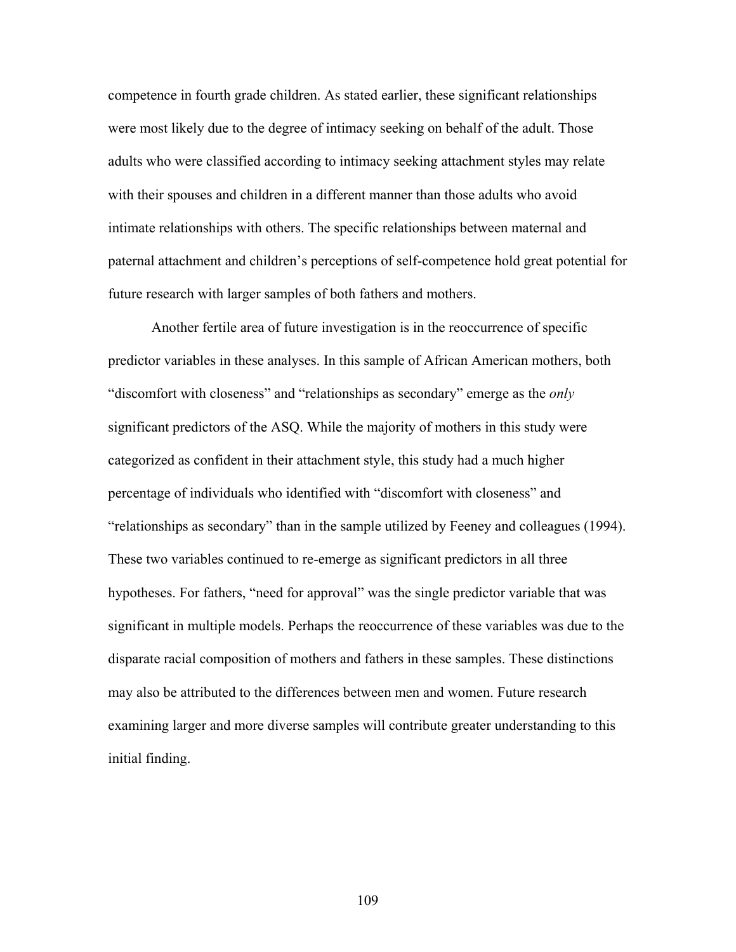competence in fourth grade children. As stated earlier, these significant relationships were most likely due to the degree of intimacy seeking on behalf of the adult. Those adults who were classified according to intimacy seeking attachment styles may relate with their spouses and children in a different manner than those adults who avoid intimate relationships with others. The specific relationships between maternal and paternal attachment and children's perceptions of self-competence hold great potential for future research with larger samples of both fathers and mothers.

Another fertile area of future investigation is in the reoccurrence of specific predictor variables in these analyses. In this sample of African American mothers, both "discomfort with closeness" and "relationships as secondary" emerge as the *only* significant predictors of the ASQ. While the majority of mothers in this study were categorized as confident in their attachment style, this study had a much higher percentage of individuals who identified with "discomfort with closeness" and "relationships as secondary" than in the sample utilized by Feeney and colleagues (1994). These two variables continued to re-emerge as significant predictors in all three hypotheses. For fathers, "need for approval" was the single predictor variable that was significant in multiple models. Perhaps the reoccurrence of these variables was due to the disparate racial composition of mothers and fathers in these samples. These distinctions may also be attributed to the differences between men and women. Future research examining larger and more diverse samples will contribute greater understanding to this initial finding.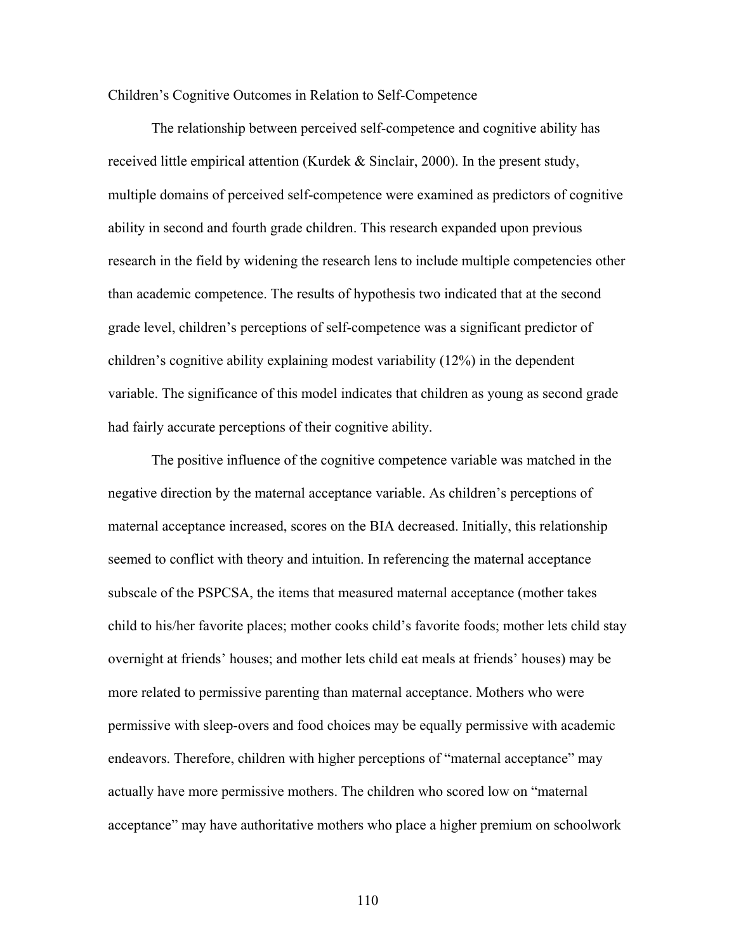#### Children's Cognitive Outcomes in Relation to Self-Competence

 The relationship between perceived self-competence and cognitive ability has received little empirical attention (Kurdek & Sinclair, 2000). In the present study, multiple domains of perceived self-competence were examined as predictors of cognitive ability in second and fourth grade children. This research expanded upon previous research in the field by widening the research lens to include multiple competencies other than academic competence. The results of hypothesis two indicated that at the second grade level, children's perceptions of self-competence was a significant predictor of children's cognitive ability explaining modest variability (12%) in the dependent variable. The significance of this model indicates that children as young as second grade had fairly accurate perceptions of their cognitive ability.

The positive influence of the cognitive competence variable was matched in the negative direction by the maternal acceptance variable. As children's perceptions of maternal acceptance increased, scores on the BIA decreased. Initially, this relationship seemed to conflict with theory and intuition. In referencing the maternal acceptance subscale of the PSPCSA, the items that measured maternal acceptance (mother takes child to his/her favorite places; mother cooks child's favorite foods; mother lets child stay overnight at friends' houses; and mother lets child eat meals at friends' houses) may be more related to permissive parenting than maternal acceptance. Mothers who were permissive with sleep-overs and food choices may be equally permissive with academic endeavors. Therefore, children with higher perceptions of "maternal acceptance" may actually have more permissive mothers. The children who scored low on "maternal acceptance" may have authoritative mothers who place a higher premium on schoolwork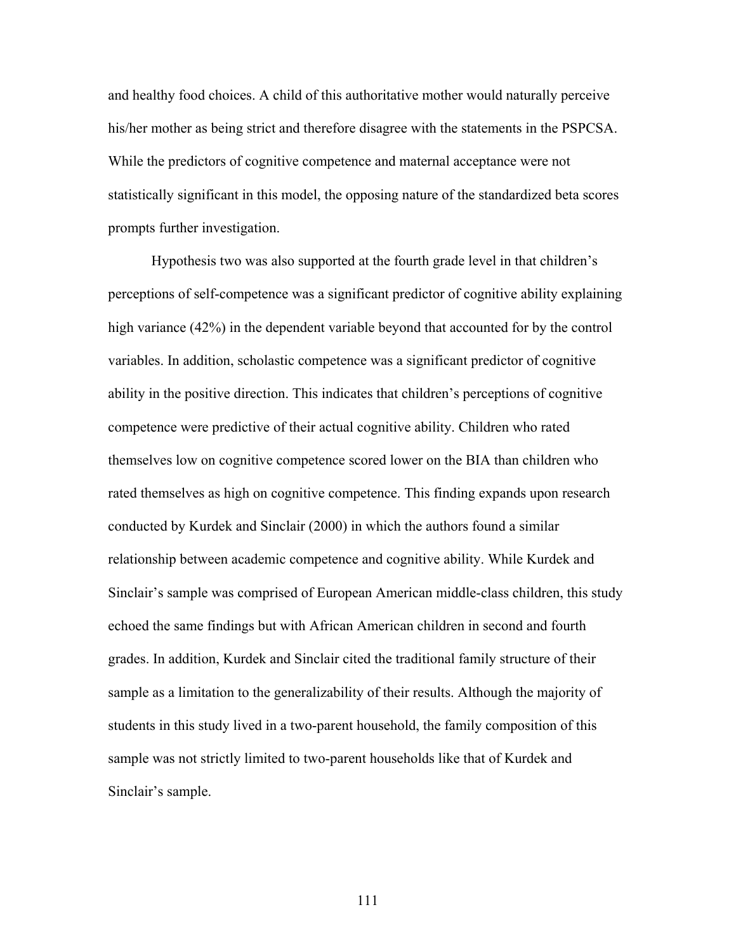and healthy food choices. A child of this authoritative mother would naturally perceive his/her mother as being strict and therefore disagree with the statements in the PSPCSA. While the predictors of cognitive competence and maternal acceptance were not statistically significant in this model, the opposing nature of the standardized beta scores prompts further investigation.

 Hypothesis two was also supported at the fourth grade level in that children's perceptions of self-competence was a significant predictor of cognitive ability explaining high variance (42%) in the dependent variable beyond that accounted for by the control variables. In addition, scholastic competence was a significant predictor of cognitive ability in the positive direction. This indicates that children's perceptions of cognitive competence were predictive of their actual cognitive ability. Children who rated themselves low on cognitive competence scored lower on the BIA than children who rated themselves as high on cognitive competence. This finding expands upon research conducted by Kurdek and Sinclair (2000) in which the authors found a similar relationship between academic competence and cognitive ability. While Kurdek and Sinclair's sample was comprised of European American middle-class children, this study echoed the same findings but with African American children in second and fourth grades. In addition, Kurdek and Sinclair cited the traditional family structure of their sample as a limitation to the generalizability of their results. Although the majority of students in this study lived in a two-parent household, the family composition of this sample was not strictly limited to two-parent households like that of Kurdek and Sinclair's sample.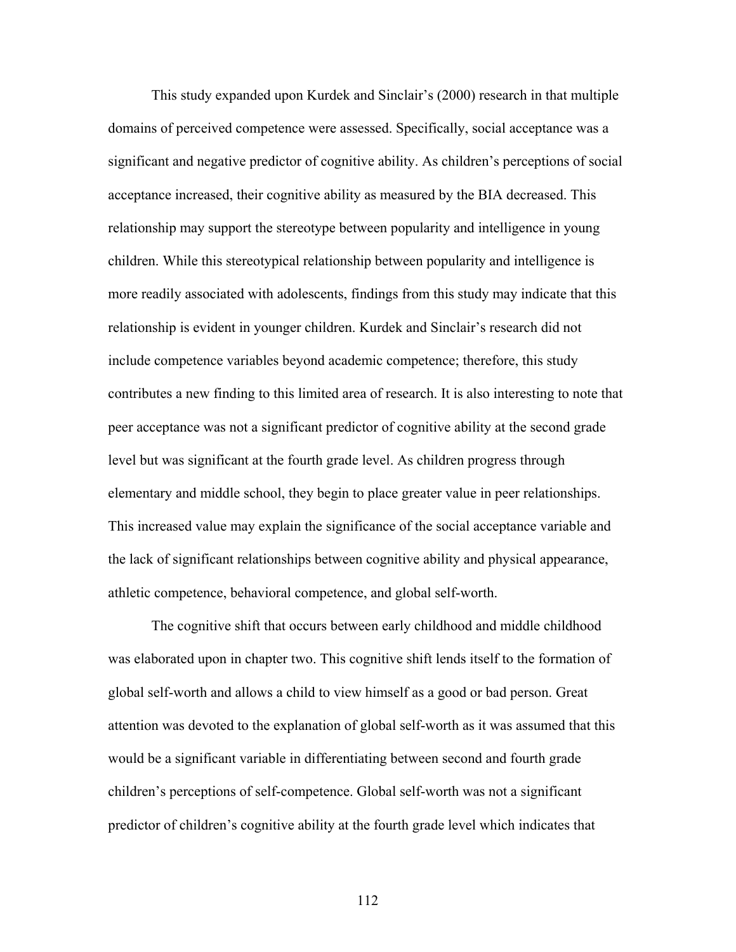This study expanded upon Kurdek and Sinclair's (2000) research in that multiple domains of perceived competence were assessed. Specifically, social acceptance was a significant and negative predictor of cognitive ability. As children's perceptions of social acceptance increased, their cognitive ability as measured by the BIA decreased. This relationship may support the stereotype between popularity and intelligence in young children. While this stereotypical relationship between popularity and intelligence is more readily associated with adolescents, findings from this study may indicate that this relationship is evident in younger children. Kurdek and Sinclair's research did not include competence variables beyond academic competence; therefore, this study contributes a new finding to this limited area of research. It is also interesting to note that peer acceptance was not a significant predictor of cognitive ability at the second grade level but was significant at the fourth grade level. As children progress through elementary and middle school, they begin to place greater value in peer relationships. This increased value may explain the significance of the social acceptance variable and the lack of significant relationships between cognitive ability and physical appearance, athletic competence, behavioral competence, and global self-worth.

The cognitive shift that occurs between early childhood and middle childhood was elaborated upon in chapter two. This cognitive shift lends itself to the formation of global self-worth and allows a child to view himself as a good or bad person. Great attention was devoted to the explanation of global self-worth as it was assumed that this would be a significant variable in differentiating between second and fourth grade children's perceptions of self-competence. Global self-worth was not a significant predictor of children's cognitive ability at the fourth grade level which indicates that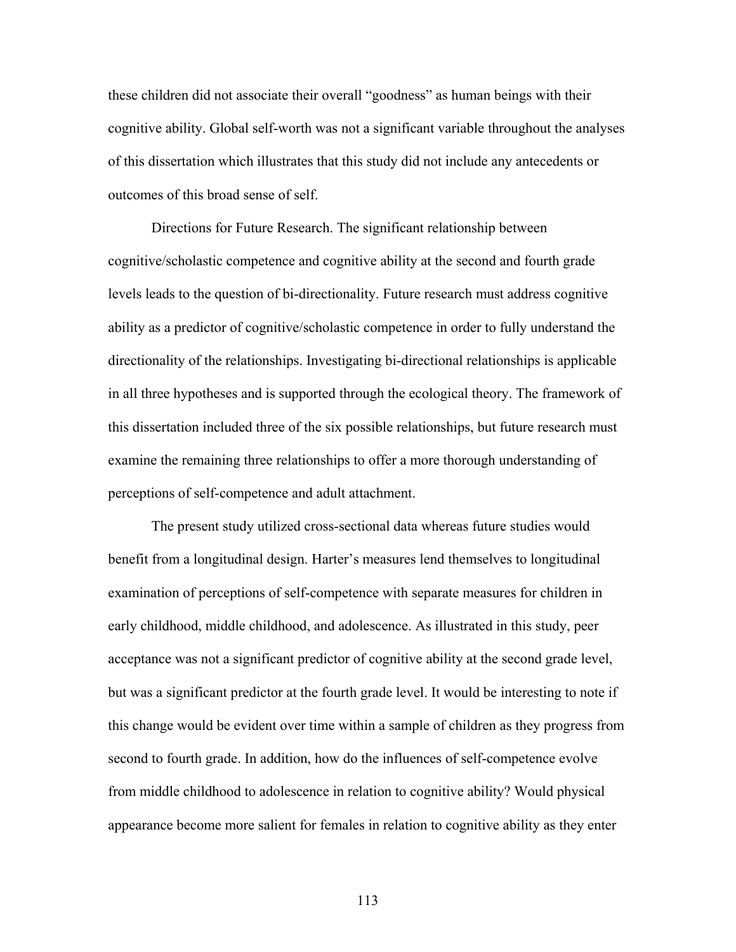these children did not associate their overall "goodness" as human beings with their cognitive ability. Global self-worth was not a significant variable throughout the analyses of this dissertation which illustrates that this study did not include any antecedents or outcomes of this broad sense of self.

Directions for Future Research. The significant relationship between cognitive/scholastic competence and cognitive ability at the second and fourth grade levels leads to the question of bi-directionality. Future research must address cognitive ability as a predictor of cognitive/scholastic competence in order to fully understand the directionality of the relationships. Investigating bi-directional relationships is applicable in all three hypotheses and is supported through the ecological theory. The framework of this dissertation included three of the six possible relationships, but future research must examine the remaining three relationships to offer a more thorough understanding of perceptions of self-competence and adult attachment.

 The present study utilized cross-sectional data whereas future studies would benefit from a longitudinal design. Harter's measures lend themselves to longitudinal examination of perceptions of self-competence with separate measures for children in early childhood, middle childhood, and adolescence. As illustrated in this study, peer acceptance was not a significant predictor of cognitive ability at the second grade level, but was a significant predictor at the fourth grade level. It would be interesting to note if this change would be evident over time within a sample of children as they progress from second to fourth grade. In addition, how do the influences of self-competence evolve from middle childhood to adolescence in relation to cognitive ability? Would physical appearance become more salient for females in relation to cognitive ability as they enter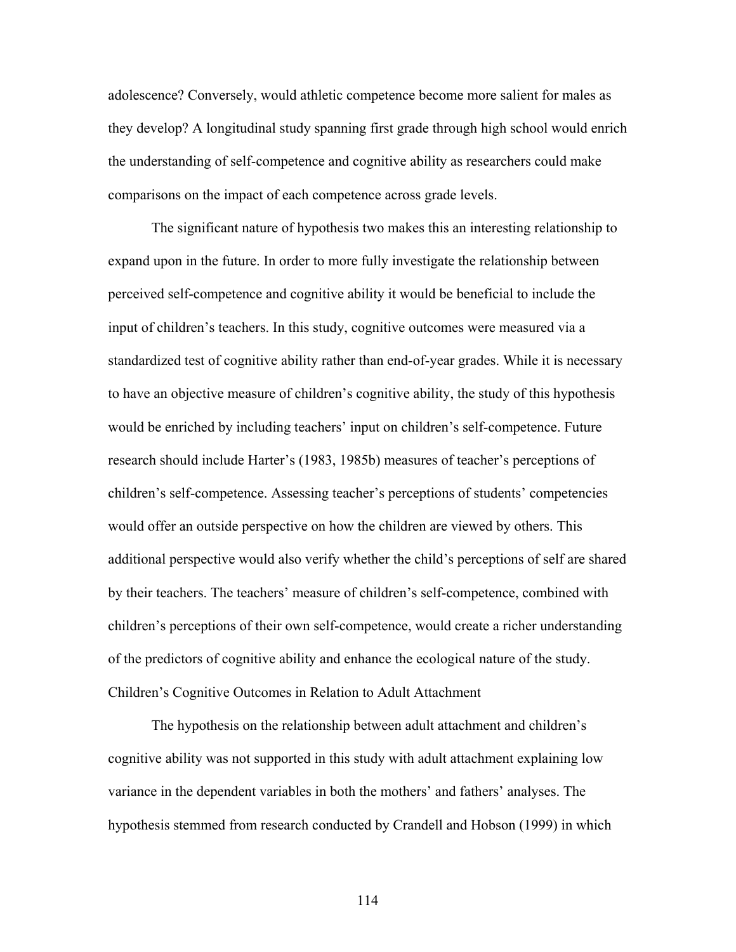adolescence? Conversely, would athletic competence become more salient for males as they develop? A longitudinal study spanning first grade through high school would enrich the understanding of self-competence and cognitive ability as researchers could make comparisons on the impact of each competence across grade levels.

The significant nature of hypothesis two makes this an interesting relationship to expand upon in the future. In order to more fully investigate the relationship between perceived self-competence and cognitive ability it would be beneficial to include the input of children's teachers. In this study, cognitive outcomes were measured via a standardized test of cognitive ability rather than end-of-year grades. While it is necessary to have an objective measure of children's cognitive ability, the study of this hypothesis would be enriched by including teachers' input on children's self-competence. Future research should include Harter's (1983, 1985b) measures of teacher's perceptions of children's self-competence. Assessing teacher's perceptions of students' competencies would offer an outside perspective on how the children are viewed by others. This additional perspective would also verify whether the child's perceptions of self are shared by their teachers. The teachers' measure of children's self-competence, combined with children's perceptions of their own self-competence, would create a richer understanding of the predictors of cognitive ability and enhance the ecological nature of the study. Children's Cognitive Outcomes in Relation to Adult Attachment

 The hypothesis on the relationship between adult attachment and children's cognitive ability was not supported in this study with adult attachment explaining low variance in the dependent variables in both the mothers' and fathers' analyses. The hypothesis stemmed from research conducted by Crandell and Hobson (1999) in which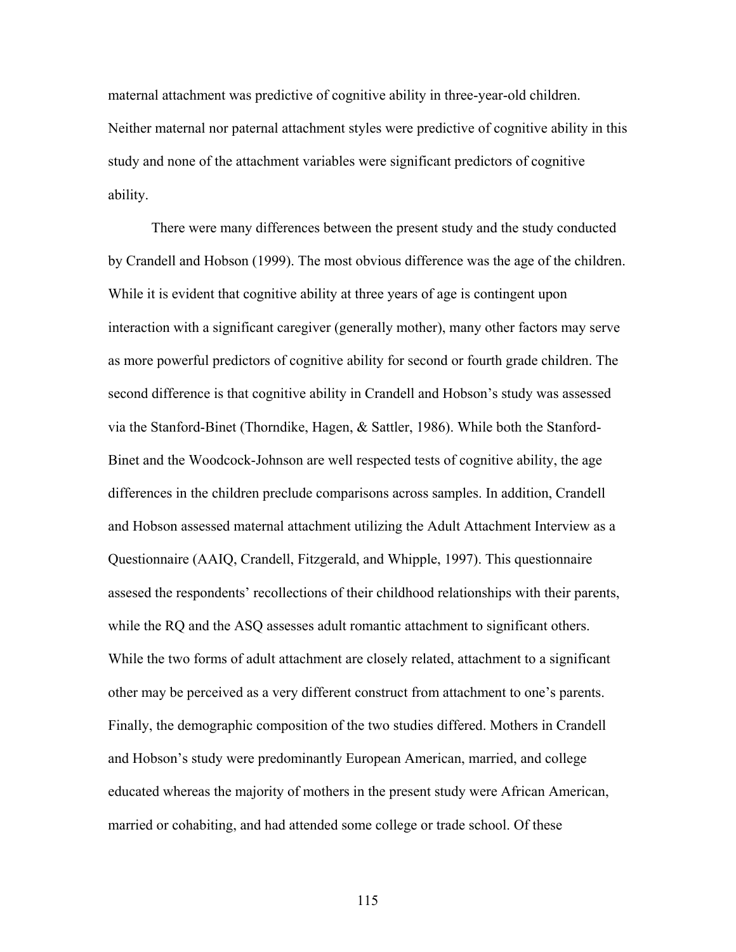maternal attachment was predictive of cognitive ability in three-year-old children. Neither maternal nor paternal attachment styles were predictive of cognitive ability in this study and none of the attachment variables were significant predictors of cognitive ability.

 There were many differences between the present study and the study conducted by Crandell and Hobson (1999). The most obvious difference was the age of the children. While it is evident that cognitive ability at three years of age is contingent upon interaction with a significant caregiver (generally mother), many other factors may serve as more powerful predictors of cognitive ability for second or fourth grade children. The second difference is that cognitive ability in Crandell and Hobson's study was assessed via the Stanford-Binet (Thorndike, Hagen, & Sattler, 1986). While both the Stanford-Binet and the Woodcock-Johnson are well respected tests of cognitive ability, the age differences in the children preclude comparisons across samples. In addition, Crandell and Hobson assessed maternal attachment utilizing the Adult Attachment Interview as a Questionnaire (AAIQ, Crandell, Fitzgerald, and Whipple, 1997). This questionnaire assesed the respondents' recollections of their childhood relationships with their parents, while the RQ and the ASQ assesses adult romantic attachment to significant others. While the two forms of adult attachment are closely related, attachment to a significant other may be perceived as a very different construct from attachment to one's parents. Finally, the demographic composition of the two studies differed. Mothers in Crandell and Hobson's study were predominantly European American, married, and college educated whereas the majority of mothers in the present study were African American, married or cohabiting, and had attended some college or trade school. Of these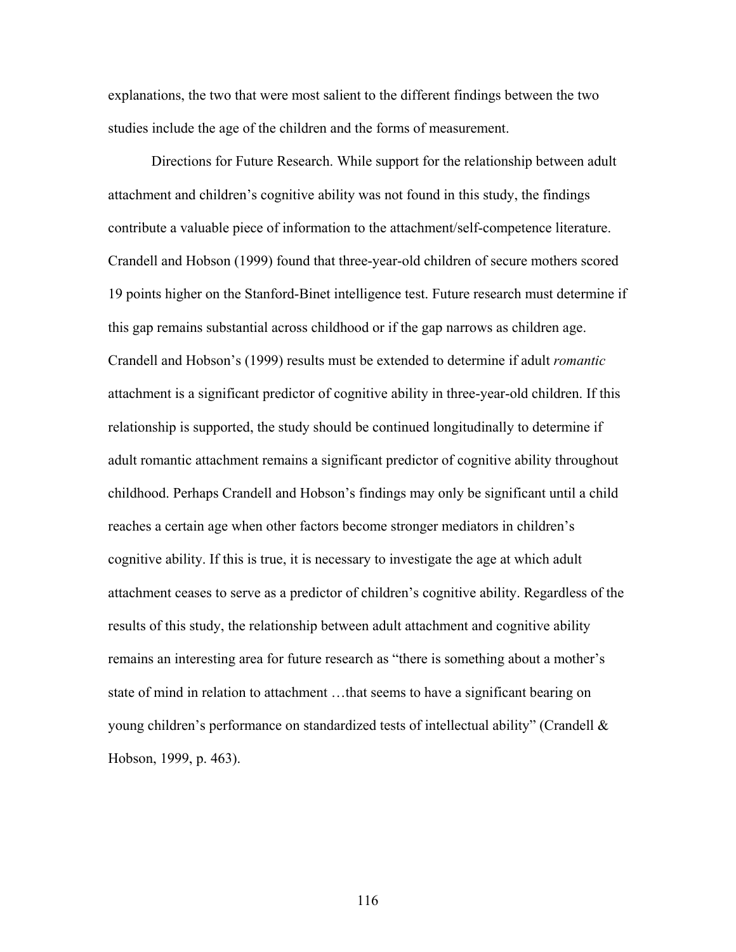explanations, the two that were most salient to the different findings between the two studies include the age of the children and the forms of measurement.

Directions for Future Research. While support for the relationship between adult attachment and children's cognitive ability was not found in this study, the findings contribute a valuable piece of information to the attachment/self-competence literature. Crandell and Hobson (1999) found that three-year-old children of secure mothers scored 19 points higher on the Stanford-Binet intelligence test. Future research must determine if this gap remains substantial across childhood or if the gap narrows as children age. Crandell and Hobson's (1999) results must be extended to determine if adult *romantic* attachment is a significant predictor of cognitive ability in three-year-old children. If this relationship is supported, the study should be continued longitudinally to determine if adult romantic attachment remains a significant predictor of cognitive ability throughout childhood. Perhaps Crandell and Hobson's findings may only be significant until a child reaches a certain age when other factors become stronger mediators in children's cognitive ability. If this is true, it is necessary to investigate the age at which adult attachment ceases to serve as a predictor of children's cognitive ability. Regardless of the results of this study, the relationship between adult attachment and cognitive ability remains an interesting area for future research as "there is something about a mother's state of mind in relation to attachment …that seems to have a significant bearing on young children's performance on standardized tests of intellectual ability" (Crandell & Hobson, 1999, p. 463).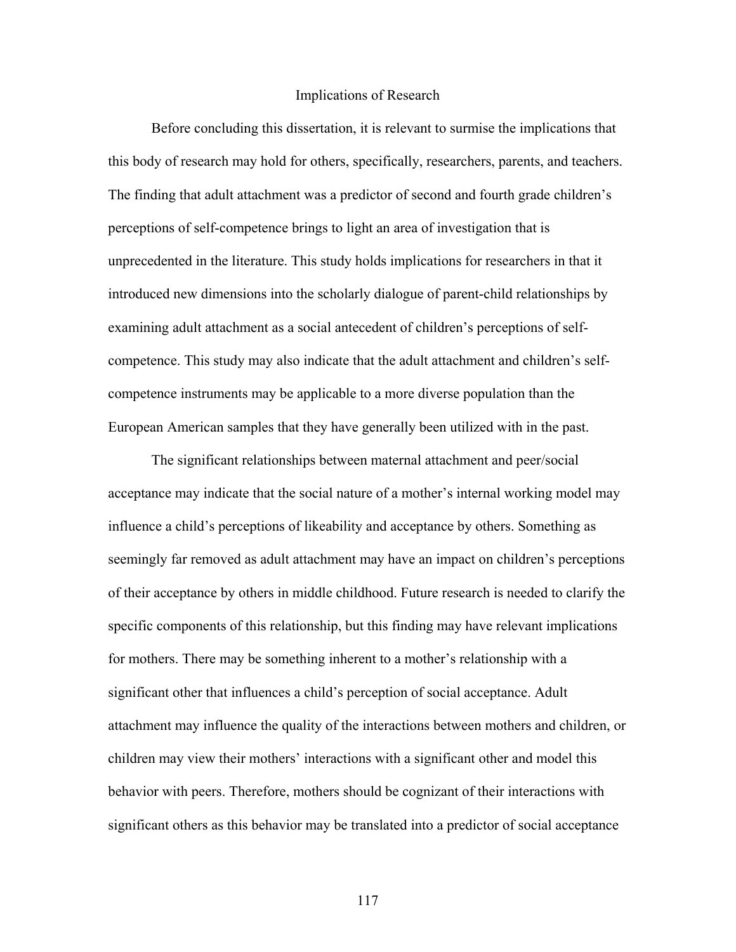## Implications of Research

Before concluding this dissertation, it is relevant to surmise the implications that this body of research may hold for others, specifically, researchers, parents, and teachers. The finding that adult attachment was a predictor of second and fourth grade children's perceptions of self-competence brings to light an area of investigation that is unprecedented in the literature. This study holds implications for researchers in that it introduced new dimensions into the scholarly dialogue of parent-child relationships by examining adult attachment as a social antecedent of children's perceptions of selfcompetence. This study may also indicate that the adult attachment and children's selfcompetence instruments may be applicable to a more diverse population than the European American samples that they have generally been utilized with in the past.

The significant relationships between maternal attachment and peer/social acceptance may indicate that the social nature of a mother's internal working model may influence a child's perceptions of likeability and acceptance by others. Something as seemingly far removed as adult attachment may have an impact on children's perceptions of their acceptance by others in middle childhood. Future research is needed to clarify the specific components of this relationship, but this finding may have relevant implications for mothers. There may be something inherent to a mother's relationship with a significant other that influences a child's perception of social acceptance. Adult attachment may influence the quality of the interactions between mothers and children, or children may view their mothers' interactions with a significant other and model this behavior with peers. Therefore, mothers should be cognizant of their interactions with significant others as this behavior may be translated into a predictor of social acceptance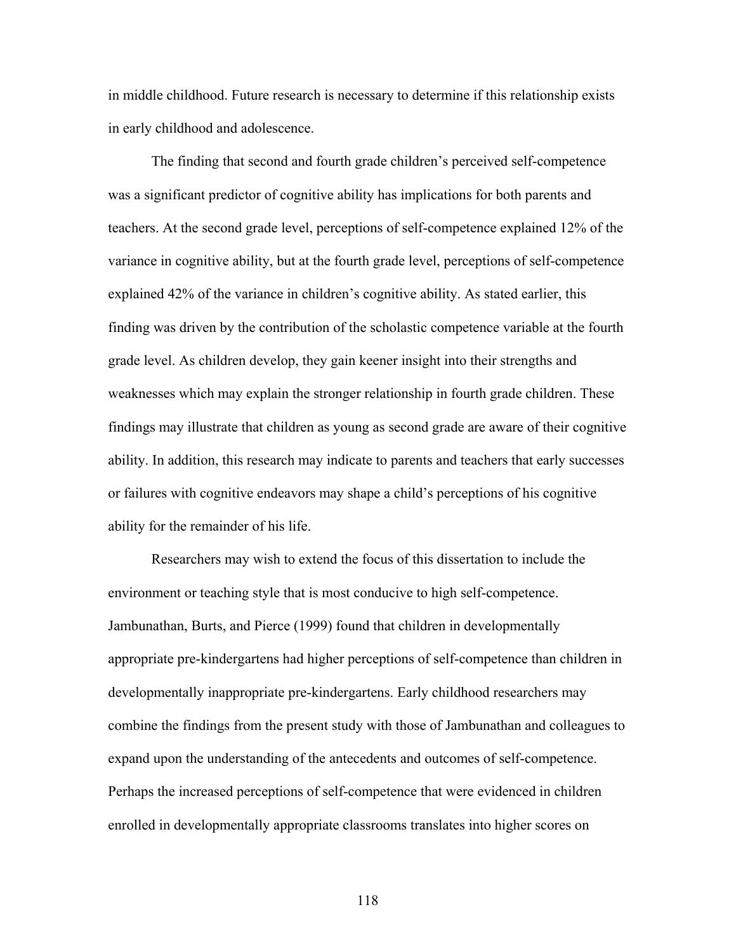in middle childhood. Future research is necessary to determine if this relationship exists in early childhood and adolescence.

The finding that second and fourth grade children's perceived self-competence was a significant predictor of cognitive ability has implications for both parents and teachers. At the second grade level, perceptions of self-competence explained 12% of the variance in cognitive ability, but at the fourth grade level, perceptions of self-competence explained 42% of the variance in children's cognitive ability. As stated earlier, this finding was driven by the contribution of the scholastic competence variable at the fourth grade level. As children develop, they gain keener insight into their strengths and weaknesses which may explain the stronger relationship in fourth grade children. These findings may illustrate that children as young as second grade are aware of their cognitive ability. In addition, this research may indicate to parents and teachers that early successes or failures with cognitive endeavors may shape a child's perceptions of his cognitive ability for the remainder of his life.

Researchers may wish to extend the focus of this dissertation to include the environment or teaching style that is most conducive to high self-competence. Jambunathan, Burts, and Pierce (1999) found that children in developmentally appropriate pre-kindergartens had higher perceptions of self-competence than children in developmentally inappropriate pre-kindergartens. Early childhood researchers may combine the findings from the present study with those of Jambunathan and colleagues to expand upon the understanding of the antecedents and outcomes of self-competence. Perhaps the increased perceptions of self-competence that were evidenced in children enrolled in developmentally appropriate classrooms translates into higher scores on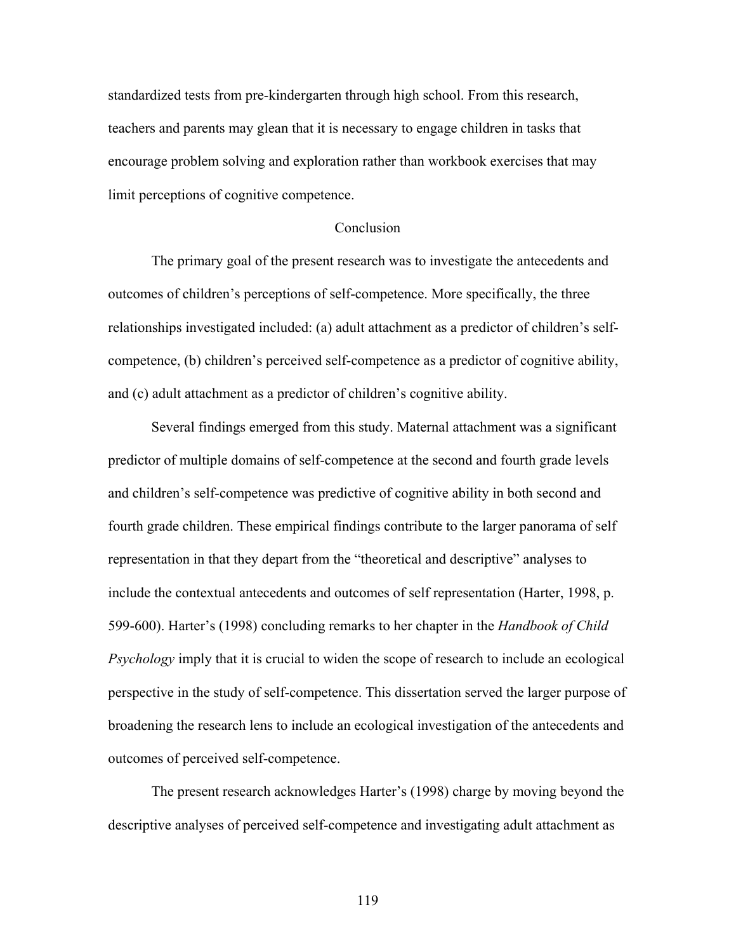standardized tests from pre-kindergarten through high school. From this research, teachers and parents may glean that it is necessary to engage children in tasks that encourage problem solving and exploration rather than workbook exercises that may limit perceptions of cognitive competence.

## **Conclusion**

 The primary goal of the present research was to investigate the antecedents and outcomes of children's perceptions of self-competence. More specifically, the three relationships investigated included: (a) adult attachment as a predictor of children's selfcompetence, (b) children's perceived self-competence as a predictor of cognitive ability, and (c) adult attachment as a predictor of children's cognitive ability.

 Several findings emerged from this study. Maternal attachment was a significant predictor of multiple domains of self-competence at the second and fourth grade levels and children's self-competence was predictive of cognitive ability in both second and fourth grade children. These empirical findings contribute to the larger panorama of self representation in that they depart from the "theoretical and descriptive" analyses to include the contextual antecedents and outcomes of self representation (Harter, 1998, p. 599-600). Harter's (1998) concluding remarks to her chapter in the *Handbook of Child Psychology* imply that it is crucial to widen the scope of research to include an ecological perspective in the study of self-competence. This dissertation served the larger purpose of broadening the research lens to include an ecological investigation of the antecedents and outcomes of perceived self-competence.

The present research acknowledges Harter's (1998) charge by moving beyond the descriptive analyses of perceived self-competence and investigating adult attachment as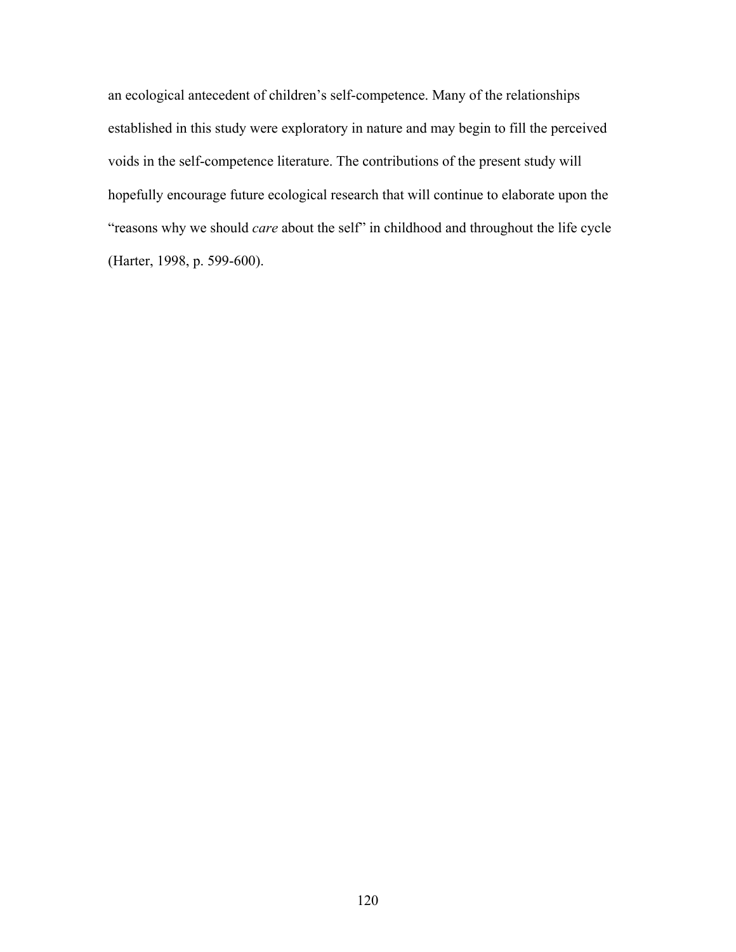an ecological antecedent of children's self-competence. Many of the relationships established in this study were exploratory in nature and may begin to fill the perceived voids in the self-competence literature. The contributions of the present study will hopefully encourage future ecological research that will continue to elaborate upon the "reasons why we should *care* about the self" in childhood and throughout the life cycle (Harter, 1998, p. 599-600).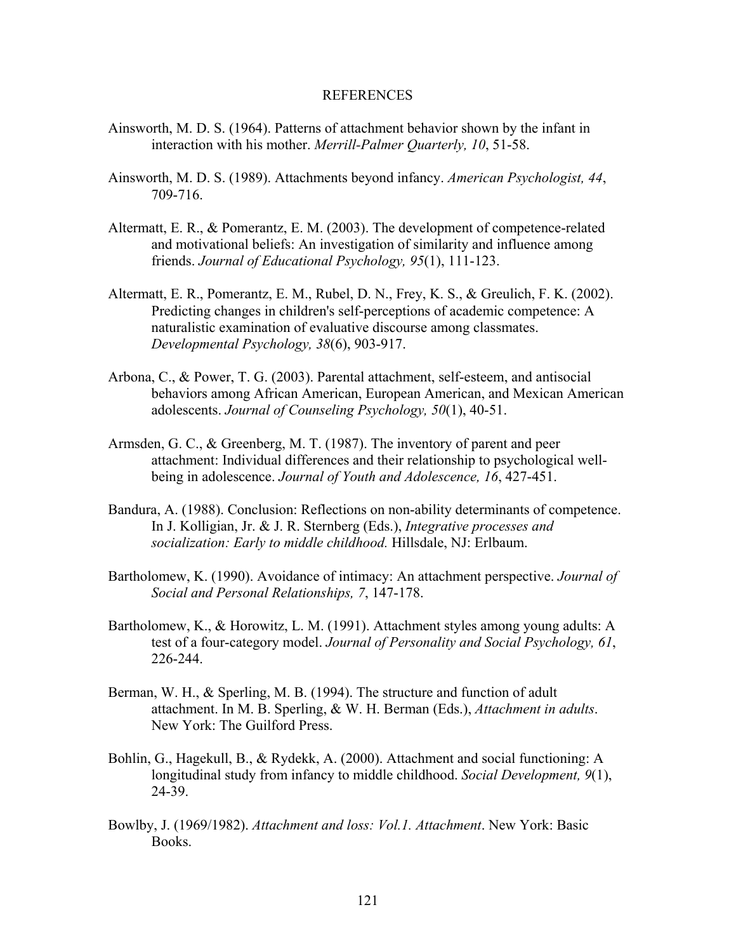### REFERENCES

- Ainsworth, M. D. S. (1964). Patterns of attachment behavior shown by the infant in interaction with his mother. *Merrill-Palmer Quarterly, 10*, 51-58.
- Ainsworth, M. D. S. (1989). Attachments beyond infancy. *American Psychologist, 44*, 709-716.
- Altermatt, E. R., & Pomerantz, E. M. (2003). The development of competence-related and motivational beliefs: An investigation of similarity and influence among friends. *Journal of Educational Psychology, 95*(1), 111-123.
- Altermatt, E. R., Pomerantz, E. M., Rubel, D. N., Frey, K. S., & Greulich, F. K. (2002). Predicting changes in children's self-perceptions of academic competence: A naturalistic examination of evaluative discourse among classmates. *Developmental Psychology, 38*(6), 903-917.
- Arbona, C., & Power, T. G. (2003). Parental attachment, self-esteem, and antisocial behaviors among African American, European American, and Mexican American adolescents. *Journal of Counseling Psychology, 50*(1), 40-51.
- Armsden, G. C., & Greenberg, M. T. (1987). The inventory of parent and peer attachment: Individual differences and their relationship to psychological well being in adolescence. *Journal of Youth and Adolescence, 16*, 427-451.
- Bandura, A. (1988). Conclusion: Reflections on non-ability determinants of competence. In J. Kolligian, Jr. & J. R. Sternberg (Eds.), *Integrative processes and socialization: Early to middle childhood.* Hillsdale, NJ: Erlbaum.
- Bartholomew, K. (1990). Avoidance of intimacy: An attachment perspective. *Journal of Social and Personal Relationships, 7*, 147-178.
- Bartholomew, K., & Horowitz, L. M. (1991). Attachment styles among young adults: A test of a four-category model. *Journal of Personality and Social Psychology, 61*, 226-244.
- Berman, W. H., & Sperling, M. B. (1994). The structure and function of adult attachment. In M. B. Sperling, & W. H. Berman (Eds.), *Attachment in adults*. New York: The Guilford Press.
- Bohlin, G., Hagekull, B., & Rydekk, A. (2000). Attachment and social functioning: A longitudinal study from infancy to middle childhood. *Social Development, 9*(1), 24-39.
- Bowlby, J. (1969/1982). *Attachment and loss: Vol.1. Attachment*. New York: Basic Books.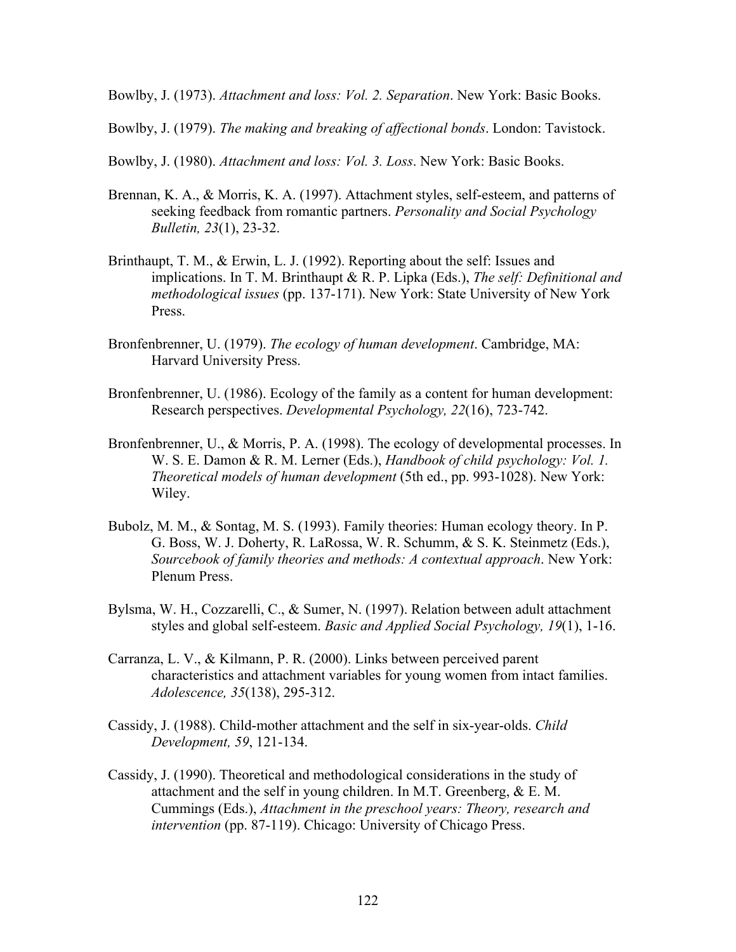Bowlby, J. (1973). *Attachment and loss: Vol. 2. Separation*. New York: Basic Books.

Bowlby, J. (1979). *The making and breaking of affectional bonds*. London: Tavistock.

Bowlby, J. (1980). *Attachment and loss: Vol. 3. Loss*. New York: Basic Books.

- Brennan, K. A., & Morris, K. A. (1997). Attachment styles, self-esteem, and patterns of seeking feedback from romantic partners. *Personality and Social Psychology Bulletin, 23*(1), 23-32.
- Brinthaupt, T. M., & Erwin, L. J. (1992). Reporting about the self: Issues and implications. In T. M. Brinthaupt & R. P. Lipka (Eds.), *The self: Definitional and methodological issues* (pp. 137-171). New York: State University of New York Press.
- Bronfenbrenner, U. (1979). *The ecology of human development*. Cambridge, MA: Harvard University Press.
- Bronfenbrenner, U. (1986). Ecology of the family as a content for human development: Research perspectives. *Developmental Psychology, 22*(16), 723-742.
- Bronfenbrenner, U., & Morris, P. A. (1998). The ecology of developmental processes. In W. S. E. Damon & R. M. Lerner (Eds.), *Handbook of child psychology: Vol. 1. Theoretical models of human development* (5th ed., pp. 993-1028). New York: Wiley.
- Bubolz, M. M., & Sontag, M. S. (1993). Family theories: Human ecology theory. In P. G. Boss, W. J. Doherty, R. LaRossa, W. R. Schumm, & S. K. Steinmetz (Eds.), *Sourcebook of family theories and methods: A contextual approach*. New York: Plenum Press.
- Bylsma, W. H., Cozzarelli, C., & Sumer, N. (1997). Relation between adult attachment styles and global self-esteem. *Basic and Applied Social Psychology, 19*(1), 1-16.
- Carranza, L. V., & Kilmann, P. R. (2000). Links between perceived parent characteristics and attachment variables for young women from intact families. *Adolescence, 35*(138), 295-312.
- Cassidy, J. (1988). Child-mother attachment and the self in six-year-olds. *Child Development, 59*, 121-134.
- Cassidy, J. (1990). Theoretical and methodological considerations in the study of attachment and the self in young children. In M.T. Greenberg, & E. M. Cummings (Eds.), *Attachment in the preschool years: Theory, research and intervention* (pp. 87-119). Chicago: University of Chicago Press.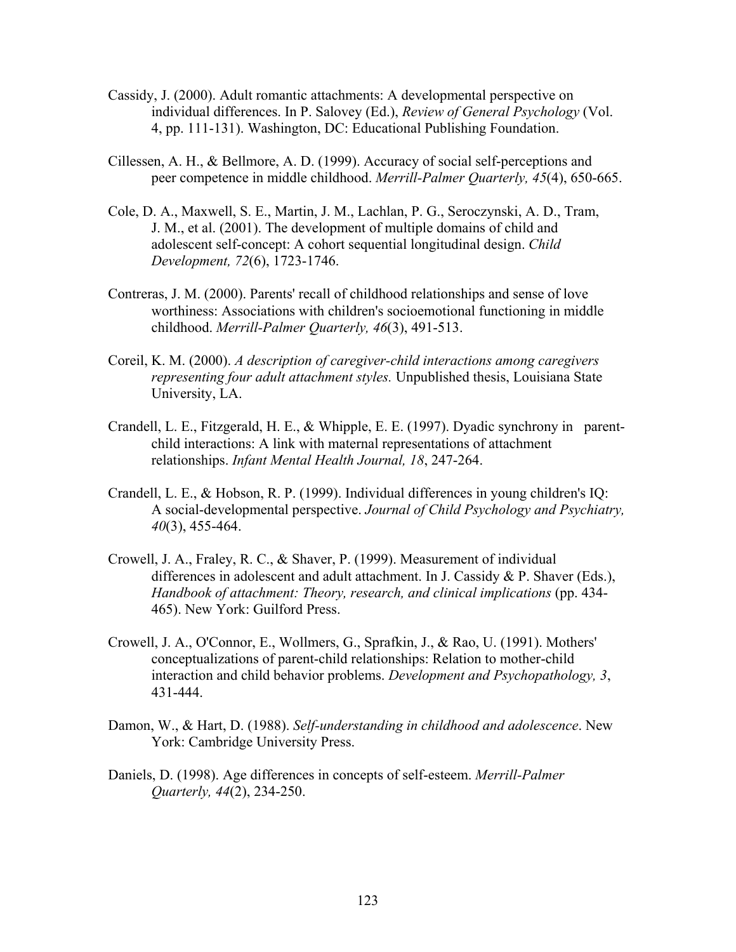- Cassidy, J. (2000). Adult romantic attachments: A developmental perspective on individual differences. In P. Salovey (Ed.), *Review of General Psychology* (Vol. 4, pp. 111-131). Washington, DC: Educational Publishing Foundation.
- Cillessen, A. H., & Bellmore, A. D. (1999). Accuracy of social self-perceptions and peer competence in middle childhood. *Merrill-Palmer Quarterly, 45*(4), 650-665.
- Cole, D. A., Maxwell, S. E., Martin, J. M., Lachlan, P. G., Seroczynski, A. D., Tram, J. M., et al. (2001). The development of multiple domains of child and adolescent self-concept: A cohort sequential longitudinal design. *Child Development, 72*(6), 1723-1746.
- Contreras, J. M. (2000). Parents' recall of childhood relationships and sense of love worthiness: Associations with children's socioemotional functioning in middle childhood. *Merrill-Palmer Quarterly, 46*(3), 491-513.
- Coreil, K. M. (2000). *A description of caregiver-child interactions among caregivers representing four adult attachment styles.* Unpublished thesis, Louisiana State University, LA.
- Crandell, L. E., Fitzgerald, H. E., & Whipple, E. E. (1997). Dyadic synchrony in parent child interactions: A link with maternal representations of attachment relationships. *Infant Mental Health Journal, 18*, 247-264.
- Crandell, L. E., & Hobson, R. P. (1999). Individual differences in young children's IQ: A social-developmental perspective. *Journal of Child Psychology and Psychiatry, 40*(3), 455-464.
- Crowell, J. A., Fraley, R. C., & Shaver, P. (1999). Measurement of individual differences in adolescent and adult attachment. In J. Cassidy & P. Shaver (Eds.), *Handbook of attachment: Theory, research, and clinical implications* (pp. 434- 465). New York: Guilford Press.
- Crowell, J. A., O'Connor, E., Wollmers, G., Sprafkin, J., & Rao, U. (1991). Mothers' conceptualizations of parent-child relationships: Relation to mother-child interaction and child behavior problems. *Development and Psychopathology, 3*, 431-444.
- Damon, W., & Hart, D. (1988). *Self-understanding in childhood and adolescence*. New York: Cambridge University Press.
- Daniels, D. (1998). Age differences in concepts of self-esteem. *Merrill-Palmer Quarterly, 44*(2), 234-250.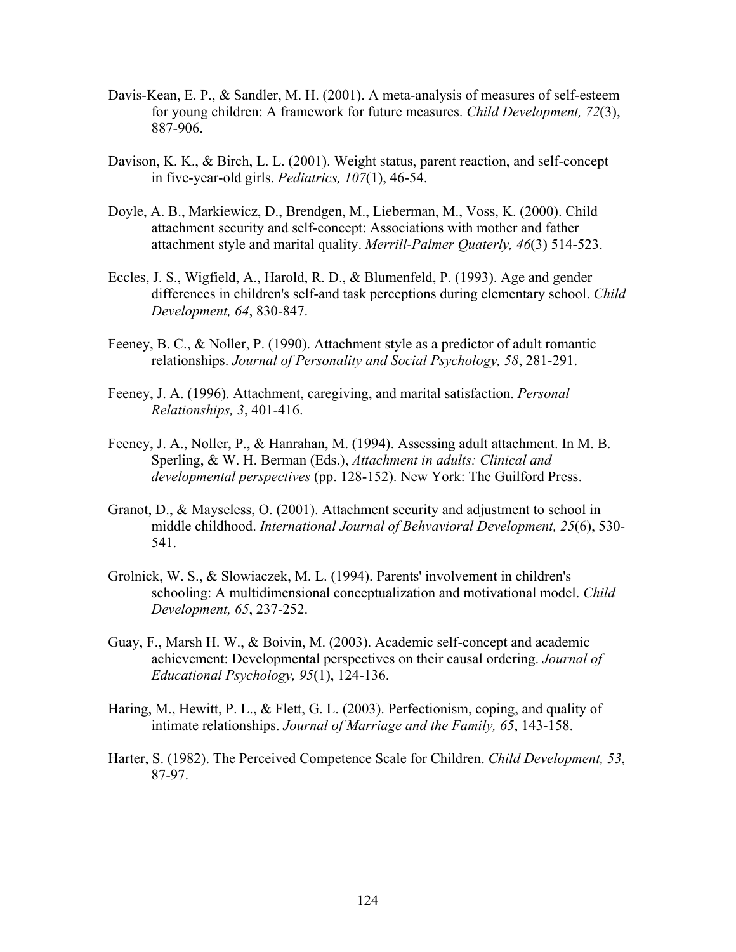- Davis-Kean, E. P., & Sandler, M. H. (2001). A meta-analysis of measures of self-esteem for young children: A framework for future measures. *Child Development, 72*(3), 887-906.
- Davison, K. K., & Birch, L. L. (2001). Weight status, parent reaction, and self-concept in five-year-old girls. *Pediatrics, 107*(1), 46-54.
- Doyle, A. B., Markiewicz, D., Brendgen, M., Lieberman, M., Voss, K. (2000). Child attachment security and self-concept: Associations with mother and father attachment style and marital quality. *Merrill-Palmer Quaterly, 46*(3) 514-523.
- Eccles, J. S., Wigfield, A., Harold, R. D., & Blumenfeld, P. (1993). Age and gender differences in children's self-and task perceptions during elementary school. *Child Development, 64*, 830-847.
- Feeney, B. C., & Noller, P. (1990). Attachment style as a predictor of adult romantic relationships. *Journal of Personality and Social Psychology, 58*, 281-291.
- Feeney, J. A. (1996). Attachment, caregiving, and marital satisfaction. *Personal Relationships, 3*, 401-416.
- Feeney, J. A., Noller, P., & Hanrahan, M. (1994). Assessing adult attachment. In M. B. Sperling, & W. H. Berman (Eds.), *Attachment in adults: Clinical and developmental perspectives* (pp. 128-152). New York: The Guilford Press.
- Granot, D., & Mayseless, O. (2001). Attachment security and adjustment to school in middle childhood. *International Journal of Behvavioral Development, 25*(6), 530- 541.
- Grolnick, W. S., & Slowiaczek, M. L. (1994). Parents' involvement in children's schooling: A multidimensional conceptualization and motivational model. *Child Development, 65*, 237-252.
- Guay, F., Marsh H. W., & Boivin, M. (2003). Academic self-concept and academic achievement: Developmental perspectives on their causal ordering. *Journal of Educational Psychology, 95*(1), 124-136.
- Haring, M., Hewitt, P. L., & Flett, G. L. (2003). Perfectionism, coping, and quality of intimate relationships. *Journal of Marriage and the Family, 65*, 143-158.
- Harter, S. (1982). The Perceived Competence Scale for Children. *Child Development, 53*, 87-97.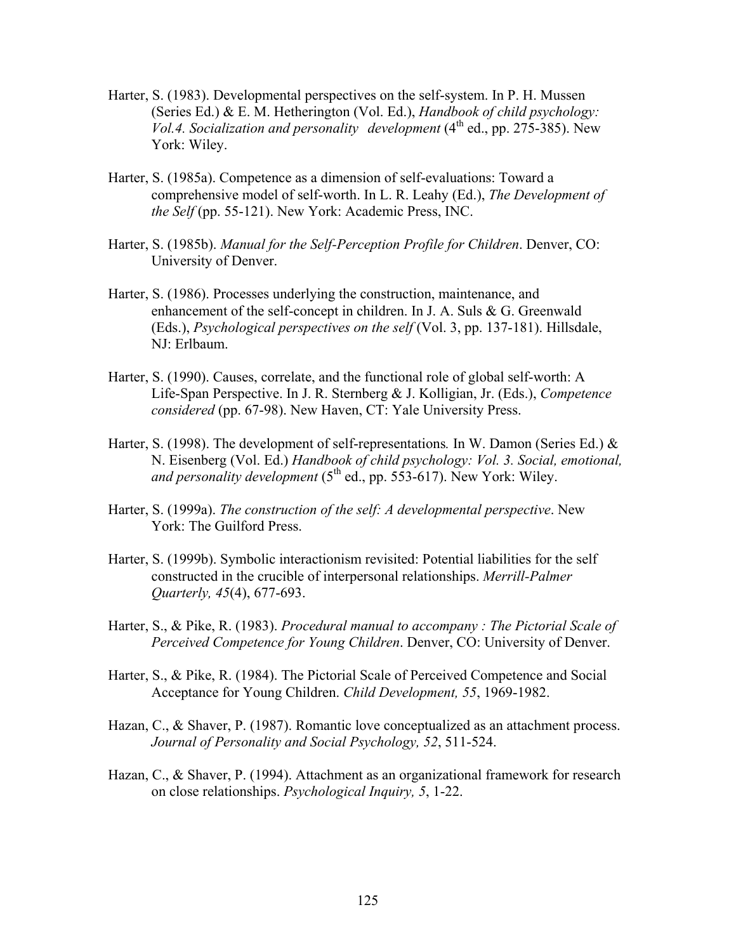- Harter, S. (1983). Developmental perspectives on the self-system. In P. H. Mussen (Series Ed.) & E. M. Hetherington (Vol. Ed.), *Handbook of child psychology:*   $\overline{Vol.4}$ . Socialization and personality development  $(4^{th}$  ed., pp. 275-385). New York: Wiley.
- Harter, S. (1985a). Competence as a dimension of self-evaluations: Toward a comprehensive model of self-worth. In L. R. Leahy (Ed.), *The Development of the Self* (pp. 55-121). New York: Academic Press, INC.
- Harter, S. (1985b). *Manual for the Self-Perception Profile for Children*. Denver, CO: University of Denver.
- Harter, S. (1986). Processes underlying the construction, maintenance, and enhancement of the self-concept in children. In J. A. Suls & G. Greenwald (Eds.), *Psychological perspectives on the self* (Vol. 3, pp. 137-181). Hillsdale, NJ: Erlbaum.
- Harter, S. (1990). Causes, correlate, and the functional role of global self-worth: A Life-Span Perspective. In J. R. Sternberg & J. Kolligian, Jr. (Eds.), *Competence considered* (pp. 67-98). New Haven, CT: Yale University Press.
- Harter, S. (1998). The development of self-representations*.* In W. Damon (Series Ed.) & N. Eisenberg (Vol. Ed.) *Handbook of child psychology: Vol. 3. Social, emotional, and personality development*  $(5<sup>th</sup>$  ed., pp. 553-617). New York: Wiley.
- Harter, S. (1999a). *The construction of the self: A developmental perspective*. New York: The Guilford Press.
- Harter, S. (1999b). Symbolic interactionism revisited: Potential liabilities for the self constructed in the crucible of interpersonal relationships. *Merrill-Palmer Quarterly, 45*(4), 677-693.
- Harter, S., & Pike, R. (1983). *Procedural manual to accompany : The Pictorial Scale of Perceived Competence for Young Children*. Denver, CO: University of Denver.
- Harter, S., & Pike, R. (1984). The Pictorial Scale of Perceived Competence and Social Acceptance for Young Children. *Child Development, 55*, 1969-1982.
- Hazan, C., & Shaver, P. (1987). Romantic love conceptualized as an attachment process. *Journal of Personality and Social Psychology, 52*, 511-524.
- Hazan, C., & Shaver, P. (1994). Attachment as an organizational framework for research on close relationships. *Psychological Inquiry, 5*, 1-22.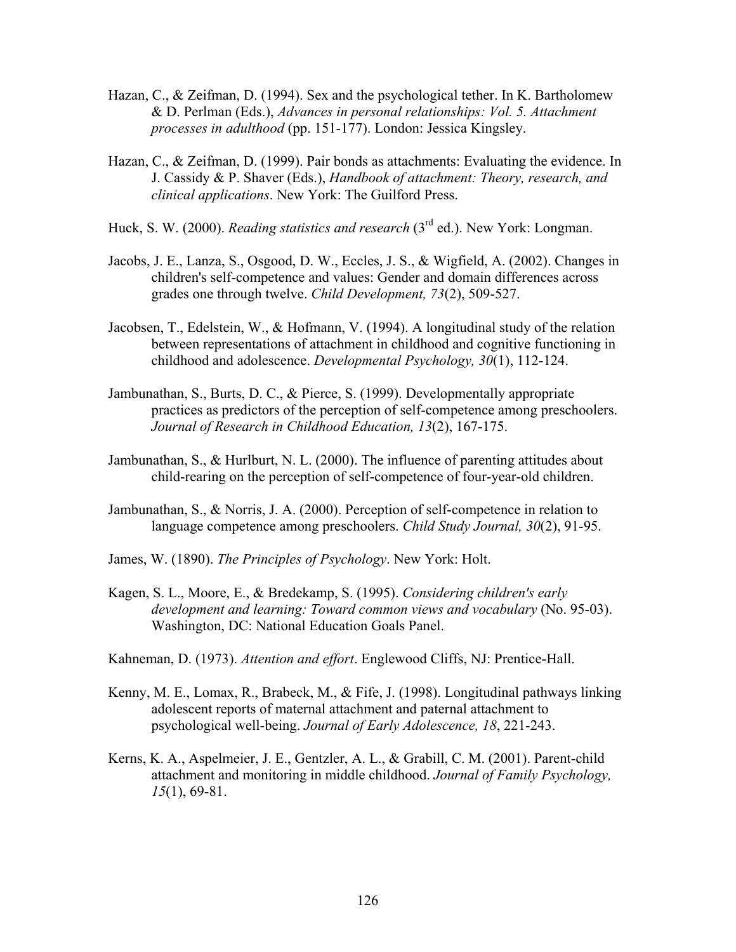- Hazan, C., & Zeifman, D. (1994). Sex and the psychological tether. In K. Bartholomew & D. Perlman (Eds.), *Advances in personal relationships: Vol. 5. Attachment processes in adulthood* (pp. 151-177). London: Jessica Kingsley.
- Hazan, C., & Zeifman, D. (1999). Pair bonds as attachments: Evaluating the evidence. In J. Cassidy & P. Shaver (Eds.), *Handbook of attachment: Theory, research, and clinical applications*. New York: The Guilford Press.
- Huck, S. W. (2000). *Reading statistics and research* (3rd ed.). New York: Longman.
- Jacobs, J. E., Lanza, S., Osgood, D. W., Eccles, J. S., & Wigfield, A. (2002). Changes in children's self-competence and values: Gender and domain differences across grades one through twelve. *Child Development, 73*(2), 509-527.
- Jacobsen, T., Edelstein, W., & Hofmann, V. (1994). A longitudinal study of the relation between representations of attachment in childhood and cognitive functioning in childhood and adolescence. *Developmental Psychology, 30*(1), 112-124.
- Jambunathan, S., Burts, D. C., & Pierce, S. (1999). Developmentally appropriate practices as predictors of the perception of self-competence among preschoolers. *Journal of Research in Childhood Education, 13*(2), 167-175.
- Jambunathan, S., & Hurlburt, N. L. (2000). The influence of parenting attitudes about child-rearing on the perception of self-competence of four-year-old children.
- Jambunathan, S., & Norris, J. A. (2000). Perception of self-competence in relation to language competence among preschoolers. *Child Study Journal, 30*(2), 91-95.
- James, W. (1890). *The Principles of Psychology*. New York: Holt.
- Kagen, S. L., Moore, E., & Bredekamp, S. (1995). *Considering children's early development and learning: Toward common views and vocabulary* (No. 95-03). Washington, DC: National Education Goals Panel.
- Kahneman, D. (1973). *Attention and effort*. Englewood Cliffs, NJ: Prentice-Hall.
- Kenny, M. E., Lomax, R., Brabeck, M., & Fife, J. (1998). Longitudinal pathways linking adolescent reports of maternal attachment and paternal attachment to psychological well-being. *Journal of Early Adolescence, 18*, 221-243.
- Kerns, K. A., Aspelmeier, J. E., Gentzler, A. L., & Grabill, C. M. (2001). Parent-child attachment and monitoring in middle childhood. *Journal of Family Psychology, 15*(1), 69-81.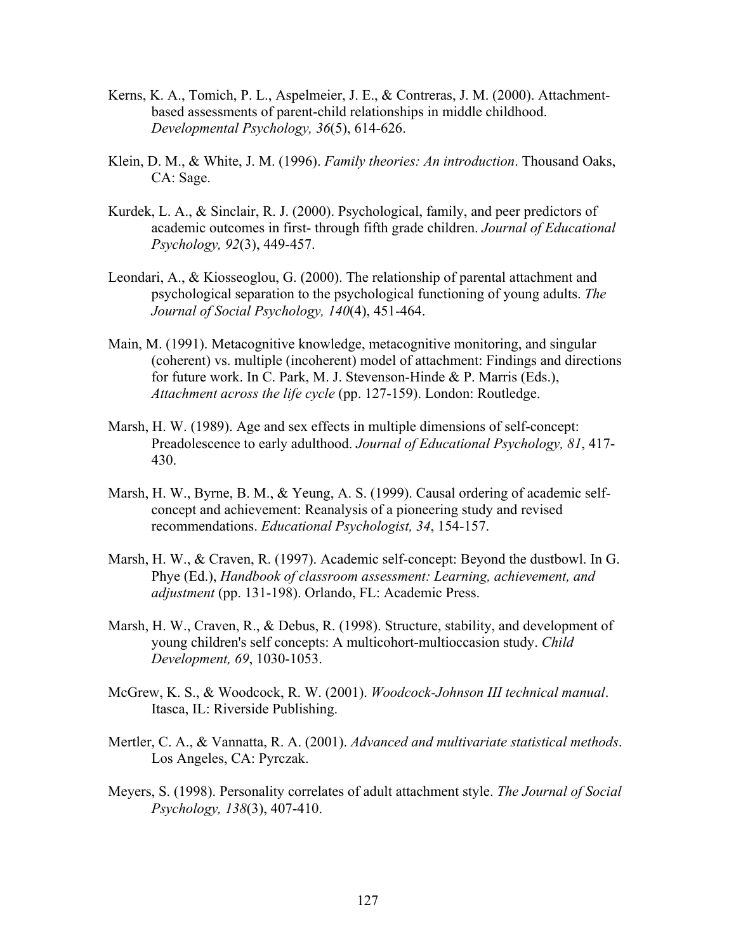- Kerns, K. A., Tomich, P. L., Aspelmeier, J. E., & Contreras, J. M. (2000). Attachment based assessments of parent-child relationships in middle childhood. *Developmental Psychology, 36*(5), 614-626.
- Klein, D. M., & White, J. M. (1996). *Family theories: An introduction*. Thousand Oaks, CA: Sage.
- Kurdek, L. A., & Sinclair, R. J. (2000). Psychological, family, and peer predictors of academic outcomes in first- through fifth grade children. *Journal of Educational Psychology, 92*(3), 449-457.
- Leondari, A., & Kiosseoglou, G. (2000). The relationship of parental attachment and psychological separation to the psychological functioning of young adults. *The Journal of Social Psychology, 140*(4), 451-464.
- Main, M. (1991). Metacognitive knowledge, metacognitive monitoring, and singular (coherent) vs. multiple (incoherent) model of attachment: Findings and directions for future work. In C. Park, M. J. Stevenson-Hinde & P. Marris (Eds.), *Attachment across the life cycle* (pp. 127-159). London: Routledge.
- Marsh, H. W. (1989). Age and sex effects in multiple dimensions of self-concept: Preadolescence to early adulthood. *Journal of Educational Psychology, 81*, 417- 430.
- Marsh, H. W., Byrne, B. M., & Yeung, A. S. (1999). Causal ordering of academic self concept and achievement: Reanalysis of a pioneering study and revised recommendations. *Educational Psychologist, 34*, 154-157.
- Marsh, H. W., & Craven, R. (1997). Academic self-concept: Beyond the dustbowl. In G. Phye (Ed.), *Handbook of classroom assessment: Learning, achievement, and adjustment* (pp. 131-198). Orlando, FL: Academic Press.
- Marsh, H. W., Craven, R., & Debus, R. (1998). Structure, stability, and development of young children's self concepts: A multicohort-multioccasion study. *Child Development, 69*, 1030-1053.
- McGrew, K. S., & Woodcock, R. W. (2001). *Woodcock-Johnson III technical manual*. Itasca, IL: Riverside Publishing.
- Mertler, C. A., & Vannatta, R. A. (2001). *Advanced and multivariate statistical methods*. Los Angeles, CA: Pyrczak.
- Meyers, S. (1998). Personality correlates of adult attachment style. *The Journal of Social Psychology, 138*(3), 407-410.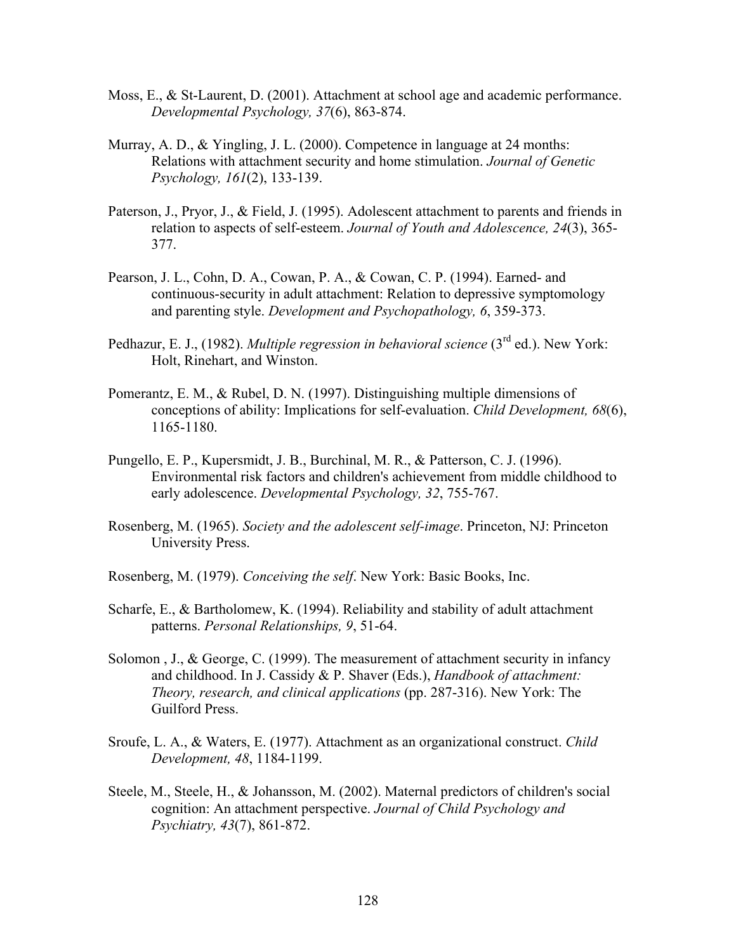- Moss, E., & St-Laurent, D. (2001). Attachment at school age and academic performance. *Developmental Psychology, 37*(6), 863-874.
- Murray, A. D., & Yingling, J. L. (2000). Competence in language at 24 months: Relations with attachment security and home stimulation. *Journal of Genetic Psychology, 161*(2), 133-139.
- Paterson, J., Pryor, J., & Field, J. (1995). Adolescent attachment to parents and friends in relation to aspects of self-esteem. *Journal of Youth and Adolescence, 24*(3), 365- 377.
- Pearson, J. L., Cohn, D. A., Cowan, P. A., & Cowan, C. P. (1994). Earned- and continuous-security in adult attachment: Relation to depressive symptomology and parenting style. *Development and Psychopathology, 6*, 359-373.
- Pedhazur, E. J., (1982). *Multiple regression in behavioral science* (3<sup>rd</sup> ed.). New York: Holt, Rinehart, and Winston.
- Pomerantz, E. M., & Rubel, D. N. (1997). Distinguishing multiple dimensions of conceptions of ability: Implications for self-evaluation. *Child Development, 68*(6), 1165-1180.
- Pungello, E. P., Kupersmidt, J. B., Burchinal, M. R., & Patterson, C. J. (1996). Environmental risk factors and children's achievement from middle childhood to early adolescence. *Developmental Psychology, 32*, 755-767.
- Rosenberg, M. (1965). *Society and the adolescent self-image*. Princeton, NJ: Princeton University Press.
- Rosenberg, M. (1979). *Conceiving the self*. New York: Basic Books, Inc.
- Scharfe, E., & Bartholomew, K. (1994). Reliability and stability of adult attachment patterns. *Personal Relationships, 9*, 51-64.
- Solomon , J., & George, C. (1999). The measurement of attachment security in infancy and childhood. In J. Cassidy & P. Shaver (Eds.), *Handbook of attachment: Theory, research, and clinical applications* (pp. 287-316). New York: The Guilford Press.
- Sroufe, L. A., & Waters, E. (1977). Attachment as an organizational construct. *Child Development, 48*, 1184-1199.
- Steele, M., Steele, H., & Johansson, M. (2002). Maternal predictors of children's social cognition: An attachment perspective. *Journal of Child Psychology and Psychiatry, 43*(7), 861-872.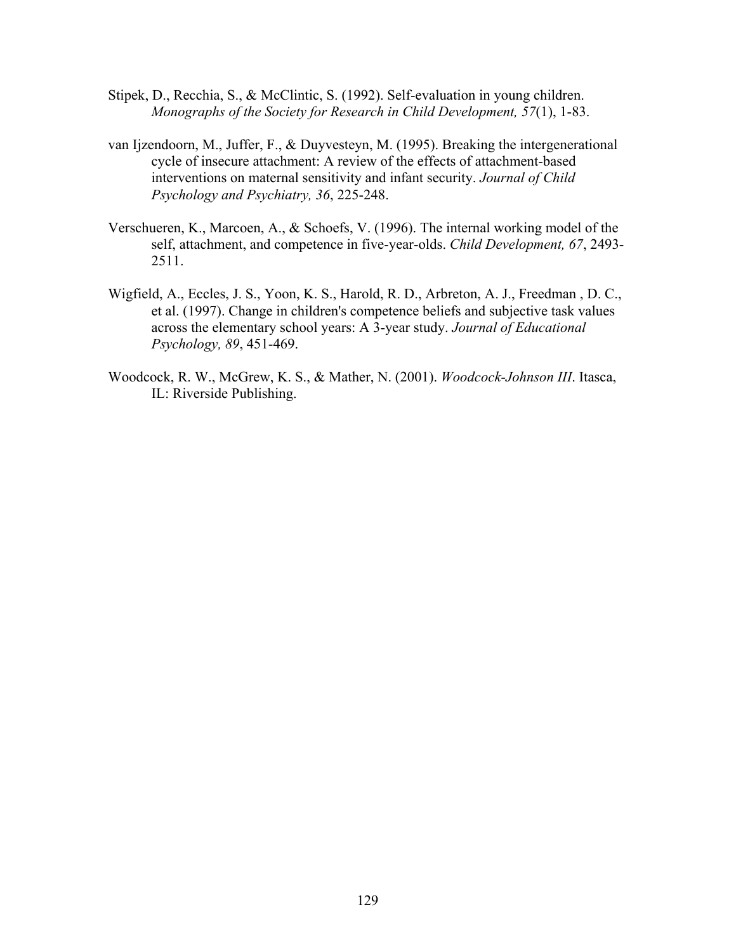- Stipek, D., Recchia, S., & McClintic, S. (1992). Self-evaluation in young children. *Monographs of the Society for Research in Child Development, 57*(1), 1-83.
- van Ijzendoorn, M., Juffer, F., & Duyvesteyn, M. (1995). Breaking the intergenerational cycle of insecure attachment: A review of the effects of attachment-based interventions on maternal sensitivity and infant security. *Journal of Child Psychology and Psychiatry, 36*, 225-248.
- Verschueren, K., Marcoen, A., & Schoefs, V. (1996). The internal working model of the self, attachment, and competence in five-year-olds. *Child Development, 67*, 2493- 2511.
- Wigfield, A., Eccles, J. S., Yoon, K. S., Harold, R. D., Arbreton, A. J., Freedman , D. C., et al. (1997). Change in children's competence beliefs and subjective task values across the elementary school years: A 3-year study. *Journal of Educational Psychology, 89*, 451-469.
- Woodcock, R. W., McGrew, K. S., & Mather, N. (2001). *Woodcock-Johnson III*. Itasca, IL: Riverside Publishing.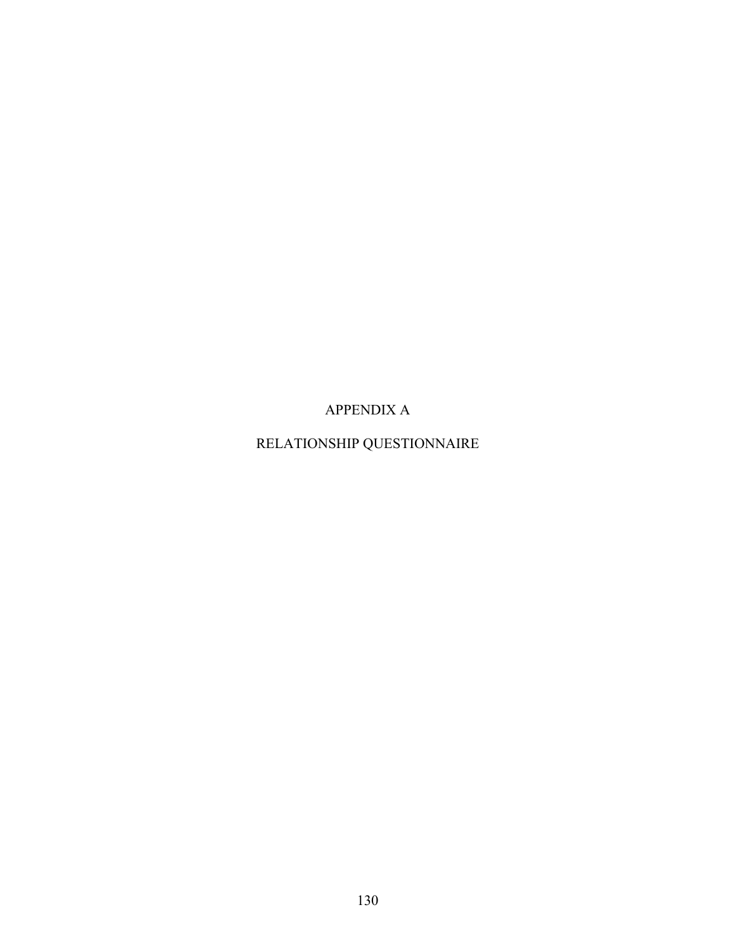APPENDIX A

RELATIONSHIP QUESTIONNAIRE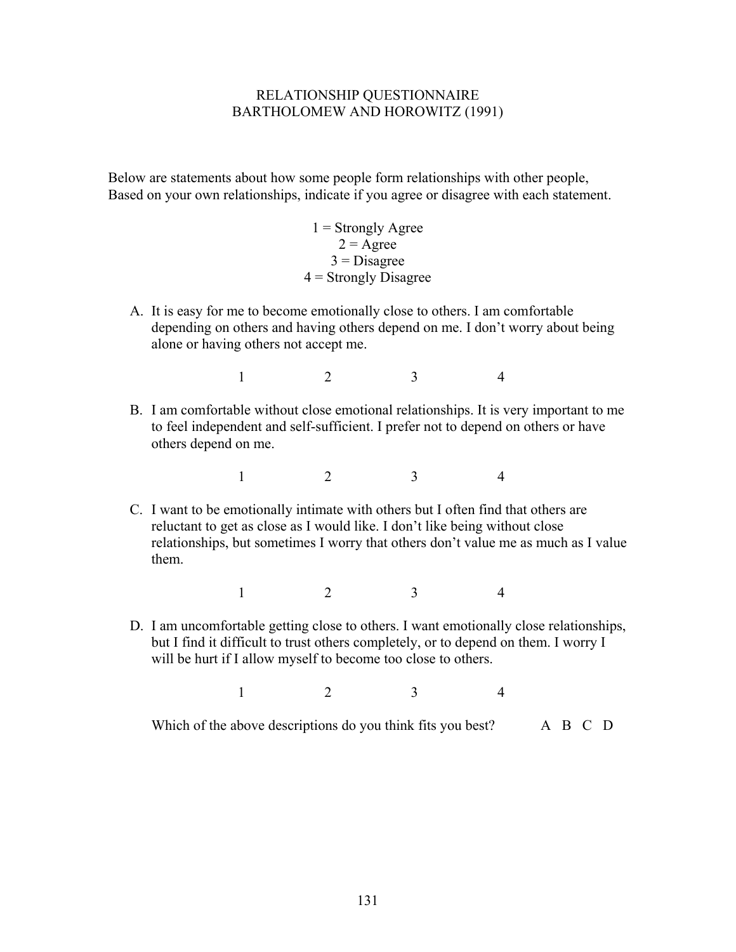## RELATIONSHIP QUESTIONNAIRE BARTHOLOMEW AND HOROWITZ (1991)

Below are statements about how some people form relationships with other people, Based on your own relationships, indicate if you agree or disagree with each statement.

> $1 =$  Strongly Agree  $2 = \text{Agree}$  $3 = Disagree$  $4 =$  Strongly Disagree

A. It is easy for me to become emotionally close to others. I am comfortable depending on others and having others depend on me. I don't worry about being alone or having others not accept me.

1 2 3 4

B. I am comfortable without close emotional relationships. It is very important to me to feel independent and self-sufficient. I prefer not to depend on others or have others depend on me.

1 2 3 4

C. I want to be emotionally intimate with others but I often find that others are reluctant to get as close as I would like. I don't like being without close relationships, but sometimes I worry that others don't value me as much as I value them.

1 2 3 4

D. I am uncomfortable getting close to others. I want emotionally close relationships, but I find it difficult to trust others completely, or to depend on them. I worry I will be hurt if I allow myself to become too close to others.

1 2 3 4

Which of the above descriptions do you think fits you best? A B C D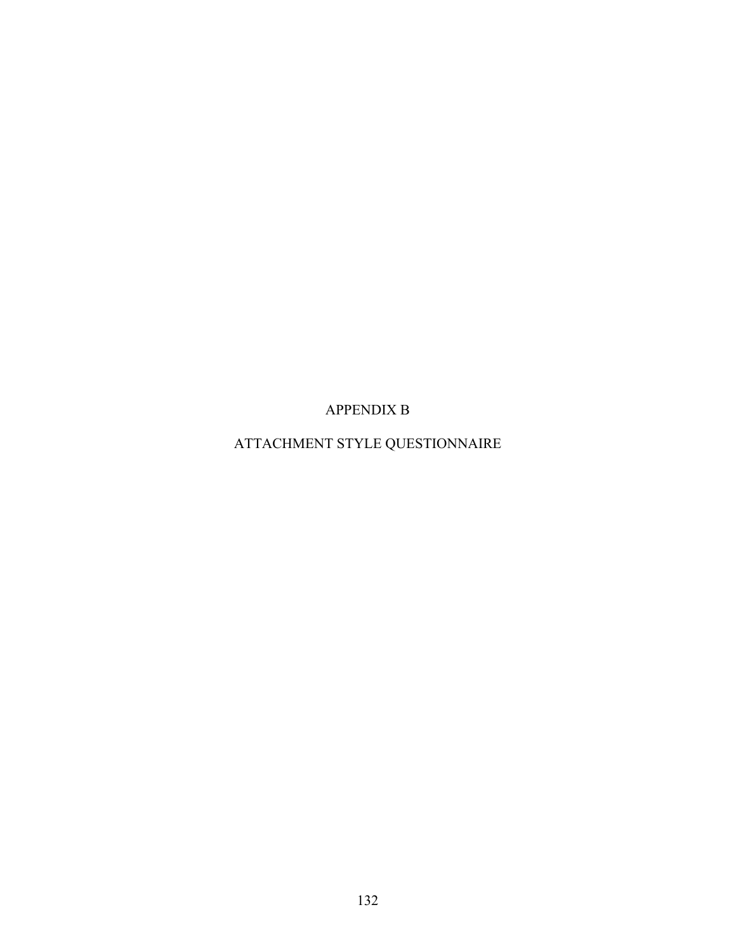APPENDIX B

ATTACHMENT STYLE QUESTIONNAIRE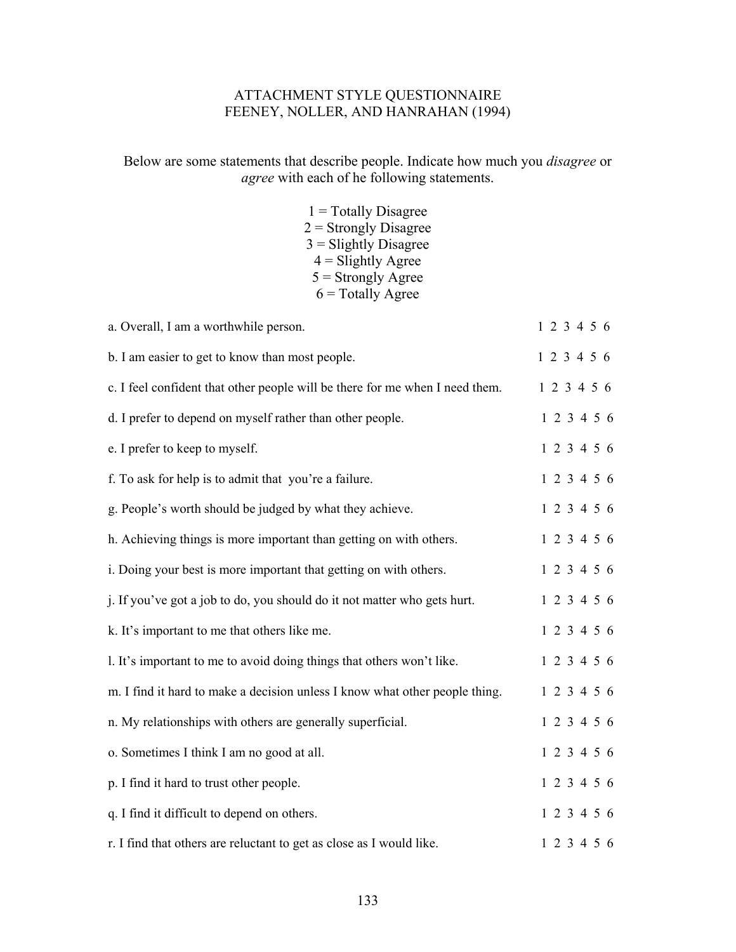# ATTACHMENT STYLE QUESTIONNAIRE FEENEY, NOLLER, AND HANRAHAN (1994)

# Below are some statements that describe people. Indicate how much you *disagree* or *agree* with each of he following statements.

 $1$  = Totally Disagree  $2 =$  Strongly Disagree  $3 =$  Slightly Disagree  $4 =$ Slightly Agree  $5 =$  Strongly Agree  $6 = \text{Totally Age}$ 

| a. Overall, I am a worthwhile person.                                        | 1 2 3 4 5 6 |
|------------------------------------------------------------------------------|-------------|
| b. I am easier to get to know than most people.                              | 1 2 3 4 5 6 |
| c. I feel confident that other people will be there for me when I need them. | 1 2 3 4 5 6 |
| d. I prefer to depend on myself rather than other people.                    | 1 2 3 4 5 6 |
| e. I prefer to keep to myself.                                               | 1 2 3 4 5 6 |
| f. To ask for help is to admit that you're a failure.                        | 1 2 3 4 5 6 |
| g. People's worth should be judged by what they achieve.                     | 1 2 3 4 5 6 |
| h. Achieving things is more important than getting on with others.           | 1 2 3 4 5 6 |
| i. Doing your best is more important that getting on with others.            | 1 2 3 4 5 6 |
| j. If you've got a job to do, you should do it not matter who gets hurt.     | 1 2 3 4 5 6 |
| k. It's important to me that others like me.                                 | 1 2 3 4 5 6 |
| 1. It's important to me to avoid doing things that others won't like.        | 1 2 3 4 5 6 |
| m. I find it hard to make a decision unless I know what other people thing.  | 1 2 3 4 5 6 |
| n. My relationships with others are generally superficial.                   | 1 2 3 4 5 6 |
| o. Sometimes I think I am no good at all.                                    | 1 2 3 4 5 6 |
| p. I find it hard to trust other people.                                     | 1 2 3 4 5 6 |
| q. I find it difficult to depend on others.                                  | 1 2 3 4 5 6 |
| r. I find that others are reluctant to get as close as I would like.         | 1 2 3 4 5 6 |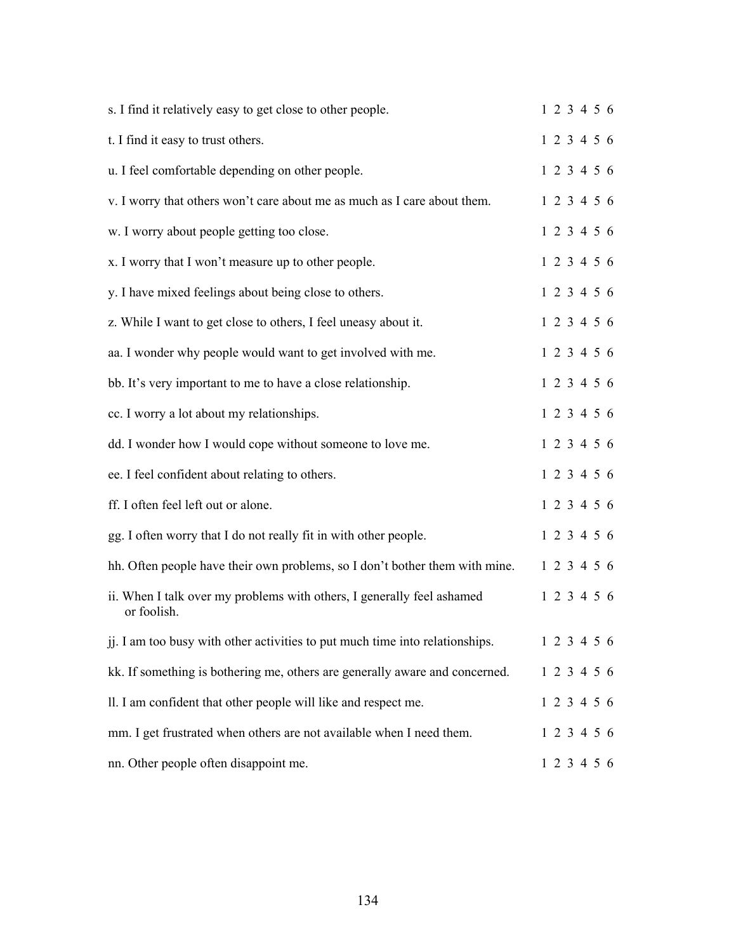| s. I find it relatively easy to get close to other people.                            | 123456      |  |  |
|---------------------------------------------------------------------------------------|-------------|--|--|
| t. I find it easy to trust others.                                                    | 1 2 3 4 5 6 |  |  |
| u. I feel comfortable depending on other people.                                      | 1 2 3 4 5 6 |  |  |
| v. I worry that others won't care about me as much as I care about them.              | 1 2 3 4 5 6 |  |  |
| w. I worry about people getting too close.                                            | 1 2 3 4 5 6 |  |  |
| x. I worry that I won't measure up to other people.                                   | 1 2 3 4 5 6 |  |  |
| y. I have mixed feelings about being close to others.                                 | 1 2 3 4 5 6 |  |  |
| z. While I want to get close to others, I feel uneasy about it.                       | 1 2 3 4 5 6 |  |  |
| aa. I wonder why people would want to get involved with me.                           | 1 2 3 4 5 6 |  |  |
| bb. It's very important to me to have a close relationship.                           | 1 2 3 4 5 6 |  |  |
| cc. I worry a lot about my relationships.                                             | 1 2 3 4 5 6 |  |  |
| dd. I wonder how I would cope without someone to love me.                             | 1 2 3 4 5 6 |  |  |
| ee. I feel confident about relating to others.                                        | 1 2 3 4 5 6 |  |  |
| ff. I often feel left out or alone.                                                   | 1 2 3 4 5 6 |  |  |
| gg. I often worry that I do not really fit in with other people.                      | 1 2 3 4 5 6 |  |  |
| hh. Often people have their own problems, so I don't bother them with mine.           | 1 2 3 4 5 6 |  |  |
| ii. When I talk over my problems with others, I generally feel ashamed<br>or foolish. | 1 2 3 4 5 6 |  |  |
| ji. I am too busy with other activities to put much time into relationships.          | 1 2 3 4 5 6 |  |  |
| kk. If something is bothering me, others are generally aware and concerned.           | 1 2 3 4 5 6 |  |  |
| II. I am confident that other people will like and respect me.                        | 1 2 3 4 5 6 |  |  |
| mm. I get frustrated when others are not available when I need them.                  | 1 2 3 4 5 6 |  |  |
| nn. Other people often disappoint me.                                                 | 1 2 3 4 5 6 |  |  |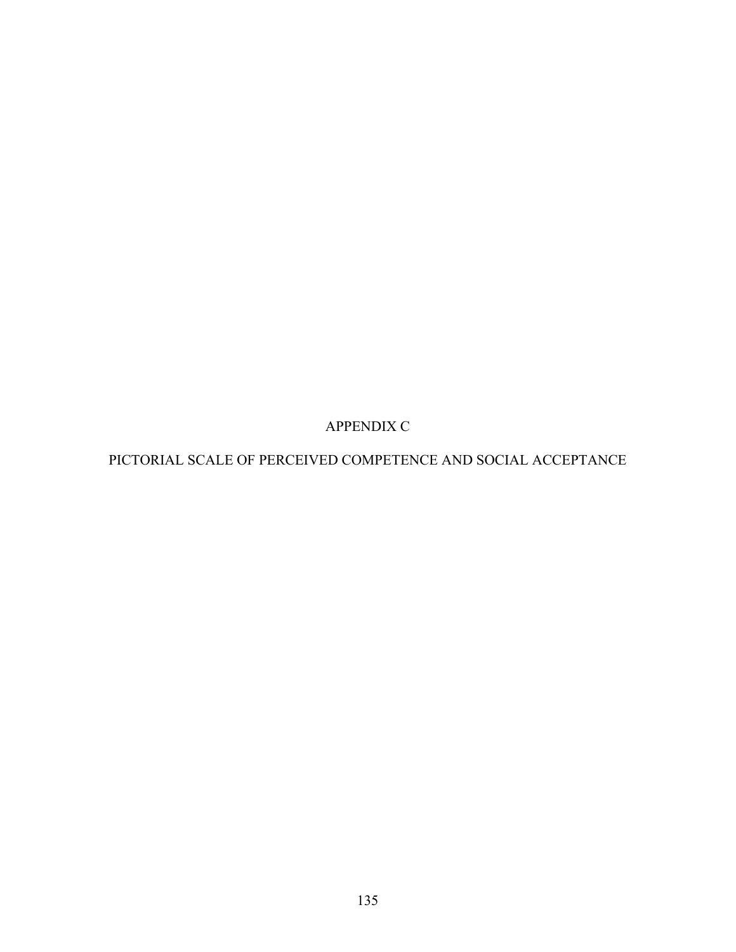APPENDIX C

PICTORIAL SCALE OF PERCEIVED COMPETENCE AND SOCIAL ACCEPTANCE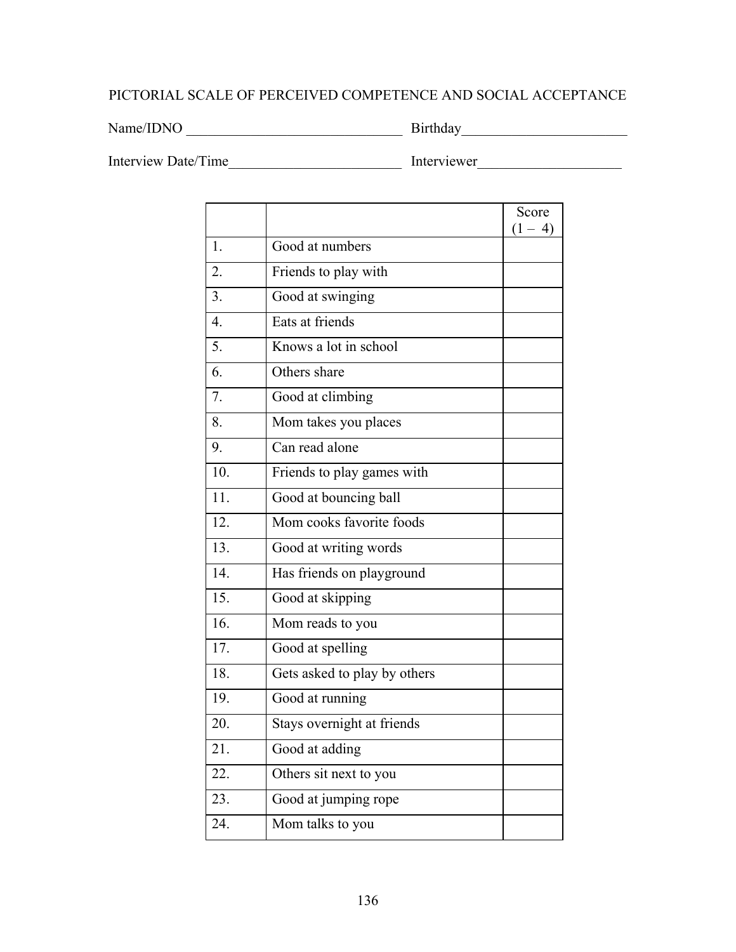# PICTORIAL SCALE OF PERCEIVED COMPETENCE AND SOCIAL ACCEPTANCE

Name/IDNO \_\_\_\_\_\_\_\_\_\_\_\_\_\_\_\_\_\_\_\_\_\_\_\_\_\_\_\_\_\_ Birthday\_\_\_\_\_\_\_\_\_\_\_\_\_\_\_\_\_\_\_\_\_\_\_

Interview Date/Time\_\_\_\_\_\_\_\_\_\_\_\_\_\_\_\_\_\_\_\_\_\_\_\_ Interviewer\_\_\_\_\_\_\_\_\_\_\_\_\_\_\_\_\_\_\_\_

|                  |                              | Score<br>$(1 - 4)$ |
|------------------|------------------------------|--------------------|
| 1.               | Good at numbers              |                    |
| 2.               | Friends to play with         |                    |
| 3.               | Good at swinging             |                    |
| $\overline{4}$ . | Eats at friends              |                    |
| 5.               | Knows a lot in school        |                    |
| 6.               | Others share                 |                    |
| 7.               | Good at climbing             |                    |
| 8.               | Mom takes you places         |                    |
| 9.               | Can read alone               |                    |
| 10.              | Friends to play games with   |                    |
| 11.              | Good at bouncing ball        |                    |
| 12.              | Mom cooks favorite foods     |                    |
| 13.              | Good at writing words        |                    |
| 14.              | Has friends on playground    |                    |
| 15.              | Good at skipping             |                    |
| 16.              | Mom reads to you             |                    |
| 17.              | Good at spelling             |                    |
| 18.              | Gets asked to play by others |                    |
| 19.              | Good at running              |                    |
| 20.              | Stays overnight at friends   |                    |
| 21.              | Good at adding               |                    |
| 22.              | Others sit next to you       |                    |
| 23.              | Good at jumping rope         |                    |
| 24.              | Mom talks to you             |                    |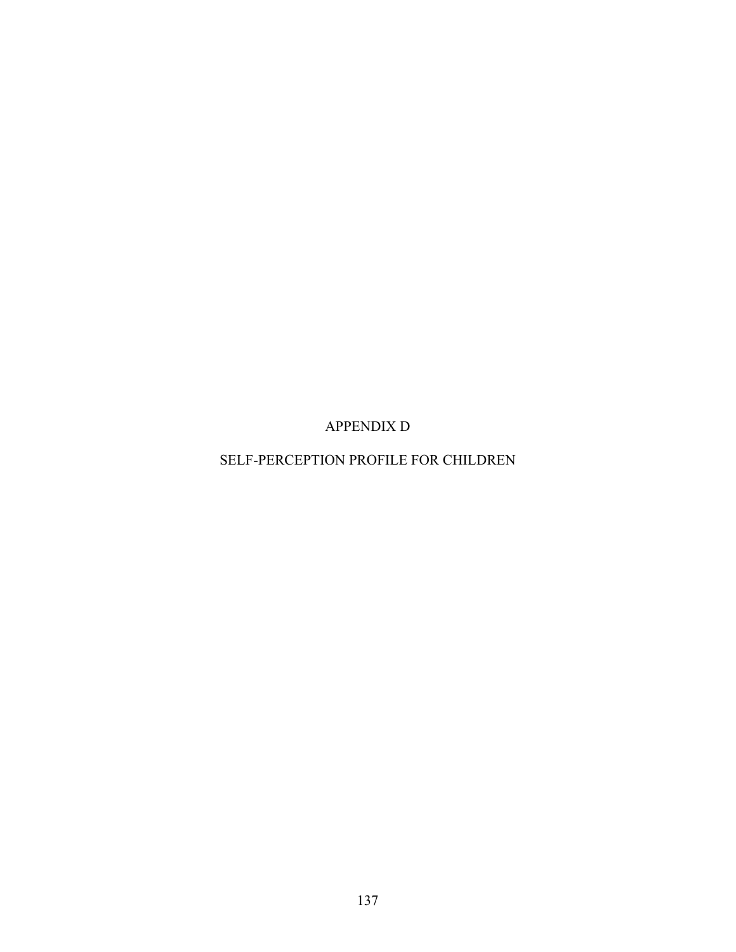APPENDIX D

SELF-PERCEPTION PROFILE FOR CHILDREN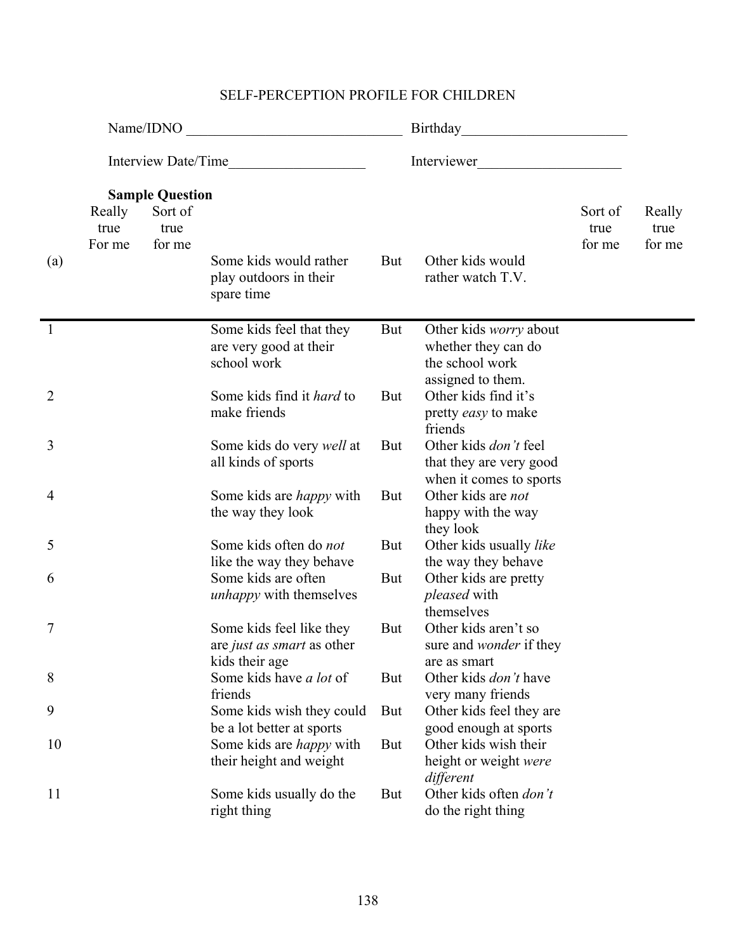| Name/IDNO<br><u> 1989 - Johann Barn, mars ann an t-Amhain Aonaich an t-Aonaich an t-Aonaich ann an t-Aonaich ann an t-Aonaich</u> |                          |                                                     |                                                                          |            |                                                                                              |                           |                          |  |
|-----------------------------------------------------------------------------------------------------------------------------------|--------------------------|-----------------------------------------------------|--------------------------------------------------------------------------|------------|----------------------------------------------------------------------------------------------|---------------------------|--------------------------|--|
|                                                                                                                                   | Interview Date/Time      |                                                     |                                                                          |            | Interviewer                                                                                  |                           |                          |  |
| (a)                                                                                                                               | Really<br>true<br>For me | <b>Sample Question</b><br>Sort of<br>true<br>for me | Some kids would rather<br>play outdoors in their<br>spare time           | But        | Other kids would<br>rather watch T.V.                                                        | Sort of<br>true<br>for me | Really<br>true<br>for me |  |
| $\overline{1}$                                                                                                                    |                          |                                                     | Some kids feel that they<br>are very good at their<br>school work        | But        | Other kids <i>worry</i> about<br>whether they can do<br>the school work<br>assigned to them. |                           |                          |  |
| $\overline{2}$                                                                                                                    |                          |                                                     | Some kids find it <i>hard</i> to<br>make friends                         | <b>But</b> | Other kids find it's<br>pretty easy to make<br>friends                                       |                           |                          |  |
| 3                                                                                                                                 |                          |                                                     | Some kids do very <i>well</i> at<br>all kinds of sports                  | But        | Other kids <i>don't</i> feel<br>that they are very good<br>when it comes to sports           |                           |                          |  |
| 4                                                                                                                                 |                          |                                                     | Some kids are <i>happy</i> with<br>the way they look                     | But        | Other kids are not<br>happy with the way<br>they look                                        |                           |                          |  |
| 5                                                                                                                                 |                          |                                                     | Some kids often do not<br>like the way they behave                       | <b>But</b> | Other kids usually like<br>the way they behave                                               |                           |                          |  |
| 6                                                                                                                                 |                          |                                                     | Some kids are often<br><i>unhappy</i> with themselves                    | <b>But</b> | Other kids are pretty<br><i>pleased</i> with<br>themselves                                   |                           |                          |  |
| 7                                                                                                                                 |                          |                                                     | Some kids feel like they<br>are just as smart as other<br>kids their age | But        | Other kids aren't so<br>sure and <i>wonder</i> if they<br>are as smart                       |                           |                          |  |
| 8                                                                                                                                 |                          |                                                     | Some kids have <i>a lot</i> of<br>friends                                | But        | Other kids <i>don't</i> have<br>very many friends                                            |                           |                          |  |
| 9                                                                                                                                 |                          |                                                     | Some kids wish they could<br>be a lot better at sports                   | But        | Other kids feel they are<br>good enough at sports                                            |                           |                          |  |
| 10                                                                                                                                |                          |                                                     | Some kids are <i>happy</i> with<br>their height and weight               | But        | Other kids wish their<br>height or weight were<br>different                                  |                           |                          |  |
| 11                                                                                                                                |                          |                                                     | Some kids usually do the<br>right thing                                  | But        | Other kids often don't<br>do the right thing                                                 |                           |                          |  |

# SELF-PERCEPTION PROFILE FOR CHILDREN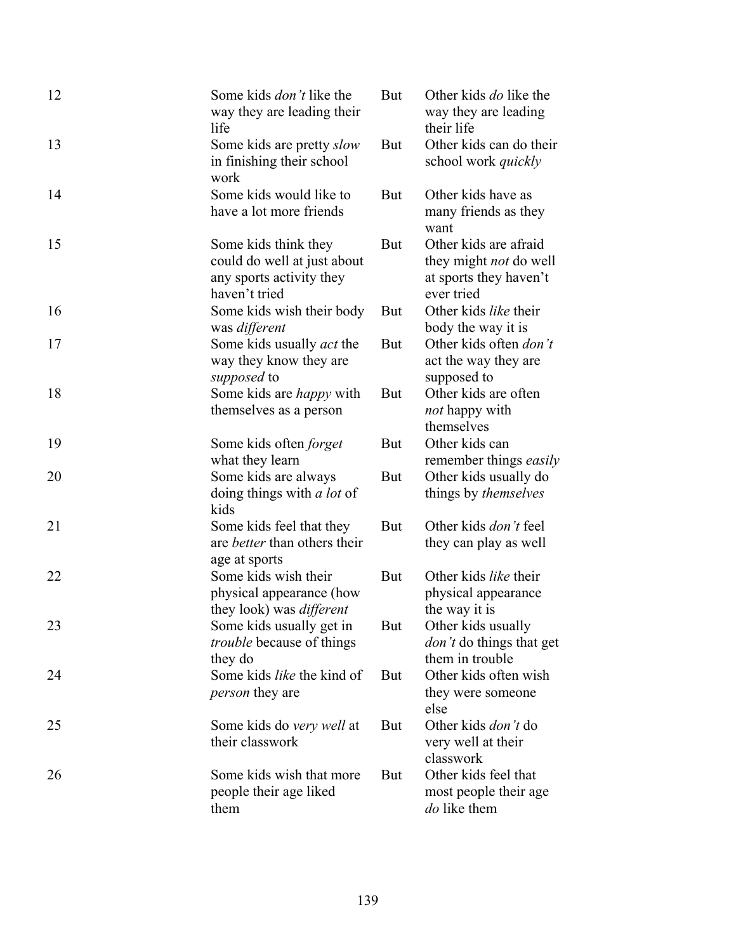| 12 | Some kids <i>don't</i> like the<br>way they are leading their<br>life                            | <b>But</b> | Other kids <i>do</i> like the<br>way they are leading<br>their life                            |
|----|--------------------------------------------------------------------------------------------------|------------|------------------------------------------------------------------------------------------------|
| 13 | Some kids are pretty <i>slow</i><br>in finishing their school<br>work                            | <b>But</b> | Other kids can do their<br>school work <i>quickly</i>                                          |
| 14 | Some kids would like to<br>have a lot more friends                                               | <b>But</b> | Other kids have as<br>many friends as they<br>want                                             |
| 15 | Some kids think they<br>could do well at just about<br>any sports activity they<br>haven't tried | But        | Other kids are afraid<br>they might <i>not</i> do well<br>at sports they haven't<br>ever tried |
| 16 | Some kids wish their body<br>was different                                                       | <b>But</b> | Other kids like their<br>body the way it is                                                    |
| 17 | Some kids usually <i>act</i> the<br>way they know they are<br><i>supposed</i> to                 | <b>But</b> | Other kids often <i>don't</i><br>act the way they are<br>supposed to                           |
| 18 | Some kids are <i>happy</i> with<br>themselves as a person                                        | But        | Other kids are often<br><i>not</i> happy with<br>themselves                                    |
| 19 | Some kids often <i>forget</i><br>what they learn                                                 | <b>But</b> | Other kids can<br>remember things easily                                                       |
| 20 | Some kids are always<br>doing things with <i>a lot</i> of<br>kids                                | <b>But</b> | Other kids usually do<br>things by <i>themselves</i>                                           |
| 21 | Some kids feel that they<br>are <i>better</i> than others their<br>age at sports                 | But        | Other kids <i>don't</i> feel<br>they can play as well                                          |
| 22 | Some kids wish their<br>physical appearance (how<br>they look) was different                     | <b>But</b> | Other kids like their<br>physical appearance<br>the way it is                                  |
| 23 | Some kids usually get in<br><i>trouble</i> because of things<br>they do                          | But        | Other kids usually<br><i>don't</i> do things that get<br>them in trouble                       |
| 24 | Some kids like the kind of<br><i>person</i> they are                                             | <b>But</b> | Other kids often wish<br>they were someone<br>else                                             |
| 25 | Some kids do very well at<br>their classwork                                                     | <b>But</b> | Other kids <i>don't</i> do<br>very well at their<br>classwork                                  |
| 26 | Some kids wish that more<br>people their age liked<br>them                                       | But        | Other kids feel that<br>most people their age.<br>do like them                                 |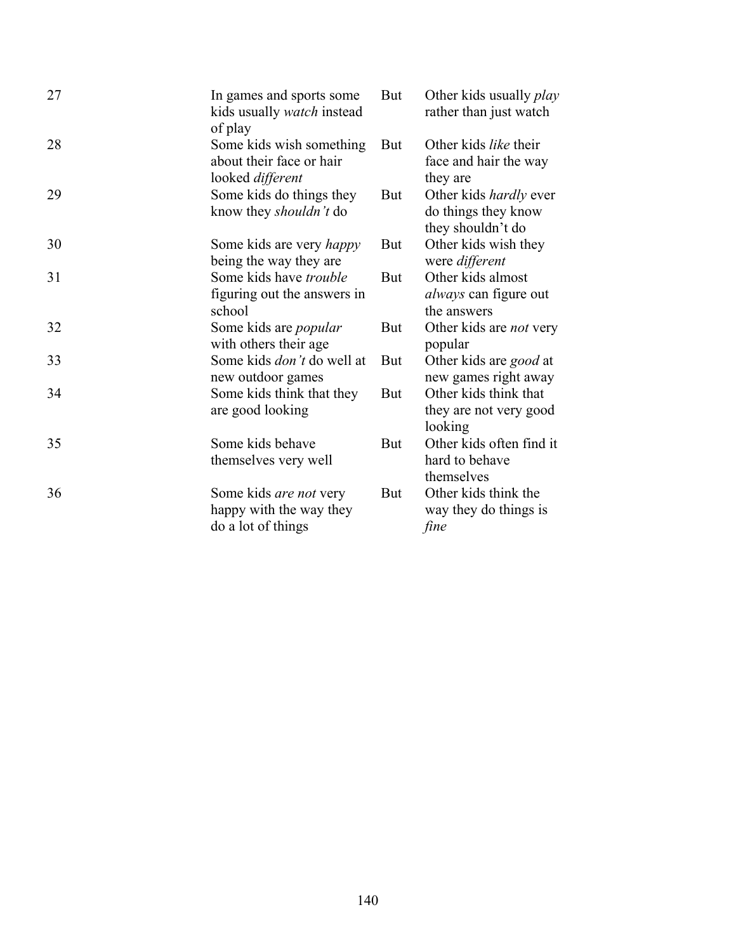| 27 | In games and sports some<br>kids usually <i>watch</i> instead<br>of play | But        | Other kids usually <i>play</i><br>rather than just watch                  |
|----|--------------------------------------------------------------------------|------------|---------------------------------------------------------------------------|
| 28 | Some kids wish something<br>about their face or hair<br>looked different | But        | Other kids like their<br>face and hair the way<br>they are                |
| 29 | Some kids do things they<br>know they shouldn't do                       | <b>But</b> | Other kids <i>hardly</i> ever<br>do things they know<br>they shouldn't do |
| 30 | Some kids are very <i>happy</i><br>being the way they are                | But        | Other kids wish they<br>were different                                    |
| 31 | Some kids have <i>trouble</i><br>figuring out the answers in<br>school   | <b>But</b> | Other kids almost<br><i>always</i> can figure out<br>the answers          |
| 32 | Some kids are <i>popular</i><br>with others their age.                   | <b>But</b> | Other kids are <i>not</i> very<br>popular                                 |
| 33 | Some kids <i>don't</i> do well at<br>new outdoor games                   | But        | Other kids are good at<br>new games right away                            |
| 34 | Some kids think that they<br>are good looking                            | <b>But</b> | Other kids think that<br>they are not very good<br>looking                |
| 35 | Some kids behave<br>themselves very well                                 | But        | Other kids often find it<br>hard to behave<br>themselves                  |
| 36 | Some kids are not very<br>happy with the way they<br>do a lot of things  | <b>But</b> | Other kids think the<br>way they do things is<br>fine                     |